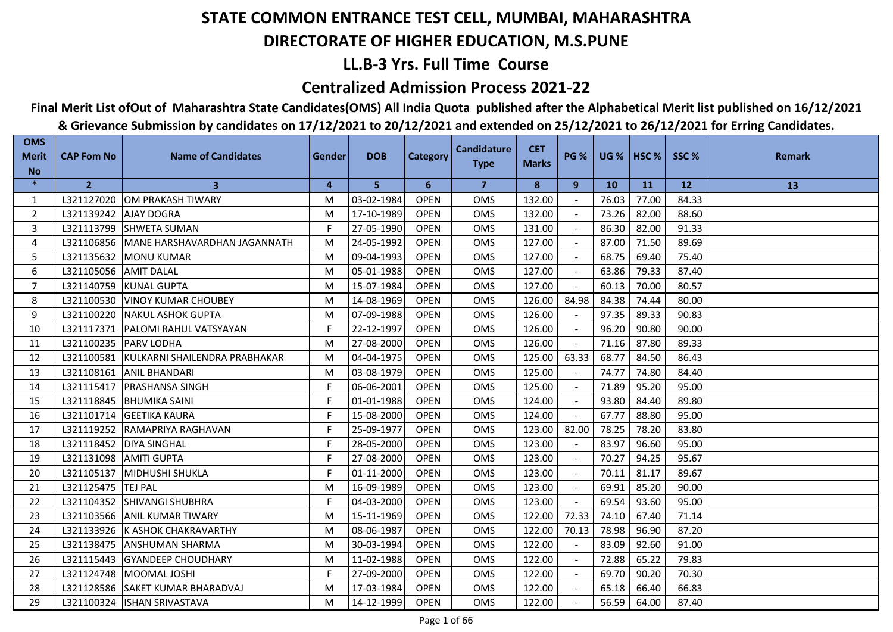## **LL.B-3 Yrs. Full Time Course**

### **Centralized Admission Process 2021-22**

## **Final Merit List ofOut of Maharashtra State Candidates(OMS) All India Quota published after the Alphabetical Merit list published on 16/12/2021**

| <b>OMS</b><br><b>Merit</b> | <b>CAP Fom No</b>       | <b>Name of Candidates</b>                | Gender         | <b>DOB</b> | <b>Category</b> | <b>Candidature</b><br><b>Type</b> | <b>CET</b><br><b>Marks</b> | <b>PG %</b> |       | UG %   HSC % | SSC%  | <b>Remark</b> |
|----------------------------|-------------------------|------------------------------------------|----------------|------------|-----------------|-----------------------------------|----------------------------|-------------|-------|--------------|-------|---------------|
| <b>No</b>                  |                         |                                          |                |            |                 |                                   |                            |             |       |              |       |               |
| $\ast$                     | $\overline{2}$          | 3                                        | $\overline{4}$ | 5          | 6               | $\overline{7}$                    | 8                          | 9           | 10    | <b>11</b>    | 12    | 13            |
| 1                          |                         | L321127020 OM PRAKASH TIWARY             | M              | 03-02-1984 | <b>OPEN</b>     | <b>OMS</b>                        | 132.00                     |             | 76.03 | 77.00        | 84.33 |               |
| 2                          | L321139242   AJAY DOGRA |                                          | M              | 17-10-1989 | <b>OPEN</b>     | OMS                               | 132.00                     |             | 73.26 | 82.00        | 88.60 |               |
| 3                          | L321113799              | <b>SHWETA SUMAN</b>                      | F.             | 27-05-1990 | <b>OPEN</b>     | OMS                               | 131.00                     |             | 86.30 | 82.00        | 91.33 |               |
| 4                          |                         | L321106856 MANE HARSHAVARDHAN JAGANNATH  | M              | 24-05-1992 | <b>OPEN</b>     | <b>OMS</b>                        | 127.00                     |             | 87.00 | 71.50        | 89.69 |               |
| 5                          |                         | L321135632 MONU KUMAR                    | M              | 09-04-1993 | <b>OPEN</b>     | <b>OMS</b>                        | 127.00                     |             | 68.75 | 69.40        | 75.40 |               |
| 6                          | L321105056 AMIT DALAL   |                                          | M              | 05-01-1988 | <b>OPEN</b>     | <b>OMS</b>                        | 127.00                     |             | 63.86 | 79.33        | 87.40 |               |
| $\overline{7}$             |                         | L321140759 KUNAL GUPTA                   | M              | 15-07-1984 | <b>OPEN</b>     | <b>OMS</b>                        | 127.00                     |             | 60.13 | 70.00        | 80.57 |               |
| 8                          |                         | L321100530 VINOY KUMAR CHOUBEY           | M              | 14-08-1969 | <b>OPEN</b>     | <b>OMS</b>                        | 126.00                     | 84.98       | 84.38 | 74.44        | 80.00 |               |
| 9                          |                         | L321100220 NAKUL ASHOK GUPTA             | M              | 07-09-1988 | <b>OPEN</b>     | <b>OMS</b>                        | 126.00                     |             | 97.35 | 89.33        | 90.83 |               |
| 10                         |                         | L321117371   PALOMI RAHUL VATSYAYAN      | F              | 22-12-1997 | <b>OPEN</b>     | <b>OMS</b>                        | 126.00                     |             | 96.20 | 90.80        | 90.00 |               |
| 11                         | L321100235 PARV LODHA   |                                          | M              | 27-08-2000 | <b>OPEN</b>     | <b>OMS</b>                        | 126.00                     |             | 71.16 | 87.80        | 89.33 |               |
| 12                         |                         | L321100581 KULKARNI SHAILENDRA PRABHAKAR | M              | 04-04-1975 | <b>OPEN</b>     | <b>OMS</b>                        | 125.00                     | 63.33       | 68.77 | 84.50        | 86.43 |               |
| 13                         |                         | L321108161 ANIL BHANDARI                 | M              | 03-08-1979 | <b>OPEN</b>     | OMS                               | 125.00                     |             | 74.77 | 74.80        | 84.40 |               |
| 14                         |                         | L321115417   PRASHANSA SINGH             | F              | 06-06-2001 | <b>OPEN</b>     | <b>OMS</b>                        | 125.00                     |             | 71.89 | 95.20        | 95.00 |               |
| 15                         |                         | L321118845 BHUMIKA SAINI                 | F              | 01-01-1988 | <b>OPEN</b>     | <b>OMS</b>                        | 124.00                     |             | 93.80 | 84.40        | 89.80 |               |
| 16                         |                         | L321101714 GEETIKA KAURA                 | F              | 15-08-2000 | <b>OPEN</b>     | OMS                               | 124.00                     | $\sim$      | 67.77 | 88.80        | 95.00 |               |
| 17                         |                         | L321119252 RAMAPRIYA RAGHAVAN            | F              | 25-09-1977 | <b>OPEN</b>     | <b>OMS</b>                        | 123.00                     | 82.00       | 78.25 | 78.20        | 83.80 |               |
| 18                         |                         | L321118452   DIYA SINGHAL                | F              | 28-05-2000 | <b>OPEN</b>     | <b>OMS</b>                        | 123.00                     |             | 83.97 | 96.60        | 95.00 |               |
| 19                         | L321131098 AMITI GUPTA  |                                          | F.             | 27-08-2000 | <b>OPEN</b>     | <b>OMS</b>                        | 123.00                     |             | 70.27 | 94.25        | 95.67 |               |
| 20                         |                         | L321105137 MIDHUSHI SHUKLA               | F.             | 01-11-2000 | <b>OPEN</b>     | OMS                               | 123.00                     |             | 70.11 | 81.17        | 89.67 |               |
| 21                         | L321125475 TEJ PAL      |                                          | M              | 16-09-1989 | <b>OPEN</b>     | OMS                               | 123.00                     |             | 69.91 | 85.20        | 90.00 |               |
| 22                         |                         | L321104352 SHIVANGI SHUBHRA              | F.             | 04-03-2000 | <b>OPEN</b>     | <b>OMS</b>                        | 123.00                     |             | 69.54 | 93.60        | 95.00 |               |
| 23                         |                         | L321103566 ANIL KUMAR TIWARY             | M              | 15-11-1969 | <b>OPEN</b>     | <b>OMS</b>                        | 122.00                     | 72.33       | 74.10 | 67.40        | 71.14 |               |
| 24                         |                         | L321133926 K ASHOK CHAKRAVARTHY          | M              | 08-06-1987 | <b>OPEN</b>     | <b>OMS</b>                        | 122.00                     | 70.13       | 78.98 | 96.90        | 87.20 |               |
| 25                         |                         | L321138475 ANSHUMAN SHARMA               | M              | 30-03-1994 | <b>OPEN</b>     | <b>OMS</b>                        | 122.00                     |             | 83.09 | 92.60        | 91.00 |               |
| 26                         | L321115443              | <b>IGYANDEEP CHOUDHARY</b>               | M              | 11-02-1988 | <b>OPEN</b>     | <b>OMS</b>                        | 122.00                     |             | 72.88 | 65.22        | 79.83 |               |
| 27                         |                         | L321124748   MOOMAL JOSHI                | F.             | 27-09-2000 | <b>OPEN</b>     | <b>OMS</b>                        | 122.00                     |             | 69.70 | 90.20        | 70.30 |               |
| 28                         |                         | L321128586 SAKET KUMAR BHARADVAJ         | M              | 17-03-1984 | <b>OPEN</b>     | <b>OMS</b>                        | 122.00                     |             | 65.18 | 66.40        | 66.83 |               |
| 29                         |                         | L321100324  ISHAN SRIVASTAVA             | M              | 14-12-1999 | <b>OPEN</b>     | <b>OMS</b>                        | 122.00                     |             | 56.59 | 64.00        | 87.40 |               |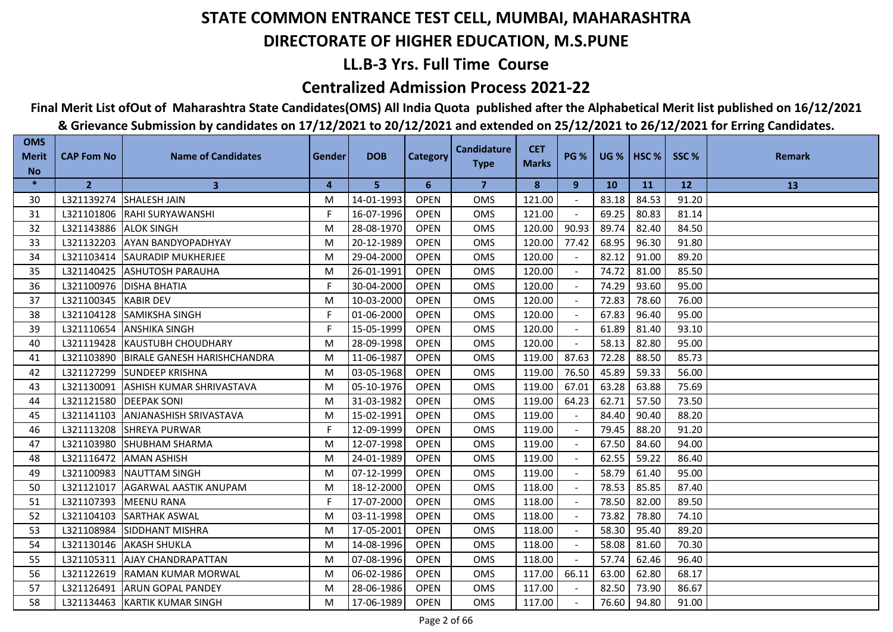## **LL.B-3 Yrs. Full Time Course**

### **Centralized Admission Process 2021-22**

## **Final Merit List ofOut of Maharashtra State Candidates(OMS) All India Quota published after the Alphabetical Merit list published on 16/12/2021**

| <b>OMS</b><br><b>Merit</b><br><b>No</b> | <b>CAP Fom No</b>        | <b>Name of Candidates</b>              | Gender         | <b>DOB</b> | <b>Category</b> | <b>Candidature</b><br><b>Type</b> | <b>CET</b><br><b>Marks</b> | <b>PG %</b> |       | <b>UG %   HSC %  </b> | SSC%  | <b>Remark</b> |
|-----------------------------------------|--------------------------|----------------------------------------|----------------|------------|-----------------|-----------------------------------|----------------------------|-------------|-------|-----------------------|-------|---------------|
| $\ast$                                  | $\overline{2}$           | $\mathbf{3}$                           | $\overline{4}$ | 5          | 6               | $\overline{7}$                    | 8                          | 9           | 10    | <b>11</b>             | 12    | 13            |
| 30                                      | L321139274               | <b>SHALESH JAIN</b>                    | M              | 14-01-1993 | <b>OPEN</b>     | <b>OMS</b>                        | 121.00                     |             | 83.18 | 84.53                 | 91.20 |               |
| 31                                      |                          | L321101806 RAHI SURYAWANSHI            | F              | 16-07-1996 | <b>OPEN</b>     | <b>OMS</b>                        | 121.00                     |             | 69.25 | 80.83                 | 81.14 |               |
| 32                                      | L321143886               | <b>ALOK SINGH</b>                      | M              | 28-08-1970 | <b>OPEN</b>     | <b>OMS</b>                        | 120.00                     | 90.93       | 89.74 | 82.40                 | 84.50 |               |
| 33                                      | L321132203               | <b>AYAN BANDYOPADHYAY</b>              | M              | 20-12-1989 | <b>OPEN</b>     | <b>OMS</b>                        | 120.00                     | 77.42       | 68.95 | 96.30                 | 91.80 |               |
| 34                                      |                          | L321103414 SAURADIP MUKHERJEE          | M              | 29-04-2000 | <b>OPEN</b>     | OMS                               | 120.00                     |             | 82.12 | 91.00                 | 89.20 |               |
| 35                                      |                          | L321140425 ASHUTOSH PARAUHA            | M              | 26-01-1991 | <b>OPEN</b>     | <b>OMS</b>                        | 120.00                     |             | 74.72 | 81.00                 | 85.50 |               |
| 36                                      |                          | L321100976   DISHA BHATIA              | F              | 30-04-2000 | <b>OPEN</b>     | OMS                               | 120.00                     |             | 74.29 | 93.60                 | 95.00 |               |
| 37                                      | L321100345 KABIR DEV     |                                        | M              | 10-03-2000 | <b>OPEN</b>     | OMS                               | 120.00                     |             | 72.83 | 78.60                 | 76.00 |               |
| 38                                      |                          | L321104128 SAMIKSHA SINGH              | F              | 01-06-2000 | <b>OPEN</b>     | OMS                               | 120.00                     |             | 67.83 | 96.40                 | 95.00 |               |
| 39                                      | L321110654               | <b>ANSHIKA SINGH</b>                   | F.             | 15-05-1999 | <b>OPEN</b>     | <b>OMS</b>                        | 120.00                     |             | 61.89 | 81.40                 | 93.10 |               |
| 40                                      |                          | L321119428 KAUSTUBH CHOUDHARY          | M              | 28-09-1998 | <b>OPEN</b>     | <b>OMS</b>                        | 120.00                     |             | 58.13 | 82.80                 | 95.00 |               |
| 41                                      |                          | L321103890 BIRALE GANESH HARISHCHANDRA | M              | 11-06-1987 | <b>OPEN</b>     | <b>OMS</b>                        | 119.00                     | 87.63       | 72.28 | 88.50                 | 85.73 |               |
| 42                                      |                          | L321127299 SUNDEEP KRISHNA             | M              | 03-05-1968 | <b>OPEN</b>     | OMS                               | 119.00                     | 76.50       | 45.89 | 59.33                 | 56.00 |               |
| 43                                      |                          | L321130091 ASHISH KUMAR SHRIVASTAVA    | M              | 05-10-1976 | <b>OPEN</b>     | <b>OMS</b>                        | 119.00                     | 67.01       | 63.28 | 63.88                 | 75.69 |               |
| 44                                      | L321121580   DEEPAK SONI |                                        | M              | 31-03-1982 | <b>OPEN</b>     | <b>OMS</b>                        | 119.00                     | 64.23       | 62.71 | 57.50                 | 73.50 |               |
| 45                                      | L321141103               | <b>ANJANASHISH SRIVASTAVA</b>          | M              | 15-02-1991 | <b>OPEN</b>     | <b>OMS</b>                        | 119.00                     |             | 84.40 | 90.40                 | 88.20 |               |
| 46                                      |                          | L321113208 SHREYA PURWAR               | F              | 12-09-1999 | <b>OPEN</b>     | <b>OMS</b>                        | 119.00                     |             | 79.45 | 88.20                 | 91.20 |               |
| 47                                      | L321103980               | <b>SHUBHAM SHARMA</b>                  | M              | 12-07-1998 | <b>OPEN</b>     | <b>OMS</b>                        | 119.00                     |             | 67.50 | 84.60                 | 94.00 |               |
| 48                                      | L321116472               | <b>AMAN ASHISH</b>                     | M              | 24-01-1989 | <b>OPEN</b>     | <b>OMS</b>                        | 119.00                     |             | 62.55 | 59.22                 | 86.40 |               |
| 49                                      | L321100983               | NAUTTAM SINGH                          | M              | 07-12-1999 | <b>OPEN</b>     | <b>OMS</b>                        | 119.00                     |             | 58.79 | 61.40                 | 95.00 |               |
| 50                                      |                          | L321121017 AGARWAL AASTIK ANUPAM       | M              | 18-12-2000 | <b>OPEN</b>     | OMS                               | 118.00                     |             | 78.53 | 85.85                 | 87.40 |               |
| 51                                      | L321107393               | <b>MEENU RANA</b>                      | F              | 17-07-2000 | <b>OPEN</b>     | <b>OMS</b>                        | 118.00                     |             | 78.50 | 82.00                 | 89.50 |               |
| 52                                      | L321104103               | <b>SARTHAK ASWAL</b>                   | M              | 03-11-1998 | <b>OPEN</b>     | <b>OMS</b>                        | 118.00                     |             | 73.82 | 78.80                 | 74.10 |               |
| 53                                      | L321108984               | <b>SIDDHANT MISHRA</b>                 | M              | 17-05-2001 | <b>OPEN</b>     | <b>OMS</b>                        | 118.00                     |             | 58.30 | 95.40                 | 89.20 |               |
| 54                                      |                          | L321130146 AKASH SHUKLA                | M              | 14-08-1996 | <b>OPEN</b>     | <b>OMS</b>                        | 118.00                     |             | 58.08 | 81.60                 | 70.30 |               |
| 55                                      | L321105311               | <b>AJAY CHANDRAPATTAN</b>              | M              | 07-08-1996 | <b>OPEN</b>     | <b>OMS</b>                        | 118.00                     |             | 57.74 | 62.46                 | 96.40 |               |
| 56                                      |                          | L321122619 RAMAN KUMAR MORWAL          | M              | 06-02-1986 | <b>OPEN</b>     | OMS                               | 117.00                     | 66.11       | 63.00 | 62.80                 | 68.17 |               |
| 57                                      |                          | L321126491 ARUN GOPAL PANDEY           | M              | 28-06-1986 | <b>OPEN</b>     | OMS                               | 117.00                     |             | 82.50 | 73.90                 | 86.67 |               |
| 58                                      |                          | L321134463 KARTIK KUMAR SINGH          | M              | 17-06-1989 | <b>OPEN</b>     | <b>OMS</b>                        | 117.00                     |             | 76.60 | 94.80                 | 91.00 |               |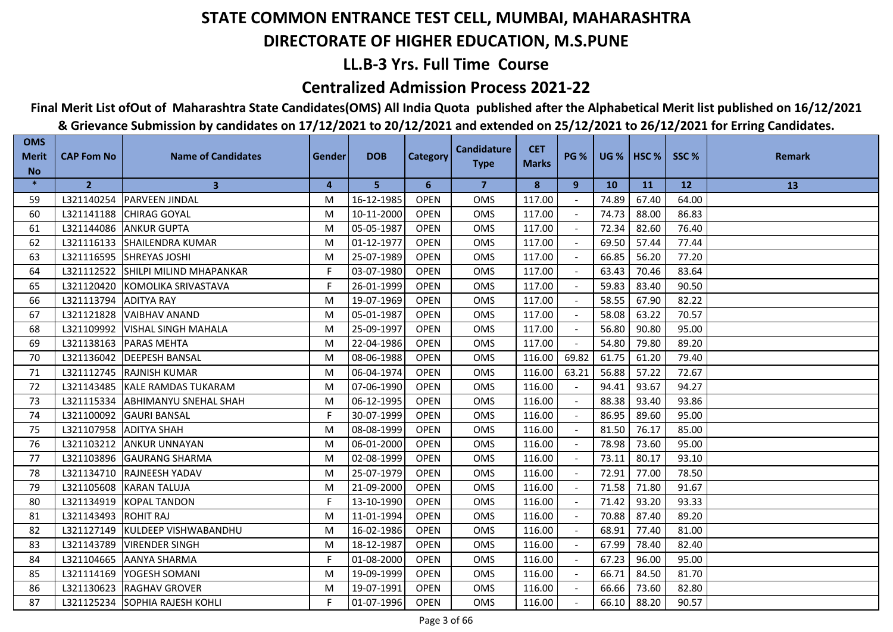## **LL.B-3 Yrs. Full Time Course**

### **Centralized Admission Process 2021-22**

## **Final Merit List ofOut of Maharashtra State Candidates(OMS) All India Quota published after the Alphabetical Merit list published on 16/12/2021**

| <b>OMS</b><br><b>Merit</b> | <b>CAP Fom No</b>      | <b>Name of Candidates</b>          | Gender | <b>DOB</b> | <b>Category</b> | <b>Candidature</b><br><b>Type</b> | <b>CET</b><br><b>Marks</b> | <b>PG %</b> |       | <b>UG %   HSC %  </b> | SSC%  | <b>Remark</b> |
|----------------------------|------------------------|------------------------------------|--------|------------|-----------------|-----------------------------------|----------------------------|-------------|-------|-----------------------|-------|---------------|
| <b>No</b>                  |                        |                                    |        |            |                 |                                   |                            |             |       |                       |       |               |
| $\ast$                     | 2 <sup>2</sup>         | $\mathbf{3}$                       | 4      | 5          | 6               | $\overline{7}$                    | 8                          | 9           | 10    | <b>11</b>             | 12    | 13            |
| 59                         |                        | L321140254   PARVEEN JINDAL        | M      | 16-12-1985 | <b>OPEN</b>     | <b>OMS</b>                        | 117.00                     |             | 74.89 | 67.40                 | 64.00 |               |
| 60                         |                        | L321141188 CHIRAG GOYAL            | M      | 10-11-2000 | <b>OPEN</b>     | <b>OMS</b>                        | 117.00                     |             | 74.73 | 88.00                 | 86.83 |               |
| 61                         | L321144086             | <b>ANKUR GUPTA</b>                 | M      | 05-05-1987 | <b>OPEN</b>     | <b>OMS</b>                        | 117.00                     |             | 72.34 | 82.60                 | 76.40 |               |
| 62                         | L321116133             | <b>SHAILENDRA KUMAR</b>            | M      | 01-12-1977 | <b>OPEN</b>     | <b>OMS</b>                        | 117.00                     |             | 69.50 | 57.44                 | 77.44 |               |
| 63                         | L321116595             | SHREYAS JOSHI                      | M      | 25-07-1989 | <b>OPEN</b>     | OMS                               | 117.00                     |             | 66.85 | 56.20                 | 77.20 |               |
| 64                         |                        | L321112522 SHILPI MILIND MHAPANKAR | F.     | 03-07-1980 | <b>OPEN</b>     | OMS                               | 117.00                     |             | 63.43 | 70.46                 | 83.64 |               |
| 65                         |                        | L321120420 KOMOLIKA SRIVASTAVA     | F      | 26-01-1999 | <b>OPEN</b>     | OMS                               | 117.00                     |             | 59.83 | 83.40                 | 90.50 |               |
| 66                         | L321113794             | <b>ADITYA RAY</b>                  | M      | 19-07-1969 | <b>OPEN</b>     | <b>OMS</b>                        | 117.00                     |             | 58.55 | 67.90                 | 82.22 |               |
| 67                         | L321121828             | <b>VAIBHAV ANAND</b>               | M      | 05-01-1987 | <b>OPEN</b>     | <b>OMS</b>                        | 117.00                     |             | 58.08 | 63.22                 | 70.57 |               |
| 68                         |                        | L321109992 VISHAL SINGH MAHALA     | M      | 25-09-1997 | <b>OPEN</b>     | <b>OMS</b>                        | 117.00                     |             | 56.80 | 90.80                 | 95.00 |               |
| 69                         | L321138163             | <b>PARAS MEHTA</b>                 | M      | 22-04-1986 | <b>OPEN</b>     | <b>OMS</b>                        | 117.00                     |             | 54.80 | 79.80                 | 89.20 |               |
| 70                         | L321136042             | <b>DEEPESH BANSAL</b>              | M      | 08-06-1988 | <b>OPEN</b>     | OMS                               | 116.00                     | 69.82       | 61.75 | 61.20                 | 79.40 |               |
| 71                         |                        | L321112745 RAJNISH KUMAR           | M      | 06-04-1974 | <b>OPEN</b>     | <b>OMS</b>                        | 116.00                     | 63.21       | 56.88 | 57.22                 | 72.67 |               |
| 72                         |                        | L321143485 KALE RAMDAS TUKARAM     | M      | 07-06-1990 | <b>OPEN</b>     | OMS                               | 116.00                     |             | 94.41 | 93.67                 | 94.27 |               |
| 73                         | L321115334             | <b>ABHIMANYU SNEHAL SHAH</b>       | M      | 06-12-1995 | <b>OPEN</b>     | <b>OMS</b>                        | 116.00                     |             | 88.38 | 93.40                 | 93.86 |               |
| 74                         |                        | L321100092 GAURI BANSAL            | F.     | 30-07-1999 | <b>OPEN</b>     | OMS                               | 116.00                     |             | 86.95 | 89.60                 | 95.00 |               |
| 75                         | L321107958 ADITYA SHAH |                                    | M      | 08-08-1999 | <b>OPEN</b>     | OMS                               | 116.00                     |             | 81.50 | 76.17                 | 85.00 |               |
| 76                         | L321103212             | <b>ANKUR UNNAYAN</b>               | M      | 06-01-2000 | <b>OPEN</b>     | OMS                               | 116.00                     |             | 78.98 | 73.60                 | 95.00 |               |
| 77                         |                        | L321103896 GAURANG SHARMA          | M      | 02-08-1999 | <b>OPEN</b>     | <b>OMS</b>                        | 116.00                     |             | 73.11 | 80.17                 | 93.10 |               |
| 78                         |                        | L321134710 RAJNEESH YADAV          | M      | 25-07-1979 | <b>OPEN</b>     | <b>OMS</b>                        | 116.00                     |             | 72.91 | 77.00                 | 78.50 |               |
| 79                         |                        | L321105608 KARAN TALUJA            | M      | 21-09-2000 | <b>OPEN</b>     | <b>OMS</b>                        | 116.00                     |             | 71.58 | 71.80                 | 91.67 |               |
| 80                         | L321134919             | <b>KOPAL TANDON</b>                | F      | 13-10-1990 | <b>OPEN</b>     | <b>OMS</b>                        | 116.00                     |             | 71.42 | 93.20                 | 93.33 |               |
| 81                         | L321143493             | <b>ROHIT RAJ</b>                   | M      | 11-01-1994 | <b>OPEN</b>     | OMS                               | 116.00                     |             | 70.88 | 87.40                 | 89.20 |               |
| 82                         |                        | L321127149 KULDEEP VISHWABANDHU    | M      | 16-02-1986 | <b>OPEN</b>     | <b>OMS</b>                        | 116.00                     |             | 68.91 | 77.40                 | 81.00 |               |
| 83                         | L321143789             | <b>VIRENDER SINGH</b>              | M      | 18-12-1987 | <b>OPEN</b>     | <b>OMS</b>                        | 116.00                     |             | 67.99 | 78.40                 | 82.40 |               |
| 84                         | L321104665             | <b>AANYA SHARMA</b>                | F.     | 01-08-2000 | <b>OPEN</b>     | <b>OMS</b>                        | 116.00                     |             | 67.23 | 96.00                 | 95.00 |               |
| 85                         | L321114169             | YOGESH SOMANI                      | M      | 19-09-1999 | <b>OPEN</b>     | OMS                               | 116.00                     |             | 66.71 | 84.50                 | 81.70 |               |
| 86                         |                        | L321130623 RAGHAV GROVER           | M      | 19-07-1991 | <b>OPEN</b>     | OMS                               | 116.00                     |             | 66.66 | 73.60                 | 82.80 |               |
| 87                         |                        | L321125234 SOPHIA RAJESH KOHLI     | F      | 01-07-1996 | <b>OPEN</b>     | <b>OMS</b>                        | 116.00                     |             | 66.10 | 88.20                 | 90.57 |               |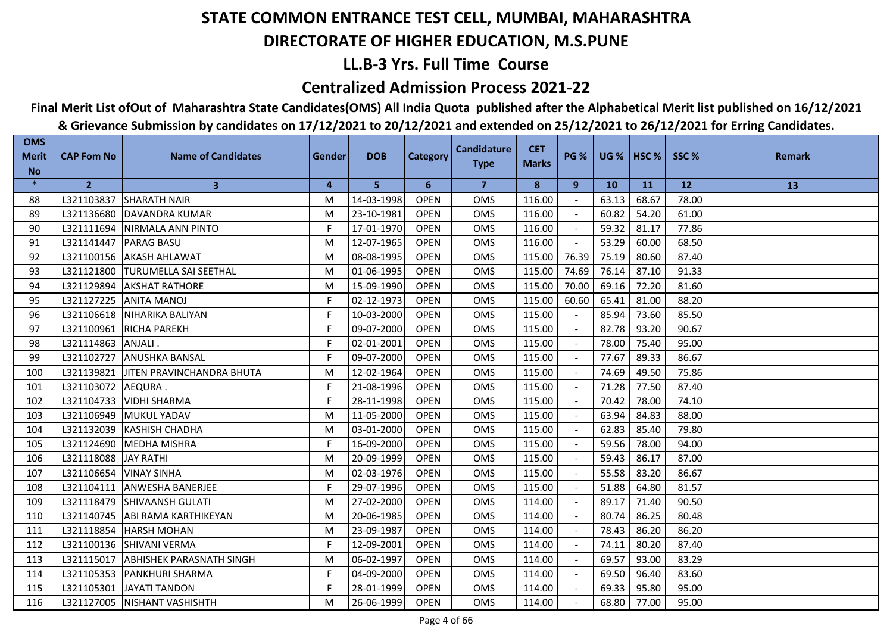## **LL.B-3 Yrs. Full Time Course**

### **Centralized Admission Process 2021-22**

## **Final Merit List ofOut of Maharashtra State Candidates(OMS) All India Quota published after the Alphabetical Merit list published on 16/12/2021**

| <b>OMS</b><br><b>Merit</b> | <b>CAP Fom No</b> | <b>Name of Candidates</b>             | Gender | <b>DOB</b> | <b>Category</b> | <b>Candidature</b><br><b>Type</b> | <b>CET</b><br><b>Marks</b> | <b>PG %</b> |           | <b>UG %   HSC %  </b> | SSC%  | <b>Remark</b> |
|----------------------------|-------------------|---------------------------------------|--------|------------|-----------------|-----------------------------------|----------------------------|-------------|-----------|-----------------------|-------|---------------|
| <b>No</b><br>$\ast$        |                   |                                       |        |            |                 |                                   |                            |             |           |                       |       |               |
|                            | $\overline{2}$    | $\mathbf{3}$                          | 4      | 5          | 6               | $\overline{7}$                    | 8                          | 9           | <b>10</b> | <b>11</b>             | 12    | 13            |
| 88                         | L321103837        | <b>SHARATH NAIR</b>                   | M      | 14-03-1998 | <b>OPEN</b>     | <b>OMS</b>                        | 116.00                     |             | 63.13     | 68.67                 | 78.00 |               |
| 89                         |                   | L321136680 DAVANDRA KUMAR             | M      | 23-10-1981 | <b>OPEN</b>     | <b>OMS</b>                        | 116.00                     |             | 60.82     | 54.20                 | 61.00 |               |
| 90                         | L321111694        | NIRMALA ANN PINTO                     | F      | 17-01-1970 | <b>OPEN</b>     | <b>OMS</b>                        | 116.00                     |             | 59.32     | 81.17                 | 77.86 |               |
| 91                         | L321141447        | <b>PARAG BASU</b>                     | M      | 12-07-1965 | <b>OPEN</b>     | <b>OMS</b>                        | 116.00                     |             | 53.29     | 60.00                 | 68.50 |               |
| 92                         |                   | L321100156 AKASH AHLAWAT              | M      | 08-08-1995 | <b>OPEN</b>     | OMS                               | 115.00                     | 76.39       | 75.19     | 80.60                 | 87.40 |               |
| 93                         |                   | L321121800 TURUMELLA SAI SEETHAL      | M      | 01-06-1995 | <b>OPEN</b>     | OMS                               | 115.00                     | 74.69       | 76.14     | 87.10                 | 91.33 |               |
| 94                         | L321129894        | <b>AKSHAT RATHORE</b>                 | M      | 15-09-1990 | <b>OPEN</b>     | OMS                               | 115.00                     | 70.00       | 69.16     | 72.20                 | 81.60 |               |
| 95                         | L321127225        | <b>ANITA MANOJ</b>                    | F.     | 02-12-1973 | <b>OPEN</b>     | <b>OMS</b>                        | 115.00                     | 60.60       | 65.41     | 81.00                 | 88.20 |               |
| 96                         |                   | L321106618 NIHARIKA BALIYAN           | F      | 10-03-2000 | <b>OPEN</b>     | <b>OMS</b>                        | 115.00                     |             | 85.94     | 73.60                 | 85.50 |               |
| 97                         |                   | L321100961 RICHA PAREKH               | F      | 09-07-2000 | <b>OPEN</b>     | <b>OMS</b>                        | 115.00                     |             | 82.78     | 93.20                 | 90.67 |               |
| 98                         | L321114863        | IANJALI .                             | F      | 02-01-2001 | <b>OPEN</b>     | <b>OMS</b>                        | 115.00                     |             | 78.00     | 75.40                 | 95.00 |               |
| 99                         | L321102727        | <b>ANUSHKA BANSAL</b>                 | F.     | 09-07-2000 | <b>OPEN</b>     | OMS                               | 115.00                     |             | 77.67     | 89.33                 | 86.67 |               |
| 100                        |                   | L321139821 JJITEN PRAVINCHANDRA BHUTA | M      | 12-02-1964 | <b>OPEN</b>     | <b>OMS</b>                        | 115.00                     |             | 74.69     | 49.50                 | 75.86 |               |
| 101                        | L321103072        | AEQURA.                               | F      | 21-08-1996 | <b>OPEN</b>     | <b>OMS</b>                        | 115.00                     |             | 71.28     | 77.50                 | 87.40 |               |
| 102                        | L321104733        | <b>VIDHI SHARMA</b>                   | F      | 28-11-1998 | <b>OPEN</b>     | <b>OMS</b>                        | 115.00                     |             | 70.42     | 78.00                 | 74.10 |               |
| 103                        |                   | L321106949 MUKUL YADAV                | M      | 11-05-2000 | <b>OPEN</b>     | OMS                               | 115.00                     |             | 63.94     | 84.83                 | 88.00 |               |
| 104                        |                   | L321132039 KASHISH CHADHA             | M      | 03-01-2000 | <b>OPEN</b>     | <b>OMS</b>                        | 115.00                     |             | 62.83     | 85.40                 | 79.80 |               |
| 105                        | L321124690        | <b>MEDHA MISHRA</b>                   | F      | 16-09-2000 | <b>OPEN</b>     | <b>OMS</b>                        | 115.00                     |             | 59.56     | 78.00                 | 94.00 |               |
| 106                        | L321118088        | <b>JAY RATHI</b>                      | M      | 20-09-1999 | <b>OPEN</b>     | <b>OMS</b>                        | 115.00                     |             | 59.43     | 86.17                 | 87.00 |               |
| 107                        | L321106654        | <b>VINAY SINHA</b>                    | M      | 02-03-1976 | <b>OPEN</b>     | <b>OMS</b>                        | 115.00                     |             | 55.58     | 83.20                 | 86.67 |               |
| 108                        |                   | L321104111 ANWESHA BANERJEE           | F.     | 29-07-1996 | <b>OPEN</b>     | <b>OMS</b>                        | 115.00                     |             | 51.88     | 64.80                 | 81.57 |               |
| 109                        | L321118479        | <b>ISHIVAANSH GULATI</b>              | M      | 27-02-2000 | <b>OPEN</b>     | <b>OMS</b>                        | 114.00                     |             | 89.17     | 71.40                 | 90.50 |               |
| 110                        |                   | L321140745 ABI RAMA KARTHIKEYAN       | M      | 20-06-1985 | <b>OPEN</b>     | OMS                               | 114.00                     |             | 80.74     | 86.25                 | 80.48 |               |
| 111                        | L321118854        | <b>HARSH MOHAN</b>                    | M      | 23-09-1987 | <b>OPEN</b>     | <b>OMS</b>                        | 114.00                     |             | 78.43     | 86.20                 | 86.20 |               |
| 112                        | L321100136        | <b>SHIVANI VERMA</b>                  | F      | 12-09-2001 | <b>OPEN</b>     | <b>OMS</b>                        | 114.00                     |             | 74.11     | 80.20                 | 87.40 |               |
| 113                        | L321115017        | <b>ABHISHEK PARASNATH SINGH</b>       | M      | 06-02-1997 | <b>OPEN</b>     | <b>OMS</b>                        | 114.00                     |             | 69.57     | 93.00                 | 83.29 |               |
| 114                        |                   | L321105353 PANKHURI SHARMA            | F.     | 04-09-2000 | <b>OPEN</b>     | OMS                               | 114.00                     |             | 69.50     | 96.40                 | 83.60 |               |
| 115                        |                   | L321105301 JAYATI TANDON              | F      | 28-01-1999 | <b>OPEN</b>     | <b>OMS</b>                        | 114.00                     |             | 69.33     | 95.80                 | 95.00 |               |
| 116                        |                   | L321127005   NISHANT VASHISHTH        | M      | 26-06-1999 | <b>OPEN</b>     | <b>OMS</b>                        | 114.00                     |             | 68.80     | 77.00                 | 95.00 |               |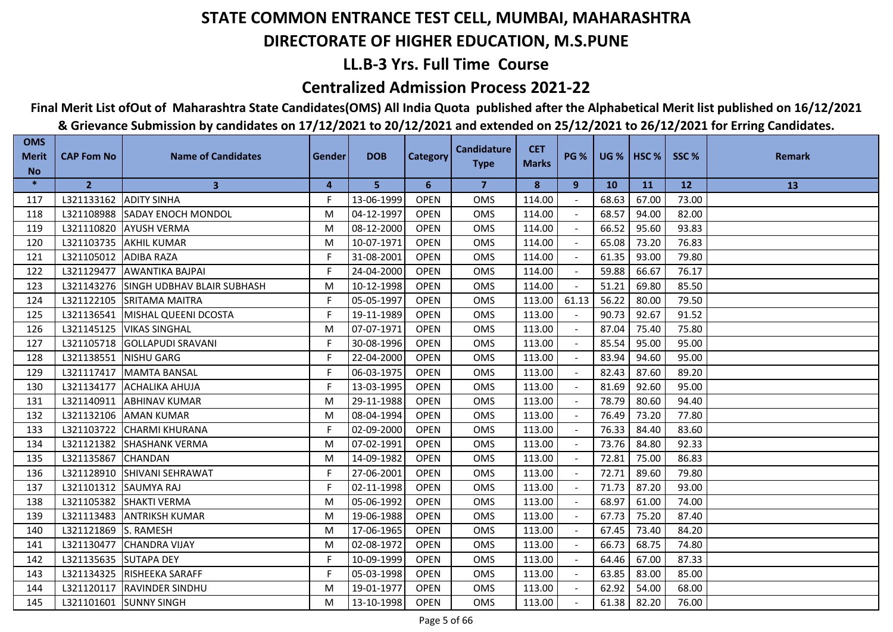## **LL.B-3 Yrs. Full Time Course**

### **Centralized Admission Process 2021-22**

## **Final Merit List ofOut of Maharashtra State Candidates(OMS) All India Quota published after the Alphabetical Merit list published on 16/12/2021**

| <b>OMS</b><br><b>Merit</b> | <b>CAP Fom No</b>      | <b>Name of Candidates</b>             | Gender | <b>DOB</b> | <b>Category</b> | <b>Candidature</b> | <b>CET</b>   | <b>PG %</b> |           | <b>UG %   HSC %  </b> | SSC%  | <b>Remark</b> |
|----------------------------|------------------------|---------------------------------------|--------|------------|-----------------|--------------------|--------------|-------------|-----------|-----------------------|-------|---------------|
| <b>No</b>                  |                        |                                       |        |            |                 | <b>Type</b>        | <b>Marks</b> |             |           |                       |       |               |
| $\ast$                     | $\overline{2}$         | $\mathbf{3}$                          | 4      | 5          | 6               | $\overline{7}$     | 8            | 9           | <b>10</b> | <b>11</b>             | 12    | 13            |
| 117                        | L321133162 ADITY SINHA |                                       | F.     | 13-06-1999 | <b>OPEN</b>     | <b>OMS</b>         | 114.00       |             | 68.63     | 67.00                 | 73.00 |               |
| 118                        |                        | L321108988 SADAY ENOCH MONDOL         | M      | 04-12-1997 | <b>OPEN</b>     | <b>OMS</b>         | 114.00       |             | 68.57     | 94.00                 | 82.00 |               |
| 119                        | L321110820             | <b>AYUSH VERMA</b>                    | M      | 08-12-2000 | <b>OPEN</b>     | <b>OMS</b>         | 114.00       |             | 66.52     | 95.60                 | 93.83 |               |
| 120                        | L321103735             | <b>AKHIL KUMAR</b>                    | M      | 10-07-1971 | <b>OPEN</b>     | <b>OMS</b>         | 114.00       |             | 65.08     | 73.20                 | 76.83 |               |
| 121                        | L321105012 ADIBA RAZA  |                                       | F.     | 31-08-2001 | <b>OPEN</b>     | OMS                | 114.00       |             | 61.35     | 93.00                 | 79.80 |               |
| 122                        |                        | L321129477 AWANTIKA BAJPAI            | F.     | 24-04-2000 | <b>OPEN</b>     | OMS                | 114.00       |             | 59.88     | 66.67                 | 76.17 |               |
| 123                        |                        | L321143276 SINGH UDBHAV BLAIR SUBHASH | M      | 10-12-1998 | <b>OPEN</b>     | OMS                | 114.00       |             | 51.21     | 69.80                 | 85.50 |               |
| 124                        |                        | L321122105 SRITAMA MAITRA             | F.     | 05-05-1997 | <b>OPEN</b>     | <b>OMS</b>         | 113.00       | 61.13       | 56.22     | 80.00                 | 79.50 |               |
| 125                        |                        | L321136541 MISHAL QUEENI DCOSTA       | F      | 19-11-1989 | <b>OPEN</b>     | <b>OMS</b>         | 113.00       |             | 90.73     | 92.67                 | 91.52 |               |
| 126                        |                        | L321145125   VIKAS SINGHAL            | M      | 07-07-1971 | <b>OPEN</b>     | <b>OMS</b>         | 113.00       |             | 87.04     | 75.40                 | 75.80 |               |
| 127                        |                        | L321105718 GOLLAPUDI SRAVANI          | F      | 30-08-1996 | <b>OPEN</b>     | <b>OMS</b>         | 113.00       |             | 85.54     | 95.00                 | 95.00 |               |
| 128                        | L321138551             | <b>NISHU GARG</b>                     | F.     | 22-04-2000 | <b>OPEN</b>     | OMS                | 113.00       |             | 83.94     | 94.60                 | 95.00 |               |
| 129                        |                        | L321117417 MAMTA BANSAL               | F      | 06-03-1975 | <b>OPEN</b>     | <b>OMS</b>         | 113.00       |             | 82.43     | 87.60                 | 89.20 |               |
| 130                        |                        | L321134177 ACHALIKA AHUJA             | F      | 13-03-1995 | <b>OPEN</b>     | OMS                | 113.00       |             | 81.69     | 92.60                 | 95.00 |               |
| 131                        | L321140911             | <b>ABHINAV KUMAR</b>                  | M      | 29-11-1988 | <b>OPEN</b>     | <b>OMS</b>         | 113.00       |             | 78.79     | 80.60                 | 94.40 |               |
| 132                        |                        | L321132106 AMAN KUMAR                 | M      | 08-04-1994 | <b>OPEN</b>     | OMS                | 113.00       |             | 76.49     | 73.20                 | 77.80 |               |
| 133                        |                        | L321103722 CHARMI KHURANA             | F.     | 02-09-2000 | <b>OPEN</b>     | OMS                | 113.00       |             | 76.33     | 84.40                 | 83.60 |               |
| 134                        | L321121382             | <b>SHASHANK VERMA</b>                 | M      | 07-02-1991 | <b>OPEN</b>     | OMS                | 113.00       |             | 73.76     | 84.80                 | 92.33 |               |
| 135                        | L321135867             | <b>CHANDAN</b>                        | M      | 14-09-1982 | <b>OPEN</b>     | <b>OMS</b>         | 113.00       |             | 72.81     | 75.00                 | 86.83 |               |
| 136                        |                        | L321128910 SHIVANI SEHRAWAT           | F      | 27-06-2001 | <b>OPEN</b>     | <b>OMS</b>         | 113.00       |             | 72.71     | 89.60                 | 79.80 |               |
| 137                        | L321101312 SAUMYA RAJ  |                                       | F      | 02-11-1998 | <b>OPEN</b>     | <b>OMS</b>         | 113.00       |             | 71.73     | 87.20                 | 93.00 |               |
| 138                        | L321105382             | <b>SHAKTI VERMA</b>                   | M      | 05-06-1992 | <b>OPEN</b>     | <b>OMS</b>         | 113.00       |             | 68.97     | 61.00                 | 74.00 |               |
| 139                        | L321113483             | <b>ANTRIKSH KUMAR</b>                 | M      | 19-06-1988 | <b>OPEN</b>     | OMS                | 113.00       |             | 67.73     | 75.20                 | 87.40 |               |
| 140                        | L321121869             | S. RAMESH                             | M      | 17-06-1965 | <b>OPEN</b>     | <b>OMS</b>         | 113.00       |             | 67.45     | 73.40                 | 84.20 |               |
| 141                        | L321130477             | <b>CHANDRA VIJAY</b>                  | M      | 02-08-1972 | <b>OPEN</b>     | <b>OMS</b>         | 113.00       |             | 66.73     | 68.75                 | 74.80 |               |
| 142                        | L321135635 SUTAPA DEY  |                                       | F.     | 10-09-1999 | <b>OPEN</b>     | <b>OMS</b>         | 113.00       |             | 64.46     | 67.00                 | 87.33 |               |
| 143                        |                        | L321134325 RISHEEKA SARAFF            | F.     | 05-03-1998 | <b>OPEN</b>     | OMS                | 113.00       |             | 63.85     | 83.00                 | 85.00 |               |
| 144                        |                        | L321120117   RAVINDER SINDHU          | M      | 19-01-1977 | <b>OPEN</b>     | OMS                | 113.00       |             | 62.92     | 54.00                 | 68.00 |               |
| 145                        |                        | L321101601 SUNNY SINGH                | M      | 13-10-1998 | <b>OPEN</b>     | <b>OMS</b>         | 113.00       |             | 61.38     | 82.20                 | 76.00 |               |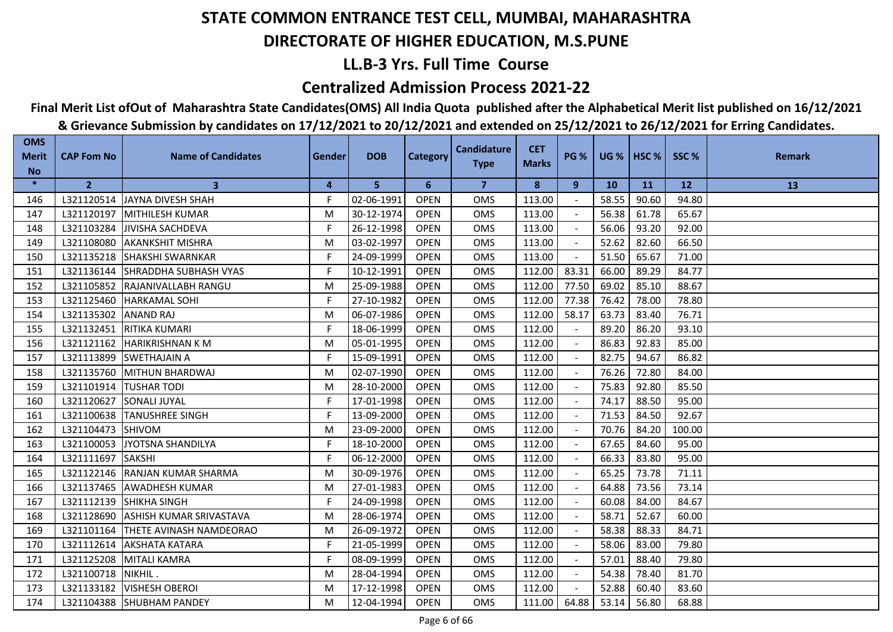## **LL.B-3 Yrs. Full Time Course**

### **Centralized Admission Process 2021-22**

## **Final Merit List ofOut of Maharashtra State Candidates(OMS) All India Quota published after the Alphabetical Merit list published on 16/12/2021**

| <b>OMS</b><br><b>Merit</b> | <b>CAP Fom No</b>  | <b>Name of Candidates</b>        | Gender | <b>DOB</b> | <b>Category</b> | <b>Candidature</b> | <b>CET</b>   | <b>PG %</b> |           | <b>UG %   HSC %  </b> | SSC%   | <b>Remark</b> |
|----------------------------|--------------------|----------------------------------|--------|------------|-----------------|--------------------|--------------|-------------|-----------|-----------------------|--------|---------------|
| <b>No</b>                  |                    |                                  |        |            |                 | <b>Type</b>        | <b>Marks</b> |             |           |                       |        |               |
| $\ast$                     | $\overline{2}$     | 3                                | 4      | 5          | 6               | $\overline{7}$     | 8            | 9           | <b>10</b> | <b>11</b>             | 12     | 13            |
| 146                        |                    | L321120514 JAYNA DIVESH SHAH     | F.     | 02-06-1991 | <b>OPEN</b>     | <b>OMS</b>         | 113.00       |             | 58.55     | 90.60                 | 94.80  |               |
| 147                        | L321120197         | <b>IMITHILESH KUMAR</b>          | M      | 30-12-1974 | <b>OPEN</b>     | <b>OMS</b>         | 113.00       |             | 56.38     | 61.78                 | 65.67  |               |
| 148                        | L321103284         | <b>JIVISHA SACHDEVA</b>          | F      | 26-12-1998 | <b>OPEN</b>     | <b>OMS</b>         | 113.00       |             | 56.06     | 93.20                 | 92.00  |               |
| 149                        | L321108080         | <b>AKANKSHIT MISHRA</b>          | M      | 03-02-1997 | <b>OPEN</b>     | <b>OMS</b>         | 113.00       |             | 52.62     | 82.60                 | 66.50  |               |
| 150                        | L321135218         | <b>SHAKSHI SWARNKAR</b>          | F.     | 24-09-1999 | <b>OPEN</b>     | OMS                | 113.00       |             | 51.50     | 65.67                 | 71.00  |               |
| 151                        |                    | L321136144 SHRADDHA SUBHASH VYAS | F.     | 10-12-1991 | <b>OPEN</b>     | OMS                | 112.00       | 83.31       | 66.00     | 89.29                 | 84.77  |               |
| 152                        |                    | L321105852 RAJANIVALLABH RANGU   | M      | 25-09-1988 | <b>OPEN</b>     | OMS                | 112.00       | 77.50       | 69.02     | 85.10                 | 88.67  |               |
| 153                        |                    | L321125460  HARKAMAL SOHI        | F.     | 27-10-1982 | <b>OPEN</b>     | <b>OMS</b>         | 112.00       | 77.38       | 76.42     | 78.00                 | 78.80  |               |
| 154                        | L321135302         | <b>ANAND RAJ</b>                 | M      | 06-07-1986 | <b>OPEN</b>     | <b>OMS</b>         | 112.00       | 58.17       | 63.73     | 83.40                 | 76.71  |               |
| 155                        |                    | L321132451 RITIKA KUMARI         | F      | 18-06-1999 | <b>OPEN</b>     | <b>OMS</b>         | 112.00       |             | 89.20     | 86.20                 | 93.10  |               |
| 156                        | L321121162         | <b>HARIKRISHNAN K M</b>          | M      | 05-01-1995 | <b>OPEN</b>     | <b>OMS</b>         | 112.00       |             | 86.83     | 92.83                 | 85.00  |               |
| 157                        | L321113899         | <b>SWETHAJAIN A</b>              | F.     | 15-09-1991 | <b>OPEN</b>     | OMS                | 112.00       |             | 82.75     | 94.67                 | 86.82  |               |
| 158                        |                    | L321135760 MITHUN BHARDWAJ       | M      | 02-07-1990 | <b>OPEN</b>     | <b>OMS</b>         | 112.00       |             | 76.26     | 72.80                 | 84.00  |               |
| 159                        | L321101914         | <b>TUSHAR TODI</b>               | M      | 28-10-2000 | <b>OPEN</b>     | <b>OMS</b>         | 112.00       |             | 75.83     | 92.80                 | 85.50  |               |
| 160                        | L321120627         | <b>SONALI JUYAL</b>              | F      | 17-01-1998 | <b>OPEN</b>     | <b>OMS</b>         | 112.00       |             | 74.17     | 88.50                 | 95.00  |               |
| 161                        | L321100638         | <b>TANUSHREE SINGH</b>           | F.     | 13-09-2000 | <b>OPEN</b>     | OMS                | 112.00       |             | 71.53     | 84.50                 | 92.67  |               |
| 162                        | L321104473         | SHIVOM                           | M      | 23-09-2000 | <b>OPEN</b>     | <b>OMS</b>         | 112.00       |             | 70.76     | 84.20                 | 100.00 |               |
| 163                        | L321100053         | JYOTSNA SHANDILYA                | F      | 18-10-2000 | <b>OPEN</b>     | <b>OMS</b>         | 112.00       |             | 67.65     | 84.60                 | 95.00  |               |
| 164                        | L321111697         | <b>SAKSHI</b>                    | F.     | 06-12-2000 | <b>OPEN</b>     | <b>OMS</b>         | 112.00       |             | 66.33     | 83.80                 | 95.00  |               |
| 165                        |                    | L321122146 RANJAN KUMAR SHARMA   | M      | 30-09-1976 | <b>OPEN</b>     | <b>OMS</b>         | 112.00       |             | 65.25     | 73.78                 | 71.11  |               |
| 166                        |                    | L321137465 AWADHESH KUMAR        | M      | 27-01-1983 | <b>OPEN</b>     | <b>OMS</b>         | 112.00       |             | 64.88     | 73.56                 | 73.14  |               |
| 167                        | L321112139         | <b>SHIKHA SINGH</b>              | F      | 24-09-1998 | <b>OPEN</b>     | <b>OMS</b>         | 112.00       |             | 60.08     | 84.00                 | 84.67  |               |
| 168                        | L321128690         | <b>ASHISH KUMAR SRIVASTAVA</b>   | M      | 28-06-1974 | <b>OPEN</b>     | OMS                | 112.00       |             | 58.71     | 52.67                 | 60.00  |               |
| 169                        | L321101164         | <b>ITHETE AVINASH NAMDEORAO</b>  | M      | 26-09-1972 | <b>OPEN</b>     | <b>OMS</b>         | 112.00       |             | 58.38     | 88.33                 | 84.71  |               |
| 170                        | L321112614         | <b>AKSHATA KATARA</b>            | F      | 21-05-1999 | <b>OPEN</b>     | <b>OMS</b>         | 112.00       |             | 58.06     | 83.00                 | 79.80  |               |
| 171                        | L321125208         | <b>MITALI KAMRA</b>              | F.     | 08-09-1999 | <b>OPEN</b>     | <b>OMS</b>         | 112.00       |             | 57.01     | 88.40                 | 79.80  |               |
| 172                        | L321100718 NIKHIL. |                                  | M      | 28-04-1994 | <b>OPEN</b>     | OMS                | 112.00       | $\sim$      | 54.38     | 78.40                 | 81.70  |               |
| 173                        |                    | L321133182   VISHESH OBEROI      | M      | 17-12-1998 | <b>OPEN</b>     | OMS                | 112.00       |             | 52.88     | 60.40                 | 83.60  |               |
| 174                        |                    | L321104388 SHUBHAM PANDEY        | M      | 12-04-1994 | <b>OPEN</b>     | <b>OMS</b>         | 111.00       | 64.88       | 53.14     | 56.80                 | 68.88  |               |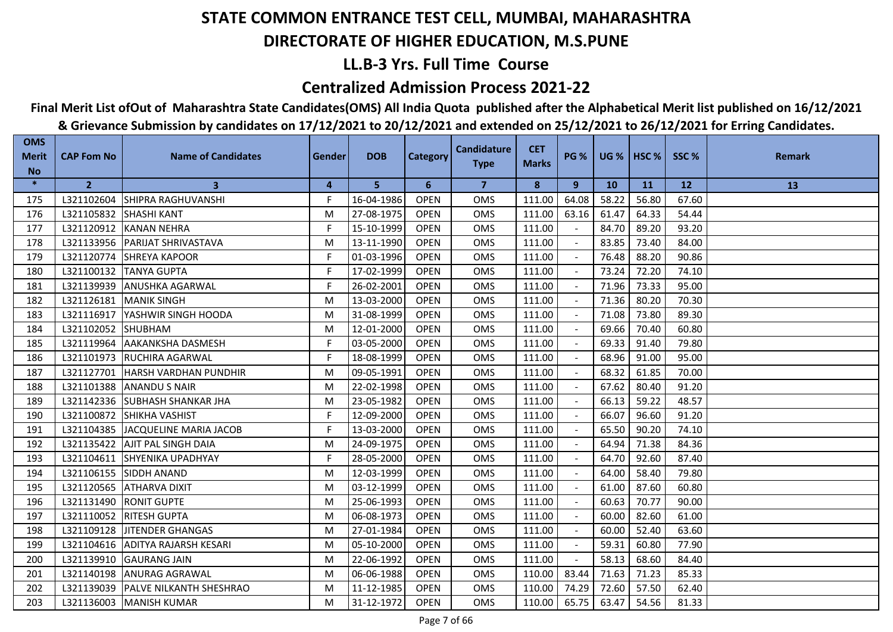## **LL.B-3 Yrs. Full Time Course**

### **Centralized Admission Process 2021-22**

## **Final Merit List ofOut of Maharashtra State Candidates(OMS) All India Quota published after the Alphabetical Merit list published on 16/12/2021**

| <b>OMS</b><br><b>Merit</b> | <b>CAP Fom No</b>      | <b>Name of Candidates</b>            | Gender | <b>DOB</b> | <b>Category</b> | <b>Candidature</b> | <b>CET</b>   | <b>PG %</b> |           | <b>UG %   HSC %  </b> | SSC%  | <b>Remark</b> |
|----------------------------|------------------------|--------------------------------------|--------|------------|-----------------|--------------------|--------------|-------------|-----------|-----------------------|-------|---------------|
| <b>No</b>                  |                        |                                      |        |            |                 | <b>Type</b>        | <b>Marks</b> |             |           |                       |       |               |
| $\ast$                     | $\overline{2}$         | $\mathbf{3}$                         | 4      | 5          | 6               | $\overline{7}$     | 8            | 9           | <b>10</b> | <b>11</b>             | 12    | 13            |
| 175                        | L321102604             | <b>SHIPRA RAGHUVANSHI</b>            | F.     | 16-04-1986 | <b>OPEN</b>     | <b>OMS</b>         | 111.00       | 64.08       | 58.22     | 56.80                 | 67.60 |               |
| 176                        | L321105832 SHASHI KANT |                                      | M      | 27-08-1975 | <b>OPEN</b>     | <b>OMS</b>         | 111.00       | 63.16       | 61.47     | 64.33                 | 54.44 |               |
| 177                        |                        | L321120912 KANAN NEHRA               | F      | 15-10-1999 | <b>OPEN</b>     | <b>OMS</b>         | 111.00       |             | 84.70     | 89.20                 | 93.20 |               |
| 178                        |                        | L321133956 PARIJAT SHRIVASTAVA       | M      | 13-11-1990 | <b>OPEN</b>     | <b>OMS</b>         | 111.00       |             | 83.85     | 73.40                 | 84.00 |               |
| 179                        | L321120774             | <b>SHREYA KAPOOR</b>                 | F.     | 01-03-1996 | <b>OPEN</b>     | OMS                | 111.00       |             | 76.48     | 88.20                 | 90.86 |               |
| 180                        |                        | L321100132 TANYA GUPTA               | F.     | 17-02-1999 | <b>OPEN</b>     | <b>OMS</b>         | 111.00       |             | 73.24     | 72.20                 | 74.10 |               |
| 181                        | L321139939             | <b>ANUSHKA AGARWAL</b>               | F      | 26-02-2001 | <b>OPEN</b>     | OMS                | 111.00       |             | 71.96     | 73.33                 | 95.00 |               |
| 182                        |                        | L321126181 MANIK SINGH               | M      | 13-03-2000 | <b>OPEN</b>     | <b>OMS</b>         | 111.00       |             | 71.36     | 80.20                 | 70.30 |               |
| 183                        |                        | L321116917 YASHWIR SINGH HOODA       | M      | 31-08-1999 | <b>OPEN</b>     | <b>OMS</b>         | 111.00       |             | 71.08     | 73.80                 | 89.30 |               |
| 184                        | L321102052 SHUBHAM     |                                      | M      | 12-01-2000 | <b>OPEN</b>     | <b>OMS</b>         | 111.00       |             | 69.66     | 70.40                 | 60.80 |               |
| 185                        | L321119964             | <b>JAAKANKSHA DASMESH</b>            | F      | 03-05-2000 | <b>OPEN</b>     | <b>OMS</b>         | 111.00       |             | 69.33     | 91.40                 | 79.80 |               |
| 186                        |                        | L321101973 RUCHIRA AGARWAL           | F.     | 18-08-1999 | <b>OPEN</b>     | OMS                | 111.00       |             | 68.96     | 91.00                 | 95.00 |               |
| 187                        |                        | L321127701 HARSH VARDHAN PUNDHIR     | M      | 09-05-1991 | <b>OPEN</b>     | <b>OMS</b>         | 111.00       |             | 68.32     | 61.85                 | 70.00 |               |
| 188                        | L321101388             | <b>ANANDU S NAIR</b>                 | M      | 22-02-1998 | <b>OPEN</b>     | <b>OMS</b>         | 111.00       |             | 67.62     | 80.40                 | 91.20 |               |
| 189                        |                        | L321142336 SUBHASH SHANKAR JHA       | M      | 23-05-1982 | <b>OPEN</b>     | <b>OMS</b>         | 111.00       |             | 66.13     | 59.22                 | 48.57 |               |
| 190                        | L321100872             | SHIKHA VASHIST                       | F.     | 12-09-2000 | <b>OPEN</b>     | OMS                | 111.00       |             | 66.07     | 96.60                 | 91.20 |               |
| 191                        | L321104385             | <b>JACQUELINE MARIA JACOB</b>        | F.     | 13-03-2000 | <b>OPEN</b>     | OMS                | 111.00       |             | 65.50     | 90.20                 | 74.10 |               |
| 192                        | L321135422             | <b>AJIT PAL SINGH DAIA</b>           | M      | 24-09-1975 | <b>OPEN</b>     | OMS                | 111.00       |             | 64.94     | 71.38                 | 84.36 |               |
| 193                        | L321104611             | <b>SHYENIKA UPADHYAY</b>             | F.     | 28-05-2000 | <b>OPEN</b>     | <b>OMS</b>         | 111.00       |             | 64.70     | 92.60                 | 87.40 |               |
| 194                        |                        | L321106155 SIDDH ANAND               | M      | 12-03-1999 | <b>OPEN</b>     | <b>OMS</b>         | 111.00       |             | 64.00     | 58.40                 | 79.80 |               |
| 195                        |                        | L321120565 ATHARVA DIXIT             | M      | 03-12-1999 | <b>OPEN</b>     | <b>OMS</b>         | 111.00       |             | 61.00     | 87.60                 | 60.80 |               |
| 196                        |                        | L321131490 RONIT GUPTE               | M      | 25-06-1993 | <b>OPEN</b>     | <b>OMS</b>         | 111.00       |             | 60.63     | 70.77                 | 90.00 |               |
| 197                        |                        | L321110052 RITESH GUPTA              | M      | 06-08-1973 | <b>OPEN</b>     | OMS                | 111.00       |             | 60.00     | 82.60                 | 61.00 |               |
| 198                        | L321109128             | <b>JITENDER GHANGAS</b>              | M      | 27-01-1984 | <b>OPEN</b>     | <b>OMS</b>         | 111.00       |             | 60.00     | 52.40                 | 63.60 |               |
| 199                        | L321104616             | <b>ADITYA RAJARSH KESARI</b>         | M      | 05-10-2000 | <b>OPEN</b>     | <b>OMS</b>         | 111.00       |             | 59.31     | 60.80                 | 77.90 |               |
| 200                        | L321139910             | <b>GAURANG JAIN</b>                  | M      | 22-06-1992 | <b>OPEN</b>     | <b>OMS</b>         | 111.00       |             | 58.13     | 68.60                 | 84.40 |               |
| 201                        |                        | L321140198 ANURAG AGRAWAL            | M      | 06-06-1988 | <b>OPEN</b>     | OMS                | 110.00       | 83.44       | 71.63     | 71.23                 | 85.33 |               |
| 202                        |                        | L321139039   PALVE NILKANTH SHESHRAO | M      | 11-12-1985 | <b>OPEN</b>     | OMS                | 110.00       | 74.29       | 72.60     | 57.50                 | 62.40 |               |
| 203                        |                        | L321136003   MANISH KUMAR            | M      | 31-12-1972 | <b>OPEN</b>     | <b>OMS</b>         | 110.00       | 65.75       | 63.47     | 54.56                 | 81.33 |               |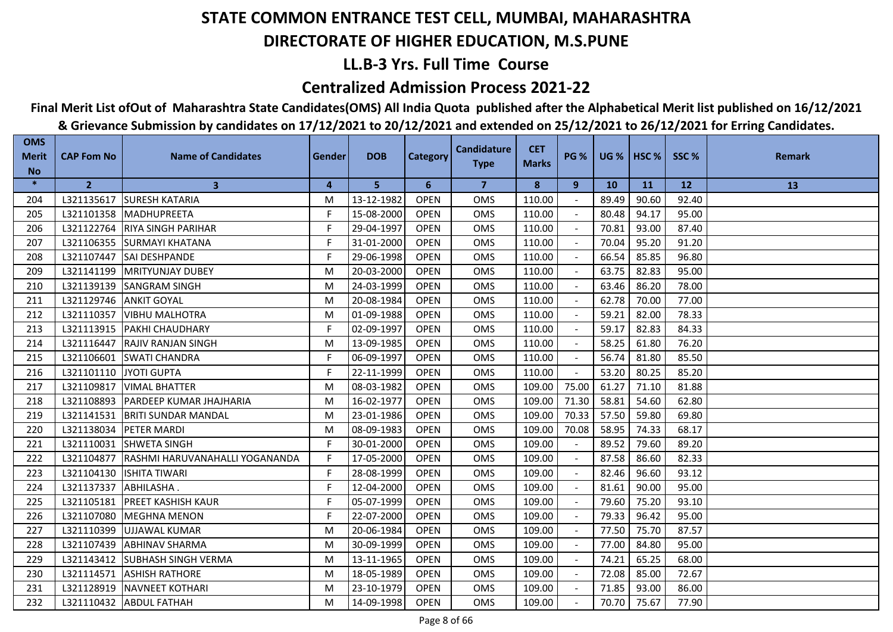## **LL.B-3 Yrs. Full Time Course**

### **Centralized Admission Process 2021-22**

## **Final Merit List ofOut of Maharashtra State Candidates(OMS) All India Quota published after the Alphabetical Merit list published on 16/12/2021**

| <b>OMS</b><br><b>Merit</b> | <b>CAP Fom No</b>      | <b>Name of Candidates</b>                 | Gender | <b>DOB</b> | <b>Category</b> | <b>Candidature</b><br><b>Type</b> | <b>CET</b><br><b>Marks</b> | <b>PG %</b> |           | UG %   HSC % | SSC%  | <b>Remark</b> |
|----------------------------|------------------------|-------------------------------------------|--------|------------|-----------------|-----------------------------------|----------------------------|-------------|-----------|--------------|-------|---------------|
| <b>No</b>                  |                        |                                           |        |            |                 |                                   |                            |             |           |              |       |               |
| $\ast$                     | $\overline{2}$         | $\mathbf{3}$                              | 4      | 5          | 6               | $\overline{7}$                    | 8                          | 9           | <b>10</b> | <b>11</b>    | 12    | 13            |
| 204                        |                        | L321135617 SURESH KATARIA                 | M      | 13-12-1982 | <b>OPEN</b>     | <b>OMS</b>                        | 110.00                     |             | 89.49     | 90.60        | 92.40 |               |
| 205                        |                        | L321101358 MADHUPREETA                    | F      | 15-08-2000 | <b>OPEN</b>     | <b>OMS</b>                        | 110.00                     |             | 80.48     | 94.17        | 95.00 |               |
| 206                        | L321122764             | <b>RIYA SINGH PARIHAR</b>                 | F      | 29-04-1997 | <b>OPEN</b>     | <b>OMS</b>                        | 110.00                     |             | 70.81     | 93.00        | 87.40 |               |
| 207                        | L321106355             | <b>SURMAYI KHATANA</b>                    | F.     | 31-01-2000 | <b>OPEN</b>     | <b>OMS</b>                        | 110.00                     |             | 70.04     | 95.20        | 91.20 |               |
| 208                        | L321107447             | <b>SAI DESHPANDE</b>                      | F.     | 29-06-1998 | <b>OPEN</b>     | OMS                               | 110.00                     |             | 66.54     | 85.85        | 96.80 |               |
| 209                        |                        | L321141199 MRITYUNJAY DUBEY               | M      | 20-03-2000 | <b>OPEN</b>     | <b>OMS</b>                        | 110.00                     |             | 63.75     | 82.83        | 95.00 |               |
| 210                        | L321139139             | <b>SANGRAM SINGH</b>                      | M      | 24-03-1999 | <b>OPEN</b>     | <b>OMS</b>                        | 110.00                     |             | 63.46     | 86.20        | 78.00 |               |
| 211                        | L321129746             | <b>ANKIT GOYAL</b>                        | M      | 20-08-1984 | <b>OPEN</b>     | <b>OMS</b>                        | 110.00                     |             | 62.78     | 70.00        | 77.00 |               |
| 212                        | L321110357             | <b>VIBHU MALHOTRA</b>                     | M      | 01-09-1988 | <b>OPEN</b>     | <b>OMS</b>                        | 110.00                     |             | 59.21     | 82.00        | 78.33 |               |
| 213                        |                        | L321113915   PAKHI CHAUDHARY              | F      | 02-09-1997 | <b>OPEN</b>     | <b>OMS</b>                        | 110.00                     |             | 59.17     | 82.83        | 84.33 |               |
| 214                        | L321116447             | IRAJIV RANJAN SINGH                       | M      | 13-09-1985 | <b>OPEN</b>     | <b>OMS</b>                        | 110.00                     |             | 58.25     | 61.80        | 76.20 |               |
| 215                        | L321106601             | <b>SWATI CHANDRA</b>                      | F      | 06-09-1997 | <b>OPEN</b>     | OMS                               | 110.00                     |             | 56.74     | 81.80        | 85.50 |               |
| 216                        | L321101110 JYOTI GUPTA |                                           | F      | 22-11-1999 | <b>OPEN</b>     | OMS                               | 110.00                     |             | 53.20     | 80.25        | 85.20 |               |
| 217                        |                        | L321109817   VIMAL BHATTER                | M      | 08-03-1982 | <b>OPEN</b>     | OMS                               | 109.00                     | 75.00       | 61.27     | 71.10        | 81.88 |               |
| 218                        |                        | L321108893   PARDEEP KUMAR JHAJHARIA      | M      | 16-02-1977 | <b>OPEN</b>     | OMS                               | 109.00                     | 71.30       | 58.81     | 54.60        | 62.80 |               |
| 219                        |                        | L321141531 BRITI SUNDAR MANDAL            | M      | 23-01-1986 | <b>OPEN</b>     | <b>OMS</b>                        | 109.00                     | 70.33       | 57.50     | 59.80        | 69.80 |               |
| 220                        |                        | L321138034 PETER MARDI                    | M      | 08-09-1983 | <b>OPEN</b>     | <b>OMS</b>                        | 109.00                     | 70.08       | 58.95     | 74.33        | 68.17 |               |
| 221                        | L321110031             | <b>ISHWETA SINGH</b>                      | F.     | 30-01-2000 | <b>OPEN</b>     | <b>OMS</b>                        | 109.00                     |             | 89.52     | 79.60        | 89.20 |               |
| 222                        |                        | L321104877 RASHMI HARUVANAHALLI YOGANANDA | F.     | 17-05-2000 | <b>OPEN</b>     | OMS                               | 109.00                     |             | 87.58     | 86.60        | 82.33 |               |
| 223                        |                        | L321104130   ISHITA TIWARI                | F      | 28-08-1999 | <b>OPEN</b>     | <b>OMS</b>                        | 109.00                     |             | 82.46     | 96.60        | 93.12 |               |
| 224                        | L321137337 ABHILASHA.  |                                           | F      | 12-04-2000 | <b>OPEN</b>     | <b>OMS</b>                        | 109.00                     |             | 81.61     | 90.00        | 95.00 |               |
| 225                        | L321105181             | <b>PREET KASHISH KAUR</b>                 | F      | 05-07-1999 | <b>OPEN</b>     | <b>OMS</b>                        | 109.00                     |             | 79.60     | 75.20        | 93.10 |               |
| 226                        | L321107080             | MEGHNA MENON                              | F      | 22-07-2000 | <b>OPEN</b>     | OMS                               | 109.00                     |             | 79.33     | 96.42        | 95.00 |               |
| 227                        |                        | L321110399 UJJAWAL KUMAR                  | M      | 20-06-1984 | <b>OPEN</b>     | <b>OMS</b>                        | 109.00                     |             | 77.50     | 75.70        | 87.57 |               |
| 228                        | L321107439             | <b>ABHINAV SHARMA</b>                     | M      | 30-09-1999 | <b>OPEN</b>     | <b>OMS</b>                        | 109.00                     |             | 77.00     | 84.80        | 95.00 |               |
| 229                        |                        | L321143412 SUBHASH SINGH VERMA            | M      | 13-11-1965 | <b>OPEN</b>     | <b>OMS</b>                        | 109.00                     |             | 74.21     | 65.25        | 68.00 |               |
| 230                        | L321114571             | <b>ASHISH RATHORE</b>                     | M      | 18-05-1989 | <b>OPEN</b>     | OMS                               | 109.00                     |             | 72.08     | 85.00        | 72.67 |               |
| 231                        |                        | L321128919 NAVNEET KOTHARI                | M      | 23-10-1979 | <b>OPEN</b>     | OMS                               | 109.00                     |             | 71.85     | 93.00        | 86.00 |               |
| 232                        |                        | L321110432 ABDUL FATHAH                   | M      | 14-09-1998 | <b>OPEN</b>     | <b>OMS</b>                        | 109.00                     |             | 70.70     | 75.67        | 77.90 |               |
|                            |                        |                                           |        |            |                 |                                   |                            |             |           |              |       |               |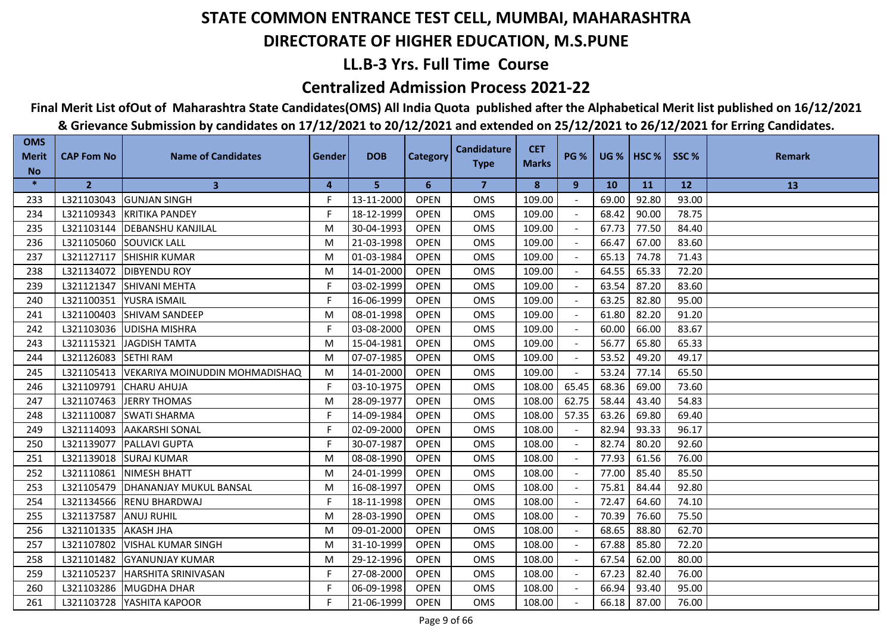## **LL.B-3 Yrs. Full Time Course**

### **Centralized Admission Process 2021-22**

## **Final Merit List ofOut of Maharashtra State Candidates(OMS) All India Quota published after the Alphabetical Merit list published on 16/12/2021**

| <b>OMS</b><br><b>Merit</b> | <b>CAP Fom No</b> | <b>Name of Candidates</b>                 | Gender | <b>DOB</b> | <b>Category</b> | <b>Candidature</b><br><b>Type</b> | <b>CET</b><br><b>Marks</b> | <b>PG %</b> |           | <b>UG %   HSC %  </b> | SSC%  | <b>Remark</b> |
|----------------------------|-------------------|-------------------------------------------|--------|------------|-----------------|-----------------------------------|----------------------------|-------------|-----------|-----------------------|-------|---------------|
| <b>No</b>                  |                   |                                           |        |            |                 |                                   |                            |             |           |                       |       |               |
| $\ast$                     | $\overline{2}$    | $\mathbf{3}$                              | 4      | 5          | 6               | $\overline{7}$                    | 8                          | 9           | <b>10</b> | <b>11</b>             | 12    | 13            |
| 233                        | L321103043        | <b>GUNJAN SINGH</b>                       | F.     | 13-11-2000 | <b>OPEN</b>     | <b>OMS</b>                        | 109.00                     |             | 69.00     | 92.80                 | 93.00 |               |
| 234                        | L321109343        | <b>IKRITIKA PANDEY</b>                    | F      | 18-12-1999 | <b>OPEN</b>     | <b>OMS</b>                        | 109.00                     |             | 68.42     | 90.00                 | 78.75 |               |
| 235                        | L321103144        | <b>DEBANSHU KANJILAL</b>                  | M      | 30-04-1993 | <b>OPEN</b>     | <b>OMS</b>                        | 109.00                     |             | 67.73     | 77.50                 | 84.40 |               |
| 236                        | L321105060        | <b>SOUVICK LALL</b>                       | M      | 21-03-1998 | <b>OPEN</b>     | <b>OMS</b>                        | 109.00                     |             | 66.47     | 67.00                 | 83.60 |               |
| 237                        | L321127117        | <b>SHISHIR KUMAR</b>                      | M      | 01-03-1984 | <b>OPEN</b>     | OMS                               | 109.00                     |             | 65.13     | 74.78                 | 71.43 |               |
| 238                        |                   | L321134072   DIBYENDU ROY                 | M      | 14-01-2000 | <b>OPEN</b>     | <b>OMS</b>                        | 109.00                     |             | 64.55     | 65.33                 | 72.20 |               |
| 239                        | L321121347        | <b>SHIVANI MEHTA</b>                      | F      | 03-02-1999 | <b>OPEN</b>     | <b>OMS</b>                        | 109.00                     |             | 63.54     | 87.20                 | 83.60 |               |
| 240                        | L321100351        | YUSRA ISMAIL                              | F.     | 16-06-1999 | <b>OPEN</b>     | OMS                               | 109.00                     |             | 63.25     | 82.80                 | 95.00 |               |
| 241                        | L321100403        | <b>SHIVAM SANDEEP</b>                     | M      | 08-01-1998 | <b>OPEN</b>     | <b>OMS</b>                        | 109.00                     |             | 61.80     | 82.20                 | 91.20 |               |
| 242                        |                   | L321103036 UDISHA MISHRA                  | F      | 03-08-2000 | <b>OPEN</b>     | <b>OMS</b>                        | 109.00                     |             | 60.00     | 66.00                 | 83.67 |               |
| 243                        | L321115321        | <b>JAGDISH TAMTA</b>                      | M      | 15-04-1981 | <b>OPEN</b>     | <b>OMS</b>                        | 109.00                     |             | 56.77     | 65.80                 | 65.33 |               |
| 244                        | L321126083        | <b>SETHI RAM</b>                          | M      | 07-07-1985 | <b>OPEN</b>     | OMS                               | 109.00                     |             | 53.52     | 49.20                 | 49.17 |               |
| 245                        |                   | L321105413 VEKARIYA MOINUDDIN MOHMADISHAQ | M      | 14-01-2000 | <b>OPEN</b>     | OMS                               | 109.00                     |             | 53.24     | 77.14                 | 65.50 |               |
| 246                        | L321109791        | <b>CHARU AHUJA</b>                        | F.     | 03-10-1975 | <b>OPEN</b>     | OMS                               | 108.00                     | 65.45       | 68.36     | 69.00                 | 73.60 |               |
| 247                        | L321107463        | <b>JERRY THOMAS</b>                       | M      | 28-09-1977 | <b>OPEN</b>     | <b>OMS</b>                        | 108.00                     | 62.75       | 58.44     | 43.40                 | 54.83 |               |
| 248                        | L321110087        | <b>SWATI SHARMA</b>                       | F.     | 14-09-1984 | <b>OPEN</b>     | <b>OMS</b>                        | 108.00                     | 57.35       | 63.26     | 69.80                 | 69.40 |               |
| 249                        | L321114093        | <b>JAAKARSHI SONAL</b>                    | F      | 02-09-2000 | <b>OPEN</b>     | <b>OMS</b>                        | 108.00                     |             | 82.94     | 93.33                 | 96.17 |               |
| 250                        | L321139077        | <b>IPALLAVI GUPTA</b>                     | F      | 30-07-1987 | <b>OPEN</b>     | <b>OMS</b>                        | 108.00                     |             | 82.74     | 80.20                 | 92.60 |               |
| 251                        |                   | L321139018 SURAJ KUMAR                    | M      | 08-08-1990 | <b>OPEN</b>     | OMS                               | 108.00                     |             | 77.93     | 61.56                 | 76.00 |               |
| 252                        |                   | L321110861 NIMESH BHATT                   | M      | 24-01-1999 | <b>OPEN</b>     | <b>OMS</b>                        | 108.00                     |             | 77.00     | 85.40                 | 85.50 |               |
| 253                        | L321105479        | <b>DHANANJAY MUKUL BANSAL</b>             | M      | 16-08-1997 | <b>OPEN</b>     | <b>OMS</b>                        | 108.00                     |             | 75.81     | 84.44                 | 92.80 |               |
| 254                        | L321134566        | <b>RENU BHARDWAJ</b>                      | F      | 18-11-1998 | <b>OPEN</b>     | <b>OMS</b>                        | 108.00                     |             | 72.47     | 64.60                 | 74.10 |               |
| 255                        | L321137587        | <b>ANUJ RUHIL</b>                         | M      | 28-03-1990 | <b>OPEN</b>     | OMS                               | 108.00                     |             | 70.39     | 76.60                 | 75.50 |               |
| 256                        | L321101335        | <b>AKASH JHA</b>                          | M      | 09-01-2000 | <b>OPEN</b>     | <b>OMS</b>                        | 108.00                     |             | 68.65     | 88.80                 | 62.70 |               |
| 257                        | L321107802        | <b>VISHAL KUMAR SINGH</b>                 | M      | 31-10-1999 | <b>OPEN</b>     | <b>OMS</b>                        | 108.00                     |             | 67.88     | 85.80                 | 72.20 |               |
| 258                        | L321101482        | <b>GYANUNJAY KUMAR</b>                    | M      | 29-12-1996 | <b>OPEN</b>     | <b>OMS</b>                        | 108.00                     |             | 67.54     | 62.00                 | 80.00 |               |
| 259                        |                   | L321105237 HARSHITA SRINIVASAN            | F      | 27-08-2000 | <b>OPEN</b>     | OMS                               | 108.00                     |             | 67.23     | 82.40                 | 76.00 |               |
| 260                        |                   | L321103286 MUGDHA DHAR                    | F      | 06-09-1998 | <b>OPEN</b>     | <b>OMS</b>                        | 108.00                     |             | 66.94     | 93.40                 | 95.00 |               |
| 261                        |                   | L321103728   YASHITA KAPOOR               | F      | 21-06-1999 | <b>OPEN</b>     | <b>OMS</b>                        | 108.00                     |             | 66.18     | 87.00                 | 76.00 |               |
|                            |                   |                                           |        |            |                 |                                   |                            |             |           |                       |       |               |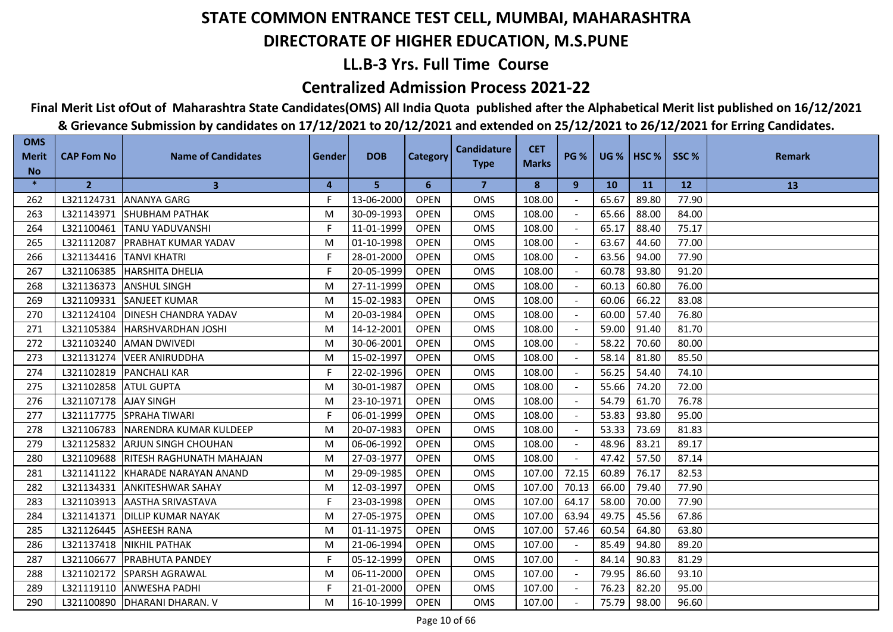## **LL.B-3 Yrs. Full Time Course**

### **Centralized Admission Process 2021-22**

## **Final Merit List ofOut of Maharashtra State Candidates(OMS) All India Quota published after the Alphabetical Merit list published on 16/12/2021**

| <b>OMS</b><br><b>Merit</b> | <b>CAP Fom No</b>     | <b>Name of Candidates</b>           | Gender | <b>DOB</b> | <b>Category</b> | <b>Candidature</b> | <b>CET</b>   | <b>PG %</b> |           | <b>UG %   HSC %  </b> | SSC%  | <b>Remark</b> |
|----------------------------|-----------------------|-------------------------------------|--------|------------|-----------------|--------------------|--------------|-------------|-----------|-----------------------|-------|---------------|
| <b>No</b>                  |                       |                                     |        |            |                 | <b>Type</b>        | <b>Marks</b> |             |           |                       |       |               |
| $\ast$                     | $\overline{2}$        | $\mathbf{3}$                        | 4      | 5          | 6               | $\overline{7}$     | 8            | 9           | <b>10</b> | <b>11</b>             | 12    | 13            |
| 262                        |                       | L321124731 ANANYA GARG              | F.     | 13-06-2000 | <b>OPEN</b>     | <b>OMS</b>         | 108.00       |             | 65.67     | 89.80                 | 77.90 |               |
| 263                        |                       | L321143971 SHUBHAM PATHAK           | M      | 30-09-1993 | <b>OPEN</b>     | <b>OMS</b>         | 108.00       |             | 65.66     | 88.00                 | 84.00 |               |
| 264                        | L321100461            | <b>TANU YADUVANSHI</b>              | F      | 11-01-1999 | <b>OPEN</b>     | <b>OMS</b>         | 108.00       |             | 65.17     | 88.40                 | 75.17 |               |
| 265                        | L321112087            | <b>PRABHAT KUMAR YADAV</b>          | M      | 01-10-1998 | <b>OPEN</b>     | <b>OMS</b>         | 108.00       |             | 63.67     | 44.60                 | 77.00 |               |
| 266                        | L321134416            | <b>TANVI KHATRI</b>                 | F.     | 28-01-2000 | <b>OPEN</b>     | OMS                | 108.00       |             | 63.56     | 94.00                 | 77.90 |               |
| 267                        |                       | L321106385 HARSHITA DHELIA          | F.     | 20-05-1999 | <b>OPEN</b>     | <b>OMS</b>         | 108.00       |             | 60.78     | 93.80                 | 91.20 |               |
| 268                        | L321136373            | <b>ANSHUL SINGH</b>                 | M      | 27-11-1999 | <b>OPEN</b>     | <b>OMS</b>         | 108.00       |             | 60.13     | 60.80                 | 76.00 |               |
| 269                        |                       | L321109331 SANJEET KUMAR            | M      | 15-02-1983 | <b>OPEN</b>     | <b>OMS</b>         | 108.00       |             | 60.06     | 66.22                 | 83.08 |               |
| 270                        | L321124104            | <b>IDINESH CHANDRA YADAV</b>        | M      | 20-03-1984 | <b>OPEN</b>     | <b>OMS</b>         | 108.00       |             | 60.00     | 57.40                 | 76.80 |               |
| 271                        | L321105384            | <b>HARSHVARDHAN JOSHI</b>           | M      | 14-12-2001 | <b>OPEN</b>     | <b>OMS</b>         | 108.00       |             | 59.00     | 91.40                 | 81.70 |               |
| 272                        | L321103240            | <b>JAMAN DWIVEDI</b>                | М      | 30-06-2001 | <b>OPEN</b>     | <b>OMS</b>         | 108.00       |             | 58.22     | 70.60                 | 80.00 |               |
| 273                        | L321131274            | <b>VEER ANIRUDDHA</b>               | M      | 15-02-1997 | <b>OPEN</b>     | <b>OMS</b>         | 108.00       |             | 58.14     | 81.80                 | 85.50 |               |
| 274                        |                       | L321102819 PANCHALI KAR             | F      | 22-02-1996 | <b>OPEN</b>     | OMS                | 108.00       |             | 56.25     | 54.40                 | 74.10 |               |
| 275                        | L321102858 ATUL GUPTA |                                     | M      | 30-01-1987 | <b>OPEN</b>     | OMS                | 108.00       |             | 55.66     | 74.20                 | 72.00 |               |
| 276                        | L321107178 AJAY SINGH |                                     | M      | 23-10-1971 | <b>OPEN</b>     | OMS                | 108.00       |             | 54.79     | 61.70                 | 76.78 |               |
| 277                        |                       | L321117775 SPRAHA TIWARI            | F.     | 06-01-1999 | <b>OPEN</b>     | <b>OMS</b>         | 108.00       |             | 53.83     | 93.80                 | 95.00 |               |
| 278                        | L321106783            | NARENDRA KUMAR KULDEEP              | M      | 20-07-1983 | <b>OPEN</b>     | <b>OMS</b>         | 108.00       |             | 53.33     | 73.69                 | 81.83 |               |
| 279                        | L321125832            | <b>JARJUN SINGH CHOUHAN</b>         | M      | 06-06-1992 | <b>OPEN</b>     | <b>OMS</b>         | 108.00       |             | 48.96     | 83.21                 | 89.17 |               |
| 280                        |                       | L321109688 RITESH RAGHUNATH MAHAJAN | M      | 27-03-1977 | <b>OPEN</b>     | OMS                | 108.00       |             | 47.42     | 57.50                 | 87.14 |               |
| 281                        |                       | L321141122 KHARADE NARAYAN ANAND    | M      | 29-09-1985 | <b>OPEN</b>     | <b>OMS</b>         | 107.00       | 72.15       | 60.89     | 76.17                 | 82.53 |               |
| 282                        |                       | L321134331 ANKITESHWAR SAHAY        | M      | 12-03-1997 | <b>OPEN</b>     | <b>OMS</b>         | 107.00       | 70.13       | 66.00     | 79.40                 | 77.90 |               |
| 283                        | L321103913            | <b>AASTHA SRIVASTAVA</b>            | F      | 23-03-1998 | <b>OPEN</b>     | <b>OMS</b>         | 107.00       | 64.17       | 58.00     | 70.00                 | 77.90 |               |
| 284                        | L321141371            | <b>DILLIP KUMAR NAYAK</b>           | M      | 27-05-1975 | <b>OPEN</b>     | OMS                | 107.00       | 63.94       | 49.75     | 45.56                 | 67.86 |               |
| 285                        | L321126445            | <b>ASHEESH RANA</b>                 | M      | 01-11-1975 | <b>OPEN</b>     | OMS                | 107.00       | 57.46       | 60.54     | 64.80                 | 63.80 |               |
| 286                        | L321137418            | <b>NIKHIL PATHAK</b>                | M      | 21-06-1994 | <b>OPEN</b>     | <b>OMS</b>         | 107.00       |             | 85.49     | 94.80                 | 89.20 |               |
| 287                        | L321106677            | <b>PRABHUTA PANDEY</b>              | F.     | 05-12-1999 | <b>OPEN</b>     | <b>OMS</b>         | 107.00       |             | 84.14     | 90.83                 | 81.29 |               |
| 288                        | L321102172            | <b>SPARSH AGRAWAL</b>               | M      | 06-11-2000 | <b>OPEN</b>     | <b>OMS</b>         | 107.00       |             | 79.95     | 86.60                 | 93.10 |               |
| 289                        |                       | L321119110 ANWESHA PADHI            | F      | 21-01-2000 | <b>OPEN</b>     | OMS                | 107.00       |             | 76.23     | 82.20                 | 95.00 |               |
| 290                        |                       | L321100890   DHARANI DHARAN. V      | M      | 16-10-1999 | <b>OPEN</b>     | <b>OMS</b>         | 107.00       |             | 75.79     | 98.00                 | 96.60 |               |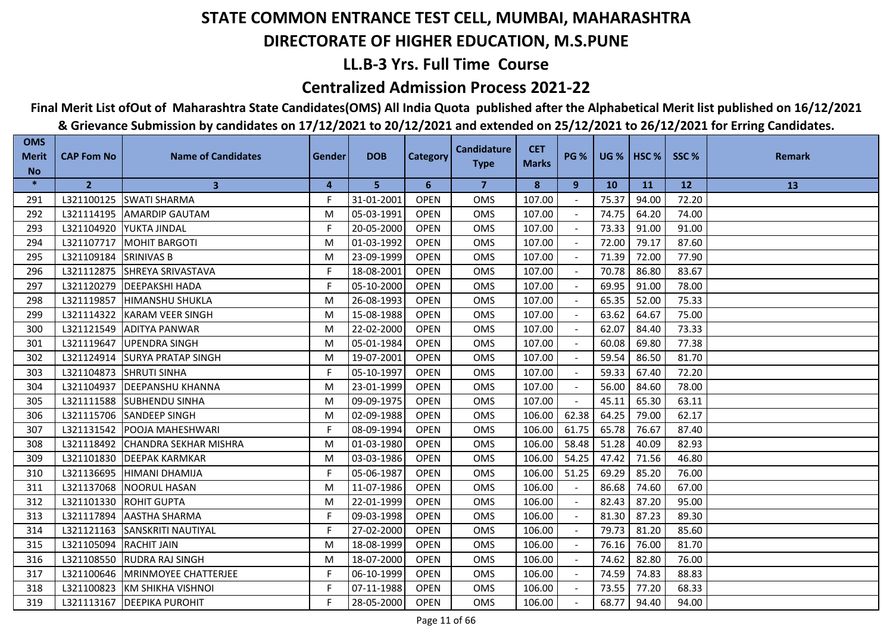## **LL.B-3 Yrs. Full Time Course**

### **Centralized Admission Process 2021-22**

## **Final Merit List ofOut of Maharashtra State Candidates(OMS) All India Quota published after the Alphabetical Merit list published on 16/12/2021**

| <b>OMS</b><br><b>Merit</b> | <b>CAP Fom No</b> | <b>Name of Candidates</b>       | Gender | <b>DOB</b> | <b>Category</b> | <b>Candidature</b> | <b>CET</b>   | <b>PG %</b> |           | <b>UG %   HSC %  </b> | SSC%  | <b>Remark</b> |
|----------------------------|-------------------|---------------------------------|--------|------------|-----------------|--------------------|--------------|-------------|-----------|-----------------------|-------|---------------|
| <b>No</b>                  |                   |                                 |        |            |                 | <b>Type</b>        | <b>Marks</b> |             |           |                       |       |               |
| $\ast$                     | $\overline{2}$    | $\mathbf{3}$                    | 4      | 5          | 6               | $\overline{7}$     | 8            | 9           | <b>10</b> | <b>11</b>             | 12    | 13            |
| 291                        |                   | L321100125 SWATI SHARMA         | F.     | 31-01-2001 | <b>OPEN</b>     | <b>OMS</b>         | 107.00       |             | 75.37     | 94.00                 | 72.20 |               |
| 292                        |                   | L321114195 AMARDIP GAUTAM       | M      | 05-03-1991 | <b>OPEN</b>     | <b>OMS</b>         | 107.00       |             | 74.75     | 64.20                 | 74.00 |               |
| 293                        | L321104920        | YUKTA JINDAL                    | F      | 20-05-2000 | <b>OPEN</b>     | <b>OMS</b>         | 107.00       |             | 73.33     | 91.00                 | 91.00 |               |
| 294                        | L321107717        | <b>MOHIT BARGOTI</b>            | M      | 01-03-1992 | <b>OPEN</b>     | <b>OMS</b>         | 107.00       |             | 72.00     | 79.17                 | 87.60 |               |
| 295                        | L321109184        | <b>SRINIVAS B</b>               | M      | 23-09-1999 | <b>OPEN</b>     | OMS                | 107.00       |             | 71.39     | 72.00                 | 77.90 |               |
| 296                        |                   | L321112875 SHREYA SRIVASTAVA    | F.     | 18-08-2001 | <b>OPEN</b>     | OMS                | 107.00       |             | 70.78     | 86.80                 | 83.67 |               |
| 297                        | L321120279        | <b>DEEPAKSHI HADA</b>           | F      | 05-10-2000 | <b>OPEN</b>     | OMS                | 107.00       |             | 69.95     | 91.00                 | 78.00 |               |
| 298                        | L321119857        | <b>HIMANSHU SHUKLA</b>          | M      | 26-08-1993 | <b>OPEN</b>     | <b>OMS</b>         | 107.00       |             | 65.35     | 52.00                 | 75.33 |               |
| 299                        |                   | L321114322 KARAM VEER SINGH     | M      | 15-08-1988 | <b>OPEN</b>     | <b>OMS</b>         | 107.00       |             | 63.62     | 64.67                 | 75.00 |               |
| 300                        | L321121549        | <b>ADITYA PANWAR</b>            | M      | 22-02-2000 | <b>OPEN</b>     | <b>OMS</b>         | 107.00       |             | 62.07     | 84.40                 | 73.33 |               |
| 301                        | L321119647        | <b>UPENDRA SINGH</b>            | M      | 05-01-1984 | <b>OPEN</b>     | <b>OMS</b>         | 107.00       |             | 60.08     | 69.80                 | 77.38 |               |
| 302                        | L321124914        | <b>SURYA PRATAP SINGH</b>       | M      | 19-07-2001 | <b>OPEN</b>     | OMS                | 107.00       |             | 59.54     | 86.50                 | 81.70 |               |
| 303                        | L321104873        | <b>SHRUTI SINHA</b>             | F      | 05-10-1997 | <b>OPEN</b>     | <b>OMS</b>         | 107.00       |             | 59.33     | 67.40                 | 72.20 |               |
| 304                        |                   | L321104937   DEEPANSHU KHANNA   | M      | 23-01-1999 | <b>OPEN</b>     | <b>OMS</b>         | 107.00       |             | 56.00     | 84.60                 | 78.00 |               |
| 305                        |                   | L321111588 SUBHENDU SINHA       | M      | 09-09-1975 | <b>OPEN</b>     | <b>OMS</b>         | 107.00       |             | 45.11     | 65.30                 | 63.11 |               |
| 306                        |                   | L321115706 SANDEEP SINGH        | M      | 02-09-1988 | <b>OPEN</b>     | OMS                | 106.00       | 62.38       | 64.25     | 79.00                 | 62.17 |               |
| 307                        |                   | L321131542 POOJA MAHESHWARI     | F.     | 08-09-1994 | <b>OPEN</b>     | OMS                | 106.00       | 61.75       | 65.78     | 76.67                 | 87.40 |               |
| 308                        | L321118492        | <b>CHANDRA SEKHAR MISHRA</b>    | M      | 01-03-1980 | <b>OPEN</b>     | <b>OMS</b>         | 106.00       | 58.48       | 51.28     | 40.09                 | 82.93 |               |
| 309                        |                   | L321101830 DEEPAK KARMKAR       | M      | 03-03-1986 | <b>OPEN</b>     | <b>OMS</b>         | 106.00       | 54.25       | 47.42     | 71.56                 | 46.80 |               |
| 310                        |                   | L321136695  HIMANI DHAMIJA      | F      | 05-06-1987 | <b>OPEN</b>     | <b>OMS</b>         | 106.00       | 51.25       | 69.29     | 85.20                 | 76.00 |               |
| 311                        |                   | L321137068 NOORUL HASAN         | M      | 11-07-1986 | <b>OPEN</b>     | <b>OMS</b>         | 106.00       |             | 86.68     | 74.60                 | 67.00 |               |
| 312                        |                   | L321101330 ROHIT GUPTA          | M      | 22-01-1999 | <b>OPEN</b>     | <b>OMS</b>         | 106.00       |             | 82.43     | 87.20                 | 95.00 |               |
| 313                        | L321117894        | <b>AASTHA SHARMA</b>            | F.     | 09-03-1998 | <b>OPEN</b>     | <b>OMS</b>         | 106.00       |             | 81.30     | 87.23                 | 89.30 |               |
| 314                        | L321121163        | <b>ISANSKRITI NAUTIYAL</b>      | F      | 27-02-2000 | <b>OPEN</b>     | <b>OMS</b>         | 106.00       |             | 79.73     | 81.20                 | 85.60 |               |
| 315                        | L321105094        | <b>RACHIT JAIN</b>              | M      | 18-08-1999 | <b>OPEN</b>     | <b>OMS</b>         | 106.00       |             | 76.16     | 76.00                 | 81.70 |               |
| 316                        |                   | L321108550 RUDRA RAJ SINGH      | M      | 18-07-2000 | <b>OPEN</b>     | <b>OMS</b>         | 106.00       |             | 74.62     | 82.80                 | 76.00 |               |
| 317                        |                   | L321100646 MRINMOYEE CHATTERJEE | F.     | 06-10-1999 | <b>OPEN</b>     | <b>OMS</b>         | 106.00       |             | 74.59     | 74.83                 | 88.83 |               |
| 318                        |                   | L321100823 KM SHIKHA VISHNOI    | F      | 07-11-1988 | <b>OPEN</b>     | <b>OMS</b>         | 106.00       |             | 73.55     | 77.20                 | 68.33 |               |
| 319                        |                   | L321113167   DEEPIKA PUROHIT    | F      | 28-05-2000 | <b>OPEN</b>     | <b>OMS</b>         | 106.00       |             | 68.77     | 94.40                 | 94.00 |               |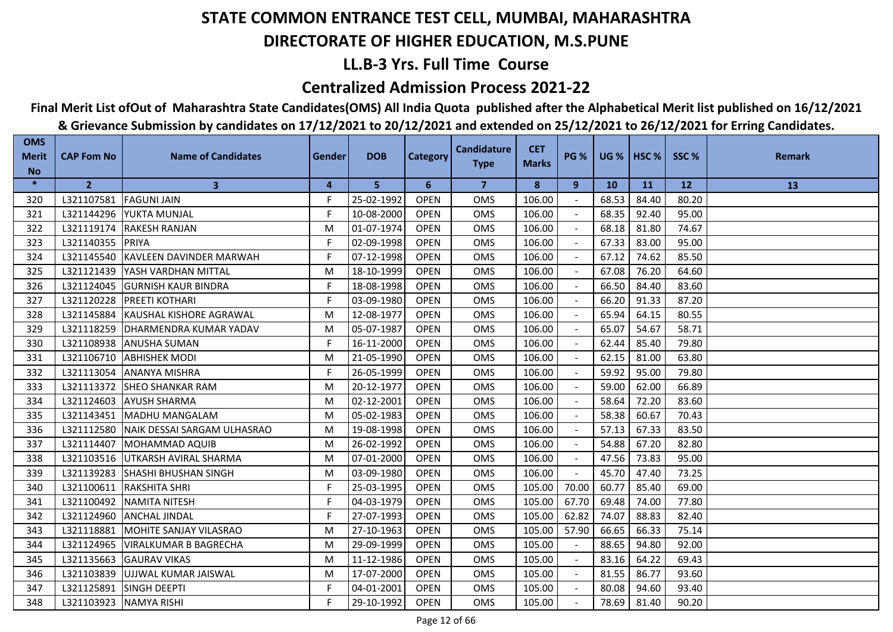## **LL.B-3 Yrs. Full Time Course**

### **Centralized Admission Process 2021-22**

## **Final Merit List ofOut of Maharashtra State Candidates(OMS) All India Quota published after the Alphabetical Merit list published on 16/12/2021**

| <b>OMS</b><br><b>Merit</b> | <b>CAP Fom No</b> | <b>Name of Candidates</b>           | <b>Gender</b> | <b>DOB</b> | <b>Category</b> | <b>Candidature</b> | <b>CET</b>   | <b>PG %</b> | <b>UG %   HSC %</b> |       | SSC%      | <b>Remark</b> |
|----------------------------|-------------------|-------------------------------------|---------------|------------|-----------------|--------------------|--------------|-------------|---------------------|-------|-----------|---------------|
| <b>No</b>                  |                   |                                     |               |            |                 | <b>Type</b>        | <b>Marks</b> |             |                     |       |           |               |
| $\ast$                     | $\overline{2}$    | 3                                   | 4             | 5          | 6               | 7                  | 8            | 9           | <b>10</b>           | 11    | <b>12</b> | 13            |
| 320                        | L321107581        | <b>FAGUNI JAIN</b>                  | F             | 25-02-1992 | <b>OPEN</b>     | OMS                | 106.00       |             | 68.53               | 84.40 | 80.20     |               |
| 321                        | L321144296        | <b>IYUKTA MUNJAL</b>                | F             | 10-08-2000 | <b>OPEN</b>     | <b>OMS</b>         | 106.00       |             | 68.35               | 92.40 | 95.00     |               |
| 322                        | L321119174        | <b>RAKESH RANJAN</b>                | M             | 01-07-1974 | <b>OPEN</b>     | <b>OMS</b>         | 106.00       |             | 68.18               | 81.80 | 74.67     |               |
| 323                        | L321140355        | <b>PRIYA</b>                        | F.            | 02-09-1998 | <b>OPEN</b>     | OMS                | 106.00       |             | 67.33               | 83.00 | 95.00     |               |
| 324                        | L321145540        | <b>IKAVLEEN DAVINDER MARWAH</b>     | F.            | 07-12-1998 | <b>OPEN</b>     | OMS                | 106.00       |             | 67.12               | 74.62 | 85.50     |               |
| 325                        | L321121439        | <b>IYASH VARDHAN MITTAL</b>         | M             | 18-10-1999 | <b>OPEN</b>     | <b>OMS</b>         | 106.00       |             | 67.08               | 76.20 | 64.60     |               |
| 326                        | L321124045        | <b>GURNISH KAUR BINDRA</b>          | F             | 18-08-1998 | <b>OPEN</b>     | <b>OMS</b>         | 106.00       |             | 66.50               | 84.40 | 83.60     |               |
| 327                        | L321120228        | <b>PREETI KOTHARI</b>               | F.            | 03-09-1980 | <b>OPEN</b>     | <b>OMS</b>         | 106.00       |             | 66.20               | 91.33 | 87.20     |               |
| 328                        | L321145884        | KAUSHAL KISHORE AGRAWAL             | M             | 12-08-1977 | <b>OPEN</b>     | OMS                | 106.00       |             | 65.94               | 64.15 | 80.55     |               |
| 329                        | L321118259        | <b>DHARMENDRA KUMAR YADAV</b>       | M             | 05-07-1987 | <b>OPEN</b>     | OMS                | 106.00       |             | 65.07               | 54.67 | 58.71     |               |
| 330                        | L321108938        | IANUSHA SUMAN                       | F.            | 16-11-2000 | <b>OPEN</b>     | <b>OMS</b>         | 106.00       |             | 62.44               | 85.40 | 79.80     |               |
| 331                        | L321106710        | <b>ABHISHEK MODI</b>                | M             | 21-05-1990 | <b>OPEN</b>     | <b>OMS</b>         | 106.00       | $\sim$      | 62.15               | 81.00 | 63.80     |               |
| 332                        | L321113054        | <b>ANANYA MISHRA</b>                | F             | 26-05-1999 | <b>OPEN</b>     | OMS                | 106.00       |             | 59.92               | 95.00 | 79.80     |               |
| 333                        | L321113372        | <b>SHEO SHANKAR RAM</b>             | M             | 20-12-1977 | <b>OPEN</b>     | OMS                | 106.00       |             | 59.00               | 62.00 | 66.89     |               |
| 334                        | L321124603        | <b>AYUSH SHARMA</b>                 | M             | 02-12-2001 | <b>OPEN</b>     | OMS                | 106.00       |             | 58.64               | 72.20 | 83.60     |               |
| 335                        | L321143451        | MADHU MANGALAM                      | M             | 05-02-1983 | <b>OPEN</b>     | <b>OMS</b>         | 106.00       |             | 58.38               | 60.67 | 70.43     |               |
| 336                        | L321112580        | <b>INAIK DESSAI SARGAM ULHASRAO</b> | M             | 19-08-1998 | <b>OPEN</b>     | <b>OMS</b>         | 106.00       |             | 57.13               | 67.33 | 83.50     |               |
| 337                        | L321114407        | <b>MOHAMMAD AQUIB</b>               | M             | 26-02-1992 | <b>OPEN</b>     | <b>OMS</b>         | 106.00       |             | 54.88               | 67.20 | 82.80     |               |
| 338                        | L321103516        | UTKARSH AVIRAL SHARMA               | M             | 07-01-2000 | <b>OPEN</b>     | <b>OMS</b>         | 106.00       |             | 47.56               | 73.83 | 95.00     |               |
| 339                        | L321139283        | <b>SHASHI BHUSHAN SINGH</b>         | M             | 03-09-1980 | <b>OPEN</b>     | OMS                | 106.00       |             | 45.70               | 47.40 | 73.25     |               |
| 340                        | L321100611        | <b>RAKSHITA SHRI</b>                | F             | 25-03-1995 | <b>OPEN</b>     | <b>OMS</b>         | 105.00       | 70.00       | 60.77               | 85.40 | 69.00     |               |
| 341                        | L321100492        | <b>INAMITA NITESH</b>               | F             | 04-03-1979 | <b>OPEN</b>     | <b>OMS</b>         | 105.00       | 67.70       | 69.48               | 74.00 | 77.80     |               |
| 342                        | L321124960        | <b>ANCHAL JINDAL</b>                | F.            | 27-07-1993 | <b>OPEN</b>     | <b>OMS</b>         | 105.00       | 62.82       | 74.07               | 88.83 | 82.40     |               |
| 343                        | L321118881        | MOHITE SANJAY VILASRAO              | M             | 27-10-1963 | <b>OPEN</b>     | OMS                | 105.00       | 57.90       | 66.65               | 66.33 | 75.14     |               |
| 344                        | L321124965        | IVIRALKUMAR B BAGRECHA              | M             | 29-09-1999 | <b>OPEN</b>     | <b>OMS</b>         | 105.00       |             | 88.65               | 94.80 | 92.00     |               |
| 345                        | L321135663        | <b>GAURAV VIKAS</b>                 | M             | 11-12-1986 | <b>OPEN</b>     | <b>OMS</b>         | 105.00       |             | 83.16               | 64.22 | 69.43     |               |
| 346                        | L321103839        | UJJWAL KUMAR JAISWAL                | M             | 17-07-2000 | <b>OPEN</b>     | <b>OMS</b>         | 105.00       |             | 81.55               | 86.77 | 93.60     |               |
| 347                        | L321125891        | <b>SINGH DEEPTI</b>                 | F             | 04-01-2001 | <b>OPEN</b>     | OMS                | 105.00       |             | 80.08               | 94.60 | 93.40     |               |
| 348                        | L321103923        | <b>NAMYA RISHI</b>                  | F             | 29-10-1992 | <b>OPEN</b>     | <b>OMS</b>         | 105.00       |             | 78.69               | 81.40 | 90.20     |               |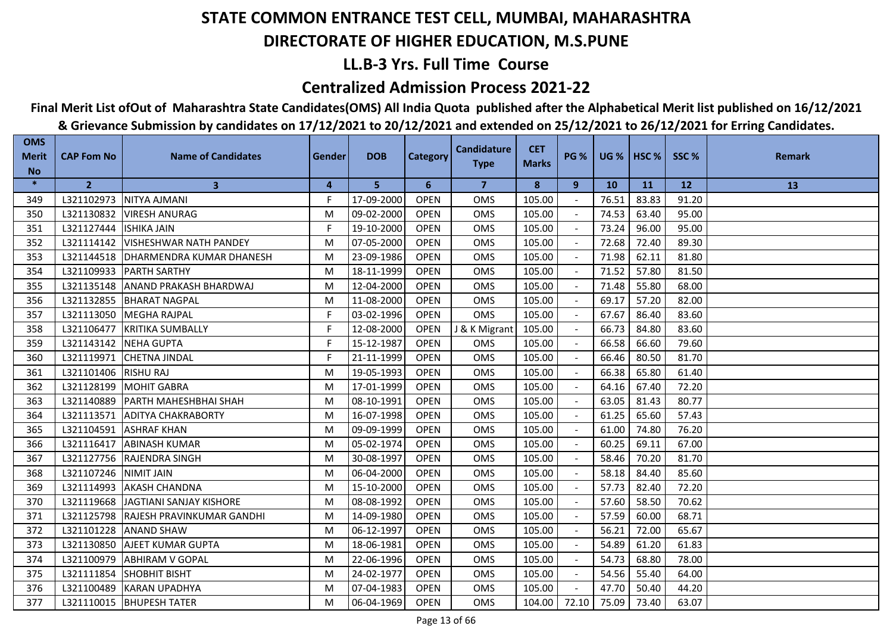## **LL.B-3 Yrs. Full Time Course**

### **Centralized Admission Process 2021-22**

## **Final Merit List ofOut of Maharashtra State Candidates(OMS) All India Quota published after the Alphabetical Merit list published on 16/12/2021**

| <b>OMS</b><br><b>Merit</b> | <b>CAP Fom No</b>       | <b>Name of Candidates</b>             | Gender | <b>DOB</b> | <b>Category</b> | <b>Candidature</b><br><b>Type</b> | <b>CET</b><br><b>Marks</b> | <b>PG %</b> |           | UG %   HSC % | SSC%  | <b>Remark</b> |
|----------------------------|-------------------------|---------------------------------------|--------|------------|-----------------|-----------------------------------|----------------------------|-------------|-----------|--------------|-------|---------------|
| <b>No</b>                  |                         |                                       |        |            |                 |                                   |                            |             |           |              |       |               |
| $\ast$                     | 2 <sup>2</sup>          | $\mathbf{3}$                          | 4      | 5          | 6               | $\overline{7}$                    | 8                          | 9           | <b>10</b> | <b>11</b>    | 12    | 13            |
| 349                        |                         | L321102973 NITYA AJMANI               | F.     | 17-09-2000 | <b>OPEN</b>     | <b>OMS</b>                        | 105.00                     |             | 76.51     | 83.83        | 91.20 |               |
| 350                        |                         | L321130832 VIRESH ANURAG              | M      | 09-02-2000 | <b>OPEN</b>     | <b>OMS</b>                        | 105.00                     |             | 74.53     | 63.40        | 95.00 |               |
| 351                        | L321127444  ISHIKA JAIN |                                       | F      | 19-10-2000 | <b>OPEN</b>     | <b>OMS</b>                        | 105.00                     |             | 73.24     | 96.00        | 95.00 |               |
| 352                        | L321114142              | <b>VISHESHWAR NATH PANDEY</b>         | M      | 07-05-2000 | <b>OPEN</b>     | <b>OMS</b>                        | 105.00                     |             | 72.68     | 72.40        | 89.30 |               |
| 353                        |                         | L321144518   DHARMENDRA KUMAR DHANESH | M      | 23-09-1986 | <b>OPEN</b>     | OMS                               | 105.00                     |             | 71.98     | 62.11        | 81.80 |               |
| 354                        |                         | L321109933 PARTH SARTHY               | M      | 18-11-1999 | <b>OPEN</b>     | <b>OMS</b>                        | 105.00                     |             | 71.52     | 57.80        | 81.50 |               |
| 355                        |                         | L321135148 ANAND PRAKASH BHARDWAJ     | M      | 12-04-2000 | <b>OPEN</b>     | <b>OMS</b>                        | 105.00                     |             | 71.48     | 55.80        | 68.00 |               |
| 356                        |                         | L321132855 BHARAT NAGPAL              | M      | 11-08-2000 | <b>OPEN</b>     | <b>OMS</b>                        | 105.00                     |             | 69.17     | 57.20        | 82.00 |               |
| 357                        |                         | L321113050 MEGHA RAJPAL               | F      | 03-02-1996 | <b>OPEN</b>     | <b>OMS</b>                        | 105.00                     |             | 67.67     | 86.40        | 83.60 |               |
| 358                        | L321106477              | KRITIKA SUMBALLY                      | F      | 12-08-2000 | <b>OPEN</b>     | J & K Migrant                     | 105.00                     |             | 66.73     | 84.80        | 83.60 |               |
| 359                        | L321143142 NEHA GUPTA   |                                       | F.     | 15-12-1987 | <b>OPEN</b>     | <b>OMS</b>                        | 105.00                     |             | 66.58     | 66.60        | 79.60 |               |
| 360                        |                         | L321119971 CHETNA JINDAL              | F.     | 21-11-1999 | <b>OPEN</b>     | <b>OMS</b>                        | 105.00                     |             | 66.46     | 80.50        | 81.70 |               |
| 361                        | L321101406 RISHU RAJ    |                                       | M      | 19-05-1993 | <b>OPEN</b>     | OMS                               | 105.00                     |             | 66.38     | 65.80        | 61.40 |               |
| 362                        |                         | L321128199 MOHIT GABRA                | M      | 17-01-1999 | <b>OPEN</b>     | OMS                               | 105.00                     |             | 64.16     | 67.40        | 72.20 |               |
| 363                        |                         | L321140889 PARTH MAHESHBHAI SHAH      | M      | 08-10-1991 | <b>OPEN</b>     | <b>OMS</b>                        | 105.00                     |             | 63.05     | 81.43        | 80.77 |               |
| 364                        |                         | L321113571 ADITYA CHAKRABORTY         | M      | 16-07-1998 | <b>OPEN</b>     | <b>OMS</b>                        | 105.00                     |             | 61.25     | 65.60        | 57.43 |               |
| 365                        |                         | L321104591 ASHRAF KHAN                | M      | 09-09-1999 | <b>OPEN</b>     | <b>OMS</b>                        | 105.00                     |             | 61.00     | 74.80        | 76.20 |               |
| 366                        | L321116417              | <b>ABINASH KUMAR</b>                  | M      | 05-02-1974 | <b>OPEN</b>     | <b>OMS</b>                        | 105.00                     |             | 60.25     | 69.11        | 67.00 |               |
| 367                        |                         | L321127756 RAJENDRA SINGH             | M      | 30-08-1997 | <b>OPEN</b>     | OMS                               | 105.00                     |             | 58.46     | 70.20        | 81.70 |               |
| 368                        | L321107246 NIMIT JAIN   |                                       | M      | 06-04-2000 | <b>OPEN</b>     | <b>OMS</b>                        | 105.00                     |             | 58.18     | 84.40        | 85.60 |               |
| 369                        |                         | L321114993 AKASH CHANDNA              | M      | 15-10-2000 | <b>OPEN</b>     | <b>OMS</b>                        | 105.00                     |             | 57.73     | 82.40        | 72.20 |               |
| 370                        |                         | L321119668 JAGTIANI SANJAY KISHORE    | M      | 08-08-1992 | <b>OPEN</b>     | <b>OMS</b>                        | 105.00                     |             | 57.60     | 58.50        | 70.62 |               |
| 371                        |                         | L321125798 RAJESH PRAVINKUMAR GANDHI  | M      | 14-09-1980 | <b>OPEN</b>     | OMS                               | 105.00                     |             | 57.59     | 60.00        | 68.71 |               |
| 372                        |                         | L321101228 ANAND SHAW                 | M      | 06-12-1997 | <b>OPEN</b>     | <b>OMS</b>                        | 105.00                     |             | 56.21     | 72.00        | 65.67 |               |
| 373                        |                         | L321130850 AJEET KUMAR GUPTA          | M      | 18-06-1981 | <b>OPEN</b>     | <b>OMS</b>                        | 105.00                     |             | 54.89     | 61.20        | 61.83 |               |
| 374                        | L321100979              | <b>ABHIRAM V GOPAL</b>                | M      | 22-06-1996 | <b>OPEN</b>     | <b>OMS</b>                        | 105.00                     |             | 54.73     | 68.80        | 78.00 |               |
| 375                        | L321111854              | <b>SHOBHIT BISHT</b>                  | M      | 24-02-1977 | <b>OPEN</b>     | OMS                               | 105.00                     |             | 54.56     | 55.40        | 64.00 |               |
| 376                        |                         | L321100489 KARAN UPADHYA              | M      | 07-04-1983 | <b>OPEN</b>     | <b>OMS</b>                        | 105.00                     |             | 47.70     | 50.40        | 44.20 |               |
| 377                        |                         | L321110015   BHUPESH TATER            | M      | 06-04-1969 | <b>OPEN</b>     | <b>OMS</b>                        | 104.00                     | 72.10       | 75.09     | 73.40        | 63.07 |               |
|                            |                         |                                       |        |            |                 |                                   |                            |             |           |              |       |               |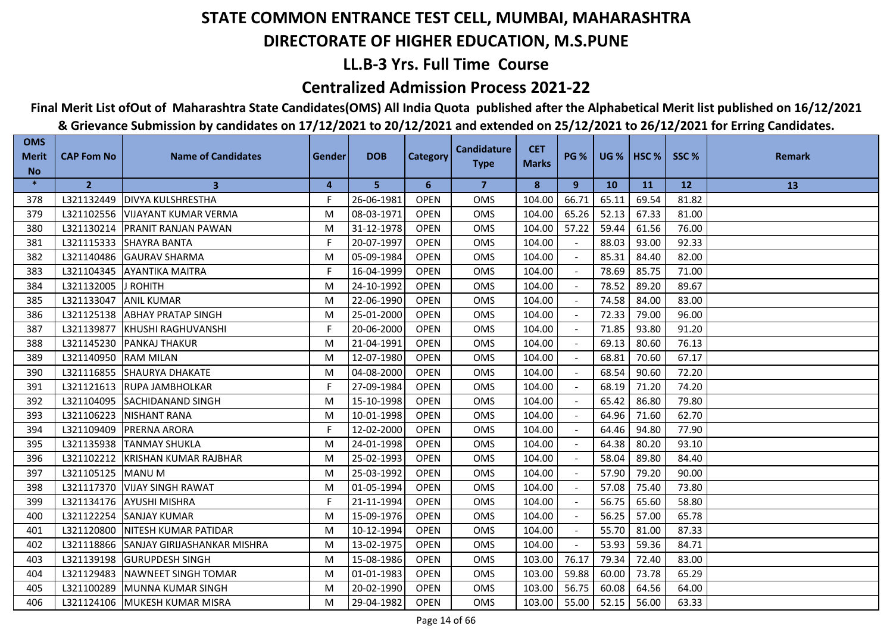## **LL.B-3 Yrs. Full Time Course**

### **Centralized Admission Process 2021-22**

## **Final Merit List ofOut of Maharashtra State Candidates(OMS) All India Quota published after the Alphabetical Merit list published on 16/12/2021**

| <b>OMS</b><br><b>Merit</b> | <b>CAP Fom No</b> | <b>Name of Candidates</b>          | <b>Gender</b> | <b>DOB</b> | <b>Category</b> | <b>Candidature</b><br><b>Type</b> | <b>CET</b><br><b>Marks</b> | <b>PG %</b> |           | $UG %$ HSC % | SSC%      | <b>Remark</b> |
|----------------------------|-------------------|------------------------------------|---------------|------------|-----------------|-----------------------------------|----------------------------|-------------|-----------|--------------|-----------|---------------|
| <b>No</b><br>$\ast$        | 2 <sup>2</sup>    | 3                                  | 4             | 5          | 6               | $\overline{7}$                    | 8                          | 9           | <b>10</b> | <b>11</b>    | <b>12</b> | 13            |
| 378                        | L321132449        | <b>DIVYA KULSHRESTHA</b>           | F             | 26-06-1981 | <b>OPEN</b>     | <b>OMS</b>                        | 104.00                     | 66.71       | 65.11     | 69.54        | 81.82     |               |
| 379                        | L321102556        | <b>VIJAYANT KUMAR VERMA</b>        | M             | 08-03-1971 | <b>OPEN</b>     | <b>OMS</b>                        | 104.00                     | 65.26       | 52.13     | 67.33        | 81.00     |               |
| 380                        | L321130214        | <b>PRANIT RANJAN PAWAN</b>         | M             | 31-12-1978 | <b>OPEN</b>     | <b>OMS</b>                        | 104.00                     | 57.22       | 59.44     | 61.56        | 76.00     |               |
| 381                        | L321115333        | <b>SHAYRA BANTA</b>                | F.            | 20-07-1997 | <b>OPEN</b>     | <b>OMS</b>                        | 104.00                     |             | 88.03     | 93.00        | 92.33     |               |
| 382                        | L321140486        | <b>GAURAV SHARMA</b>               | M             | 05-09-1984 | <b>OPEN</b>     | <b>OMS</b>                        | 104.00                     |             | 85.31     | 84.40        | 82.00     |               |
| 383                        | L321104345        | <b>AYANTIKA MAITRA</b>             | F             | 16-04-1999 | <b>OPEN</b>     | <b>OMS</b>                        | 104.00                     |             | 78.69     | 85.75        | 71.00     |               |
| 384                        | L321132005        | <b>J ROHITH</b>                    | M             | 24-10-1992 | <b>OPEN</b>     | <b>OMS</b>                        | 104.00                     |             | 78.52     | 89.20        | 89.67     |               |
| 385                        | L321133047        | <b>ANIL KUMAR</b>                  | M             | 22-06-1990 | <b>OPEN</b>     | <b>OMS</b>                        | 104.00                     |             | 74.58     | 84.00        | 83.00     |               |
| 386                        | L321125138        | <b>ABHAY PRATAP SINGH</b>          | M             | 25-01-2000 | <b>OPEN</b>     | <b>OMS</b>                        | 104.00                     |             | 72.33     | 79.00        | 96.00     |               |
| 387                        | L321139877        | <b>IKHUSHI RAGHUVANSHI</b>         | F             | 20-06-2000 | <b>OPEN</b>     | <b>OMS</b>                        | 104.00                     |             | 71.85     | 93.80        | 91.20     |               |
| 388                        | L321145230        | <b>PANKAJ THAKUR</b>               | M             | 21-04-1991 | <b>OPEN</b>     | <b>OMS</b>                        | 104.00                     |             | 69.13     | 80.60        | 76.13     |               |
| 389                        | L321140950        | <b>RAM MILAN</b>                   | M             | 12-07-1980 | <b>OPEN</b>     | <b>OMS</b>                        | 104.00                     |             | 68.81     | 70.60        | 67.17     |               |
| 390                        | L321116855        | <b>SHAURYA DHAKATE</b>             | M             | 04-08-2000 | <b>OPEN</b>     | <b>OMS</b>                        | 104.00                     |             | 68.54     | 90.60        | 72.20     |               |
| 391                        | L321121613        | <b>RUPA JAMBHOLKAR</b>             | F             | 27-09-1984 | <b>OPEN</b>     | <b>OMS</b>                        | 104.00                     |             | 68.19     | 71.20        | 74.20     |               |
| 392                        | L321104095        | <b>SACHIDANAND SINGH</b>           | M             | 15-10-1998 | <b>OPEN</b>     | <b>OMS</b>                        | 104.00                     |             | 65.42     | 86.80        | 79.80     |               |
| 393                        | L321106223        | <b>NISHANT RANA</b>                | M             | 10-01-1998 | <b>OPEN</b>     | OMS                               | 104.00                     |             | 64.96     | 71.60        | 62.70     |               |
| 394                        | L321109409        | <b>PRERNA ARORA</b>                | F.            | 12-02-2000 | <b>OPEN</b>     | <b>OMS</b>                        | 104.00                     |             | 64.46     | 94.80        | 77.90     |               |
| 395                        | L321135938        | <b>TANMAY SHUKLA</b>               | M             | 24-01-1998 | <b>OPEN</b>     | <b>OMS</b>                        | 104.00                     |             | 64.38     | 80.20        | 93.10     |               |
| 396                        | L321102212        | <b>KRISHAN KUMAR RAJBHAR</b>       | M             | 25-02-1993 | <b>OPEN</b>     | <b>OMS</b>                        | 104.00                     |             | 58.04     | 89.80        | 84.40     |               |
| 397                        | L321105125        | <b>MANU M</b>                      | M             | 25-03-1992 | <b>OPEN</b>     | <b>OMS</b>                        | 104.00                     |             | 57.90     | 79.20        | 90.00     |               |
| 398                        | L321117370        | <b>VIJAY SINGH RAWAT</b>           | M             | 01-05-1994 | <b>OPEN</b>     | <b>OMS</b>                        | 104.00                     |             | 57.08     | 75.40        | 73.80     |               |
| 399                        | L321134176        | <b>AYUSHI MISHRA</b>               | F             | 21-11-1994 | <b>OPEN</b>     | <b>OMS</b>                        | 104.00                     |             | 56.75     | 65.60        | 58.80     |               |
| 400                        | L321122254        | <b>SANJAY KUMAR</b>                | M             | 15-09-1976 | <b>OPEN</b>     | <b>OMS</b>                        | 104.00                     |             | 56.25     | 57.00        | 65.78     |               |
| 401                        | L321120800        | <b>NITESH KUMAR PATIDAR</b>        | M             | 10-12-1994 | <b>OPEN</b>     | <b>OMS</b>                        | 104.00                     |             | 55.70     | 81.00        | 87.33     |               |
| 402                        | L321118866        | <b>SANJAY GIRIJASHANKAR MISHRA</b> | M             | 13-02-1975 | <b>OPEN</b>     | <b>OMS</b>                        | 104.00                     |             | 53.93     | 59.36        | 84.71     |               |
| 403                        | L321139198        | <b>GURUPDESH SINGH</b>             | M             | 15-08-1986 | <b>OPEN</b>     | <b>OMS</b>                        | 103.00                     | 76.17       | 79.34     | 72.40        | 83.00     |               |
| 404                        | L321129483        | <b>NAWNEET SINGH TOMAR</b>         | M             | 01-01-1983 | <b>OPEN</b>     | <b>OMS</b>                        | 103.00                     | 59.88       | 60.00     | 73.78        | 65.29     |               |
| 405                        | L321100289        | MUNNA KUMAR SINGH                  | M             | 20-02-1990 | <b>OPEN</b>     | <b>OMS</b>                        | 103.00                     | 56.75       | 60.08     | 64.56        | 64.00     |               |
| 406                        | L321124106        | MUKESH KUMAR MISRA                 | M             | 29-04-1982 | <b>OPEN</b>     | <b>OMS</b>                        | 103.00                     | 55.00       | 52.15     | 56.00        | 63.33     |               |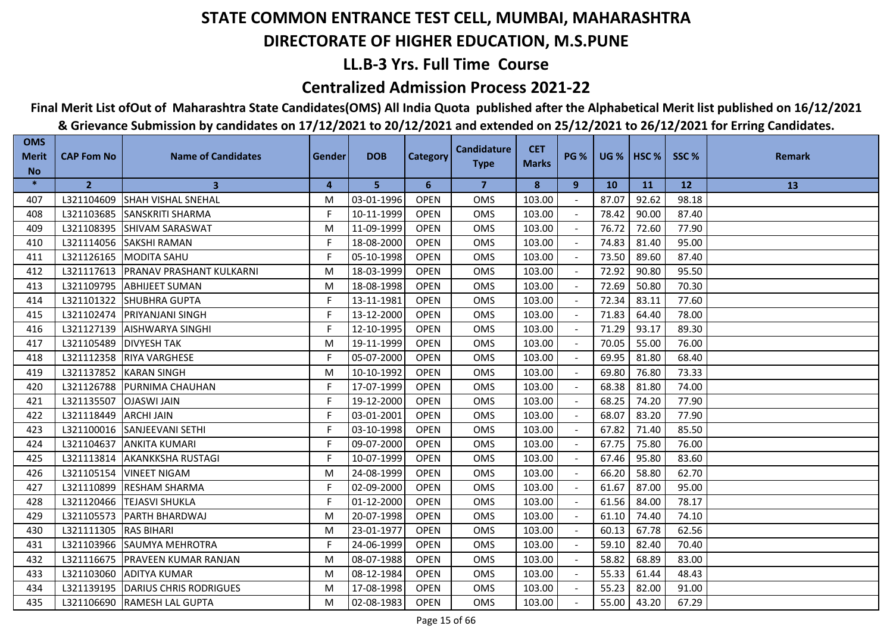## **LL.B-3 Yrs. Full Time Course**

### **Centralized Admission Process 2021-22**

## **Final Merit List ofOut of Maharashtra State Candidates(OMS) All India Quota published after the Alphabetical Merit list published on 16/12/2021**

| <b>OMS</b><br><b>Merit</b> | <b>CAP Fom No</b> | <b>Name of Candidates</b>           | Gender | <b>DOB</b> | <b>Category</b> | <b>Candidature</b> | <b>CET</b>   | <b>PG %</b> | <b>UG %</b> | HSC <sub>%</sub> | SSC%      | <b>Remark</b> |
|----------------------------|-------------------|-------------------------------------|--------|------------|-----------------|--------------------|--------------|-------------|-------------|------------------|-----------|---------------|
| <b>No</b>                  |                   |                                     |        |            |                 | <b>Type</b>        | <b>Marks</b> |             |             |                  |           |               |
| $\ast$                     | $\overline{2}$    | 3                                   | 4      | 5          | 6               | $\overline{7}$     | 8            | 9           | <b>10</b>   | <b>11</b>        | <b>12</b> | 13            |
| 407                        | L321104609        | <b>SHAH VISHAL SNEHAL</b>           | M      | 03-01-1996 | <b>OPEN</b>     | <b>OMS</b>         | 103.00       |             | 87.07       | 92.62            | 98.18     |               |
| 408                        | L321103685        | <b>SANSKRITI SHARMA</b>             | F.     | 10-11-1999 | <b>OPEN</b>     | <b>OMS</b>         | 103.00       |             | 78.42       | 90.00            | 87.40     |               |
| 409                        | L321108395        | <b>SHIVAM SARASWAT</b>              | M      | 11-09-1999 | <b>OPEN</b>     | <b>OMS</b>         | 103.00       |             | 76.72       | 72.60            | 77.90     |               |
| 410                        | L321114056        | <b>SAKSHI RAMAN</b>                 | F.     | 18-08-2000 | <b>OPEN</b>     | <b>OMS</b>         | 103.00       |             | 74.83       | 81.40            | 95.00     |               |
| 411                        | L321126165        | MODITA SAHU                         | F.     | 05-10-1998 | <b>OPEN</b>     | OMS                | 103.00       |             | 73.50       | 89.60            | 87.40     |               |
| 412                        |                   | L321117613 PRANAV PRASHANT KULKARNI | M      | 18-03-1999 | <b>OPEN</b>     | <b>OMS</b>         | 103.00       |             | 72.92       | 90.80            | 95.50     |               |
| 413                        | L321109795        | <b>ABHIJEET SUMAN</b>               | M      | 18-08-1998 | <b>OPEN</b>     | <b>OMS</b>         | 103.00       |             | 72.69       | 50.80            | 70.30     |               |
| 414                        | L321101322        | <b>SHUBHRA GUPTA</b>                | F.     | 13-11-1981 | <b>OPEN</b>     | OMS                | 103.00       |             | 72.34       | 83.11            | 77.60     |               |
| 415                        | L321102474        | <b>PRIYANJANI SINGH</b>             | F.     | 13-12-2000 | <b>OPEN</b>     | <b>OMS</b>         | 103.00       |             | 71.83       | 64.40            | 78.00     |               |
| 416                        | L321127139        | <b>AISHWARYA SINGHI</b>             | F.     | 12-10-1995 | <b>OPEN</b>     | <b>OMS</b>         | 103.00       |             | 71.29       | 93.17            | 89.30     |               |
| 417                        | L321105489        | <b>DIVYESH TAK</b>                  | M      | 19-11-1999 | <b>OPEN</b>     | <b>OMS</b>         | 103.00       |             | 70.05       | 55.00            | 76.00     |               |
| 418                        | L321112358        | <b>RIYA VARGHESE</b>                | F.     | 05-07-2000 | <b>OPEN</b>     | OMS                | 103.00       |             | 69.95       | 81.80            | 68.40     |               |
| 419                        |                   | L321137852 KARAN SINGH              | M      | 10-10-1992 | <b>OPEN</b>     | OMS                | 103.00       |             | 69.80       | 76.80            | 73.33     |               |
| 420                        | L321126788        | <b>PURNIMA CHAUHAN</b>              | F.     | 17-07-1999 | <b>OPEN</b>     | OMS                | 103.00       |             | 68.38       | 81.80            | 74.00     |               |
| 421                        | L321135507        | <b>OJASWI JAIN</b>                  | F      | 19-12-2000 | <b>OPEN</b>     | <b>OMS</b>         | 103.00       |             | 68.25       | 74.20            | 77.90     |               |
| 422                        | L321118449        | <b>ARCHI JAIN</b>                   | F.     | 03-01-2001 | <b>OPEN</b>     | <b>OMS</b>         | 103.00       |             | 68.07       | 83.20            | 77.90     |               |
| 423                        | L321100016        | <b>SANJEEVANI SETHI</b>             | F.     | 03-10-1998 | <b>OPEN</b>     | <b>OMS</b>         | 103.00       |             | 67.82       | 71.40            | 85.50     |               |
| 424                        | L321104637        | IANKITA KUMARI                      | F      | 09-07-2000 | <b>OPEN</b>     | <b>OMS</b>         | 103.00       |             | 67.75       | 75.80            | 76.00     |               |
| 425                        | L321113814        | <b>AKANKKSHA RUSTAGI</b>            | F.     | 10-07-1999 | <b>OPEN</b>     | OMS                | 103.00       |             | 67.46       | 95.80            | 83.60     |               |
| 426                        | L321105154        | <b>VINEET NIGAM</b>                 | M      | 24-08-1999 | <b>OPEN</b>     | <b>OMS</b>         | 103.00       |             | 66.20       | 58.80            | 62.70     |               |
| 427                        | L321110899        | <b>RESHAM SHARMA</b>                | F.     | 02-09-2000 | <b>OPEN</b>     | <b>OMS</b>         | 103.00       |             | 61.67       | 87.00            | 95.00     |               |
| 428                        | L321120466        | <b>ITEJASVI SHUKLA</b>              | F.     | 01-12-2000 | <b>OPEN</b>     | <b>OMS</b>         | 103.00       |             | 61.56       | 84.00            | 78.17     |               |
| 429                        | L321105573        | <b>PARTH BHARDWAJ</b>               | M      | 20-07-1998 | <b>OPEN</b>     | OMS                | 103.00       |             | 61.10       | 74.40            | 74.10     |               |
| 430                        | L321111305        | <b>RAS BIHARI</b>                   | M      | 23-01-1977 | <b>OPEN</b>     | <b>OMS</b>         | 103.00       |             | 60.13       | 67.78            | 62.56     |               |
| 431                        | L321103966        | <b>ISAUMYA MEHROTRA</b>             | F      | 24-06-1999 | <b>OPEN</b>     | <b>OMS</b>         | 103.00       |             | 59.10       | 82.40            | 70.40     |               |
| 432                        | L321116675        | <b>PRAVEEN KUMAR RANJAN</b>         | M      | 08-07-1988 | <b>OPEN</b>     | <b>OMS</b>         | 103.00       |             | 58.82       | 68.89            | 83.00     |               |
| 433                        | L321103060        | <b>ADITYA KUMAR</b>                 | M      | 08-12-1984 | <b>OPEN</b>     | OMS                | 103.00       |             | 55.33       | 61.44            | 48.43     |               |
| 434                        | L321139195        | DARIUS CHRIS RODRIGUES              | M      | 17-08-1998 | <b>OPEN</b>     | <b>OMS</b>         | 103.00       |             | 55.23       | 82.00            | 91.00     |               |
| 435                        |                   | L321106690 RAMESH LAL GUPTA         | M      | 02-08-1983 | <b>OPEN</b>     | <b>OMS</b>         | 103.00       |             | 55.00       | 43.20            | 67.29     |               |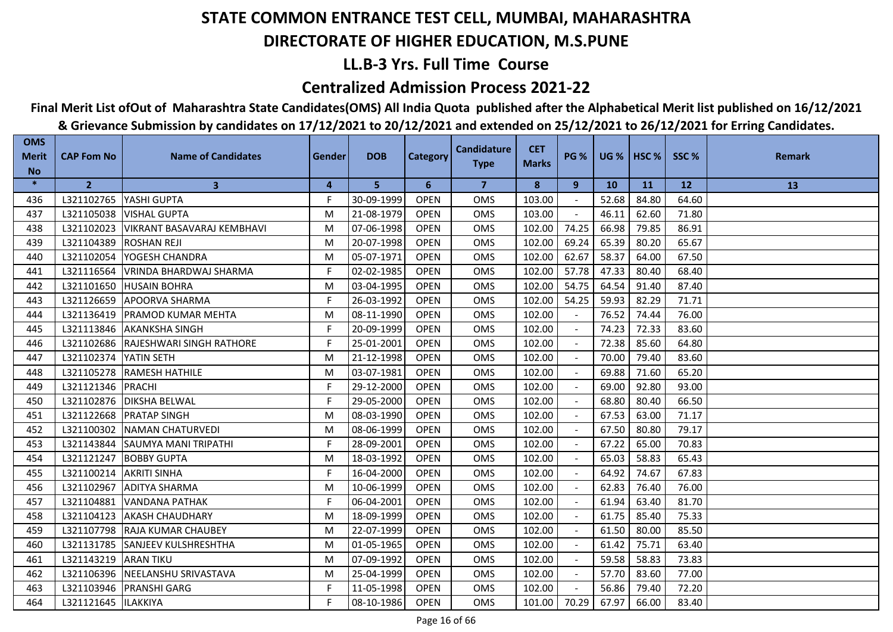## **LL.B-3 Yrs. Full Time Course**

### **Centralized Admission Process 2021-22**

**Final Merit List ofOut of Maharashtra State Candidates(OMS) All India Quota published after the Alphabetical Merit list published on 16/12/2021**

| <b>OMS</b><br><b>Merit</b> | <b>CAP Fom No</b> | <b>Name of Candidates</b>         | <b>Gender</b> | <b>DOB</b> | <b>Category</b> | <b>Candidature</b> | <b>CET</b>   | <b>PG %</b>              | $UG %$ HSC % |       | SSC%  | <b>Remark</b> |
|----------------------------|-------------------|-----------------------------------|---------------|------------|-----------------|--------------------|--------------|--------------------------|--------------|-------|-------|---------------|
| <b>No</b>                  |                   |                                   |               |            |                 | <b>Type</b>        | <b>Marks</b> |                          |              |       |       |               |
| $\ast$                     | $\overline{2}$    | $\mathbf{3}$                      | 4             | 5          | 6               | 7                  | 8            | 9                        | <b>10</b>    | 11    | 12    | 13            |
| 436                        | L321102765        | YASHI GUPTA                       | F             | 30-09-1999 | <b>OPEN</b>     | <b>OMS</b>         | 103.00       |                          | 52.68        | 84.80 | 64.60 |               |
| 437                        | L321105038        | <b>VISHAL GUPTA</b>               | M             | 21-08-1979 | <b>OPEN</b>     | <b>OMS</b>         | 103.00       |                          | 46.11        | 62.60 | 71.80 |               |
| 438                        | L321102023        | <b>VIKRANT BASAVARAJ KEMBHAVI</b> | M             | 07-06-1998 | <b>OPEN</b>     | <b>OMS</b>         | 102.00       | 74.25                    | 66.98        | 79.85 | 86.91 |               |
| 439                        | L321104389        | <b>ROSHAN REJI</b>                | M             | 20-07-1998 | <b>OPEN</b>     | <b>OMS</b>         | 102.00       | 69.24                    | 65.39        | 80.20 | 65.67 |               |
| 440                        | L321102054        | YOGESH CHANDRA                    | M             | 05-07-1971 | <b>OPEN</b>     | OMS                | 102.00       | 62.67                    | 58.37        | 64.00 | 67.50 |               |
| 441                        | L321116564        | VRINDA BHARDWAJ SHARMA            | F.            | 02-02-1985 | <b>OPEN</b>     | <b>OMS</b>         | 102.00       | 57.78                    | 47.33        | 80.40 | 68.40 |               |
| 442                        | L321101650        | <b>HUSAIN BOHRA</b>               | M             | 03-04-1995 | <b>OPEN</b>     | <b>OMS</b>         | 102.00       | 54.75                    | 64.54        | 91.40 | 87.40 |               |
| 443                        | L321126659        | <b>APOORVA SHARMA</b>             | F.            | 26-03-1992 | <b>OPEN</b>     | <b>OMS</b>         | 102.00       | 54.25                    | 59.93        | 82.29 | 71.71 |               |
| 444                        | L321136419        | IPRAMOD KUMAR MEHTA               | M             | 08-11-1990 | <b>OPEN</b>     | <b>OMS</b>         | 102.00       |                          | 76.52        | 74.44 | 76.00 |               |
| 445                        | L321113846        | <b>AKANKSHA SINGH</b>             | F             | 20-09-1999 | <b>OPEN</b>     | <b>OMS</b>         | 102.00       |                          | 74.23        | 72.33 | 83.60 |               |
| 446                        | L321102686        | RAJESHWARI SINGH RATHORE          | F             | 25-01-2001 | <b>OPEN</b>     | OMS                | 102.00       | $\overline{\phantom{a}}$ | 72.38        | 85.60 | 64.80 |               |
| 447                        | L321102374        | YATIN SETH                        | M             | 21-12-1998 | <b>OPEN</b>     | <b>OMS</b>         | 102.00       | $\sim$                   | 70.00        | 79.40 | 83.60 |               |
| 448                        | L321105278        | <b>RAMESH HATHILE</b>             | M             | 03-07-1981 | <b>OPEN</b>     | OMS                | 102.00       | $\sim$                   | 69.88        | 71.60 | 65.20 |               |
| 449                        | L321121346        | PRACHI                            | F.            | 29-12-2000 | <b>OPEN</b>     | <b>OMS</b>         | 102.00       |                          | 69.00        | 92.80 | 93.00 |               |
| 450                        | L321102876        | <b>DIKSHA BELWAL</b>              | F.            | 29-05-2000 | <b>OPEN</b>     | <b>OMS</b>         | 102.00       | $\blacksquare$           | 68.80        | 80.40 | 66.50 |               |
| 451                        | L321122668        | <b>PRATAP SINGH</b>               | M             | 08-03-1990 | <b>OPEN</b>     | <b>OMS</b>         | 102.00       |                          | 67.53        | 63.00 | 71.17 |               |
| 452                        | L321100302        | <b>NAMAN CHATURVEDI</b>           | M             | 08-06-1999 | <b>OPEN</b>     | <b>OMS</b>         | 102.00       |                          | 67.50        | 80.80 | 79.17 |               |
| 453                        | L321143844        | <b>SAUMYA MANI TRIPATHI</b>       | F             | 28-09-2001 | <b>OPEN</b>     | <b>OMS</b>         | 102.00       |                          | 67.22        | 65.00 | 70.83 |               |
| 454                        | L321121247        | <b>BOBBY GUPTA</b>                | M             | 18-03-1992 | <b>OPEN</b>     | <b>OMS</b>         | 102.00       |                          | 65.03        | 58.83 | 65.43 |               |
| 455                        | L321100214        | <b>AKRITI SINHA</b>               | F             | 16-04-2000 | <b>OPEN</b>     | <b>OMS</b>         | 102.00       |                          | 64.92        | 74.67 | 67.83 |               |
| 456                        | L321102967        | <b>ADITYA SHARMA</b>              | M             | 10-06-1999 | <b>OPEN</b>     | <b>OMS</b>         | 102.00       |                          | 62.83        | 76.40 | 76.00 |               |
| 457                        | L321104881        | <b>VANDANA PATHAK</b>             | F             | 06-04-2001 | <b>OPEN</b>     | <b>OMS</b>         | 102.00       | $\sim$                   | 61.94        | 63.40 | 81.70 |               |
| 458                        | L321104123        | <b>AKASH CHAUDHARY</b>            | M             | 18-09-1999 | <b>OPEN</b>     | <b>OMS</b>         | 102.00       |                          | 61.75        | 85.40 | 75.33 |               |
| 459                        | L321107798        | <b>RAJA KUMAR CHAUBEY</b>         | M             | 22-07-1999 | <b>OPEN</b>     | <b>OMS</b>         | 102.00       | $\sim$                   | 61.50        | 80.00 | 85.50 |               |
| 460                        | L321131785        | <b>I</b> SANJEEV KULSHRESHTHA     | M             | 01-05-1965 | <b>OPEN</b>     | <b>OMS</b>         | 102.00       |                          | 61.42        | 75.71 | 63.40 |               |
| 461                        | L321143219        | <b>ARAN TIKU</b>                  | M             | 07-09-1992 | <b>OPEN</b>     | <b>OMS</b>         | 102.00       |                          | 59.58        | 58.83 | 73.83 |               |
| 462                        | L321106396        | NEELANSHU SRIVASTAVA              | M             | 25-04-1999 | <b>OPEN</b>     | <b>OMS</b>         | 102.00       |                          | 57.70        | 83.60 | 77.00 |               |
| 463                        | L321103946        | <b>PRANSHI GARG</b>               | F             | 11-05-1998 | <b>OPEN</b>     | <b>OMS</b>         | 102.00       |                          | 56.86        | 79.40 | 72.20 |               |
| 464                        | L321121645        | <b>ILAKKIYA</b>                   | F.            | 08-10-1986 | <b>OPEN</b>     | <b>OMS</b>         | 101.00       | 70.29                    | 67.97        | 66.00 | 83.40 |               |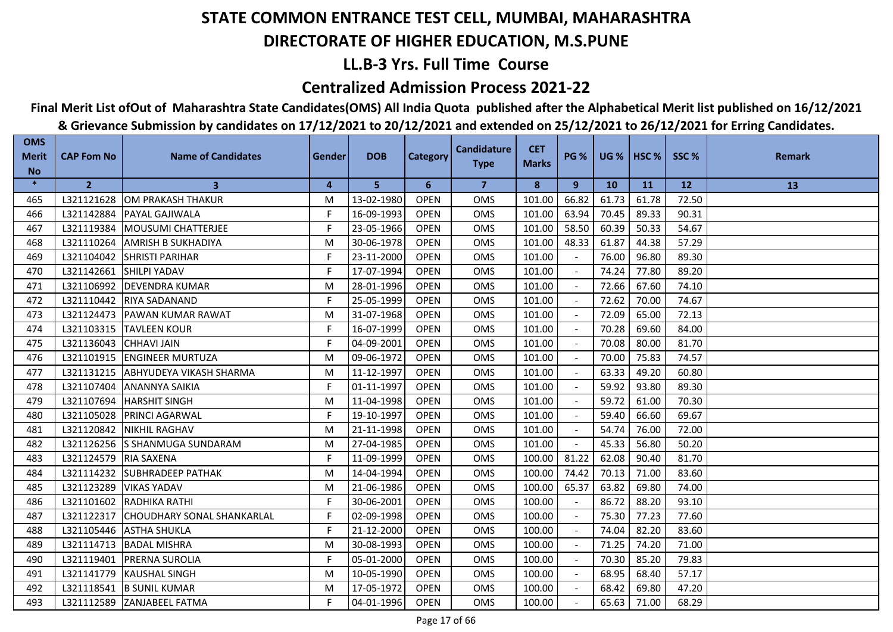## **LL.B-3 Yrs. Full Time Course**

### **Centralized Admission Process 2021-22**

**Final Merit List ofOut of Maharashtra State Candidates(OMS) All India Quota published after the Alphabetical Merit list published on 16/12/2021**

| <b>OMS</b>                | <b>CAP Fom No</b> | <b>Name of Candidates</b>         | <b>Gender</b> | <b>DOB</b> |                 | <b>Candidature</b> | <b>CET</b>   | <b>PG %</b>              | $UG %$ HSC % |       | SSC%  | <b>Remark</b> |
|---------------------------|-------------------|-----------------------------------|---------------|------------|-----------------|--------------------|--------------|--------------------------|--------------|-------|-------|---------------|
| <b>Merit</b><br><b>No</b> |                   |                                   |               |            | <b>Category</b> | <b>Type</b>        | <b>Marks</b> |                          |              |       |       |               |
| $\ast$                    | $\overline{2}$    | 3                                 | 4             | 5          | 6               | 7                  | 8            | 9                        | <b>10</b>    | 11    | 12    | 13            |
| 465                       | L321121628        | <b>IOM PRAKASH THAKUR</b>         | M             | 13-02-1980 | <b>OPEN</b>     | <b>OMS</b>         | 101.00       | 66.82                    | 61.73        | 61.78 | 72.50 |               |
| 466                       | L321142884        | <b>PAYAL GAJIWALA</b>             | F             | 16-09-1993 | <b>OPEN</b>     | <b>OMS</b>         | 101.00       | 63.94                    | 70.45        | 89.33 | 90.31 |               |
| 467                       | L321119384        | <b>MOUSUMI CHATTERJEE</b>         | F             | 23-05-1966 | <b>OPEN</b>     | OMS                | 101.00       | 58.50                    | 60.39        | 50.33 | 54.67 |               |
| 468                       | L321110264        | <b>AMRISH B SUKHADIYA</b>         | M             | 30-06-1978 | <b>OPEN</b>     | <b>OMS</b>         | 101.00       | 48.33                    | 61.87        | 44.38 | 57.29 |               |
| 469                       | L321104042        | <b>SHRISTI PARIHAR</b>            | F.            | 23-11-2000 | <b>OPEN</b>     | <b>OMS</b>         | 101.00       |                          | 76.00        | 96.80 | 89.30 |               |
| 470                       | L321142661        | <b>SHILPI YADAV</b>               | F             | 17-07-1994 | <b>OPEN</b>     | <b>OMS</b>         | 101.00       |                          | 74.24        | 77.80 | 89.20 |               |
| 471                       | L321106992        | <b>DEVENDRA KUMAR</b>             | M             | 28-01-1996 | <b>OPEN</b>     | <b>OMS</b>         | 101.00       |                          | 72.66        | 67.60 | 74.10 |               |
| 472                       | L321110442        | <b>RIYA SADANAND</b>              | F.            | 25-05-1999 | <b>OPEN</b>     | OMS                | 101.00       | $\blacksquare$           | 72.62        | 70.00 | 74.67 |               |
| 473                       | L321124473        | IPAWAN KUMAR RAWAT                | м             | 31-07-1968 | <b>OPEN</b>     | <b>OMS</b>         | 101.00       |                          | 72.09        | 65.00 | 72.13 |               |
| 474                       | L321103315        | <b>TAVLEEN KOUR</b>               | F             | 16-07-1999 | <b>OPEN</b>     | <b>OMS</b>         | 101.00       |                          | 70.28        | 69.60 | 84.00 |               |
| 475                       | L321136043        | <b>CHHAVI JAIN</b>                | F             | 04-09-2001 | <b>OPEN</b>     | <b>OMS</b>         | 101.00       |                          | 70.08        | 80.00 | 81.70 |               |
| 476                       | L321101915        | <b>ENGINEER MURTUZA</b>           | M             | 09-06-1972 | <b>OPEN</b>     | OMS                | 101.00       | $\overline{\phantom{a}}$ | 70.00        | 75.83 | 74.57 |               |
| 477                       | L321131215        | <b>ABHYUDEYA VIKASH SHARMA</b>    | м             | 11-12-1997 | <b>OPEN</b>     | <b>OMS</b>         | 101.00       |                          | 63.33        | 49.20 | 60.80 |               |
| 478                       | L321107404        | <b>ANANNYA SAIKIA</b>             | F.            | 01-11-1997 | <b>OPEN</b>     | <b>OMS</b>         | 101.00       |                          | 59.92        | 93.80 | 89.30 |               |
| 479                       | L321107694        | <b>HARSHIT SINGH</b>              | M             | 11-04-1998 | <b>OPEN</b>     | <b>OMS</b>         | 101.00       |                          | 59.72        | 61.00 | 70.30 |               |
| 480                       | L321105028        | <b>PRINCI AGARWAL</b>             | F.            | 19-10-1997 | <b>OPEN</b>     | <b>OMS</b>         | 101.00       |                          | 59.40        | 66.60 | 69.67 |               |
| 481                       | L321120842        | <b>NIKHIL RAGHAV</b>              | M             | 21-11-1998 | <b>OPEN</b>     | <b>OMS</b>         | 101.00       |                          | 54.74        | 76.00 | 72.00 |               |
| 482                       | L321126256        | S SHANMUGA SUNDARAM               | M             | 27-04-1985 | <b>OPEN</b>     | <b>OMS</b>         | 101.00       |                          | 45.33        | 56.80 | 50.20 |               |
| 483                       | L321124579        | <b>RIA SAXENA</b>                 | F.            | 11-09-1999 | <b>OPEN</b>     | OMS                | 100.00       | 81.22                    | 62.08        | 90.40 | 81.70 |               |
| 484                       | L321114232        | <b>SUBHRADEEP PATHAK</b>          | M             | 14-04-1994 | <b>OPEN</b>     | <b>OMS</b>         | 100.00       | 74.42                    | 70.13        | 71.00 | 83.60 |               |
| 485                       | L321123289        | <b>VIKAS YADAV</b>                | M             | 21-06-1986 | <b>OPEN</b>     | <b>OMS</b>         | 100.00       | 65.37                    | 63.82        | 69.80 | 74.00 |               |
| 486                       | L321101602        | <b>RADHIKA RATHI</b>              | F.            | 30-06-2001 | <b>OPEN</b>     | <b>OMS</b>         | 100.00       | $\sim$                   | 86.72        | 88.20 | 93.10 |               |
| 487                       | L321122317        | <b>CHOUDHARY SONAL SHANKARLAL</b> | F.            | 02-09-1998 | <b>OPEN</b>     | <b>OMS</b>         | 100.00       | $\sim$                   | 75.30        | 77.23 | 77.60 |               |
| 488                       | L321105446        | <b>ASTHA SHUKLA</b>               | F             | 21-12-2000 | <b>OPEN</b>     | <b>OMS</b>         | 100.00       |                          | 74.04        | 82.20 | 83.60 |               |
| 489                       | L321114713        | <b>BADAL MISHRA</b>               | M             | 30-08-1993 | <b>OPEN</b>     | <b>OMS</b>         | 100.00       |                          | 71.25        | 74.20 | 71.00 |               |
| 490                       | L321119401        | <b>PRERNA SUROLIA</b>             | F.            | 05-01-2000 | <b>OPEN</b>     | <b>OMS</b>         | 100.00       |                          | 70.30        | 85.20 | 79.83 |               |
| 491                       | L321141779        | <b>KAUSHAL SINGH</b>              | M             | 10-05-1990 | <b>OPEN</b>     | <b>OMS</b>         | 100.00       | $\sim$                   | 68.95        | 68.40 | 57.17 |               |
| 492                       | L321118541        | <b>B SUNIL KUMAR</b>              | м             | 17-05-1972 | <b>OPEN</b>     | <b>OMS</b>         | 100.00       |                          | 68.42        | 69.80 | 47.20 |               |
| 493                       | L321112589        | <b>ZANJABEEL FATMA</b>            | F             | 04-01-1996 | <b>OPEN</b>     | <b>OMS</b>         | 100.00       |                          | 65.63        | 71.00 | 68.29 |               |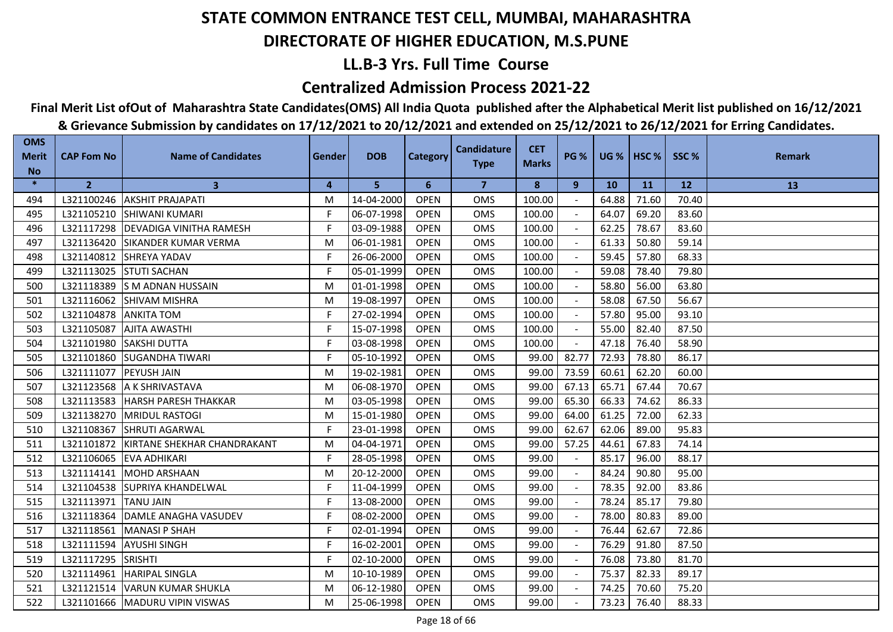## **LL.B-3 Yrs. Full Time Course**

### **Centralized Admission Process 2021-22**

**Final Merit List ofOut of Maharashtra State Candidates(OMS) All India Quota published after the Alphabetical Merit list published on 16/12/2021**

| <b>OMS</b><br><b>Merit</b> | <b>CAP Fom No</b> | <b>Name of Candidates</b>      | <b>Gender</b> | <b>DOB</b> | <b>Category</b> | <b>Candidature</b> | <b>CET</b>   | <b>PG %</b> |       | <b>UG %   HSC %  </b> | SSC%      | <b>Remark</b> |
|----------------------------|-------------------|--------------------------------|---------------|------------|-----------------|--------------------|--------------|-------------|-------|-----------------------|-----------|---------------|
| <b>No</b>                  |                   |                                |               |            |                 | <b>Type</b>        | <b>Marks</b> |             |       |                       |           |               |
| $\ast$                     | $\mathbf{2}$      | 3                              | 4             | 5          | 6               | $\overline{7}$     | 8            | 9           | 10    | 11                    | <b>12</b> | 13            |
| 494                        | L321100246        | <b>AKSHIT PRAJAPATI</b>        | M             | 14-04-2000 | <b>OPEN</b>     | <b>OMS</b>         | 100.00       |             | 64.88 | 71.60                 | 70.40     |               |
| 495                        | L321105210        | <b>SHIWANI KUMARI</b>          | F             | 06-07-1998 | <b>OPEN</b>     | <b>OMS</b>         | 100.00       |             | 64.07 | 69.20                 | 83.60     |               |
| 496                        | L321117298        | <b>DEVADIGA VINITHA RAMESH</b> | F.            | 03-09-1988 | <b>OPEN</b>     | <b>OMS</b>         | 100.00       |             | 62.25 | 78.67                 | 83.60     |               |
| 497                        | L321136420        | <b>SIKANDER KUMAR VERMA</b>    | M             | 06-01-1981 | <b>OPEN</b>     | <b>OMS</b>         | 100.00       |             | 61.33 | 50.80                 | 59.14     |               |
| 498                        | L321140812        | SHREYA YADAV                   | F.            | 26-06-2000 | <b>OPEN</b>     | OMS                | 100.00       |             | 59.45 | 57.80                 | 68.33     |               |
| 499                        | L321113025        | <b>STUTI SACHAN</b>            | F             | 05-01-1999 | <b>OPEN</b>     | <b>OMS</b>         | 100.00       |             | 59.08 | 78.40                 | 79.80     |               |
| 500                        | L321118389        | <b>S M ADNAN HUSSAIN</b>       | M             | 01-01-1998 | <b>OPEN</b>     | <b>OMS</b>         | 100.00       |             | 58.80 | 56.00                 | 63.80     |               |
| 501                        | L321116062        | <b>SHIVAM MISHRA</b>           | M             | 19-08-1997 | <b>OPEN</b>     | OMS                | 100.00       |             | 58.08 | 67.50                 | 56.67     |               |
| 502                        | L321104878        | <b>ANKITA TOM</b>              | F             | 27-02-1994 | <b>OPEN</b>     | <b>OMS</b>         | 100.00       |             | 57.80 | 95.00                 | 93.10     |               |
| 503                        | L321105087        | <b>AJITA AWASTHI</b>           | F             | 15-07-1998 | <b>OPEN</b>     | <b>OMS</b>         | 100.00       |             | 55.00 | 82.40                 | 87.50     |               |
| 504                        | L321101980        | <b>SAKSHI DUTTA</b>            | F             | 03-08-1998 | <b>OPEN</b>     | <b>OMS</b>         | 100.00       | $\sim$      | 47.18 | 76.40                 | 58.90     |               |
| 505                        | L321101860        | <b>SUGANDHA TIWARI</b>         | F.            | 05-10-1992 | <b>OPEN</b>     | OMS                | 99.00        | 82.77       | 72.93 | 78.80                 | 86.17     |               |
| 506                        | L321111077        | <b>PEYUSH JAIN</b>             | M             | 19-02-1981 | <b>OPEN</b>     | OMS                | 99.00        | 73.59       | 60.61 | 62.20                 | 60.00     |               |
| 507                        | L321123568        | A K SHRIVASTAVA                | M             | 06-08-1970 | <b>OPEN</b>     | OMS                | 99.00        | 67.13       | 65.71 | 67.44                 | 70.67     |               |
| 508                        | L321113583        | <b>HARSH PARESH THAKKAR</b>    | M             | 03-05-1998 | <b>OPEN</b>     | <b>OMS</b>         | 99.00        | 65.30       | 66.33 | 74.62                 | 86.33     |               |
| 509                        | L321138270        | <b>MRIDUL RASTOGI</b>          | M             | 15-01-1980 | <b>OPEN</b>     | <b>OMS</b>         | 99.00        | 64.00       | 61.25 | 72.00                 | 62.33     |               |
| 510                        | L321108367        | <b>SHRUTI AGARWAL</b>          | F             | 23-01-1998 | <b>OPEN</b>     | <b>OMS</b>         | 99.00        | 62.67       | 62.06 | 89.00                 | 95.83     |               |
| 511                        | L321101872        | KIRTANE SHEKHAR CHANDRAKANT    | M             | 04-04-1971 | <b>OPEN</b>     | <b>OMS</b>         | 99.00        | 57.25       | 44.61 | 67.83                 | 74.14     |               |
| 512                        | L321106065        | <b>EVA ADHIKARI</b>            | F.            | 28-05-1998 | <b>OPEN</b>     | OMS                | 99.00        |             | 85.17 | 96.00                 | 88.17     |               |
| 513                        | L321114141        | <b>MOHD ARSHAAN</b>            | M             | 20-12-2000 | <b>OPEN</b>     | <b>OMS</b>         | 99.00        | $\sim$      | 84.24 | 90.80                 | 95.00     |               |
| 514                        | L321104538        | <b>SUPRIYA KHANDELWAL</b>      | F             | 11-04-1999 | <b>OPEN</b>     | <b>OMS</b>         | 99.00        |             | 78.35 | 92.00                 | 83.86     |               |
| 515                        | L321113971        | <b>TANU JAIN</b>               | F             | 13-08-2000 | <b>OPEN</b>     | <b>OMS</b>         | 99.00        | $\sim$      | 78.24 | 85.17                 | 79.80     |               |
| 516                        | L321118364        | DAMLE ANAGHA VASUDEV           | F.            | 08-02-2000 | <b>OPEN</b>     | OMS                | 99.00        |             | 78.00 | 80.83                 | 89.00     |               |
| 517                        | L321118561        | <b>MANASI P SHAH</b>           | F             | 02-01-1994 | <b>OPEN</b>     | <b>OMS</b>         | 99.00        |             | 76.44 | 62.67                 | 72.86     |               |
| 518                        | L321111594        | <b>AYUSHI SINGH</b>            | F.            | 16-02-2001 | <b>OPEN</b>     | <b>OMS</b>         | 99.00        |             | 76.29 | 91.80                 | 87.50     |               |
| 519                        | L321117295        | <b>SRISHTI</b>                 | F.            | 02-10-2000 | <b>OPEN</b>     | <b>OMS</b>         | 99.00        |             | 76.08 | 73.80                 | 81.70     |               |
| 520                        | L321114961        | <b>HARIPAL SINGLA</b>          | M             | 10-10-1989 | <b>OPEN</b>     | <b>OMS</b>         | 99.00        |             | 75.37 | 82.33                 | 89.17     |               |
| 521                        | L321121514        | <b>VARUN KUMAR SHUKLA</b>      | M             | 06-12-1980 | <b>OPEN</b>     | <b>OMS</b>         | 99.00        |             | 74.25 | 70.60                 | 75.20     |               |
| 522                        | L321101666        | MADURU VIPIN VISWAS            | M             | 25-06-1998 | <b>OPEN</b>     | <b>OMS</b>         | 99.00        |             | 73.23 | 76.40                 | 88.33     |               |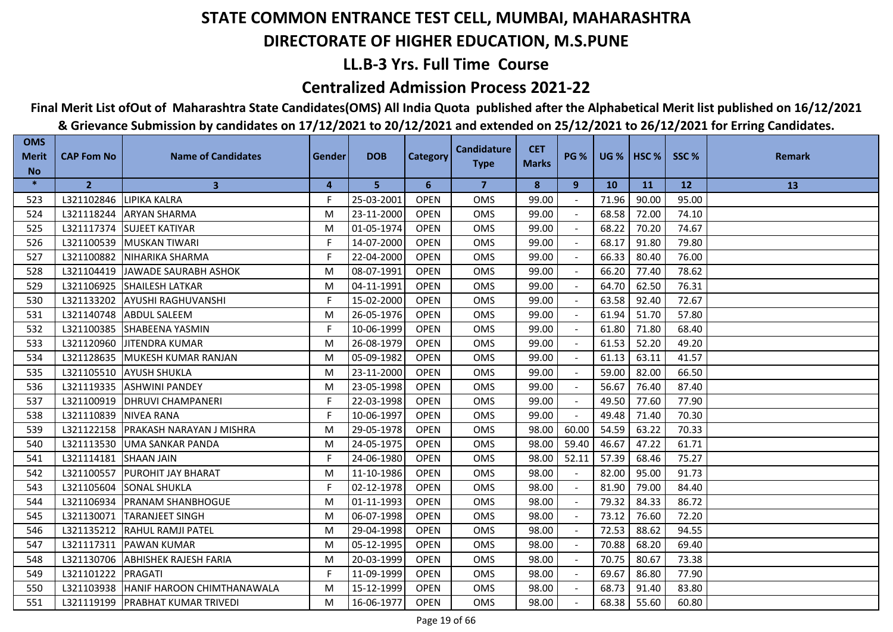## **LL.B-3 Yrs. Full Time Course**

### **Centralized Admission Process 2021-22**

## **Final Merit List ofOut of Maharashtra State Candidates(OMS) All India Quota published after the Alphabetical Merit list published on 16/12/2021**

| <b>OMS</b><br><b>Merit</b> | <b>CAP Fom No</b>     | <b>Name of Candidates</b>               | Gender         | <b>DOB</b> | <b>Category</b> | <b>Candidature</b>      | <b>CET</b><br><b>Marks</b> | <b>PG %</b> |           | UG %   HSC % | SSC%  | <b>Remark</b> |
|----------------------------|-----------------------|-----------------------------------------|----------------|------------|-----------------|-------------------------|----------------------------|-------------|-----------|--------------|-------|---------------|
| <b>No</b>                  |                       |                                         |                |            |                 | <b>Type</b>             |                            |             |           |              |       |               |
| $\ast$                     | $\overline{2}$        | $\mathbf{3}$                            | $\overline{4}$ | 5          | 6               | $\overline{\mathbf{z}}$ | 8                          | 9           | <b>10</b> | <b>11</b>    | 12    | 13            |
| 523                        | L321102846            | <b>LIPIKA KALRA</b>                     | F.             | 25-03-2001 | <b>OPEN</b>     | <b>OMS</b>              | 99.00                      |             | 71.96     | 90.00        | 95.00 |               |
| 524                        | L321118244            | <b>ARYAN SHARMA</b>                     | M              | 23-11-2000 | <b>OPEN</b>     | <b>OMS</b>              | 99.00                      |             | 68.58     | 72.00        | 74.10 |               |
| 525                        | L321117374            | <b>SUJEET KATIYAR</b>                   | M              | 01-05-1974 | <b>OPEN</b>     | <b>OMS</b>              | 99.00                      |             | 68.22     | 70.20        | 74.67 |               |
| 526                        | L321100539            | <b>IMUSKAN TIWARI</b>                   | F.             | 14-07-2000 | <b>OPEN</b>     | <b>OMS</b>              | 99.00                      |             | 68.17     | 91.80        | 79.80 |               |
| 527                        | L321100882            | NIHARIKA SHARMA                         | F.             | 22-04-2000 | <b>OPEN</b>     | <b>OMS</b>              | 99.00                      |             | 66.33     | 80.40        | 76.00 |               |
| 528                        |                       | L321104419 JAWADE SAURABH ASHOK         | M              | 08-07-1991 | <b>OPEN</b>     | <b>OMS</b>              | 99.00                      |             | 66.20     | 77.40        | 78.62 |               |
| 529                        |                       | L321106925 SHAILESH LATKAR              | M              | 04-11-1991 | <b>OPEN</b>     | OMS                     | 99.00                      |             | 64.70     | 62.50        | 76.31 |               |
| 530                        |                       | L321133202 AYUSHI RAGHUVANSHI           | F              | 15-02-2000 | <b>OPEN</b>     | <b>OMS</b>              | 99.00                      |             | 63.58     | 92.40        | 72.67 |               |
| 531                        |                       | L321140748 ABDUL SALEEM                 | M              | 26-05-1976 | <b>OPEN</b>     | <b>OMS</b>              | 99.00                      |             | 61.94     | 51.70        | 57.80 |               |
| 532                        |                       | L321100385 SHABEENA YASMIN              | F.             | 10-06-1999 | <b>OPEN</b>     | <b>OMS</b>              | 99.00                      |             | 61.80     | 71.80        | 68.40 |               |
| 533                        | L321120960            | <b>JJITENDRA KUMAR</b>                  | M              | 26-08-1979 | <b>OPEN</b>     | <b>OMS</b>              | 99.00                      |             | 61.53     | 52.20        | 49.20 |               |
| 534                        |                       | L321128635 MUKESH KUMAR RANJAN          | M              | 05-09-1982 | <b>OPEN</b>     | <b>OMS</b>              | 99.00                      |             | 61.13     | 63.11        | 41.57 |               |
| 535                        |                       | L321105510 AYUSH SHUKLA                 | M              | 23-11-2000 | <b>OPEN</b>     | <b>OMS</b>              | 99.00                      |             | 59.00     | 82.00        | 66.50 |               |
| 536                        |                       | L321119335 ASHWINI PANDEY               | M              | 23-05-1998 | <b>OPEN</b>     | OMS                     | 99.00                      |             | 56.67     | 76.40        | 87.40 |               |
| 537                        | L321100919            | <b>DHRUVI CHAMPANERI</b>                | F              | 22-03-1998 | <b>OPEN</b>     | <b>OMS</b>              | 99.00                      | $\sim$      | 49.50     | 77.60        | 77.90 |               |
| 538                        | L321110839 NIVEA RANA |                                         | F.             | 10-06-1997 | <b>OPEN</b>     | <b>OMS</b>              | 99.00                      | $\sim$      | 49.48     | 71.40        | 70.30 |               |
| 539                        |                       | L321122158   PRAKASH NARAYAN J MISHRA   | M              | 29-05-1978 | <b>OPEN</b>     | <b>OMS</b>              | 98.00                      | 60.00       | 54.59     | 63.22        | 70.33 |               |
| 540                        |                       | L321113530 UMA SANKAR PANDA             | M              | 24-05-1975 | <b>OPEN</b>     | <b>OMS</b>              | 98.00                      | 59.40       | 46.67     | 47.22        | 61.71 |               |
| 541                        | L321114181            | <b>SHAAN JAIN</b>                       | F.             | 24-06-1980 | <b>OPEN</b>     | <b>OMS</b>              | 98.00                      | 52.11       | 57.39     | 68.46        | 75.27 |               |
| 542                        |                       | L321100557 PUROHIT JAY BHARAT           | M              | 11-10-1986 | <b>OPEN</b>     | <b>OMS</b>              | 98.00                      |             | 82.00     | 95.00        | 91.73 |               |
| 543                        |                       | L321105604 SONAL SHUKLA                 | F              | 02-12-1978 | <b>OPEN</b>     | <b>OMS</b>              | 98.00                      |             | 81.90     | 79.00        | 84.40 |               |
| 544                        |                       | L321106934   PRANAM SHANBHOGUE          | M              | 01-11-1993 | <b>OPEN</b>     | <b>OMS</b>              | 98.00                      |             | 79.32     | 84.33        | 86.72 |               |
| 545                        | L321130071            | <b>TARANJEET SINGH</b>                  | M              | 06-07-1998 | <b>OPEN</b>     | <b>OMS</b>              | 98.00                      | $\sim$      | 73.12     | 76.60        | 72.20 |               |
| 546                        |                       | L321135212 RAHUL RAMJI PATEL            | M              | 29-04-1998 | <b>OPEN</b>     | <b>OMS</b>              | 98.00                      |             | 72.53     | 88.62        | 94.55 |               |
| 547                        |                       | L321117311   PAWAN KUMAR                | M              | 05-12-1995 | <b>OPEN</b>     | <b>OMS</b>              | 98.00                      |             | 70.88     | 68.20        | 69.40 |               |
| 548                        | L321130706            | <b>ABHISHEK RAJESH FARIA</b>            | M              | 20-03-1999 | <b>OPEN</b>     | <b>OMS</b>              | 98.00                      |             | 70.75     | 80.67        | 73.38 |               |
| 549                        | L321101222 PRAGATI    |                                         | F.             | 11-09-1999 | <b>OPEN</b>     | OMS                     | 98.00                      |             | 69.67     | 86.80        | 77.90 |               |
| 550                        |                       | L321103938   HANIF HAROON CHIMTHANAWALA | M              | 15-12-1999 | <b>OPEN</b>     | <b>OMS</b>              | 98.00                      |             | 68.73     | 91.40        | 83.80 |               |
| 551                        |                       | L321119199   PRABHAT KUMAR TRIVEDI      | M              | 16-06-1977 | <b>OPEN</b>     | <b>OMS</b>              | 98.00                      |             | 68.38     | 55.60        | 60.80 |               |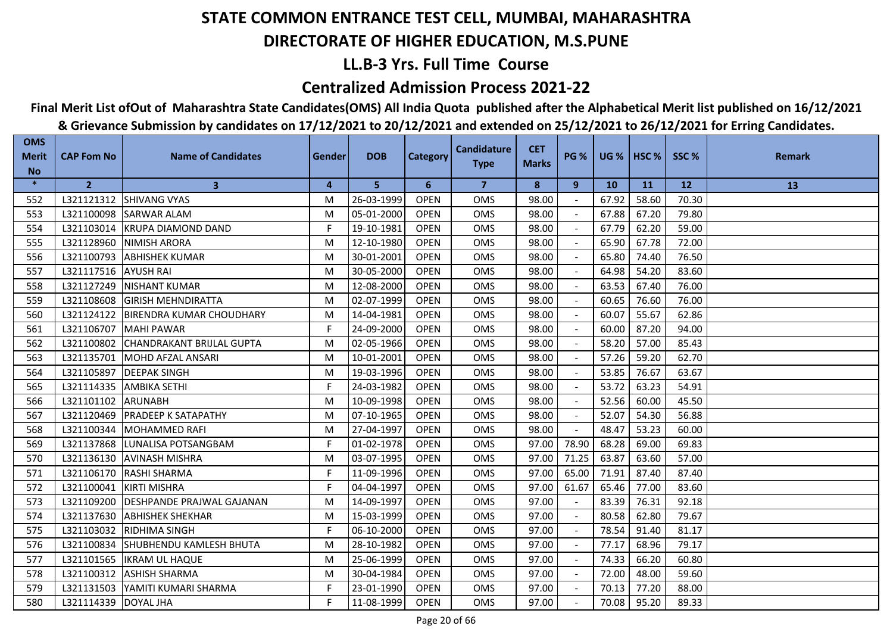## **LL.B-3 Yrs. Full Time Course**

### **Centralized Admission Process 2021-22**

## **Final Merit List ofOut of Maharashtra State Candidates(OMS) All India Quota published after the Alphabetical Merit list published on 16/12/2021**

| <b>OMS</b><br><b>Merit</b> | <b>CAP Fom No</b>      | <b>Name of Candidates</b>         | Gender | <b>DOB</b> | <b>Category</b> | <b>Candidature</b> | <b>CET</b>   | <b>PG %</b> |       | <b>UG %   HSC %  </b> | SSC%  | <b>Remark</b> |
|----------------------------|------------------------|-----------------------------------|--------|------------|-----------------|--------------------|--------------|-------------|-------|-----------------------|-------|---------------|
| <b>No</b>                  |                        |                                   |        |            |                 | <b>Type</b>        | <b>Marks</b> |             |       |                       |       |               |
| $\ast$                     | $\overline{2}$         | $\mathbf{3}$                      | 4      | 5          | 6               | $\overline{7}$     | 8            | 9           | 10    | <b>11</b>             | 12    | 13            |
| 552                        | L321121312             | <b>SHIVANG VYAS</b>               | м      | 26-03-1999 | <b>OPEN</b>     | <b>OMS</b>         | 98.00        |             | 67.92 | 58.60                 | 70.30 |               |
| 553                        | L321100098             | <b>SARWAR ALAM</b>                | м      | 05-01-2000 | <b>OPEN</b>     | <b>OMS</b>         | 98.00        |             | 67.88 | 67.20                 | 79.80 |               |
| 554                        | L321103014             | <b>KRUPA DIAMOND DAND</b>         | F.     | 19-10-1981 | <b>OPEN</b>     | <b>OMS</b>         | 98.00        |             | 67.79 | 62.20                 | 59.00 |               |
| 555                        | L321128960             | <b>NIMISH ARORA</b>               | м      | 12-10-1980 | <b>OPEN</b>     | <b>OMS</b>         | 98.00        |             | 65.90 | 67.78                 | 72.00 |               |
| 556                        | L321100793             | <b>ABHISHEK KUMAR</b>             | M      | 30-01-2001 | <b>OPEN</b>     | OMS                | 98.00        |             | 65.80 | 74.40                 | 76.50 |               |
| 557                        | L321117516 AYUSH RAI   |                                   | М      | 30-05-2000 | <b>OPEN</b>     | <b>OMS</b>         | 98.00        |             | 64.98 | 54.20                 | 83.60 |               |
| 558                        | L321127249             | <b>NISHANT KUMAR</b>              | М      | 12-08-2000 | <b>OPEN</b>     | <b>OMS</b>         | 98.00        |             | 63.53 | 67.40                 | 76.00 |               |
| 559                        | L321108608             | <b>GIRISH MEHNDIRATTA</b>         | м      | 02-07-1999 | <b>OPEN</b>     | <b>OMS</b>         | 98.00        |             | 60.65 | 76.60                 | 76.00 |               |
| 560                        | L321124122             | BIRENDRA KUMAR CHOUDHARY          | м      | 14-04-1981 | <b>OPEN</b>     | <b>OMS</b>         | 98.00        |             | 60.07 | 55.67                 | 62.86 |               |
| 561                        | L321106707             | <b>MAHI PAWAR</b>                 | F.     | 24-09-2000 | <b>OPEN</b>     | <b>OMS</b>         | 98.00        |             | 60.00 | 87.20                 | 94.00 |               |
| 562                        | L321100802             | İCHANDRAKANT BRIJLAL GUPTA        | М      | 02-05-1966 | <b>OPEN</b>     | <b>OMS</b>         | 98.00        |             | 58.20 | 57.00                 | 85.43 |               |
| 563                        | L321135701             | MOHD AFZAL ANSARI                 | М      | 10-01-2001 | <b>OPEN</b>     | OMS                | 98.00        |             | 57.26 | 59.20                 | 62.70 |               |
| 564                        | L321105897             | <b>IDEEPAK SINGH</b>              | М      | 19-03-1996 | <b>OPEN</b>     | <b>OMS</b>         | 98.00        |             | 53.85 | 76.67                 | 63.67 |               |
| 565                        | L321114335             | <b>AMBIKA SETHI</b>               | F.     | 24-03-1982 | <b>OPEN</b>     | <b>OMS</b>         | 98.00        |             | 53.72 | 63.23                 | 54.91 |               |
| 566                        | L321101102             | <b>ARUNABH</b>                    | м      | 10-09-1998 | <b>OPEN</b>     | <b>OMS</b>         | 98.00        |             | 52.56 | 60.00                 | 45.50 |               |
| 567                        | L321120469             | <b>PRADEEP K SATAPATHY</b>        | М      | 07-10-1965 | <b>OPEN</b>     | OMS                | 98.00        |             | 52.07 | 54.30                 | 56.88 |               |
| 568                        | L321100344             | MOHAMMED RAFI                     | М      | 27-04-1997 | <b>OPEN</b>     | <b>OMS</b>         | 98.00        |             | 48.47 | 53.23                 | 60.00 |               |
| 569                        | L321137868             | LUNALISA POTSANGBAM               | F      | 01-02-1978 | <b>OPEN</b>     | <b>OMS</b>         | 97.00        | 78.90       | 68.28 | 69.00                 | 69.83 |               |
| 570                        | L321136130             | <b>AVINASH MISHRA</b>             | М      | 03-07-1995 | <b>OPEN</b>     | <b>OMS</b>         | 97.00        | 71.25       | 63.87 | 63.60                 | 57.00 |               |
| 571                        | L321106170             | <b>RASHI SHARMA</b>               | F      | 11-09-1996 | <b>OPEN</b>     | <b>OMS</b>         | 97.00        | 65.00       | 71.91 | 87.40                 | 87.40 |               |
| 572                        | L321100041             | <b>KIRTI MISHRA</b>               | F.     | 04-04-1997 | <b>OPEN</b>     | <b>OMS</b>         | 97.00        | 61.67       | 65.46 | 77.00                 | 83.60 |               |
| 573                        | L321109200             | <b>IDESHPANDE PRAJWAL GAJANAN</b> | М      | 14-09-1997 | <b>OPEN</b>     | <b>OMS</b>         | 97.00        |             | 83.39 | 76.31                 | 92.18 |               |
| 574                        | L321137630             | <b>ABHISHEK SHEKHAR</b>           | М      | 15-03-1999 | <b>OPEN</b>     | OMS                | 97.00        |             | 80.58 | 62.80                 | 79.67 |               |
| 575                        | L321103032             | <b>IRIDHIMA SINGH</b>             | F      | 06-10-2000 | <b>OPEN</b>     | <b>OMS</b>         | 97.00        |             | 78.54 | 91.40                 | 81.17 |               |
| 576                        | L321100834             | SHUBHENDU KAMLESH BHUTA           | M      | 28-10-1982 | <b>OPEN</b>     | <b>OMS</b>         | 97.00        |             | 77.17 | 68.96                 | 79.17 |               |
| 577                        | L321101565             | <b>IKRAM UL HAQUE</b>             | м      | 25-06-1999 | <b>OPEN</b>     | <b>OMS</b>         | 97.00        |             | 74.33 | 66.20                 | 60.80 |               |
| 578                        | L321100312             | <b>ASHISH SHARMA</b>              | M      | 30-04-1984 | <b>OPEN</b>     | OMS                | 97.00        |             | 72.00 | 48.00                 | 59.60 |               |
| 579                        | L321131503             | YAMITI KUMARI SHARMA              | F.     | 23-01-1990 | <b>OPEN</b>     | <b>OMS</b>         | 97.00        |             | 70.13 | 77.20                 | 88.00 |               |
| 580                        | L321114339   DOYAL JHA |                                   | F      | 11-08-1999 | <b>OPEN</b>     | <b>OMS</b>         | 97.00        |             | 70.08 | 95.20                 | 89.33 |               |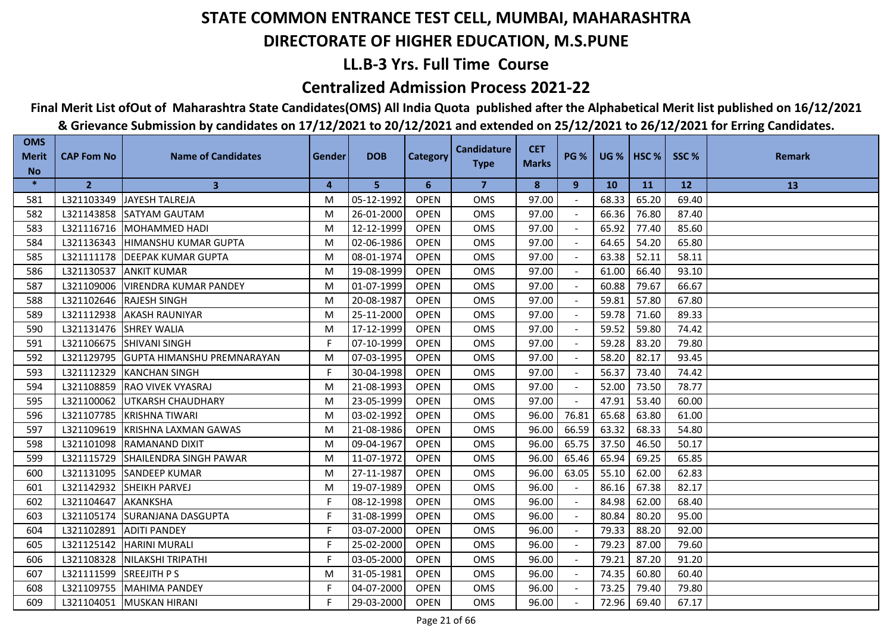## **LL.B-3 Yrs. Full Time Course**

### **Centralized Admission Process 2021-22**

**Final Merit List ofOut of Maharashtra State Candidates(OMS) All India Quota published after the Alphabetical Merit list published on 16/12/2021**

| <b>OMS</b><br><b>Merit</b> | <b>CAP Fom No</b> | <b>Name of Candidates</b>         | Gender | <b>DOB</b> | <b>Category</b> | <b>Candidature</b> | <b>CET</b>   | <b>PG %</b>              | $UG %$ HSC % |       | SSC%  | <b>Remark</b> |
|----------------------------|-------------------|-----------------------------------|--------|------------|-----------------|--------------------|--------------|--------------------------|--------------|-------|-------|---------------|
| <b>No</b>                  |                   |                                   |        |            |                 | <b>Type</b>        | <b>Marks</b> |                          |              |       |       |               |
| $\ast$                     | $\overline{2}$    | $\mathbf{3}$                      | 4      | 5          | 6               | 7                  | 8            | 9                        | <b>10</b>    | 11    | 12    | 13            |
| 581                        | L321103349        | JAYESH TALREJA                    | M      | 05-12-1992 | <b>OPEN</b>     | <b>OMS</b>         | 97.00        |                          | 68.33        | 65.20 | 69.40 |               |
| 582                        | L321143858        | <b>SATYAM GAUTAM</b>              | M      | 26-01-2000 | <b>OPEN</b>     | <b>OMS</b>         | 97.00        |                          | 66.36        | 76.80 | 87.40 |               |
| 583                        | L321116716        | <b>MOHAMMED HADI</b>              | M      | 12-12-1999 | <b>OPEN</b>     | <b>OMS</b>         | 97.00        |                          | 65.92        | 77.40 | 85.60 |               |
| 584                        | L321136343        | HIMANSHU KUMAR GUPTA              | M      | 02-06-1986 | <b>OPEN</b>     | <b>OMS</b>         | 97.00        | $\blacksquare$           | 64.65        | 54.20 | 65.80 |               |
| 585                        | L321111178        | <b>DEEPAK KUMAR GUPTA</b>         | M      | 08-01-1974 | <b>OPEN</b>     | OMS                | 97.00        |                          | 63.38        | 52.11 | 58.11 |               |
| 586                        | L321130537        | <b>ANKIT KUMAR</b>                | м      | 19-08-1999 | <b>OPEN</b>     | <b>OMS</b>         | 97.00        |                          | 61.00        | 66.40 | 93.10 |               |
| 587                        | L321109006        | <b>VIRENDRA KUMAR PANDEY</b>      | М      | 01-07-1999 | <b>OPEN</b>     | <b>OMS</b>         | 97.00        |                          | 60.88        | 79.67 | 66.67 |               |
| 588                        | L321102646        | <b>RAJESH SINGH</b>               | M      | 20-08-1987 | <b>OPEN</b>     | <b>OMS</b>         | 97.00        | $\overline{\phantom{a}}$ | 59.81        | 57.80 | 67.80 |               |
| 589                        | L321112938        | <b>AKASH RAUNIYAR</b>             | M      | 25-11-2000 | <b>OPEN</b>     | <b>OMS</b>         | 97.00        |                          | 59.78        | 71.60 | 89.33 |               |
| 590                        | L321131476        | <b>SHREY WALIA</b>                | M      | 17-12-1999 | <b>OPEN</b>     | <b>OMS</b>         | 97.00        |                          | 59.52        | 59.80 | 74.42 |               |
| 591                        | L321106675        | <b>SHIVANI SINGH</b>              | F      | 07-10-1999 | <b>OPEN</b>     | <b>OMS</b>         | 97.00        |                          | 59.28        | 83.20 | 79.80 |               |
| 592                        | L321129795        | <b>GUPTA HIMANSHU PREMNARAYAN</b> | M      | 07-03-1995 | <b>OPEN</b>     | <b>OMS</b>         | 97.00        | $\overline{\phantom{a}}$ | 58.20        | 82.17 | 93.45 |               |
| 593                        | L321112329        | <b>KANCHAN SINGH</b>              | F      | 30-04-1998 | <b>OPEN</b>     | <b>OMS</b>         | 97.00        | $\sim$                   | 56.37        | 73.40 | 74.42 |               |
| 594                        | L321108859        | <b>RAO VIVEK VYASRAJ</b>          | M      | 21-08-1993 | <b>OPEN</b>     | <b>OMS</b>         | 97.00        |                          | 52.00        | 73.50 | 78.77 |               |
| 595                        | L321100062        | <b>UTKARSH CHAUDHARY</b>          | M      | 23-05-1999 | <b>OPEN</b>     | <b>OMS</b>         | 97.00        | $\overline{\phantom{a}}$ | 47.91        | 53.40 | 60.00 |               |
| 596                        | L321107785        | <b>KRISHNA TIWARI</b>             | M      | 03-02-1992 | <b>OPEN</b>     | <b>OMS</b>         | 96.00        | 76.81                    | 65.68        | 63.80 | 61.00 |               |
| 597                        | L321109619        | <b>KRISHNA LAXMAN GAWAS</b>       | M      | 21-08-1986 | <b>OPEN</b>     | <b>OMS</b>         | 96.00        | 66.59                    | 63.32        | 68.33 | 54.80 |               |
| 598                        | L321101098        | <b>RAMANAND DIXIT</b>             | М      | 09-04-1967 | <b>OPEN</b>     | <b>OMS</b>         | 96.00        | 65.75                    | 37.50        | 46.50 | 50.17 |               |
| 599                        | L321115729        | <b>SHAILENDRA SINGH PAWAR</b>     | M      | 11-07-1972 | <b>OPEN</b>     | <b>OMS</b>         | 96.00        | 65.46                    | 65.94        | 69.25 | 65.85 |               |
| 600                        | L321131095        | <b>SANDEEP KUMAR</b>              | М      | 27-11-1987 | <b>OPEN</b>     | <b>OMS</b>         | 96.00        | 63.05                    | 55.10        | 62.00 | 62.83 |               |
| 601                        | L321142932        | SHEIKH PARVEJ                     | M      | 19-07-1989 | <b>OPEN</b>     | <b>OMS</b>         | 96.00        |                          | 86.16        | 67.38 | 82.17 |               |
| 602                        | L321104647        | <b>AKANKSHA</b>                   | F.     | 08-12-1998 | <b>OPEN</b>     | <b>OMS</b>         | 96.00        | $\blacksquare$           | 84.98        | 62.00 | 68.40 |               |
| 603                        | L321105174        | <b>SURANJANA DASGUPTA</b>         | F.     | 31-08-1999 | <b>OPEN</b>     | <b>OMS</b>         | 96.00        |                          | 80.84        | 80.20 | 95.00 |               |
| 604                        | L321102891        | <b>ADITI PANDEY</b>               | F      | 03-07-2000 | <b>OPEN</b>     | <b>OMS</b>         | 96.00        | $\sim$                   | 79.33        | 88.20 | 92.00 |               |
| 605                        | L321125142        | <b>HARINI MURALI</b>              | F.     | 25-02-2000 | <b>OPEN</b>     | <b>OMS</b>         | 96.00        |                          | 79.23        | 87.00 | 79.60 |               |
| 606                        | L321108328        | NILAKSHI TRIPATHI                 | F.     | 03-05-2000 | <b>OPEN</b>     | <b>OMS</b>         | 96.00        | $\blacksquare$           | 79.21        | 87.20 | 91.20 |               |
| 607                        | L321111599        | <b>SREEJITH PS</b>                | M      | 31-05-1981 | <b>OPEN</b>     | <b>OMS</b>         | 96.00        |                          | 74.35        | 60.80 | 60.40 |               |
| 608                        | L321109755        | <b>MAHIMA PANDEY</b>              | F.     | 04-07-2000 | <b>OPEN</b>     | <b>OMS</b>         | 96.00        |                          | 73.25        | 79.40 | 79.80 |               |
| 609                        | L321104051        | <b>MUSKAN HIRANI</b>              | F      | 29-03-2000 | <b>OPEN</b>     | <b>OMS</b>         | 96.00        |                          | 72.96        | 69.40 | 67.17 |               |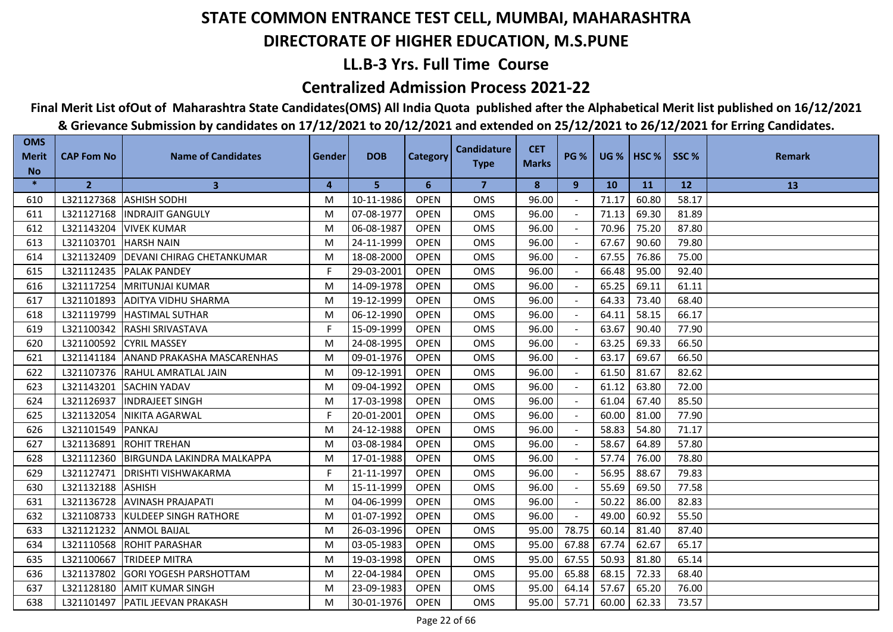## **LL.B-3 Yrs. Full Time Course**

### **Centralized Admission Process 2021-22**

**Final Merit List ofOut of Maharashtra State Candidates(OMS) All India Quota published after the Alphabetical Merit list published on 16/12/2021**

| <b>OMS</b><br><b>Merit</b> | <b>CAP Fom No</b> | <b>Name of Candidates</b>         | Gender | <b>DOB</b> | <b>Category</b> | <b>Candidature</b> | <b>CET</b>   | <b>PG %</b>              | $UG %$ HSC % |       | SSC%  | <b>Remark</b> |
|----------------------------|-------------------|-----------------------------------|--------|------------|-----------------|--------------------|--------------|--------------------------|--------------|-------|-------|---------------|
| <b>No</b>                  |                   |                                   |        |            |                 | <b>Type</b>        | <b>Marks</b> |                          |              |       |       |               |
| $\ast$                     | 2 <sup>1</sup>    | $\mathbf{3}$                      | 4      | 5          | 6               | 7                  | 8            | 9                        | <b>10</b>    | 11    | 12    | 13            |
| 610                        | L321127368        | <b>ASHISH SODHI</b>               | M      | 10-11-1986 | <b>OPEN</b>     | <b>OMS</b>         | 96.00        | $\sim$                   | 71.17        | 60.80 | 58.17 |               |
| 611                        | L321127168        | <b>INDRAJIT GANGULY</b>           | M      | 07-08-1977 | <b>OPEN</b>     | <b>OMS</b>         | 96.00        |                          | 71.13        | 69.30 | 81.89 |               |
| 612                        | L321143204        | <b>VIVEK KUMAR</b>                | M      | 06-08-1987 | <b>OPEN</b>     | <b>OMS</b>         | 96.00        |                          | 70.96        | 75.20 | 87.80 |               |
| 613                        | L321103701        | <b>HARSH NAIN</b>                 | M      | 24-11-1999 | <b>OPEN</b>     | <b>OMS</b>         | 96.00        | $\blacksquare$           | 67.67        | 90.60 | 79.80 |               |
| 614                        | L321132409        | <b>DEVANI CHIRAG CHETANKUMAR</b>  | M      | 18-08-2000 | <b>OPEN</b>     | OMS                | 96.00        |                          | 67.55        | 76.86 | 75.00 |               |
| 615                        | L321112435        | <b>PALAK PANDEY</b>               | F.     | 29-03-2001 | <b>OPEN</b>     | <b>OMS</b>         | 96.00        |                          | 66.48        | 95.00 | 92.40 |               |
| 616                        | L321117254        | <b>MRITUNJAI KUMAR</b>            | M      | 14-09-1978 | <b>OPEN</b>     | <b>OMS</b>         | 96.00        |                          | 65.25        | 69.11 | 61.11 |               |
| 617                        | L321101893        | <b>ADITYA VIDHU SHARMA</b>        | M      | 19-12-1999 | <b>OPEN</b>     | <b>OMS</b>         | 96.00        | $\overline{\phantom{a}}$ | 64.33        | 73.40 | 68.40 |               |
| 618                        | L321119799        | <b>HASTIMAL SUTHAR</b>            | M      | 06-12-1990 | <b>OPEN</b>     | <b>OMS</b>         | 96.00        |                          | 64.11        | 58.15 | 66.17 |               |
| 619                        | L321100342        | <b>RASHI SRIVASTAVA</b>           | F.     | 15-09-1999 | <b>OPEN</b>     | <b>OMS</b>         | 96.00        |                          | 63.67        | 90.40 | 77.90 |               |
| 620                        | L321100592        | <b>CYRIL MASSEY</b>               | M      | 24-08-1995 | <b>OPEN</b>     | <b>OMS</b>         | 96.00        |                          | 63.25        | 69.33 | 66.50 |               |
| 621                        | L321141184        | <b>ANAND PRAKASHA MASCARENHAS</b> | M      | 09-01-1976 | <b>OPEN</b>     | <b>OMS</b>         | 96.00        | $\sim$                   | 63.17        | 69.67 | 66.50 |               |
| 622                        | L321107376        | <b>RAHUL AMRATLAL JAIN</b>        | M      | 09-12-1991 | <b>OPEN</b>     | <b>OMS</b>         | 96.00        | $\overline{\phantom{a}}$ | 61.50        | 81.67 | 82.62 |               |
| 623                        | L321143201        | <b>SACHIN YADAV</b>               | M      | 09-04-1992 | <b>OPEN</b>     | <b>OMS</b>         | 96.00        |                          | 61.12        | 63.80 | 72.00 |               |
| 624                        | L321126937        | <b>INDRAJEET SINGH</b>            | M      | 17-03-1998 | <b>OPEN</b>     | <b>OMS</b>         | 96.00        | $\sim$                   | 61.04        | 67.40 | 85.50 |               |
| 625                        | L321132054        | <b>NIKITA AGARWAL</b>             | F.     | 20-01-2001 | <b>OPEN</b>     | OMS                | 96.00        |                          | 60.00        | 81.00 | 77.90 |               |
| 626                        | L321101549        | <b>PANKAJ</b>                     | M      | 24-12-1988 | <b>OPEN</b>     | <b>OMS</b>         | 96.00        |                          | 58.83        | 54.80 | 71.17 |               |
| 627                        | L321136891        | <b>ROHIT TREHAN</b>               | M      | 03-08-1984 | <b>OPEN</b>     | <b>OMS</b>         | 96.00        |                          | 58.67        | 64.89 | 57.80 |               |
| 628                        | L321112360        | IBIRGUNDA LAKINDRA MALKAPPA       | M      | 17-01-1988 | <b>OPEN</b>     | <b>OMS</b>         | 96.00        |                          | 57.74        | 76.00 | 78.80 |               |
| 629                        | L321127471        | <b>DRISHTI VISHWAKARMA</b>        | F.     | 21-11-1997 | <b>OPEN</b>     | <b>OMS</b>         | 96.00        |                          | 56.95        | 88.67 | 79.83 |               |
| 630                        | L321132188        | <b>ASHISH</b>                     | M      | 15-11-1999 | <b>OPEN</b>     | <b>OMS</b>         | 96.00        |                          | 55.69        | 69.50 | 77.58 |               |
| 631                        | L321136728        | <b>AVINASH PRAJAPATI</b>          | M      | 04-06-1999 | <b>OPEN</b>     | <b>OMS</b>         | 96.00        | $\blacksquare$           | 50.22        | 86.00 | 82.83 |               |
| 632                        | L321108733        | <b>KULDEEP SINGH RATHORE</b>      | M      | 01-07-1992 | <b>OPEN</b>     | OMS                | 96.00        | $\sim$                   | 49.00        | 60.92 | 55.50 |               |
| 633                        | L321121232        | <b>ANMOL BAIJAL</b>               | M      | 26-03-1996 | <b>OPEN</b>     | <b>OMS</b>         | 95.00        | 78.75                    | 60.14        | 81.40 | 87.40 |               |
| 634                        | L321110568        | <b>ROHIT PARASHAR</b>             | M      | 03-05-1983 | <b>OPEN</b>     | <b>OMS</b>         | 95.00        | 67.88                    | 67.74        | 62.67 | 65.17 |               |
| 635                        | L321100667        | <b>TRIDEEP MITRA</b>              | M      | 19-03-1998 | <b>OPEN</b>     | <b>OMS</b>         | 95.00        | 67.55                    | 50.93        | 81.80 | 65.14 |               |
| 636                        | L321137802        | <b>GORI YOGESH PARSHOTTAM</b>     | M      | 22-04-1984 | <b>OPEN</b>     | OMS                | 95.00        | 65.88                    | 68.15        | 72.33 | 68.40 |               |
| 637                        | L321128180        | <b>AMIT KUMAR SINGH</b>           | М      | 23-09-1983 | <b>OPEN</b>     | <b>OMS</b>         | 95.00        | 64.14                    | 57.67        | 65.20 | 76.00 |               |
| 638                        | L321101497        | <b>PATIL JEEVAN PRAKASH</b>       | М      | 30-01-1976 | <b>OPEN</b>     | <b>OMS</b>         | 95.00        | 57.71                    | 60.00        | 62.33 | 73.57 |               |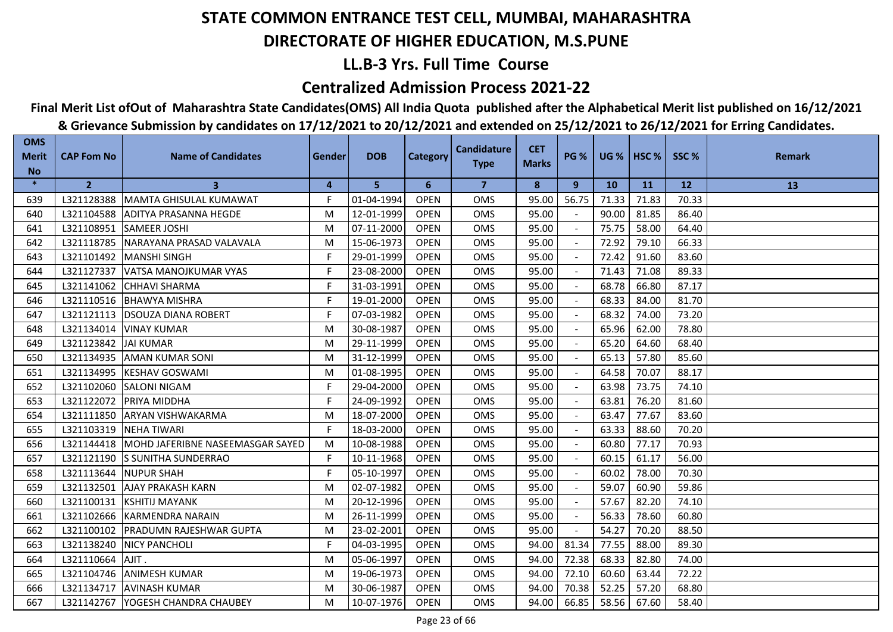## **LL.B-3 Yrs. Full Time Course**

### **Centralized Admission Process 2021-22**

**Final Merit List ofOut of Maharashtra State Candidates(OMS) All India Quota published after the Alphabetical Merit list published on 16/12/2021**

| <b>OMS</b><br><b>Merit</b> | <b>CAP Fom No</b> | <b>Name of Candidates</b>        | <b>Gender</b> | <b>DOB</b> | <b>Category</b> | <b>Candidature</b> | <b>CET</b>   | <b>PG %</b>              | $UG %$ HSC % |       | SSC%  | <b>Remark</b> |
|----------------------------|-------------------|----------------------------------|---------------|------------|-----------------|--------------------|--------------|--------------------------|--------------|-------|-------|---------------|
| <b>No</b>                  |                   |                                  |               |            |                 | <b>Type</b>        | <b>Marks</b> |                          |              |       |       |               |
| $\ast$                     | $\overline{2}$    | 3                                | 4             | 5          | 6               | 7                  | 8            | 9                        | <b>10</b>    | 11    | 12    | 13            |
| 639                        | L321128388        | <b>MAMTA GHISULAL KUMAWAT</b>    | F             | 01-04-1994 | <b>OPEN</b>     | <b>OMS</b>         | 95.00        | 56.75                    | 71.33        | 71.83 | 70.33 |               |
| 640                        | L321104588        | IADITYA PRASANNA HEGDE           | M             | 12-01-1999 | <b>OPEN</b>     | <b>OMS</b>         | 95.00        |                          | 90.00        | 81.85 | 86.40 |               |
| 641                        | L321108951        | <b>SAMEER JOSHI</b>              | M             | 07-11-2000 | <b>OPEN</b>     | <b>OMS</b>         | 95.00        |                          | 75.75        | 58.00 | 64.40 |               |
| 642                        | L321118785        | NARAYANA PRASAD VALAVALA         | M             | 15-06-1973 | <b>OPEN</b>     | <b>OMS</b>         | 95.00        | $\blacksquare$           | 72.92        | 79.10 | 66.33 |               |
| 643                        | L321101492        | <b>MANSHI SINGH</b>              | F.            | 29-01-1999 | <b>OPEN</b>     | OMS                | 95.00        |                          | 72.42        | 91.60 | 83.60 |               |
| 644                        | L321127337        | lvatsa manojkumar vyas           | F             | 23-08-2000 | <b>OPEN</b>     | <b>OMS</b>         | 95.00        |                          | 71.43        | 71.08 | 89.33 |               |
| 645                        | L321141062        | <b>CHHAVI SHARMA</b>             | F             | 31-03-1991 | <b>OPEN</b>     | <b>OMS</b>         | 95.00        |                          | 68.78        | 66.80 | 87.17 |               |
| 646                        | L321110516        | <b>BHAWYA MISHRA</b>             | F             | 19-01-2000 | <b>OPEN</b>     | <b>OMS</b>         | 95.00        | $\sim$                   | 68.33        | 84.00 | 81.70 |               |
| 647                        | L321121113        | <b>DSOUZA DIANA ROBERT</b>       | F             | 07-03-1982 | <b>OPEN</b>     | <b>OMS</b>         | 95.00        |                          | 68.32        | 74.00 | 73.20 |               |
| 648                        | L321134014        | <b>VINAY KUMAR</b>               | M             | 30-08-1987 | <b>OPEN</b>     | <b>OMS</b>         | 95.00        |                          | 65.96        | 62.00 | 78.80 |               |
| 649                        | L321123842        | <b>JAI KUMAR</b>                 | M             | 29-11-1999 | <b>OPEN</b>     | <b>OMS</b>         | 95.00        |                          | 65.20        | 64.60 | 68.40 |               |
| 650                        | L321134935        | <b>AMAN KUMAR SONI</b>           | M             | 31-12-1999 | <b>OPEN</b>     | <b>OMS</b>         | 95.00        | $\overline{\phantom{a}}$ | 65.13        | 57.80 | 85.60 |               |
| 651                        | L321134995        | <b>KESHAV GOSWAMI</b>            | M             | 01-08-1995 | <b>OPEN</b>     | OMS                | 95.00        | $\sim$                   | 64.58        | 70.07 | 88.17 |               |
| 652                        | L321102060        | <b>SALONI NIGAM</b>              | F             | 29-04-2000 | <b>OPEN</b>     | <b>OMS</b>         | 95.00        |                          | 63.98        | 73.75 | 74.10 |               |
| 653                        | L321122072        | PRIYA MIDDHA                     | F.            | 24-09-1992 | <b>OPEN</b>     | <b>OMS</b>         | 95.00        | $\blacksquare$           | 63.81        | 76.20 | 81.60 |               |
| 654                        | L321111850        | <b>ARYAN VISHWAKARMA</b>         | M             | 18-07-2000 | <b>OPEN</b>     | <b>OMS</b>         | 95.00        |                          | 63.47        | 77.67 | 83.60 |               |
| 655                        | L321103319        | <b>NEHA TIWARI</b>               | F.            | 18-03-2000 | <b>OPEN</b>     | <b>OMS</b>         | 95.00        |                          | 63.33        | 88.60 | 70.20 |               |
| 656                        | L321144418        | MOHD JAFERIBNE NASEEMASGAR SAYED | M             | 10-08-1988 | <b>OPEN</b>     | <b>OMS</b>         | 95.00        |                          | 60.80        | 77.17 | 70.93 |               |
| 657                        | L321121190        | <b>S SUNITHA SUNDERRAO</b>       | F.            | 10-11-1968 | <b>OPEN</b>     | <b>OMS</b>         | 95.00        |                          | 60.15        | 61.17 | 56.00 |               |
| 658                        | L321113644        | <b>NUPUR SHAH</b>                | F             | 05-10-1997 | <b>OPEN</b>     | <b>OMS</b>         | 95.00        |                          | 60.02        | 78.00 | 70.30 |               |
| 659                        | L321132501        | <b>AJAY PRAKASH KARN</b>         | M             | 02-07-1982 | <b>OPEN</b>     | <b>OMS</b>         | 95.00        |                          | 59.07        | 60.90 | 59.86 |               |
| 660                        | L321100131        | <b>KSHITIJ MAYANK</b>            | M             | 20-12-1996 | <b>OPEN</b>     | <b>OMS</b>         | 95.00        | $\sim$                   | 57.67        | 82.20 | 74.10 |               |
| 661                        | L321102666        | <b>KARMENDRA NARAIN</b>          | M             | 26-11-1999 | <b>OPEN</b>     | <b>OMS</b>         | 95.00        |                          | 56.33        | 78.60 | 60.80 |               |
| 662                        | L321100102        | <b>PRADUMN RAJESHWAR GUPTA</b>   | M             | 23-02-2001 | <b>OPEN</b>     | <b>OMS</b>         | 95.00        | $\sim$                   | 54.27        | 70.20 | 88.50 |               |
| 663                        | L321138240        | <b>NICY PANCHOLI</b>             | F.            | 04-03-1995 | <b>OPEN</b>     | <b>OMS</b>         | 94.00        | 81.34                    | 77.55        | 88.00 | 89.30 |               |
| 664                        | L321110664        | AJIT.                            | M             | 05-06-1997 | <b>OPEN</b>     | <b>OMS</b>         | 94.00        | 72.38                    | 68.33        | 82.80 | 74.00 |               |
| 665                        | L321104746        | <b>ANIMESH KUMAR</b>             | M             | 19-06-1973 | <b>OPEN</b>     | <b>OMS</b>         | 94.00        | 72.10                    | 60.60        | 63.44 | 72.22 |               |
| 666                        | L321134717        | <b>AVINASH KUMAR</b>             | M             | 30-06-1987 | <b>OPEN</b>     | <b>OMS</b>         | 94.00        | 70.38                    | 52.25        | 57.20 | 68.80 |               |
| 667                        | L321142767        | YOGESH CHANDRA CHAUBEY           | м             | 10-07-1976 | <b>OPEN</b>     | <b>OMS</b>         | 94.00        | 66.85                    | 58.56        | 67.60 | 58.40 |               |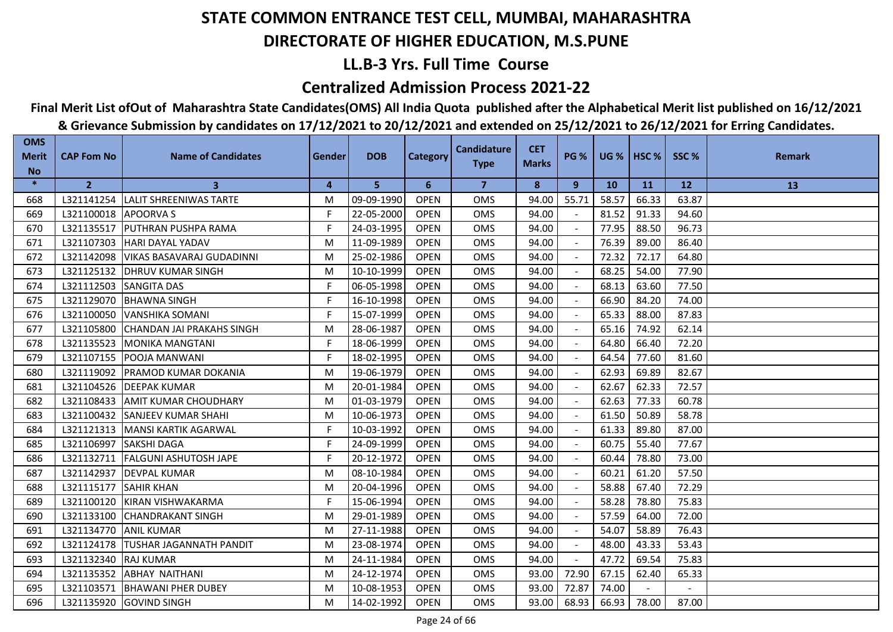## **LL.B-3 Yrs. Full Time Course**

### **Centralized Admission Process 2021-22**

## **Final Merit List ofOut of Maharashtra State Candidates(OMS) All India Quota published after the Alphabetical Merit list published on 16/12/2021**

| <b>OMS</b><br><b>Merit</b> | <b>CAP Fom No</b>    | <b>Name of Candidates</b>        | Gender | <b>DOB</b> | <b>Category</b> | <b>Candidature</b>      | <b>CET</b>   | <b>PG %</b> | <b>UG %</b> | HSC <sub>%</sub> | SSC%      | <b>Remark</b> |
|----------------------------|----------------------|----------------------------------|--------|------------|-----------------|-------------------------|--------------|-------------|-------------|------------------|-----------|---------------|
| <b>No</b>                  |                      |                                  |        |            |                 | <b>Type</b>             | <b>Marks</b> |             |             |                  |           |               |
| $\ast$                     | $\overline{2}$       | 3                                | 4      | 5          | 6               | $\overline{\mathbf{z}}$ | 8            | 9           | <b>10</b>   | <b>11</b>        | <b>12</b> | 13            |
| 668                        | L321141254           | LALIT SHREENIWAS TARTE           | M      | 09-09-1990 | <b>OPEN</b>     | <b>OMS</b>              | 94.00        | 55.71       | 58.57       | 66.33            | 63.87     |               |
| 669                        | L321100018 APOORVA S |                                  | F.     | 22-05-2000 | <b>OPEN</b>     | <b>OMS</b>              | 94.00        |             | 81.52       | 91.33            | 94.60     |               |
| 670                        | L321135517           | <b>PUTHRAN PUSHPA RAMA</b>       | F.     | 24-03-1995 | <b>OPEN</b>     | <b>OMS</b>              | 94.00        |             | 77.95       | 88.50            | 96.73     |               |
| 671                        | L321107303           | <b>HARI DAYAL YADAV</b>          | M      | 11-09-1989 | <b>OPEN</b>     | <b>OMS</b>              | 94.00        |             | 76.39       | 89.00            | 86.40     |               |
| 672                        | L321142098           | <b>VIKAS BASAVARAJ GUDADINNI</b> | M      | 25-02-1986 | <b>OPEN</b>     | OMS                     | 94.00        |             | 72.32       | 72.17            | 64.80     |               |
| 673                        |                      | L321125132   DHRUV KUMAR SINGH   | M      | 10-10-1999 | <b>OPEN</b>     | <b>OMS</b>              | 94.00        |             | 68.25       | 54.00            | 77.90     |               |
| 674                        | L321112503           | <b>SANGITA DAS</b>               | F.     | 06-05-1998 | <b>OPEN</b>     | <b>OMS</b>              | 94.00        |             | 68.13       | 63.60            | 77.50     |               |
| 675                        | L321129070           | <b>BHAWNA SINGH</b>              | F.     | 16-10-1998 | <b>OPEN</b>     | <b>OMS</b>              | 94.00        |             | 66.90       | 84.20            | 74.00     |               |
| 676                        | L321100050           | VANSHIKA SOMANI                  | F.     | 15-07-1999 | <b>OPEN</b>     | <b>OMS</b>              | 94.00        |             | 65.33       | 88.00            | 87.83     |               |
| 677                        | L321105800           | CHANDAN JAI PRAKAHS SINGH        | M      | 28-06-1987 | <b>OPEN</b>     | <b>OMS</b>              | 94.00        |             | 65.16       | 74.92            | 62.14     |               |
| 678                        | L321135523           | <b>IMONIKA MANGTANI</b>          | F.     | 18-06-1999 | <b>OPEN</b>     | <b>OMS</b>              | 94.00        |             | 64.80       | 66.40            | 72.20     |               |
| 679                        | L321107155           | <b>POOJA MANWANI</b>             | F.     | 18-02-1995 | <b>OPEN</b>     | <b>OMS</b>              | 94.00        |             | 64.54       | 77.60            | 81.60     |               |
| 680                        | L321119092           | <b>IPRAMOD KUMAR DOKANIA</b>     | M      | 19-06-1979 | <b>OPEN</b>     | <b>OMS</b>              | 94.00        |             | 62.93       | 69.89            | 82.67     |               |
| 681                        | L321104526           | <b>DEEPAK KUMAR</b>              | M      | 20-01-1984 | <b>OPEN</b>     | OMS                     | 94.00        |             | 62.67       | 62.33            | 72.57     |               |
| 682                        | L321108433           | <b>AMIT KUMAR CHOUDHARY</b>      | M      | 01-03-1979 | <b>OPEN</b>     | <b>OMS</b>              | 94.00        |             | 62.63       | 77.33            | 60.78     |               |
| 683                        | L321100432           | <b>SANJEEV KUMAR SHAHI</b>       | M      | 10-06-1973 | <b>OPEN</b>     | <b>OMS</b>              | 94.00        |             | 61.50       | 50.89            | 58.78     |               |
| 684                        | L321121313           | MANSI KARTIK AGARWAL             | F.     | 10-03-1992 | <b>OPEN</b>     | <b>OMS</b>              | 94.00        |             | 61.33       | 89.80            | 87.00     |               |
| 685                        | L321106997           | <b>SAKSHI DAGA</b>               | F      | 24-09-1999 | <b>OPEN</b>     | <b>OMS</b>              | 94.00        |             | 60.75       | 55.40            | 77.67     |               |
| 686                        | L321132711           | <b>FALGUNI ASHUTOSH JAPE</b>     | F.     | 20-12-1972 | <b>OPEN</b>     | OMS                     | 94.00        |             | 60.44       | 78.80            | 73.00     |               |
| 687                        | L321142937           | <b>DEVPAL KUMAR</b>              | M      | 08-10-1984 | <b>OPEN</b>     | <b>OMS</b>              | 94.00        |             | 60.21       | 61.20            | 57.50     |               |
| 688                        | L321115177           | <b>SAHIR KHAN</b>                | M      | 20-04-1996 | <b>OPEN</b>     | <b>OMS</b>              | 94.00        |             | 58.88       | 67.40            | 72.29     |               |
| 689                        | L321100120           | <b>IKIRAN VISHWAKARMA</b>        | F      | 15-06-1994 | <b>OPEN</b>     | <b>OMS</b>              | 94.00        |             | 58.28       | 78.80            | 75.83     |               |
| 690                        | L321133100           | <b>CHANDRAKANT SINGH</b>         | M      | 29-01-1989 | <b>OPEN</b>     | OMS                     | 94.00        |             | 57.59       | 64.00            | 72.00     |               |
| 691                        | L321134770           | <b>ANIL KUMAR</b>                | M      | 27-11-1988 | <b>OPEN</b>     | <b>OMS</b>              | 94.00        |             | 54.07       | 58.89            | 76.43     |               |
| 692                        | L321124178           | <b>ITUSHAR JAGANNATH PANDIT</b>  | M      | 23-08-1974 | <b>OPEN</b>     | <b>OMS</b>              | 94.00        |             | 48.00       | 43.33            | 53.43     |               |
| 693                        | L321132340           | <b>RAJ KUMAR</b>                 | M      | 24-11-1984 | <b>OPEN</b>     | <b>OMS</b>              | 94.00        |             | 47.72       | 69.54            | 75.83     |               |
| 694                        | L321135352           | <b>ABHAY NAITHANI</b>            | M      | 24-12-1974 | <b>OPEN</b>     | <b>OMS</b>              | 93.00        | 72.90       | 67.15       | 62.40            | 65.33     |               |
| 695                        | L321103571           | <b>BHAWANI PHER DUBEY</b>        | M      | 10-08-1953 | <b>OPEN</b>     | <b>OMS</b>              | 93.00        | 72.87       | 74.00       |                  |           |               |
| 696                        |                      | L321135920 GOVIND SINGH          | M      | 14-02-1992 | <b>OPEN</b>     | <b>OMS</b>              | 93.00        | 68.93       | 66.93       | 78.00            | 87.00     |               |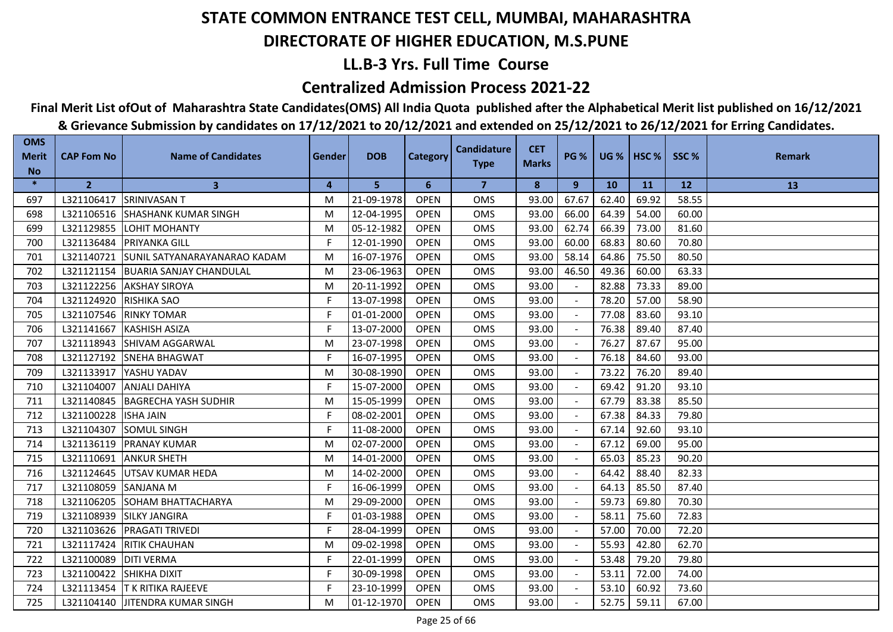## **LL.B-3 Yrs. Full Time Course**

### **Centralized Admission Process 2021-22**

## **Final Merit List ofOut of Maharashtra State Candidates(OMS) All India Quota published after the Alphabetical Merit list published on 16/12/2021**

| <b>OMS</b><br><b>Merit</b> | <b>CAP Fom No</b>      | <b>Name of Candidates</b>               | Gender         | <b>DOB</b> | <b>Category</b> | <b>Candidature</b> | <b>CET</b><br><b>Marks</b> | <b>PG %</b> |           | UG %   HSC % | SSC%  | <b>Remark</b> |
|----------------------------|------------------------|-----------------------------------------|----------------|------------|-----------------|--------------------|----------------------------|-------------|-----------|--------------|-------|---------------|
| <b>No</b>                  |                        |                                         |                |            |                 | <b>Type</b>        |                            |             |           |              |       |               |
| $\ast$                     | $\overline{2}$         | $\mathbf{3}$                            | $\overline{4}$ | 5          | 6               | $\overline{7}$     | 8                          | 9           | <b>10</b> | <b>11</b>    | 12    | 13            |
| 697                        |                        | L321106417 SRINIVASAN T                 | M              | 21-09-1978 | <b>OPEN</b>     | <b>OMS</b>         | 93.00                      | 67.67       | 62.40     | 69.92        | 58.55 |               |
| 698                        |                        | L321106516 SHASHANK KUMAR SINGH         | M              | 12-04-1995 | <b>OPEN</b>     | <b>OMS</b>         | 93.00                      | 66.00       | 64.39     | 54.00        | 60.00 |               |
| 699                        |                        | L321129855 LOHIT MOHANTY                | M              | 05-12-1982 | <b>OPEN</b>     | <b>OMS</b>         | 93.00                      | 62.74       | 66.39     | 73.00        | 81.60 |               |
| 700                        | L321136484             | <b>PRIYANKA GILL</b>                    | F.             | 12-01-1990 | <b>OPEN</b>     | <b>OMS</b>         | 93.00                      | 60.00       | 68.83     | 80.60        | 70.80 |               |
| 701                        |                        | L321140721 SUNIL SATYANARAYANARAO KADAM | M              | 16-07-1976 | <b>OPEN</b>     | OMS                | 93.00                      | 58.14       | 64.86     | 75.50        | 80.50 |               |
| 702                        |                        | L321121154   BUARIA SANJAY CHANDULAL    | M              | 23-06-1963 | <b>OPEN</b>     | <b>OMS</b>         | 93.00                      | 46.50       | 49.36     | 60.00        | 63.33 |               |
| 703                        |                        | L321122256 AKSHAY SIROYA                | M              | 20-11-1992 | <b>OPEN</b>     | OMS                | 93.00                      |             | 82.88     | 73.33        | 89.00 |               |
| 704                        | L321124920 RISHIKA SAO |                                         | F              | 13-07-1998 | <b>OPEN</b>     | <b>OMS</b>         | 93.00                      |             | 78.20     | 57.00        | 58.90 |               |
| 705                        |                        | L321107546 RINKY TOMAR                  | F              | 01-01-2000 | <b>OPEN</b>     | <b>OMS</b>         | 93.00                      |             | 77.08     | 83.60        | 93.10 |               |
| 706                        | L321141667             | <b>IKASHISH ASIZA</b>                   | F.             | 13-07-2000 | <b>OPEN</b>     | <b>OMS</b>         | 93.00                      |             | 76.38     | 89.40        | 87.40 |               |
| 707                        | L321118943             | <b>SHIVAM AGGARWAL</b>                  | M              | 23-07-1998 | <b>OPEN</b>     | <b>OMS</b>         | 93.00                      |             | 76.27     | 87.67        | 95.00 |               |
| 708                        | L321127192             | <b>SNEHA BHAGWAT</b>                    | F.             | 16-07-1995 | <b>OPEN</b>     | <b>OMS</b>         | 93.00                      |             | 76.18     | 84.60        | 93.00 |               |
| 709                        | L321133917             | YASHU YADAV                             | M              | 30-08-1990 | <b>OPEN</b>     | <b>OMS</b>         | 93.00                      |             | 73.22     | 76.20        | 89.40 |               |
| 710                        | L321104007             | <b>ANJALI DAHIYA</b>                    | F.             | 15-07-2000 | <b>OPEN</b>     | OMS                | 93.00                      |             | 69.42     | 91.20        | 93.10 |               |
| 711                        | L321140845             | <b>BAGRECHA YASH SUDHIR</b>             | M              | 15-05-1999 | <b>OPEN</b>     | <b>OMS</b>         | 93.00                      | $\sim$      | 67.79     | 83.38        | 85.50 |               |
| 712                        | L321100228  ISHA JAIN  |                                         | F.             | 08-02-2001 | <b>OPEN</b>     | <b>OMS</b>         | 93.00                      | $\sim$      | 67.38     | 84.33        | 79.80 |               |
| 713                        | L321104307             | <b>SOMUL SINGH</b>                      | F              | 11-08-2000 | <b>OPEN</b>     | <b>OMS</b>         | 93.00                      |             | 67.14     | 92.60        | 93.10 |               |
| 714                        | L321136119             | <b>PRANAY KUMAR</b>                     | M              | 02-07-2000 | <b>OPEN</b>     | <b>OMS</b>         | 93.00                      |             | 67.12     | 69.00        | 95.00 |               |
| 715                        | L321110691             | <b>ANKUR SHETH</b>                      | M              | 14-01-2000 | <b>OPEN</b>     | <b>OMS</b>         | 93.00                      |             | 65.03     | 85.23        | 90.20 |               |
| 716                        |                        | L321124645 UTSAV KUMAR HEDA             | M              | 14-02-2000 | <b>OPEN</b>     | <b>OMS</b>         | 93.00                      |             | 64.42     | 88.40        | 82.33 |               |
| 717                        | L321108059 SANJANA M   |                                         | F              | 16-06-1999 | <b>OPEN</b>     | OMS                | 93.00                      |             | 64.13     | 85.50        | 87.40 |               |
| 718                        | L321106205             | <b>SOHAM BHATTACHARYA</b>               | M              | 29-09-2000 | <b>OPEN</b>     | <b>OMS</b>         | 93.00                      |             | 59.73     | 69.80        | 70.30 |               |
| 719                        | L321108939             | <b>SILKY JANGIRA</b>                    | F.             | 01-03-1988 | <b>OPEN</b>     | <b>OMS</b>         | 93.00                      |             | 58.11     | 75.60        | 72.83 |               |
| 720                        |                        | L321103626 PRAGATI TRIVEDI              | F              | 28-04-1999 | <b>OPEN</b>     | <b>OMS</b>         | 93.00                      |             | 57.00     | 70.00        | 72.20 |               |
| 721                        | L321117424             | <b>RITIK CHAUHAN</b>                    | M              | 09-02-1998 | <b>OPEN</b>     | <b>OMS</b>         | 93.00                      |             | 55.93     | 42.80        | 62.70 |               |
| 722                        | L321100089             | <b>DITI VERMA</b>                       | F              | 22-01-1999 | <b>OPEN</b>     | <b>OMS</b>         | 93.00                      |             | 53.48     | 79.20        | 79.80 |               |
| 723                        | L321100422             | <b>SHIKHA DIXIT</b>                     | F.             | 30-09-1998 | <b>OPEN</b>     | OMS                | 93.00                      |             | 53.11     | 72.00        | 74.00 |               |
| 724                        |                        | L321113454  T K RITIKA RAJEEVE          | F              | 23-10-1999 | <b>OPEN</b>     | <b>OMS</b>         | 93.00                      |             | 53.10     | 60.92        | 73.60 |               |
| 725                        |                        | L321104140 JITENDRA KUMAR SINGH         | M              | 01-12-1970 | <b>OPEN</b>     | <b>OMS</b>         | 93.00                      |             | 52.75     | 59.11        | 67.00 |               |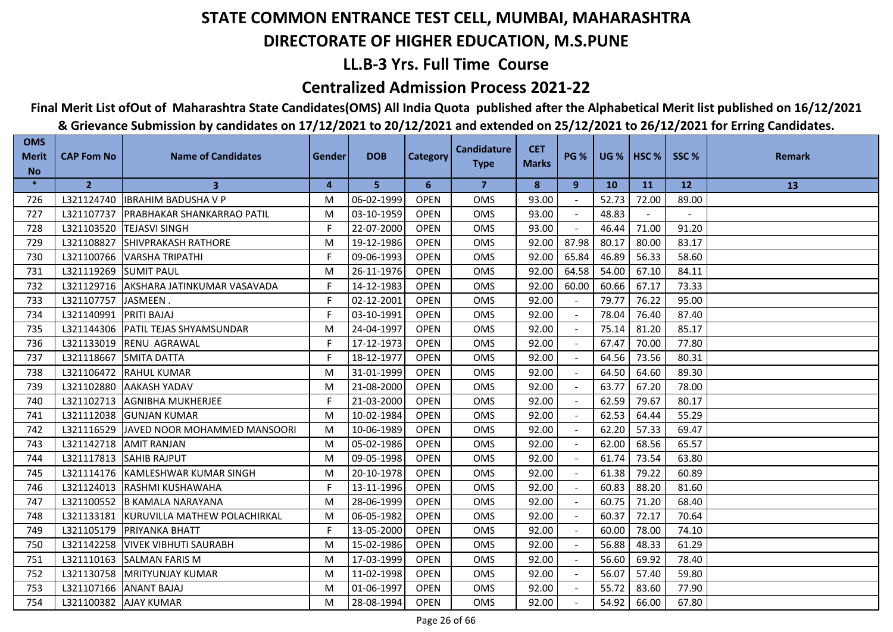## **LL.B-3 Yrs. Full Time Course**

### **Centralized Admission Process 2021-22**

**Final Merit List ofOut of Maharashtra State Candidates(OMS) All India Quota published after the Alphabetical Merit list published on 16/12/2021**

| <b>OMS</b><br><b>Merit</b> | <b>CAP Fom No</b>     | <b>Name of Candidates</b>         | <b>Gender</b> | <b>DOB</b> | <b>Category</b> | <b>Candidature</b> | <b>CET</b>   | <b>PG %</b>    | $UG %$ HSC % |       | SSC%  | <b>Remark</b> |
|----------------------------|-----------------------|-----------------------------------|---------------|------------|-----------------|--------------------|--------------|----------------|--------------|-------|-------|---------------|
| <b>No</b>                  |                       |                                   |               |            |                 | <b>Type</b>        | <b>Marks</b> |                |              |       |       |               |
| $\ast$                     | $\overline{2}$        | 3                                 | 4             | 5          | 6               | 7                  | 8            | 9              | <b>10</b>    | 11    | 12    | 13            |
| 726                        | L321124740            | <b>IBRAHIM BADUSHA V P</b>        | M             | 06-02-1999 | <b>OPEN</b>     | <b>OMS</b>         | 93.00        |                | 52.73        | 72.00 | 89.00 |               |
| 727                        | L321107737            | <b>PRABHAKAR SHANKARRAO PATIL</b> | M             | 03-10-1959 | <b>OPEN</b>     | <b>OMS</b>         | 93.00        |                | 48.83        |       |       |               |
| 728                        | L321103520            | <b>TEJASVI SINGH</b>              | F             | 22-07-2000 | <b>OPEN</b>     | <b>OMS</b>         | 93.00        |                | 46.44        | 71.00 | 91.20 |               |
| 729                        | L321108827            | <b>SHIVPRAKASH RATHORE</b>        | M             | 19-12-1986 | <b>OPEN</b>     | OMS                | 92.00        | 87.98          | 80.17        | 80.00 | 83.17 |               |
| 730                        | L321100766            | VARSHA TRIPATHI                   | F             | 09-06-1993 | <b>OPEN</b>     | <b>OMS</b>         | 92.00        | 65.84          | 46.89        | 56.33 | 58.60 |               |
| 731                        | L321119269            | <b>SUMIT PAUL</b>                 | M             | 26-11-1976 | <b>OPEN</b>     | <b>OMS</b>         | 92.00        | 64.58          | 54.00        | 67.10 | 84.11 |               |
| 732                        | L321129716            | lakSHARA JATINKUMAR VASAVADA      | F             | 14-12-1983 | <b>OPEN</b>     | <b>OMS</b>         | 92.00        | 60.00          | 60.66        | 67.17 | 73.33 |               |
| 733                        | L321107757            | JASMEEN.                          | F.            | 02-12-2001 | <b>OPEN</b>     | <b>OMS</b>         | 92.00        |                | 79.77        | 76.22 | 95.00 |               |
| 734                        | L321140991            | <b>PRITI BAJAJ</b>                | F             | 03-10-1991 | <b>OPEN</b>     | <b>OMS</b>         | 92.00        | $\sim$         | 78.04        | 76.40 | 87.40 |               |
| 735                        | L321144306            | PATIL TEJAS SHYAMSUNDAR           | M             | 24-04-1997 | <b>OPEN</b>     | <b>OMS</b>         | 92.00        |                | 75.14        | 81.20 | 85.17 |               |
| 736                        | L321133019            | RENU AGRAWAL                      | F             | 17-12-1973 | <b>OPEN</b>     | <b>OMS</b>         | 92.00        | $\blacksquare$ | 67.47        | 70.00 | 77.80 |               |
| 737                        | L321118667            | <b>SMITA DATTA</b>                | F.            | 18-12-1977 | <b>OPEN</b>     | <b>OMS</b>         | 92.00        |                | 64.56        | 73.56 | 80.31 |               |
| 738                        | L321106472            | <b>RAHUL KUMAR</b>                | M             | 31-01-1999 | <b>OPEN</b>     | <b>OMS</b>         | 92.00        |                | 64.50        | 64.60 | 89.30 |               |
| 739                        | L321102880            | <b>AAKASH YADAV</b>               | M             | 21-08-2000 | <b>OPEN</b>     | <b>OMS</b>         | 92.00        |                | 63.77        | 67.20 | 78.00 |               |
| 740                        | L321102713            | <b>AGNIBHA MUKHERJEE</b>          | F.            | 21-03-2000 | <b>OPEN</b>     | <b>OMS</b>         | 92.00        |                | 62.59        | 79.67 | 80.17 |               |
| 741                        | L321112038            | <b>GUNJAN KUMAR</b>               | M             | 10-02-1984 | <b>OPEN</b>     | <b>OMS</b>         | 92.00        |                | 62.53        | 64.44 | 55.29 |               |
| 742                        | L321116529            | JAVED NOOR MOHAMMED MANSOORI      | M             | 10-06-1989 | <b>OPEN</b>     | <b>OMS</b>         | 92.00        |                | 62.20        | 57.33 | 69.47 |               |
| 743                        | L321142718            | <b>AMIT RANJAN</b>                | M             | 05-02-1986 | <b>OPEN</b>     | <b>OMS</b>         | 92.00        |                | 62.00        | 68.56 | 65.57 |               |
| 744                        | L321117813            | <b>SAHIB RAJPUT</b>               | M             | 09-05-1998 | <b>OPEN</b>     | OMS                | 92.00        |                | 61.74        | 73.54 | 63.80 |               |
| 745                        | L321114176            | <b>KAMLESHWAR KUMAR SINGH</b>     | M             | 20-10-1978 | <b>OPEN</b>     | <b>OMS</b>         | 92.00        | $\sim$         | 61.38        | 79.22 | 60.89 |               |
| 746                        | L321124013            | RASHMI KUSHAWAHA                  | F             | 13-11-1996 | <b>OPEN</b>     | <b>OMS</b>         | 92.00        |                | 60.83        | 88.20 | 81.60 |               |
| 747                        | L321100552            | <b>B KAMALA NARAYANA</b>          | M             | 28-06-1999 | <b>OPEN</b>     | <b>OMS</b>         | 92.00        | $\sim$         | 60.75        | 71.20 | 68.40 |               |
| 748                        | L321133181            | KURUVILLA MATHEW POLACHIRKAL      | M             | 06-05-1982 | <b>OPEN</b>     | <b>OMS</b>         | 92.00        |                | 60.37        | 72.17 | 70.64 |               |
| 749                        | L321105179            | <b>PRIYANKA BHATT</b>             | F.            | 13-05-2000 | <b>OPEN</b>     | <b>OMS</b>         | 92.00        |                | 60.00        | 78.00 | 74.10 |               |
| 750                        | L321142258            | <b>VIVEK VIBHUTI SAURABH</b>      | M             | 15-02-1986 | <b>OPEN</b>     | <b>OMS</b>         | 92.00        |                | 56.88        | 48.33 | 61.29 |               |
| 751                        | L321110163            | <b>SALMAN FARIS M</b>             | M             | 17-03-1999 | <b>OPEN</b>     | <b>OMS</b>         | 92.00        |                | 56.60        | 69.92 | 78.40 |               |
| 752                        | L321130758            | <b>MRITYUNJAY KUMAR</b>           | M             | 11-02-1998 | <b>OPEN</b>     | <b>OMS</b>         | 92.00        |                | 56.07        | 57.40 | 59.80 |               |
| 753                        | L321107166            | <b>ANANT BAJAJ</b>                | м             | 01-06-1997 | <b>OPEN</b>     | <b>OMS</b>         | 92.00        |                | 55.72        | 83.60 | 77.90 |               |
| 754                        | L321100382 AJAY KUMAR |                                   | M             | 28-08-1994 | <b>OPEN</b>     | <b>OMS</b>         | 92.00        |                | 54.92        | 66.00 | 67.80 |               |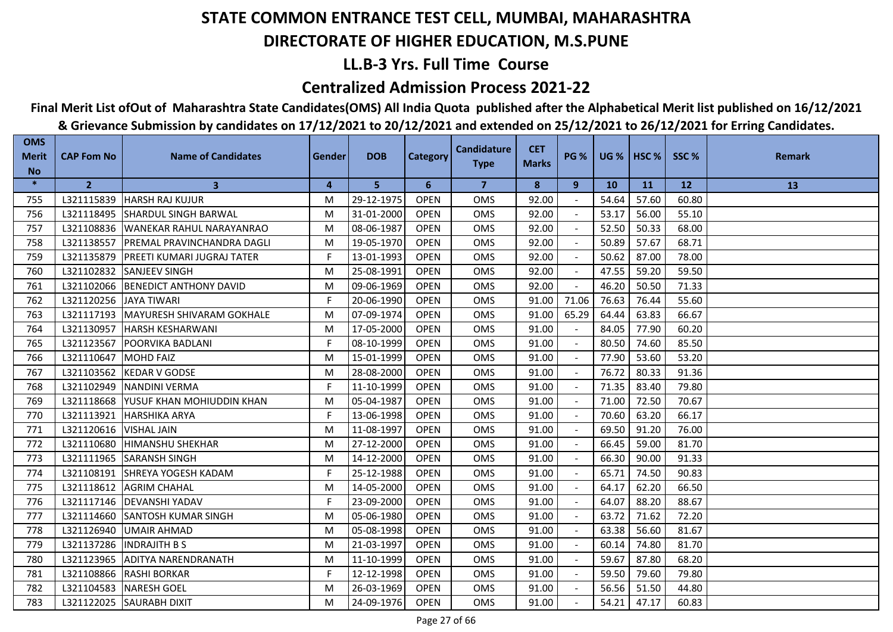## **LL.B-3 Yrs. Full Time Course**

### **Centralized Admission Process 2021-22**

## **Final Merit List ofOut of Maharashtra State Candidates(OMS) All India Quota published after the Alphabetical Merit list published on 16/12/2021**

| <b>OMS</b><br><b>Merit</b> | <b>CAP Fom No</b> | <b>Name of Candidates</b>         | <b>Gender</b> | <b>DOB</b> | <b>Category</b> | <b>Candidature</b> | <b>CET</b>   | <b>PG %</b> |       | $UG %$ HSC % | SSC%  | <b>Remark</b> |
|----------------------------|-------------------|-----------------------------------|---------------|------------|-----------------|--------------------|--------------|-------------|-------|--------------|-------|---------------|
| <b>No</b>                  |                   |                                   |               |            |                 | <b>Type</b>        | <b>Marks</b> |             |       |              |       |               |
| $\ast$                     | $\overline{2}$    | 3                                 | 4             | 5          | 6               | 7                  | 8            | 9           | 10    | 11           | 12    | 13            |
| 755                        | L321115839        | <b>HARSH RAJ KUJUR</b>            | M             | 29-12-1975 | <b>OPEN</b>     | <b>OMS</b>         | 92.00        |             | 54.64 | 57.60        | 60.80 |               |
| 756                        | L321118495        | <b>SHARDUL SINGH BARWAL</b>       | M             | 31-01-2000 | <b>OPEN</b>     | <b>OMS</b>         | 92.00        |             | 53.17 | 56.00        | 55.10 |               |
| 757                        | L321108836        | <b>IWANEKAR RAHUL NARAYANRAO</b>  | M             | 08-06-1987 | <b>OPEN</b>     | OMS                | 92.00        |             | 52.50 | 50.33        | 68.00 |               |
| 758                        | L321138557        | PREMAL PRAVINCHANDRA DAGLI        | M             | 19-05-1970 | <b>OPEN</b>     | <b>OMS</b>         | 92.00        |             | 50.89 | 57.67        | 68.71 |               |
| 759                        | L321135879        | <b>PREETI KUMARI JUGRAJ TATER</b> | F.            | 13-01-1993 | <b>OPEN</b>     | <b>OMS</b>         | 92.00        |             | 50.62 | 87.00        | 78.00 |               |
| 760                        | L321102832        | <b>SANJEEV SINGH</b>              | M             | 25-08-1991 | <b>OPEN</b>     | <b>OMS</b>         | 92.00        |             | 47.55 | 59.20        | 59.50 |               |
| 761                        | L321102066        | <b>BENEDICT ANTHONY DAVID</b>     | M             | 09-06-1969 | <b>OPEN</b>     | <b>OMS</b>         | 92.00        |             | 46.20 | 50.50        | 71.33 |               |
| 762                        | L321120256        | <b>JAYA TIWARI</b>                | F.            | 20-06-1990 | <b>OPEN</b>     | OMS                | 91.00        | 71.06       | 76.63 | 76.44        | 55.60 |               |
| 763                        | L321117193        | MAYURESH SHIVARAM GOKHALE         | M             | 07-09-1974 | <b>OPEN</b>     | <b>OMS</b>         | 91.00        | 65.29       | 64.44 | 63.83        | 66.67 |               |
| 764                        | L321130957        | <b>HARSH KESHARWANI</b>           | M             | 17-05-2000 | <b>OPEN</b>     | <b>OMS</b>         | 91.00        |             | 84.05 | 77.90        | 60.20 |               |
| 765                        | L321123567        | POORVIKA BADLANI                  | F             | 08-10-1999 | <b>OPEN</b>     | <b>OMS</b>         | 91.00        |             | 80.50 | 74.60        | 85.50 |               |
| 766                        | L321110647        | <b>MOHD FAIZ</b>                  | M             | 15-01-1999 | <b>OPEN</b>     | <b>OMS</b>         | 91.00        |             | 77.90 | 53.60        | 53.20 |               |
| 767                        | L321103562        | <b>IKEDAR V GODSE</b>             | M             | 28-08-2000 | <b>OPEN</b>     | <b>OMS</b>         | 91.00        |             | 76.72 | 80.33        | 91.36 |               |
| 768                        | L321102949        | <b>NANDINI VERMA</b>              | F.            | 11-10-1999 | <b>OPEN</b>     | <b>OMS</b>         | 91.00        |             | 71.35 | 83.40        | 79.80 |               |
| 769                        | L321118668        | YUSUF KHAN MOHIUDDIN KHAN         | M             | 05-04-1987 | <b>OPEN</b>     | <b>OMS</b>         | 91.00        |             | 71.00 | 72.50        | 70.67 |               |
| 770                        | L321113921        | <b>HARSHIKA ARYA</b>              | F.            | 13-06-1998 | <b>OPEN</b>     | <b>OMS</b>         | 91.00        |             | 70.60 | 63.20        | 66.17 |               |
| 771                        | L321120616        | <b>VISHAL JAIN</b>                | M             | 11-08-1997 | <b>OPEN</b>     | <b>OMS</b>         | 91.00        |             | 69.50 | 91.20        | 76.00 |               |
| 772                        | L321110680        | <b>HIMANSHU SHEKHAR</b>           | M             | 27-12-2000 | <b>OPEN</b>     | <b>OMS</b>         | 91.00        |             | 66.45 | 59.00        | 81.70 |               |
| 773                        | L321111965        | <b>SARANSH SINGH</b>              | M             | 14-12-2000 | <b>OPEN</b>     | OMS                | 91.00        |             | 66.30 | 90.00        | 91.33 |               |
| 774                        | L321108191        | SHREYA YOGESH KADAM               | F             | 25-12-1988 | <b>OPEN</b>     | <b>OMS</b>         | 91.00        | $\sim$      | 65.71 | 74.50        | 90.83 |               |
| 775                        | L321118612        | <b>AGRIM CHAHAL</b>               | M             | 14-05-2000 | <b>OPEN</b>     | <b>OMS</b>         | 91.00        |             | 64.17 | 62.20        | 66.50 |               |
| 776                        | L321117146        | <b>DEVANSHI YADAV</b>             | F.            | 23-09-2000 | <b>OPEN</b>     | <b>OMS</b>         | 91.00        |             | 64.07 | 88.20        | 88.67 |               |
| 777                        | L321114660        | <b>SANTOSH KUMAR SINGH</b>        | M             | 05-06-1980 | <b>OPEN</b>     | <b>OMS</b>         | 91.00        |             | 63.72 | 71.62        | 72.20 |               |
| 778                        | L321126940        | <b>UMAIR AHMAD</b>                | M             | 05-08-1998 | <b>OPEN</b>     | <b>OMS</b>         | 91.00        |             | 63.38 | 56.60        | 81.67 |               |
| 779                        | L321137286        | <b>INDRAJITH BS</b>               | M             | 21-03-1997 | <b>OPEN</b>     | <b>OMS</b>         | 91.00        |             | 60.14 | 74.80        | 81.70 |               |
| 780                        | L321123965        | <b>ADITYA NARENDRANATH</b>        | M             | 11-10-1999 | <b>OPEN</b>     | <b>OMS</b>         | 91.00        |             | 59.67 | 87.80        | 68.20 |               |
| 781                        | L321108866        | <b>RASHI BORKAR</b>               | F             | 12-12-1998 | <b>OPEN</b>     | <b>OMS</b>         | 91.00        |             | 59.50 | 79.60        | 79.80 |               |
| 782                        | L321104583        | <b>NARESH GOEL</b>                | M             | 26-03-1969 | <b>OPEN</b>     | <b>OMS</b>         | 91.00        |             | 56.56 | 51.50        | 44.80 |               |
| 783                        | L321122025        | <b>SAURABH DIXIT</b>              | M             | 24-09-1976 | <b>OPEN</b>     | <b>OMS</b>         | 91.00        |             | 54.21 | 47.17        | 60.83 |               |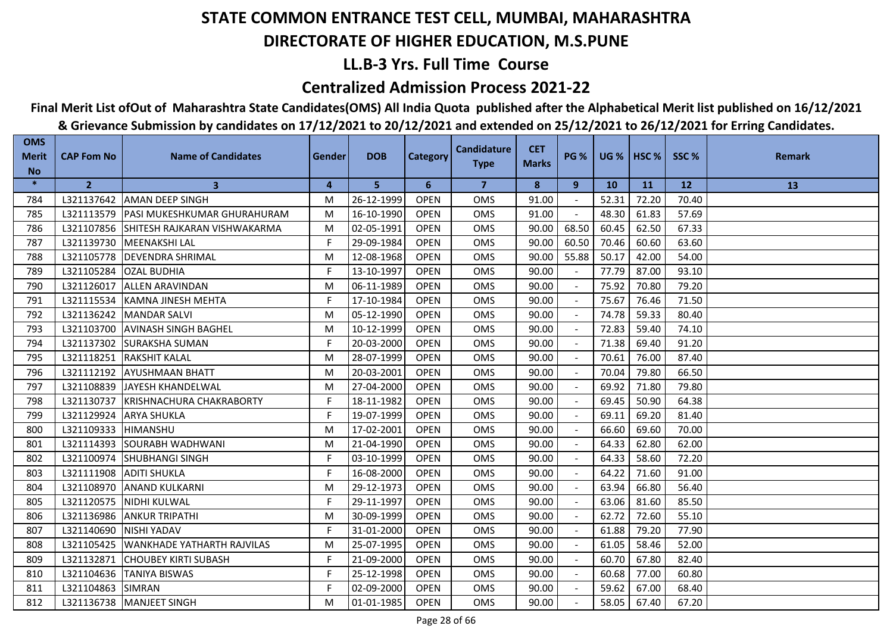## **LL.B-3 Yrs. Full Time Course**

### **Centralized Admission Process 2021-22**

## **Final Merit List ofOut of Maharashtra State Candidates(OMS) All India Quota published after the Alphabetical Merit list published on 16/12/2021**

| <b>OMS</b><br><b>Merit</b> | <b>CAP Fom No</b> | <b>Name of Candidates</b>          | Gender | <b>DOB</b> | <b>Category</b> | <b>Candidature</b> | <b>CET</b>   | <b>PG %</b> |       | $UG %$ HSC % | SSC%  | <b>Remark</b> |
|----------------------------|-------------------|------------------------------------|--------|------------|-----------------|--------------------|--------------|-------------|-------|--------------|-------|---------------|
| <b>No</b>                  |                   |                                    |        |            |                 | <b>Type</b>        | <b>Marks</b> |             |       |              |       |               |
| $\ast$                     | $\overline{2}$    | $\mathbf{3}$                       | 4      | 5          | 6               | $\overline{7}$     | 8            | 9           | 10    | <b>11</b>    | 12    | 13            |
| 784                        | L321137642        | <b>AMAN DEEP SINGH</b>             | М      | 26-12-1999 | <b>OPEN</b>     | <b>OMS</b>         | 91.00        |             | 52.31 | 72.20        | 70.40 |               |
| 785                        | L321113579        | <b>PASI MUKESHKUMAR GHURAHURAM</b> | м      | 16-10-1990 | <b>OPEN</b>     | <b>OMS</b>         | 91.00        |             | 48.30 | 61.83        | 57.69 |               |
| 786                        | L321107856        | SHITESH RAJKARAN VISHWAKARMA       | M      | 02-05-1991 | <b>OPEN</b>     | <b>OMS</b>         | 90.00        | 68.50       | 60.45 | 62.50        | 67.33 |               |
| 787                        |                   | L321139730   MEENAKSHI LAL         | F.     | 29-09-1984 | <b>OPEN</b>     | <b>OMS</b>         | 90.00        | 60.50       | 70.46 | 60.60        | 63.60 |               |
| 788                        | L321105778        | <b>DEVENDRA SHRIMAL</b>            | M      | 12-08-1968 | <b>OPEN</b>     | <b>OMS</b>         | 90.00        | 55.88       | 50.17 | 42.00        | 54.00 |               |
| 789                        | L321105284        | <b>OZAL BUDHIA</b>                 | F.     | 13-10-1997 | <b>OPEN</b>     | <b>OMS</b>         | 90.00        |             | 77.79 | 87.00        | 93.10 |               |
| 790                        | L321126017        | <b>ALLEN ARAVINDAN</b>             | м      | 06-11-1989 | <b>OPEN</b>     | OMS                | 90.00        |             | 75.92 | 70.80        | 79.20 |               |
| 791                        | L321115534        | KAMNA JINESH MEHTA                 | F.     | 17-10-1984 | <b>OPEN</b>     | <b>OMS</b>         | 90.00        |             | 75.67 | 76.46        | 71.50 |               |
| 792                        |                   | L321136242 MANDAR SALVI            | м      | 05-12-1990 | <b>OPEN</b>     | <b>OMS</b>         | 90.00        |             | 74.78 | 59.33        | 80.40 |               |
| 793                        | L321103700        | <b>JAVINASH SINGH BAGHEL</b>       | м      | 10-12-1999 | <b>OPEN</b>     | <b>OMS</b>         | 90.00        |             | 72.83 | 59.40        | 74.10 |               |
| 794                        | L321137302        | <b>I</b> SURAKSHA SUMAN            | F      | 20-03-2000 | <b>OPEN</b>     | <b>OMS</b>         | 90.00        |             | 71.38 | 69.40        | 91.20 |               |
| 795                        | L321118251        | <b>RAKSHIT KALAL</b>               | M      | 28-07-1999 | <b>OPEN</b>     | <b>OMS</b>         | 90.00        |             | 70.61 | 76.00        | 87.40 |               |
| 796                        | L321112192        | <b>JAYUSHMAAN BHATT</b>            | м      | 20-03-2001 | <b>OPEN</b>     | <b>OMS</b>         | 90.00        |             | 70.04 | 79.80        | 66.50 |               |
| 797                        | L321108839        | JAYESH KHANDELWAL                  | м      | 27-04-2000 | <b>OPEN</b>     | OMS                | 90.00        |             | 69.92 | 71.80        | 79.80 |               |
| 798                        | L321130737        | KRISHNACHURA CHAKRABORTY           | F      | 18-11-1982 | <b>OPEN</b>     | <b>OMS</b>         | 90.00        | $\sim$      | 69.45 | 50.90        | 64.38 |               |
| 799                        | L321129924        | <b>ARYA SHUKLA</b>                 | F.     | 19-07-1999 | <b>OPEN</b>     | <b>OMS</b>         | 90.00        | $\sim$      | 69.11 | 69.20        | 81.40 |               |
| 800                        | L321109333        | <b>HIMANSHU</b>                    | M      | 17-02-2001 | <b>OPEN</b>     | <b>OMS</b>         | 90.00        |             | 66.60 | 69.60        | 70.00 |               |
| 801                        | L321114393        | <b>SOURABH WADHWANI</b>            | м      | 21-04-1990 | <b>OPEN</b>     | <b>OMS</b>         | 90.00        |             | 64.33 | 62.80        | 62.00 |               |
| 802                        | L321100974        | <b>SHUBHANGI SINGH</b>             | F.     | 03-10-1999 | <b>OPEN</b>     | <b>OMS</b>         | 90.00        |             | 64.33 | 58.60        | 72.20 |               |
| 803                        | L321111908        | <b>ADITI SHUKLA</b>                | F.     | 16-08-2000 | <b>OPEN</b>     | <b>OMS</b>         | 90.00        |             | 64.22 | 71.60        | 91.00 |               |
| 804                        | L321108970        | <b>ANAND KULKARNI</b>              | М      | 29-12-1973 | <b>OPEN</b>     | <b>OMS</b>         | 90.00        |             | 63.94 | 66.80        | 56.40 |               |
| 805                        | L321120575        | NIDHI KULWAL                       | F      | 29-11-1997 | <b>OPEN</b>     | <b>OMS</b>         | 90.00        |             | 63.06 | 81.60        | 85.50 |               |
| 806                        | L321136986        | <b>ANKUR TRIPATHI</b>              | м      | 30-09-1999 | <b>OPEN</b>     | <b>OMS</b>         | 90.00        |             | 62.72 | 72.60        | 55.10 |               |
| 807                        | L321140690        | <b>NISHI YADAV</b>                 | F.     | 31-01-2000 | <b>OPEN</b>     | <b>OMS</b>         | 90.00        |             | 61.88 | 79.20        | 77.90 |               |
| 808                        | L321105425        | <b>WANKHADE YATHARTH RAJVILAS</b>  | м      | 25-07-1995 | <b>OPEN</b>     | <b>OMS</b>         | 90.00        |             | 61.05 | 58.46        | 52.00 |               |
| 809                        | L321132871        | <b>CHOUBEY KIRTI SUBASH</b>        | F      | 21-09-2000 | <b>OPEN</b>     | <b>OMS</b>         | 90.00        |             | 60.70 | 67.80        | 82.40 |               |
| 810                        | L321104636        | <b>TANIYA BISWAS</b>               | F.     | 25-12-1998 | <b>OPEN</b>     | OMS                | 90.00        |             | 60.68 | 77.00        | 60.80 |               |
| 811                        | L321104863        | <b>SIMRAN</b>                      | F      | 02-09-2000 | <b>OPEN</b>     | <b>OMS</b>         | 90.00        |             | 59.62 | 67.00        | 68.40 |               |
| 812                        |                   | L321136738   MANJEET SINGH         | м      | 01-01-1985 | <b>OPEN</b>     | <b>OMS</b>         | 90.00        |             | 58.05 | 67.40        | 67.20 |               |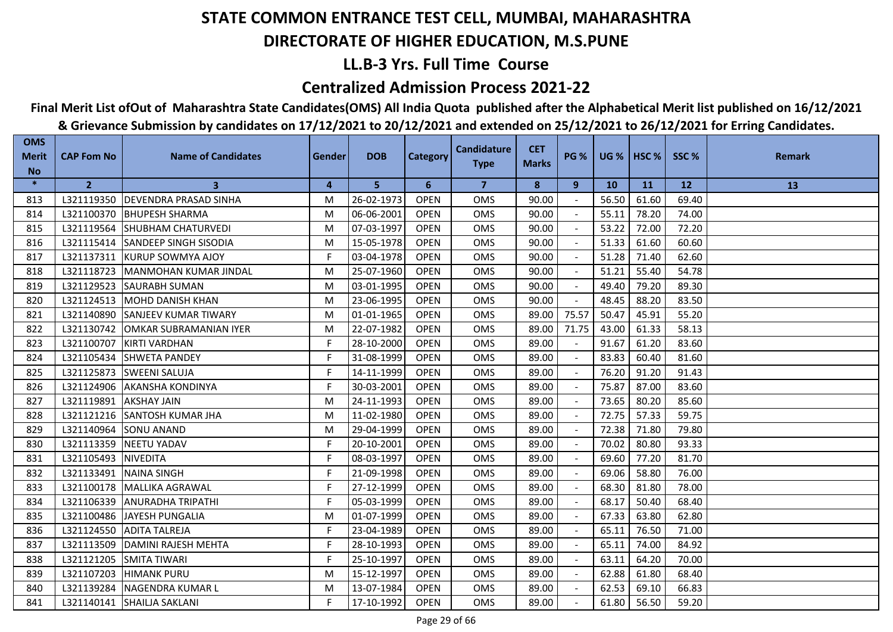## **LL.B-3 Yrs. Full Time Course**

### **Centralized Admission Process 2021-22**

# **Final Merit List ofOut of Maharashtra State Candidates(OMS) All India Quota published after the Alphabetical Merit list published on 16/12/2021**

| <b>OMS</b><br><b>Merit</b> | <b>CAP Fom No</b> | <b>Name of Candidates</b>     | <b>Gender</b> | <b>DOB</b> | <b>Category</b> | <b>Candidature</b> | <b>CET</b>   | <b>PG %</b>              |       | <b>UG %   HSC %  </b> | SSC%      | <b>Remark</b> |
|----------------------------|-------------------|-------------------------------|---------------|------------|-----------------|--------------------|--------------|--------------------------|-------|-----------------------|-----------|---------------|
| <b>No</b>                  |                   |                               |               |            |                 | <b>Type</b>        | <b>Marks</b> |                          |       |                       |           |               |
| $\ast$                     | $\overline{2}$    | 3                             | 4             | 5          | 6               | 7                  | 8            | 9                        | 10    | 11                    | <b>12</b> | 13            |
| 813                        | L321119350        | <b>DEVENDRA PRASAD SINHA</b>  | M             | 26-02-1973 | <b>OPEN</b>     | <b>OMS</b>         | 90.00        |                          | 56.50 | 61.60                 | 69.40     |               |
| 814                        | L321100370        | <b>BHUPESH SHARMA</b>         | M             | 06-06-2001 | <b>OPEN</b>     | <b>OMS</b>         | 90.00        |                          | 55.11 | 78.20                 | 74.00     |               |
| 815                        | L321119564        | <b>SHUBHAM CHATURVEDI</b>     | M             | 07-03-1997 | <b>OPEN</b>     | OMS                | 90.00        |                          | 53.22 | 72.00                 | 72.20     |               |
| 816                        | L321115414        | <b>SANDEEP SINGH SISODIA</b>  | M             | 15-05-1978 | <b>OPEN</b>     | <b>OMS</b>         | 90.00        |                          | 51.33 | 61.60                 | 60.60     |               |
| 817                        | L321137311        | <b>KURUP SOWMYA AJOY</b>      | F.            | 03-04-1978 | <b>OPEN</b>     | <b>OMS</b>         | 90.00        |                          | 51.28 | 71.40                 | 62.60     |               |
| 818                        | L321118723        | <b>IMANMOHAN KUMAR JINDAL</b> | M             | 25-07-1960 | <b>OPEN</b>     | <b>OMS</b>         | 90.00        |                          | 51.21 | 55.40                 | 54.78     |               |
| 819                        | L321129523        | <b>SAURABH SUMAN</b>          | M             | 03-01-1995 | <b>OPEN</b>     | <b>OMS</b>         | 90.00        |                          | 49.40 | 79.20                 | 89.30     |               |
| 820                        | L321124513        | <b>MOHD DANISH KHAN</b>       | M             | 23-06-1995 | <b>OPEN</b>     | OMS                | 90.00        |                          | 48.45 | 88.20                 | 83.50     |               |
| 821                        | L321140890        | <b>SANJEEV KUMAR TIWARY</b>   | M             | 01-01-1965 | <b>OPEN</b>     | <b>OMS</b>         | 89.00        | 75.57                    | 50.47 | 45.91                 | 55.20     |               |
| 822                        | L321130742        | OMKAR SUBRAMANIAN IYER        | M             | 22-07-1982 | <b>OPEN</b>     | OMS                | 89.00        | 71.75                    | 43.00 | 61.33                 | 58.13     |               |
| 823                        | L321100707        | <b>KIRTI VARDHAN</b>          | F             | 28-10-2000 | <b>OPEN</b>     | <b>OMS</b>         | 89.00        |                          | 91.67 | 61.20                 | 83.60     |               |
| 824                        | L321105434        | <b>SHWETA PANDEY</b>          | F.            | 31-08-1999 | <b>OPEN</b>     | OMS                | 89.00        | $\overline{\phantom{a}}$ | 83.83 | 60.40                 | 81.60     |               |
| 825                        | L321125873        | <b>ISWEENI SALUJA</b>         | F             | 14-11-1999 | <b>OPEN</b>     | <b>OMS</b>         | 89.00        |                          | 76.20 | 91.20                 | 91.43     |               |
| 826                        | L321124906        | <b>AKANSHA KONDINYA</b>       | F             | 30-03-2001 | <b>OPEN</b>     | <b>OMS</b>         | 89.00        |                          | 75.87 | 87.00                 | 83.60     |               |
| 827                        | L321119891        | <b>AKSHAY JAIN</b>            | M             | 24-11-1993 | <b>OPEN</b>     | <b>OMS</b>         | 89.00        |                          | 73.65 | 80.20                 | 85.60     |               |
| 828                        | L321121216        | <b>SANTOSH KUMAR JHA</b>      | M             | 11-02-1980 | <b>OPEN</b>     | <b>OMS</b>         | 89.00        |                          | 72.75 | 57.33                 | 59.75     |               |
| 829                        | L321140964        | <b>SONU ANAND</b>             | M             | 29-04-1999 | <b>OPEN</b>     | <b>OMS</b>         | 89.00        |                          | 72.38 | 71.80                 | 79.80     |               |
| 830                        | L321113359        | <b>NEETU YADAV</b>            | F             | 20-10-2001 | <b>OPEN</b>     | <b>OMS</b>         | 89.00        |                          | 70.02 | 80.80                 | 93.33     |               |
| 831                        | L321105493        | <b>NIVEDITA</b>               | F.            | 08-03-1997 | <b>OPEN</b>     | OMS                | 89.00        |                          | 69.60 | 77.20                 | 81.70     |               |
| 832                        | L321133491        | <b>NAINA SINGH</b>            | F             | 21-09-1998 | <b>OPEN</b>     | <b>OMS</b>         | 89.00        | $\sim$                   | 69.06 | 58.80                 | 76.00     |               |
| 833                        | L321100178        | <b>MALLIKA AGRAWAL</b>        | F             | 27-12-1999 | <b>OPEN</b>     | OMS                | 89.00        |                          | 68.30 | 81.80                 | 78.00     |               |
| 834                        | L321106339        | <b>ANURADHA TRIPATHI</b>      | F.            | 05-03-1999 | <b>OPEN</b>     | <b>OMS</b>         | 89.00        |                          | 68.17 | 50.40                 | 68.40     |               |
| 835                        | L321100486        | <b>JAYESH PUNGALIA</b>        | M             | 01-07-1999 | <b>OPEN</b>     | OMS                | 89.00        |                          | 67.33 | 63.80                 | 62.80     |               |
| 836                        | L321124550        | <b>ADITA TALREJA</b>          | F             | 23-04-1989 | <b>OPEN</b>     | <b>OMS</b>         | 89.00        |                          | 65.11 | 76.50                 | 71.00     |               |
| 837                        | L321113509        | DAMINI RAJESH MEHTA           | F             | 28-10-1993 | <b>OPEN</b>     | <b>OMS</b>         | 89.00        |                          | 65.11 | 74.00                 | 84.92     |               |
| 838                        | L321121205        | <b>SMITA TIWARI</b>           | F.            | 25-10-1997 | <b>OPEN</b>     | <b>OMS</b>         | 89.00        |                          | 63.11 | 64.20                 | 70.00     |               |
| 839                        | L321107203        | <b>HIMANK PURU</b>            | M             | 15-12-1997 | <b>OPEN</b>     | <b>OMS</b>         | 89.00        |                          | 62.88 | 61.80                 | 68.40     |               |
| 840                        | L321139284        | <b>NAGENDRA KUMAR L</b>       | M             | 13-07-1984 | <b>OPEN</b>     | OMS                | 89.00        |                          | 62.53 | 69.10                 | 66.83     |               |
| 841                        | L321140141        | SHAILJA SAKLANI               | F.            | 17-10-1992 | <b>OPEN</b>     | <b>OMS</b>         | 89.00        |                          | 61.80 | 56.50                 | 59.20     |               |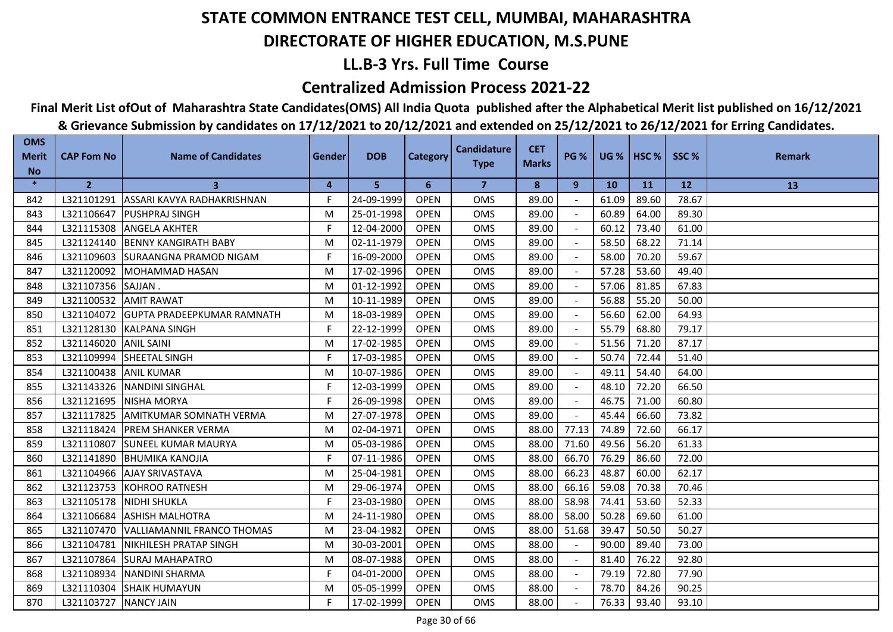## **LL.B-3 Yrs. Full Time Course**

### **Centralized Admission Process 2021-22**

**Final Merit List ofOut of Maharashtra State Candidates(OMS) All India Quota published after the Alphabetical Merit list published on 16/12/2021**

| <b>OMS</b><br><b>Merit</b> | <b>CAP Fom No</b> | <b>Name of Candidates</b>         | Gender | <b>DOB</b> | <b>Category</b> | <b>Candidature</b> | <b>CET</b>   | <b>PG %</b>              | $UG %$ HSC % |       | SSC%  | <b>Remark</b> |
|----------------------------|-------------------|-----------------------------------|--------|------------|-----------------|--------------------|--------------|--------------------------|--------------|-------|-------|---------------|
| <b>No</b>                  |                   |                                   |        |            |                 | <b>Type</b>        | <b>Marks</b> |                          |              |       |       |               |
| $\ast$                     | $\overline{2}$    | 3                                 | 4      | 5.         | 6               | 7                  | 8            | 9                        | <b>10</b>    | 11    | 12    | 13            |
| 842                        | L321101291        | ASSARI KAVYA RADHAKRISHNAN        | F      | 24-09-1999 | <b>OPEN</b>     | <b>OMS</b>         | 89.00        |                          | 61.09        | 89.60 | 78.67 |               |
| 843                        | L321106647        | <b>PUSHPRAJ SINGH</b>             | M      | 25-01-1998 | <b>OPEN</b>     | <b>OMS</b>         | 89.00        |                          | 60.89        | 64.00 | 89.30 |               |
| 844                        | L321115308        | <b>ANGELA AKHTER</b>              | F      | 12-04-2000 | <b>OPEN</b>     | <b>OMS</b>         | 89.00        |                          | 60.12        | 73.40 | 61.00 |               |
| 845                        | L321124140        | <b>BENNY KANGIRATH BABY</b>       | M      | 02-11-1979 | <b>OPEN</b>     | <b>OMS</b>         | 89.00        | $\blacksquare$           | 58.50        | 68.22 | 71.14 |               |
| 846                        | L321109603        | <b>SURAANGNA PRAMOD NIGAM</b>     | F.     | 16-09-2000 | <b>OPEN</b>     | OMS                | 89.00        |                          | 58.00        | 70.20 | 59.67 |               |
| 847                        | L321120092        | <b>MOHAMMAD HASAN</b>             | м      | 17-02-1996 | <b>OPEN</b>     | <b>OMS</b>         | 89.00        |                          | 57.28        | 53.60 | 49.40 |               |
| 848                        | L321107356        | SAJJAN.                           | м      | 01-12-1992 | <b>OPEN</b>     | <b>OMS</b>         | 89.00        |                          | 57.06        | 81.85 | 67.83 |               |
| 849                        | L321100532        | <b>AMIT RAWAT</b>                 | M      | 10-11-1989 | <b>OPEN</b>     | <b>OMS</b>         | 89.00        | $\overline{\phantom{a}}$ | 56.88        | 55.20 | 50.00 |               |
| 850                        | L321104072        | <b>GUPTA PRADEEPKUMAR RAMNATH</b> | M      | 18-03-1989 | <b>OPEN</b>     | <b>OMS</b>         | 89.00        |                          | 56.60        | 62.00 | 64.93 |               |
| 851                        | L321128130        | <b>KALPANA SINGH</b>              | F.     | 22-12-1999 | <b>OPEN</b>     | <b>OMS</b>         | 89.00        |                          | 55.79        | 68.80 | 79.17 |               |
| 852                        | L321146020        | <b>ANIL SAINI</b>                 | M      | 17-02-1985 | <b>OPEN</b>     | <b>OMS</b>         | 89.00        |                          | 51.56        | 71.20 | 87.17 |               |
| 853                        | L321109994        | SHEETAL SINGH                     | F.     | 17-03-1985 | <b>OPEN</b>     | <b>OMS</b>         | 89.00        | $\overline{\phantom{a}}$ | 50.74        | 72.44 | 51.40 |               |
| 854                        | L321100438        | <b>ANIL KUMAR</b>                 | M      | 10-07-1986 | <b>OPEN</b>     | <b>OMS</b>         | 89.00        | $\sim$                   | 49.11        | 54.40 | 64.00 |               |
| 855                        | L321143326        | <b>NANDINI SINGHAL</b>            | F.     | 12-03-1999 | <b>OPEN</b>     | <b>OMS</b>         | 89.00        |                          | 48.10        | 72.20 | 66.50 |               |
| 856                        | L321121695        | <b>NISHA MORYA</b>                | F.     | 26-09-1998 | <b>OPEN</b>     | <b>OMS</b>         | 89.00        | $\blacksquare$           | 46.75        | 71.00 | 60.80 |               |
| 857                        | L321117825        | <b>AMITKUMAR SOMNATH VERMA</b>    | M      | 27-07-1978 | <b>OPEN</b>     | <b>OMS</b>         | 89.00        | $\overline{\phantom{a}}$ | 45.44        | 66.60 | 73.82 |               |
| 858                        | L321118424        | <b>PREM SHANKER VERMA</b>         | M      | 02-04-1971 | <b>OPEN</b>     | <b>OMS</b>         | 88.00        | 77.13                    | 74.89        | 72.60 | 66.17 |               |
| 859                        | L321110807        | <b>SUNEEL KUMAR MAURYA</b>        | М      | 05-03-1986 | <b>OPEN</b>     | <b>OMS</b>         | 88.00        | 71.60                    | 49.56        | 56.20 | 61.33 |               |
| 860                        | L321141890        | <b>BHUMIKA KANOJIA</b>            | F.     | 07-11-1986 | <b>OPEN</b>     | <b>OMS</b>         | 88.00        | 66.70                    | 76.29        | 86.60 | 72.00 |               |
| 861                        | L321104966        | <b>AJAY SRIVASTAVA</b>            | м      | 25-04-1981 | <b>OPEN</b>     | <b>OMS</b>         | 88.00        | 66.23                    | 48.87        | 60.00 | 62.17 |               |
| 862                        | L321123753        | <b>KOHROO RATNESH</b>             | M      | 29-06-1974 | <b>OPEN</b>     | <b>OMS</b>         | 88.00        | 66.16                    | 59.08        | 70.38 | 70.46 |               |
| 863                        | L321105178        | <b>NIDHI SHUKLA</b>               | F      | 23-03-1980 | <b>OPEN</b>     | <b>OMS</b>         | 88.00        | 58.98                    | 74.41        | 53.60 | 52.33 |               |
| 864                        | L321106684        | <b>ASHISH MALHOTRA</b>            | M      | 24-11-1980 | <b>OPEN</b>     | <b>OMS</b>         | 88.00        | 58.00                    | 50.28        | 69.60 | 61.00 |               |
| 865                        | L321107470        | <b>VALLIAMANNIL FRANCO THOMAS</b> | M      | 23-04-1982 | <b>OPEN</b>     | <b>OMS</b>         | 88.00        | 51.68                    | 39.47        | 50.50 | 50.27 |               |
| 866                        | L321104781        | NIKHILESH PRATAP SINGH            | M      | 30-03-2001 | <b>OPEN</b>     | <b>OMS</b>         | 88.00        |                          | 90.00        | 89.40 | 73.00 |               |
| 867                        | L321107864        | <b>SURAJ MAHAPATRO</b>            | M      | 08-07-1988 | <b>OPEN</b>     | <b>OMS</b>         | 88.00        | $\blacksquare$           | 81.40        | 76.22 | 92.80 |               |
| 868                        | L321108934        | <b>NANDINI SHARMA</b>             | F.     | 04-01-2000 | <b>OPEN</b>     | <b>OMS</b>         | 88.00        |                          | 79.19        | 72.80 | 77.90 |               |
| 869                        | L321110304        | <b>SHAIK HUMAYUN</b>              | M      | 05-05-1999 | <b>OPEN</b>     | <b>OMS</b>         | 88.00        |                          | 78.70        | 84.26 | 90.25 |               |
| 870                        | L321103727        | <b>NANCY JAIN</b>                 | F      | 17-02-1999 | <b>OPEN</b>     | <b>OMS</b>         | 88.00        |                          | 76.33        | 93.40 | 93.10 |               |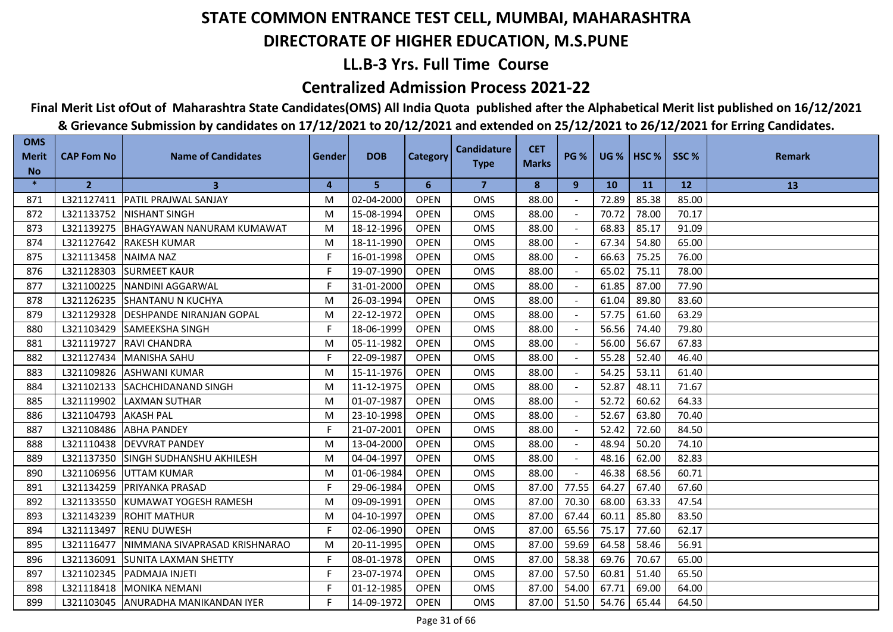## **LL.B-3 Yrs. Full Time Course**

### **Centralized Admission Process 2021-22**

## **Final Merit List ofOut of Maharashtra State Candidates(OMS) All India Quota published after the Alphabetical Merit list published on 16/12/2021**

| <b>OMS</b><br><b>Merit</b> | <b>CAP Fom No</b> | <b>Name of Candidates</b>        | Gender | <b>DOB</b> | <b>Category</b> | <b>Candidature</b> | <b>CET</b>   | <b>PG %</b> |           | $UG %$ HSC % | SSC%  | <b>Remark</b> |
|----------------------------|-------------------|----------------------------------|--------|------------|-----------------|--------------------|--------------|-------------|-----------|--------------|-------|---------------|
| <b>No</b>                  |                   |                                  |        |            |                 | <b>Type</b>        | <b>Marks</b> |             |           |              |       |               |
| $\ast$                     | $\overline{2}$    | 3                                | 4      | 5          | 6               | $\overline{7}$     | 8            | 9           | <b>10</b> | <b>11</b>    | 12    | 13            |
| 871                        | L321127411        | <b>PATIL PRAJWAL SANJAY</b>      | м      | 02-04-2000 | <b>OPEN</b>     | <b>OMS</b>         | 88.00        |             | 72.89     | 85.38        | 85.00 |               |
| 872                        | L321133752        | <b>NISHANT SINGH</b>             | м      | 15-08-1994 | <b>OPEN</b>     | <b>OMS</b>         | 88.00        |             | 70.72     | 78.00        | 70.17 |               |
| 873                        | L321139275        | BHAGYAWAN NANURAM KUMAWAT        | M      | 18-12-1996 | <b>OPEN</b>     | <b>OMS</b>         | 88.00        |             | 68.83     | 85.17        | 91.09 |               |
| 874                        | L321127642        | <b>IRAKESH KUMAR</b>             | м      | 18-11-1990 | <b>OPEN</b>     | <b>OMS</b>         | 88.00        |             | 67.34     | 54.80        | 65.00 |               |
| 875                        | L321113458        | NAIMA NAZ                        | F.     | 16-01-1998 | <b>OPEN</b>     | <b>OMS</b>         | 88.00        |             | 66.63     | 75.25        | 76.00 |               |
| 876                        | L321128303        | <b>SURMEET KAUR</b>              | F.     | 19-07-1990 | <b>OPEN</b>     | <b>OMS</b>         | 88.00        |             | 65.02     | 75.11        | 78.00 |               |
| 877                        | L321100225        | <b>NANDINI AGGARWAL</b>          | F.     | 31-01-2000 | <b>OPEN</b>     | OMS                | 88.00        |             | 61.85     | 87.00        | 77.90 |               |
| 878                        | L321126235        | <b>SHANTANU N KUCHYA</b>         | М      | 26-03-1994 | <b>OPEN</b>     | <b>OMS</b>         | 88.00        |             | 61.04     | 89.80        | 83.60 |               |
| 879                        | L321129328        | <b>DESHPANDE NIRANJAN GOPAL</b>  | м      | 22-12-1972 | <b>OPEN</b>     | <b>OMS</b>         | 88.00        |             | 57.75     | 61.60        | 63.29 |               |
| 880                        | L321103429        | <b>SAMEEKSHA SINGH</b>           | F      | 18-06-1999 | <b>OPEN</b>     | <b>OMS</b>         | 88.00        |             | 56.56     | 74.40        | 79.80 |               |
| 881                        | L321119727        | <b>RAVI CHANDRA</b>              | м      | 05-11-1982 | <b>OPEN</b>     | <b>OMS</b>         | 88.00        |             | 56.00     | 56.67        | 67.83 |               |
| 882                        | L321127434        | <b>MANISHA SAHU</b>              | F.     | 22-09-1987 | <b>OPEN</b>     | <b>OMS</b>         | 88.00        |             | 55.28     | 52.40        | 46.40 |               |
| 883                        | L321109826        | <b>ASHWANI KUMAR</b>             | м      | 15-11-1976 | <b>OPEN</b>     | <b>OMS</b>         | 88.00        |             | 54.25     | 53.11        | 61.40 |               |
| 884                        | L321102133        | <b>SACHCHIDANAND SINGH</b>       | м      | 11-12-1975 | <b>OPEN</b>     | OMS                | 88.00        |             | 52.87     | 48.11        | 71.67 |               |
| 885                        | L321119902        | <b>LAXMAN SUTHAR</b>             | м      | 01-07-1987 | <b>OPEN</b>     | <b>OMS</b>         | 88.00        | $\sim$      | 52.72     | 60.62        | 64.33 |               |
| 886                        | L321104793        | <b>AKASH PAL</b>                 | М      | 23-10-1998 | <b>OPEN</b>     | <b>OMS</b>         | 88.00        | $\sim$      | 52.67     | 63.80        | 70.40 |               |
| 887                        | L321108486        | <b>ABHA PANDEY</b>               | F.     | 21-07-2001 | <b>OPEN</b>     | <b>OMS</b>         | 88.00        |             | 52.42     | 72.60        | 84.50 |               |
| 888                        | L321110438        | <b>DEVVRAT PANDEY</b>            | M      | 13-04-2000 | <b>OPEN</b>     | <b>OMS</b>         | 88.00        |             | 48.94     | 50.20        | 74.10 |               |
| 889                        | L321137350        | <b>ISINGH SUDHANSHU AKHILESH</b> | м      | 04-04-1997 | <b>OPEN</b>     | <b>OMS</b>         | 88.00        |             | 48.16     | 62.00        | 82.83 |               |
| 890                        | L321106956        | <b>UTTAM KUMAR</b>               | м      | 01-06-1984 | <b>OPEN</b>     | <b>OMS</b>         | 88.00        |             | 46.38     | 68.56        | 60.71 |               |
| 891                        | L321134259        | <b>IPRIYANKA PRASAD</b>          | F.     | 29-06-1984 | <b>OPEN</b>     | <b>OMS</b>         | 87.00        | 77.55       | 64.27     | 67.40        | 67.60 |               |
| 892                        | L321133550        | KUMAWAT YOGESH RAMESH            | м      | 09-09-1991 | <b>OPEN</b>     | <b>OMS</b>         | 87.00        | 70.30       | 68.00     | 63.33        | 47.54 |               |
| 893                        | L321143239        | <b>IROHIT MATHUR</b>             | м      | 04-10-1997 | <b>OPEN</b>     | <b>OMS</b>         | 87.00        | 67.44       | 60.11     | 85.80        | 83.50 |               |
| 894                        | L321113497        | <b>IRENU DUWESH</b>              | F.     | 02-06-1990 | <b>OPEN</b>     | <b>OMS</b>         | 87.00        | 65.56       | 75.17     | 77.60        | 62.17 |               |
| 895                        | L321116477        | NIMMANA SIVAPRASAD KRISHNARAO    | M      | 20-11-1995 | <b>OPEN</b>     | <b>OMS</b>         | 87.00        | 59.69       | 64.58     | 58.46        | 56.91 |               |
| 896                        | L321136091        | <b>SUNITA LAXMAN SHETTY</b>      | F      | 08-01-1978 | <b>OPEN</b>     | <b>OMS</b>         | 87.00        | 58.38       | 69.76     | 70.67        | 65.00 |               |
| 897                        | L321102345        | PADMAJA INJETI                   | F.     | 23-07-1974 | <b>OPEN</b>     | OMS                | 87.00        | 57.50       | 60.81     | 51.40        | 65.50 |               |
| 898                        |                   | L321118418 MONIKA NEMANI         | F      | 01-12-1985 | <b>OPEN</b>     | <b>OMS</b>         | 87.00        | 54.00       | 67.71     | 69.00        | 64.00 |               |
| 899                        | L321103045        | ANURADHA MANIKANDAN IYER         | F.     | 14-09-1972 | <b>OPEN</b>     | <b>OMS</b>         | 87.00        | 51.50       | 54.76     | 65.44        | 64.50 |               |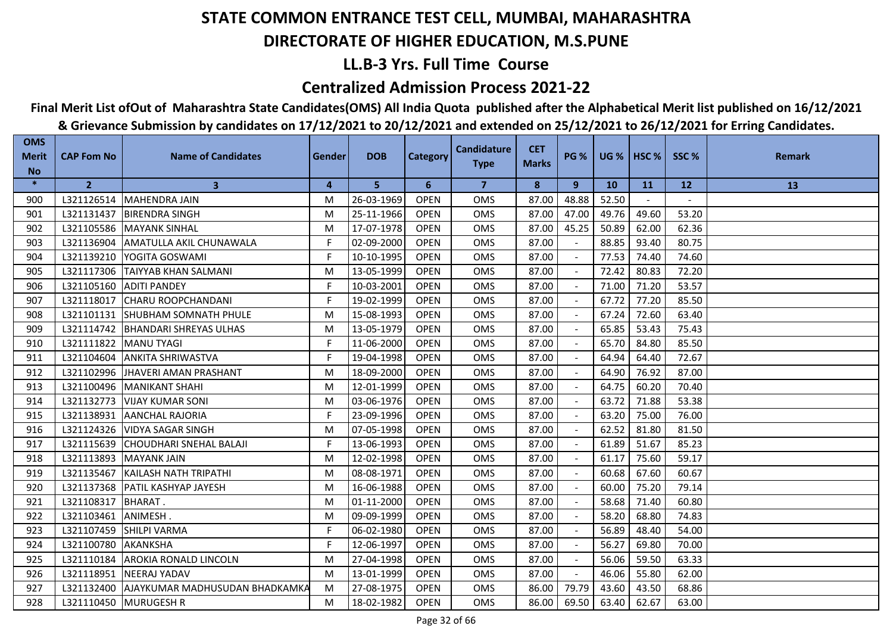## **LL.B-3 Yrs. Full Time Course**

### **Centralized Admission Process 2021-22**

## **Final Merit List ofOut of Maharashtra State Candidates(OMS) All India Quota published after the Alphabetical Merit list published on 16/12/2021**

| <b>OMS</b><br><b>Merit</b> | <b>CAP Fom No</b> | <b>Name of Candidates</b>                 | Gender | <b>DOB</b> | <b>Category</b> | <b>Candidature</b><br><b>Type</b> | <b>CET</b><br><b>Marks</b> | <b>PG %</b> |           | UG %   HSC % | SSC%  | <b>Remark</b> |
|----------------------------|-------------------|-------------------------------------------|--------|------------|-----------------|-----------------------------------|----------------------------|-------------|-----------|--------------|-------|---------------|
| <b>No</b>                  |                   |                                           |        |            |                 |                                   |                            |             |           |              |       |               |
| $\ast$                     | $\overline{2}$    | $\mathbf{3}$                              | 4      | 5          | 6               | $\overline{7}$                    | 8                          | 9           | <b>10</b> | <b>11</b>    | 12    | 13            |
| 900                        |                   | L321126514 MAHENDRA JAIN                  | M      | 26-03-1969 | <b>OPEN</b>     | <b>OMS</b>                        | 87.00                      | 48.88       | 52.50     |              |       |               |
| 901                        | L321131437        | <b>BIRENDRA SINGH</b>                     | M      | 25-11-1966 | <b>OPEN</b>     | <b>OMS</b>                        | 87.00                      | 47.00       | 49.76     | 49.60        | 53.20 |               |
| 902                        | L321105586        | MAYANK SINHAL                             | M      | 17-07-1978 | <b>OPEN</b>     | <b>OMS</b>                        | 87.00                      | 45.25       | 50.89     | 62.00        | 62.36 |               |
| 903                        | L321136904        | AMATULLA AKIL CHUNAWALA                   | F.     | 02-09-2000 | <b>OPEN</b>     | <b>OMS</b>                        | 87.00                      |             | 88.85     | 93.40        | 80.75 |               |
| 904                        |                   | L321139210 YOGITA GOSWAMI                 | F.     | 10-10-1995 | <b>OPEN</b>     | OMS                               | 87.00                      |             | 77.53     | 74.40        | 74.60 |               |
| 905                        | L321117306        | <b>TAIYYAB KHAN SALMANI</b>               | M      | 13-05-1999 | <b>OPEN</b>     | <b>OMS</b>                        | 87.00                      |             | 72.42     | 80.83        | 72.20 |               |
| 906                        | L321105160        | <b>ADITI PANDEY</b>                       | F      | 10-03-2001 | <b>OPEN</b>     | <b>OMS</b>                        | 87.00                      |             | 71.00     | 71.20        | 53.57 |               |
| 907                        | L321118017        | <b>CHARU ROOPCHANDANI</b>                 | F      | 19-02-1999 | <b>OPEN</b>     | <b>OMS</b>                        | 87.00                      |             | 67.72     | 77.20        | 85.50 |               |
| 908                        |                   | L321101131 SHUBHAM SOMNATH PHULE          | M      | 15-08-1993 | <b>OPEN</b>     | <b>OMS</b>                        | 87.00                      |             | 67.24     | 72.60        | 63.40 |               |
| 909                        |                   | L321114742   BHANDARI SHREYAS ULHAS       | M      | 13-05-1979 | <b>OPEN</b>     | <b>OMS</b>                        | 87.00                      |             | 65.85     | 53.43        | 75.43 |               |
| 910                        | L321111822        | <b>MANU TYAGI</b>                         | F.     | 11-06-2000 | <b>OPEN</b>     | <b>OMS</b>                        | 87.00                      |             | 65.70     | 84.80        | 85.50 |               |
| 911                        | L321104604        | <b>ANKITA SHRIWASTVA</b>                  | F.     | 19-04-1998 | <b>OPEN</b>     | <b>OMS</b>                        | 87.00                      |             | 64.94     | 64.40        | 72.67 |               |
| 912                        | L321102996        | <b>JHAVERI AMAN PRASHANT</b>              | M      | 18-09-2000 | <b>OPEN</b>     | <b>OMS</b>                        | 87.00                      |             | 64.90     | 76.92        | 87.00 |               |
| 913                        |                   | L321100496   MANIKANT SHAHI               | M      | 12-01-1999 | <b>OPEN</b>     | OMS                               | 87.00                      |             | 64.75     | 60.20        | 70.40 |               |
| 914                        | L321132773        | <b>VIJAY KUMAR SONI</b>                   | M      | 03-06-1976 | <b>OPEN</b>     | <b>OMS</b>                        | 87.00                      |             | 63.72     | 71.88        | 53.38 |               |
| 915                        |                   | L321138931 AANCHAL RAJORIA                | F.     | 23-09-1996 | <b>OPEN</b>     | <b>OMS</b>                        | 87.00                      |             | 63.20     | 75.00        | 76.00 |               |
| 916                        | L321124326        | <b>VIDYA SAGAR SINGH</b>                  | M      | 07-05-1998 | <b>OPEN</b>     | <b>OMS</b>                        | 87.00                      |             | 62.52     | 81.80        | 81.50 |               |
| 917                        | L321115639        | <b>CHOUDHARI SNEHAL BALAJI</b>            | F      | 13-06-1993 | <b>OPEN</b>     | <b>OMS</b>                        | 87.00                      |             | 61.89     | 51.67        | 85.23 |               |
| 918                        | L321113893        | <b>MAYANK JAIN</b>                        | M      | 12-02-1998 | <b>OPEN</b>     | <b>OMS</b>                        | 87.00                      |             | 61.17     | 75.60        | 59.17 |               |
| 919                        | L321135467        | <b>IKAILASH NATH TRIPATHI</b>             | M      | 08-08-1971 | <b>OPEN</b>     | <b>OMS</b>                        | 87.00                      |             | 60.68     | 67.60        | 60.67 |               |
| 920                        |                   | L321137368   PATIL KASHYAP JAYESH         | M      | 16-06-1988 | <b>OPEN</b>     | <b>OMS</b>                        | 87.00                      |             | 60.00     | 75.20        | 79.14 |               |
| 921                        | L321108317        | <b>BHARAT.</b>                            | M      | 01-11-2000 | <b>OPEN</b>     | <b>OMS</b>                        | 87.00                      |             | 58.68     | 71.40        | 60.80 |               |
| 922                        | L321103461        | ANIMESH.                                  | M      | 09-09-1999 | <b>OPEN</b>     | OMS                               | 87.00                      |             | 58.20     | 68.80        | 74.83 |               |
| 923                        | L321107459        | <b>SHILPI VARMA</b>                       | F      | 06-02-1980 | <b>OPEN</b>     | <b>OMS</b>                        | 87.00                      |             | 56.89     | 48.40        | 54.00 |               |
| 924                        | L321100780        | <b>AKANKSHA</b>                           | F      | 12-06-1997 | <b>OPEN</b>     | <b>OMS</b>                        | 87.00                      |             | 56.27     | 69.80        | 70.00 |               |
| 925                        | L321110184        | <b>AROKIA RONALD LINCOLN</b>              | M      | 27-04-1998 | <b>OPEN</b>     | <b>OMS</b>                        | 87.00                      |             | 56.06     | 59.50        | 63.33 |               |
| 926                        |                   | L321118951 NEERAJ YADAV                   | M      | 13-01-1999 | <b>OPEN</b>     | <b>OMS</b>                        | 87.00                      |             | 46.06     | 55.80        | 62.00 |               |
| 927                        |                   | L321132400 AJAYKUMAR MADHUSUDAN BHADKAMKA | M      | 27-08-1975 | <b>OPEN</b>     | <b>OMS</b>                        | 86.00                      | 79.79       | 43.60     | 43.50        | 68.86 |               |
| 928                        |                   | L321110450 MURUGESH R                     | M      | 18-02-1982 | <b>OPEN</b>     | <b>OMS</b>                        | 86.00                      | 69.50       | 63.40     | 62.67        | 63.00 |               |
|                            |                   |                                           |        |            |                 |                                   |                            |             |           |              |       |               |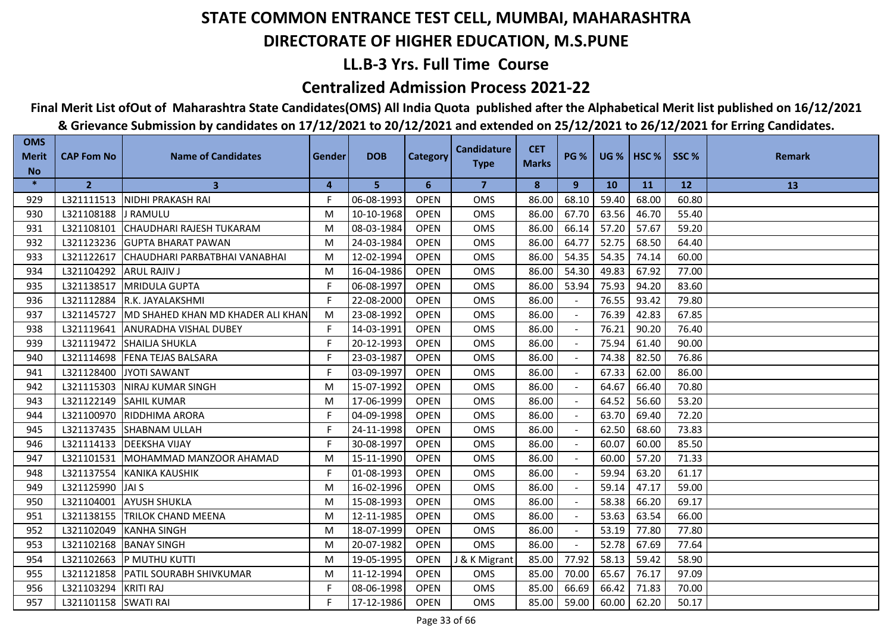## **LL.B-3 Yrs. Full Time Course**

### **Centralized Admission Process 2021-22**

## **Final Merit List ofOut of Maharashtra State Candidates(OMS) All India Quota published after the Alphabetical Merit list published on 16/12/2021**

| <b>OMS</b><br><b>Merit</b><br><b>No</b> | <b>CAP Fom No</b>       | <b>Name of Candidates</b>                      | Gender | <b>DOB</b> | <b>Category</b> | <b>Candidature</b><br><b>Type</b> | <b>CET</b><br><b>Marks</b> | <b>PG %</b>    |           | UG %   HSC % | SSC%  | <b>Remark</b> |
|-----------------------------------------|-------------------------|------------------------------------------------|--------|------------|-----------------|-----------------------------------|----------------------------|----------------|-----------|--------------|-------|---------------|
| $\ast$                                  | $\overline{2}$          | $\mathbf{3}$                                   | 4      | 5          | 6               | $\overline{7}$                    | 8                          | 9              | <b>10</b> | <b>11</b>    | 12    | 13            |
| 929                                     |                         | L321111513   NIDHI PRAKASH RAI                 | F.     | 06-08-1993 | <b>OPEN</b>     | <b>OMS</b>                        | 86.00                      | 68.10          | 59.40     | 68.00        | 60.80 |               |
| 930                                     | L321108188 J RAMULU     |                                                | M      | 10-10-1968 | <b>OPEN</b>     | <b>OMS</b>                        | 86.00                      | 67.70          | 63.56     | 46.70        | 55.40 |               |
| 931                                     |                         | L321108101 CHAUDHARI RAJESH TUKARAM            | M      | 08-03-1984 | <b>OPEN</b>     | <b>OMS</b>                        | 86.00                      | 66.14          | 57.20     | 57.67        | 59.20 |               |
| 932                                     |                         | L321123236 GUPTA BHARAT PAWAN                  | M      | 24-03-1984 | <b>OPEN</b>     | <b>OMS</b>                        | 86.00                      | 64.77          | 52.75     | 68.50        | 64.40 |               |
| 933                                     |                         | L321122617 CHAUDHARI PARBATBHAI VANABHAI       | M      | 12-02-1994 | <b>OPEN</b>     | OMS                               | 86.00                      | 54.35          | 54.35     | 74.14        | 60.00 |               |
| 934                                     | L321104292 ARUL RAJIV J |                                                | M      | 16-04-1986 | <b>OPEN</b>     | <b>OMS</b>                        | 86.00                      | 54.30          | 49.83     | 67.92        | 77.00 |               |
| 935                                     | L321138517              | <b>MRIDULA GUPTA</b>                           | F      | 06-08-1997 | <b>OPEN</b>     | <b>OMS</b>                        | 86.00                      | 53.94          | 75.93     | 94.20        | 83.60 |               |
| 936                                     |                         | L321112884 R.K. JAYALAKSHMI                    | F.     | 22-08-2000 | <b>OPEN</b>     | <b>OMS</b>                        | 86.00                      |                | 76.55     | 93.42        | 79.80 |               |
| 937                                     |                         | L321145727   MD SHAHED KHAN MD KHADER ALI KHAN | M      | 23-08-1992 | <b>OPEN</b>     | <b>OMS</b>                        | 86.00                      |                | 76.39     | 42.83        | 67.85 |               |
| 938                                     |                         | L321119641 ANURADHA VISHAL DUBEY               | F      | 14-03-1991 | <b>OPEN</b>     | <b>OMS</b>                        | 86.00                      |                | 76.21     | 90.20        | 76.40 |               |
| 939                                     | L321119472              | <b>ISHAILIA SHUKLA</b>                         | F.     | 20-12-1993 | <b>OPEN</b>     | <b>OMS</b>                        | 86.00                      |                | 75.94     | 61.40        | 90.00 |               |
| 940                                     |                         | L321114698 FENA TEJAS BALSARA                  | F.     | 23-03-1987 | <b>OPEN</b>     | <b>OMS</b>                        | 86.00                      |                | 74.38     | 82.50        | 76.86 |               |
| 941                                     |                         | L321128400 JYOTI SAWANT                        | F      | 03-09-1997 | <b>OPEN</b>     | <b>OMS</b>                        | 86.00                      |                | 67.33     | 62.00        | 86.00 |               |
| 942                                     |                         | L321115303 NIRAJ KUMAR SINGH                   | M      | 15-07-1992 | <b>OPEN</b>     | OMS                               | 86.00                      |                | 64.67     | 66.40        | 70.80 |               |
| 943                                     | L321122149              | <b>SAHIL KUMAR</b>                             | M      | 17-06-1999 | <b>OPEN</b>     | OMS                               | 86.00                      |                | 64.52     | 56.60        | 53.20 |               |
| 944                                     |                         | L321100970 RIDDHIMA ARORA                      | F.     | 04-09-1998 | <b>OPEN</b>     | <b>OMS</b>                        | 86.00                      |                | 63.70     | 69.40        | 72.20 |               |
| 945                                     |                         | L321137435 SHABNAM ULLAH                       | F      | 24-11-1998 | <b>OPEN</b>     | <b>OMS</b>                        | 86.00                      |                | 62.50     | 68.60        | 73.83 |               |
| 946                                     |                         | L321114133   DEEKSHA VIJAY                     | F      | 30-08-1997 | <b>OPEN</b>     | <b>OMS</b>                        | 86.00                      |                | 60.07     | 60.00        | 85.50 |               |
| 947                                     |                         | L321101531 MOHAMMAD MANZOOR AHAMAD             | M      | 15-11-1990 | <b>OPEN</b>     | <b>OMS</b>                        | 86.00                      |                | 60.00     | 57.20        | 71.33 |               |
| 948                                     |                         | L321137554 KANIKA KAUSHIK                      | F      | 01-08-1993 | <b>OPEN</b>     | <b>OMS</b>                        | 86.00                      |                | 59.94     | 63.20        | 61.17 |               |
| 949                                     | L321125990 JAI S        |                                                | M      | 16-02-1996 | <b>OPEN</b>     | <b>OMS</b>                        | 86.00                      |                | 59.14     | 47.17        | 59.00 |               |
| 950                                     | L321104001              | <b>AYUSH SHUKLA</b>                            | M      | 15-08-1993 | <b>OPEN</b>     | <b>OMS</b>                        | 86.00                      |                | 58.38     | 66.20        | 69.17 |               |
| 951                                     | L321138155              | <b>TRILOK CHAND MEENA</b>                      | M      | 12-11-1985 | <b>OPEN</b>     | OMS                               | 86.00                      |                | 53.63     | 63.54        | 66.00 |               |
| 952                                     | L321102049              | <b>KANHA SINGH</b>                             | M      | 18-07-1999 | <b>OPEN</b>     | OMS                               | 86.00                      | $\blacksquare$ | 53.19     | 77.80        | 77.80 |               |
| 953                                     | L321102168              | <b>BANAY SINGH</b>                             | M      | 20-07-1982 | <b>OPEN</b>     | <b>OMS</b>                        | 86.00                      |                | 52.78     | 67.69        | 77.64 |               |
| 954                                     |                         | L321102663 P MUTHU KUTTI                       | M      | 19-05-1995 | <b>OPEN</b>     | J & K Migrant                     | 85.00                      | 77.92          | 58.13     | 59.42        | 58.90 |               |
| 955                                     |                         | L321121858   PATIL SOURABH SHIVKUMAR           | M      | 11-12-1994 | <b>OPEN</b>     | <b>OMS</b>                        | 85.00                      | 70.00          | 65.67     | 76.17        | 97.09 |               |
| 956                                     | L321103294              | <b>KRITI RAJ</b>                               | F      | 08-06-1998 | <b>OPEN</b>     | OMS                               | 85.00                      | 66.69          | 66.42     | 71.83        | 70.00 |               |
| 957                                     | L321101158 SWATI RAI    |                                                | F      | 17-12-1986 | <b>OPEN</b>     | <b>OMS</b>                        | 85.00                      | 59.00          | 60.00     | 62.20        | 50.17 |               |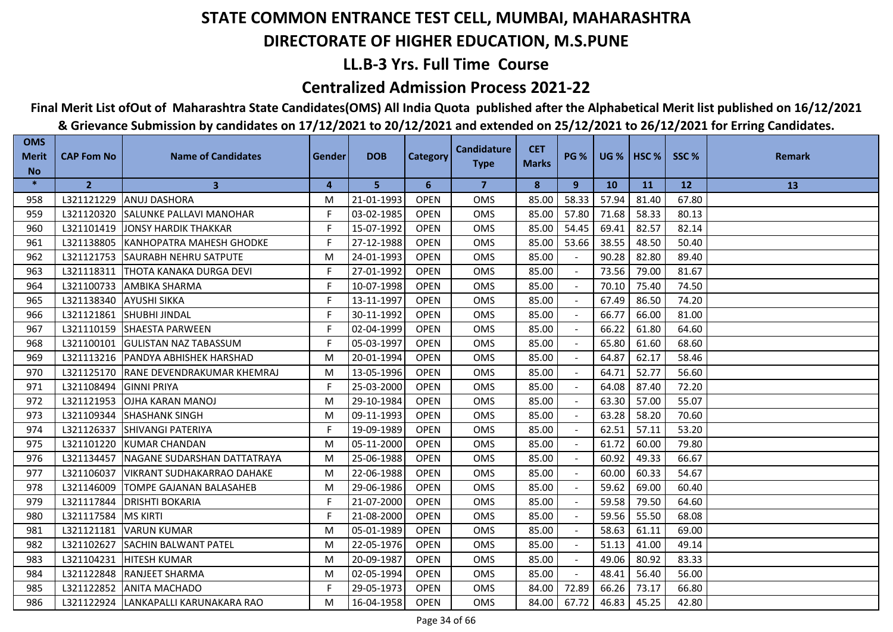## **LL.B-3 Yrs. Full Time Course**

### **Centralized Admission Process 2021-22**

## **Final Merit List ofOut of Maharashtra State Candidates(OMS) All India Quota published after the Alphabetical Merit list published on 16/12/2021**

| <b>OMS</b><br><b>Merit</b> | <b>CAP Fom No</b>       | <b>Name of Candidates</b>             | Gender | <b>DOB</b> | <b>Category</b> | <b>Candidature</b> | <b>CET</b>   | <b>PG %</b> |           | UG %   HSC % | SSC%  | <b>Remark</b> |
|----------------------------|-------------------------|---------------------------------------|--------|------------|-----------------|--------------------|--------------|-------------|-----------|--------------|-------|---------------|
| <b>No</b>                  |                         |                                       |        |            |                 | <b>Type</b>        | <b>Marks</b> |             |           |              |       |               |
| $\ast$                     | $\overline{2}$          | $\mathbf{3}$                          | 4      | 5          | 6               | $\overline{7}$     | 8            | 9           | <b>10</b> | <b>11</b>    | 12    | 13            |
| 958                        | L321121229              | <b>ANUJ DASHORA</b>                   | M      | 21-01-1993 | <b>OPEN</b>     | <b>OMS</b>         | 85.00        | 58.33       | 57.94     | 81.40        | 67.80 |               |
| 959                        |                         | L321120320 SALUNKE PALLAVI MANOHAR    | F      | 03-02-1985 | <b>OPEN</b>     | <b>OMS</b>         | 85.00        | 57.80       | 71.68     | 58.33        | 80.13 |               |
| 960                        | L321101419              | <b>JONSY HARDIK THAKKAR</b>           | F      | 15-07-1992 | <b>OPEN</b>     | <b>OMS</b>         | 85.00        | 54.45       | 69.41     | 82.57        | 82.14 |               |
| 961                        | L321138805              | <b>IKANHOPATRA MAHESH GHODKE</b>      | F.     | 27-12-1988 | <b>OPEN</b>     | <b>OMS</b>         | 85.00        | 53.66       | 38.55     | 48.50        | 50.40 |               |
| 962                        |                         | L321121753 SAURABH NEHRU SATPUTE      | M      | 24-01-1993 | <b>OPEN</b>     | <b>OMS</b>         | 85.00        |             | 90.28     | 82.80        | 89.40 |               |
| 963                        |                         | L321118311   THOTA KANAKA DURGA DEVI  | F.     | 27-01-1992 | <b>OPEN</b>     | <b>OMS</b>         | 85.00        |             | 73.56     | 79.00        | 81.67 |               |
| 964                        | L321100733              | <b>AMBIKA SHARMA</b>                  | F      | 10-07-1998 | <b>OPEN</b>     | OMS                | 85.00        |             | 70.10     | 75.40        | 74.50 |               |
| 965                        | L321138340 AYUSHI SIKKA |                                       | F      | 13-11-1997 | <b>OPEN</b>     | <b>OMS</b>         | 85.00        |             | 67.49     | 86.50        | 74.20 |               |
| 966                        |                         | L321121861 SHUBHI JINDAL              | F      | 30-11-1992 | <b>OPEN</b>     | OMS                | 85.00        |             | 66.77     | 66.00        | 81.00 |               |
| 967                        |                         | L321110159 SHAESTA PARWEEN            | F.     | 02-04-1999 | <b>OPEN</b>     | <b>OMS</b>         | 85.00        |             | 66.22     | 61.80        | 64.60 |               |
| 968                        | L321100101              | <b>GULISTAN NAZ TABASSUM</b>          | F      | 05-03-1997 | <b>OPEN</b>     | <b>OMS</b>         | 85.00        |             | 65.80     | 61.60        | 68.60 |               |
| 969                        |                         | L321113216   PANDYA ABHISHEK HARSHAD  | M      | 20-01-1994 | <b>OPEN</b>     | <b>OMS</b>         | 85.00        |             | 64.87     | 62.17        | 58.46 |               |
| 970                        |                         | L321125170 RANE DEVENDRAKUMAR KHEMRAJ | M      | 13-05-1996 | <b>OPEN</b>     | <b>OMS</b>         | 85.00        |             | 64.71     | 52.77        | 56.60 |               |
| 971                        | L321108494              | <b>GINNI PRIYA</b>                    | F.     | 25-03-2000 | <b>OPEN</b>     | OMS                | 85.00        |             | 64.08     | 87.40        | 72.20 |               |
| 972                        | L321121953              | <b>OJHA KARAN MANOJ</b>               | M      | 29-10-1984 | <b>OPEN</b>     | <b>OMS</b>         | 85.00        | $\sim$      | 63.30     | 57.00        | 55.07 |               |
| 973                        | L321109344              | <b>SHASHANK SINGH</b>                 | M      | 09-11-1993 | <b>OPEN</b>     | <b>OMS</b>         | 85.00        | $\sim$      | 63.28     | 58.20        | 70.60 |               |
| 974                        | L321126337              | <b>SHIVANGI PATERIYA</b>              | F      | 19-09-1989 | <b>OPEN</b>     | <b>OMS</b>         | 85.00        |             | 62.51     | 57.11        | 53.20 |               |
| 975                        | L321101220              | <b>IKUMAR CHANDAN</b>                 | M      | 05-11-2000 | <b>OPEN</b>     | <b>OMS</b>         | 85.00        |             | 61.72     | 60.00        | 79.80 |               |
| 976                        | L321134457              | NAGANE SUDARSHAN DATTATRAYA           | M      | 25-06-1988 | <b>OPEN</b>     | <b>OMS</b>         | 85.00        |             | 60.92     | 49.33        | 66.67 |               |
| 977                        | L321106037              | <b>VIKRANT SUDHAKARRAO DAHAKE</b>     | M      | 22-06-1988 | <b>OPEN</b>     | <b>OMS</b>         | 85.00        |             | 60.00     | 60.33        | 54.67 |               |
| 978                        | L321146009              | <b>TOMPE GAJANAN BALASAHEB</b>        | M      | 29-06-1986 | <b>OPEN</b>     | <b>OMS</b>         | 85.00        |             | 59.62     | 69.00        | 60.40 |               |
| 979                        | L321117844              | <b>DRISHTI BOKARIA</b>                | F      | 21-07-2000 | <b>OPEN</b>     | <b>OMS</b>         | 85.00        |             | 59.58     | 79.50        | 64.60 |               |
| 980                        | L321117584              | <b>MS KIRTI</b>                       | F.     | 21-08-2000 | <b>OPEN</b>     | <b>OMS</b>         | 85.00        |             | 59.56     | 55.50        | 68.08 |               |
| 981                        | L321121181              | <b>VARUN KUMAR</b>                    | M      | 05-01-1989 | <b>OPEN</b>     | <b>OMS</b>         | 85.00        |             | 58.63     | 61.11        | 69.00 |               |
| 982                        | L321102627              | <b>SACHIN BALWANT PATEL</b>           | M      | 22-05-1976 | <b>OPEN</b>     | <b>OMS</b>         | 85.00        |             | 51.13     | 41.00        | 49.14 |               |
| 983                        | L321104231              | <b>HITESH KUMAR</b>                   | M      | 20-09-1987 | <b>OPEN</b>     | <b>OMS</b>         | 85.00        |             | 49.06     | 80.92        | 83.33 |               |
| 984                        |                         | L321122848  RANJEET SHARMA            | M      | 02-05-1994 | <b>OPEN</b>     | OMS                | 85.00        | $\sim$      | 48.41     | 56.40        | 56.00 |               |
| 985                        |                         | L321122852 ANITA MACHADO              | F      | 29-05-1973 | <b>OPEN</b>     | OMS                | 84.00        | 72.89       | 66.26     | 73.17        | 66.80 |               |
| 986                        |                         | L321122924 LANKAPALLI KARUNAKARA RAO  | M      | 16-04-1958 | <b>OPEN</b>     | <b>OMS</b>         | 84.00        | 67.72       | 46.83     | 45.25        | 42.80 |               |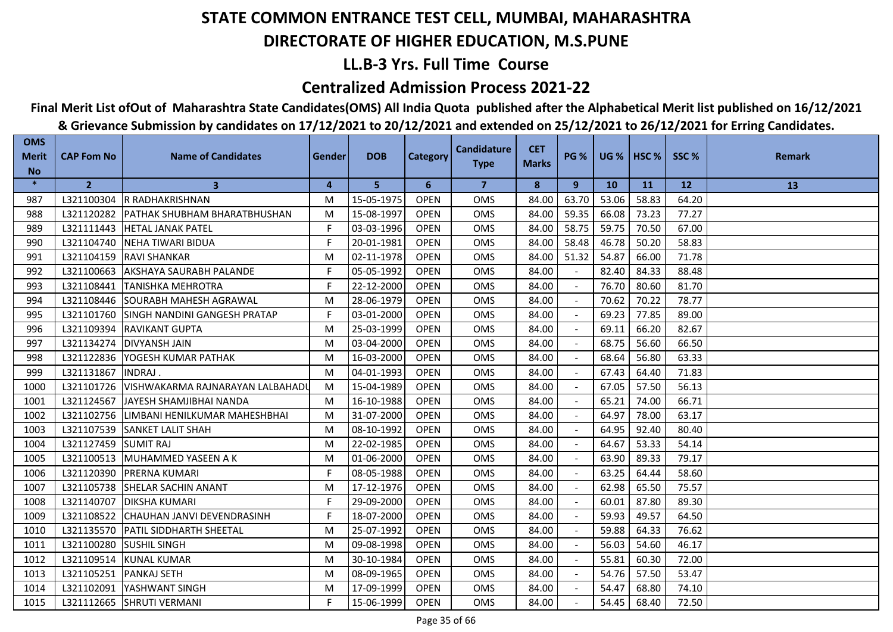## **LL.B-3 Yrs. Full Time Course**

### **Centralized Admission Process 2021-22**

## **Final Merit List ofOut of Maharashtra State Candidates(OMS) All India Quota published after the Alphabetical Merit list published on 16/12/2021**

| <b>OMS</b><br><b>Merit</b> | <b>CAP Fom No</b>      | <b>Name of Candidates</b>               | Gender | <b>DOB</b> | Category    | <b>Candidature</b> | <b>CET</b>   | <b>PG %</b> |           | UG %   HSC % | SSC%  | <b>Remark</b> |
|----------------------------|------------------------|-----------------------------------------|--------|------------|-------------|--------------------|--------------|-------------|-----------|--------------|-------|---------------|
| <b>No</b>                  |                        |                                         |        |            |             | <b>Type</b>        | <b>Marks</b> |             |           |              |       |               |
| $\ast$                     | $\overline{2}$         | $\mathbf{3}$                            | 4      | 5          | 6           | $\overline{7}$     | 8            | 9           | <b>10</b> | <b>11</b>    | 12    | 13            |
| 987                        |                        | L321100304 R RADHAKRISHNAN              | M      | 15-05-1975 | <b>OPEN</b> | <b>OMS</b>         | 84.00        | 63.70       | 53.06     | 58.83        | 64.20 |               |
| 988                        |                        | L321120282 PATHAK SHUBHAM BHARATBHUSHAN | M      | 15-08-1997 | <b>OPEN</b> | <b>OMS</b>         | 84.00        | 59.35       | 66.08     | 73.23        | 77.27 |               |
| 989                        | L321111443             | <b>HETAL JANAK PATEL</b>                | F.     | 03-03-1996 | <b>OPEN</b> | <b>OMS</b>         | 84.00        | 58.75       | 59.75     | 70.50        | 67.00 |               |
| 990                        | L321104740             | <b>INEHA TIWARI BIDUA</b>               | F.     | 20-01-1981 | <b>OPEN</b> | <b>OMS</b>         | 84.00        | 58.48       | 46.78     | 50.20        | 58.83 |               |
| 991                        |                        | L321104159 RAVI SHANKAR                 | M      | 02-11-1978 | <b>OPEN</b> | OMS                | 84.00        | 51.32       | 54.87     | 66.00        | 71.78 |               |
| 992                        | L321100663             | <b>AKSHAYA SAURABH PALANDE</b>          | F.     | 05-05-1992 | <b>OPEN</b> | <b>OMS</b>         | 84.00        |             | 82.40     | 84.33        | 88.48 |               |
| 993                        | L321108441             | <b>TANISHKA MEHROTRA</b>                | F      | 22-12-2000 | <b>OPEN</b> | OMS                | 84.00        |             | 76.70     | 80.60        | 81.70 |               |
| 994                        | L321108446             | <b>SOURABH MAHESH AGRAWAL</b>           | M      | 28-06-1979 | <b>OPEN</b> | <b>OMS</b>         | 84.00        |             | 70.62     | 70.22        | 78.77 |               |
| 995                        | L321101760             | <b>SINGH NANDINI GANGESH PRATAP</b>     | F      | 03-01-2000 | <b>OPEN</b> | <b>OMS</b>         | 84.00        |             | 69.23     | 77.85        | 89.00 |               |
| 996                        | L321109394             | <b>RAVIKANT GUPTA</b>                   | M      | 25-03-1999 | <b>OPEN</b> | <b>OMS</b>         | 84.00        |             | 69.11     | 66.20        | 82.67 |               |
| 997                        | L321134274             | <b>IDIVYANSH JAIN</b>                   | M      | 03-04-2000 | <b>OPEN</b> | <b>OMS</b>         | 84.00        |             | 68.75     | 56.60        | 66.50 |               |
| 998                        | L321122836             | YOGESH KUMAR PATHAK                     | M      | 16-03-2000 | <b>OPEN</b> | OMS                | 84.00        |             | 68.64     | 56.80        | 63.33 |               |
| 999                        | L321131867             | INDRAJ.                                 | M      | 04-01-1993 | <b>OPEN</b> | <b>OMS</b>         | 84.00        |             | 67.43     | 64.40        | 71.83 |               |
| 1000                       | L321101726             | VISHWAKARMA RAJNARAYAN LALBAHADL        | M      | 15-04-1989 | <b>OPEN</b> | <b>OMS</b>         | 84.00        |             | 67.05     | 57.50        | 56.13 |               |
| 1001                       | L321124567             | <b>JJAYESH SHAMJIBHAI NANDA</b>         | M      | 16-10-1988 | <b>OPEN</b> | <b>OMS</b>         | 84.00        |             | 65.21     | 74.00        | 66.71 |               |
| 1002                       | L321102756             | LIMBANI HENILKUMAR MAHESHBHAI           | M      | 31-07-2000 | <b>OPEN</b> | OMS                | 84.00        |             | 64.97     | 78.00        | 63.17 |               |
| 1003                       | L321107539             | <b>SANKET LALIT SHAH</b>                | M      | 08-10-1992 | <b>OPEN</b> | <b>OMS</b>         | 84.00        |             | 64.95     | 92.40        | 80.40 |               |
| 1004                       | L321127459             | <b>SUMIT RAJ</b>                        | M      | 22-02-1985 | <b>OPEN</b> | <b>OMS</b>         | 84.00        |             | 64.67     | 53.33        | 54.14 |               |
| 1005                       | L321100513             | <b>IMUHAMMED YASEEN A K</b>             | M      | 01-06-2000 | <b>OPEN</b> | <b>OMS</b>         | 84.00        |             | 63.90     | 89.33        | 79.17 |               |
| 1006                       |                        | L321120390 PRERNA KUMARI                | F      | 08-05-1988 | <b>OPEN</b> | <b>OMS</b>         | 84.00        |             | 63.25     | 64.44        | 58.60 |               |
| 1007                       |                        | L321105738 SHELAR SACHIN ANANT          | M      | 17-12-1976 | <b>OPEN</b> | <b>OMS</b>         | 84.00        |             | 62.98     | 65.50        | 75.57 |               |
| 1008                       | L321140707             | <b>IDIKSHA KUMARI</b>                   | F      | 29-09-2000 | <b>OPEN</b> | <b>OMS</b>         | 84.00        |             | 60.01     | 87.80        | 89.30 |               |
| 1009                       | L321108522             | CHAUHAN JANVI DEVENDRASINH              | F.     | 18-07-2000 | <b>OPEN</b> | <b>OMS</b>         | 84.00        |             | 59.93     | 49.57        | 64.50 |               |
| 1010                       |                        | L321135570 PATIL SIDDHARTH SHEETAL      | M      | 25-07-1992 | <b>OPEN</b> | <b>OMS</b>         | 84.00        |             | 59.88     | 64.33        | 76.62 |               |
| 1011                       | L321100280             | <b>SUSHIL SINGH</b>                     | M      | 09-08-1998 | <b>OPEN</b> | <b>OMS</b>         | 84.00        |             | 56.03     | 54.60        | 46.17 |               |
| 1012                       | L321109514             | KUNAL KUMAR                             | M      | 30-10-1984 | <b>OPEN</b> | <b>OMS</b>         | 84.00        |             | 55.81     | 60.30        | 72.00 |               |
| 1013                       | L321105251 PANKAJ SETH |                                         | M      | 08-09-1965 | <b>OPEN</b> | <b>OMS</b>         | 84.00        | $\sim$      | 54.76     | 57.50        | 53.47 |               |
| 1014                       |                        | L321102091 YASHWANT SINGH               | M      | 17-09-1999 | <b>OPEN</b> | <b>OMS</b>         | 84.00        |             | 54.47     | 68.80        | 74.10 |               |
| 1015                       |                        | L321112665 SHRUTI VERMANI               | F      | 15-06-1999 | <b>OPEN</b> | <b>OMS</b>         | 84.00        |             | 54.45     | 68.40        | 72.50 |               |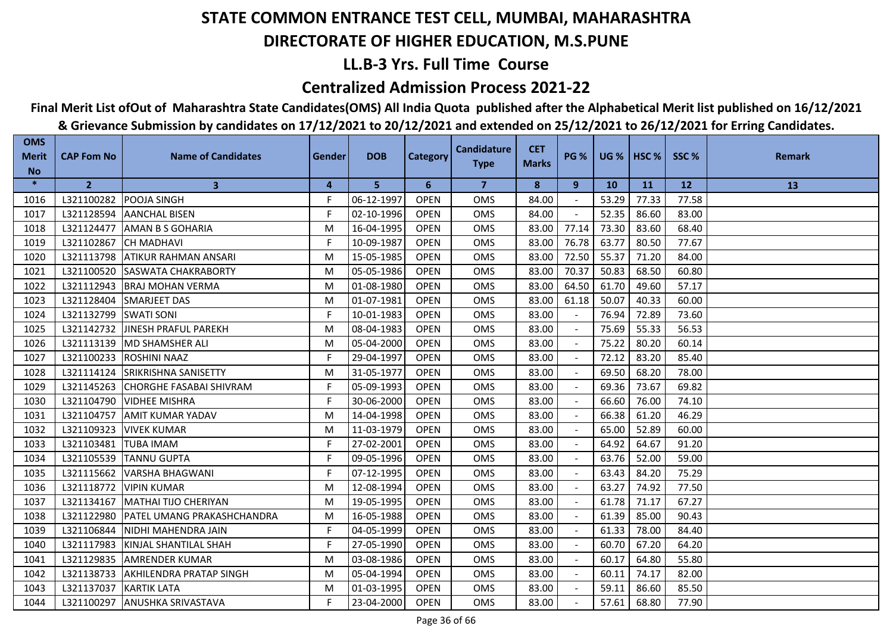## **LL.B-3 Yrs. Full Time Course**

### **Centralized Admission Process 2021-22**

## **Final Merit List ofOut of Maharashtra State Candidates(OMS) All India Quota published after the Alphabetical Merit list published on 16/12/2021**

| <b>OMS</b><br><b>Merit</b> | <b>CAP Fom No</b>        | <b>Name of Candidates</b>          | Gender | <b>DOB</b> | <b>Category</b> | <b>Candidature</b> | <b>CET</b>   | <b>PG %</b> |           | <b>UG %   HSC %  </b> | SSC%  | <b>Remark</b> |
|----------------------------|--------------------------|------------------------------------|--------|------------|-----------------|--------------------|--------------|-------------|-----------|-----------------------|-------|---------------|
| <b>No</b>                  |                          |                                    |        |            |                 | <b>Type</b>        | <b>Marks</b> |             |           |                       |       |               |
| $\ast$                     | $\overline{2}$           | $\mathbf{3}$                       | 4      | 5          | 6               | $\overline{7}$     | 8            | 9           | <b>10</b> | <b>11</b>             | 12    | 13            |
| 1016                       | L321100282               | <b>POOJA SINGH</b>                 | F.     | 06-12-1997 | <b>OPEN</b>     | <b>OMS</b>         | 84.00        |             | 53.29     | 77.33                 | 77.58 |               |
| 1017                       | L321128594               | <b>JAANCHAL BISEN</b>              | F      | 02-10-1996 | <b>OPEN</b>     | <b>OMS</b>         | 84.00        |             | 52.35     | 86.60                 | 83.00 |               |
| 1018                       | L321124477               | <b>AMAN B S GOHARIA</b>            | M      | 16-04-1995 | <b>OPEN</b>     | <b>OMS</b>         | 83.00        | 77.14       | 73.30     | 83.60                 | 68.40 |               |
| 1019                       | L321102867               | <b>CH MADHAVI</b>                  | F.     | 10-09-1987 | <b>OPEN</b>     | <b>OMS</b>         | 83.00        | 76.78       | 63.77     | 80.50                 | 77.67 |               |
| 1020                       | L321113798               | <b>ATIKUR RAHMAN ANSARI</b>        | M      | 15-05-1985 | <b>OPEN</b>     | OMS                | 83.00        | 72.50       | 55.37     | 71.20                 | 84.00 |               |
| 1021                       |                          | L321100520 SASWATA CHAKRABORTY     | M      | 05-05-1986 | <b>OPEN</b>     | <b>OMS</b>         | 83.00        | 70.37       | 50.83     | 68.50                 | 60.80 |               |
| 1022                       | L321112943               | <b>BRAJ MOHAN VERMA</b>            | M      | 01-08-1980 | <b>OPEN</b>     | <b>OMS</b>         | 83.00        | 64.50       | 61.70     | 49.60                 | 57.17 |               |
| 1023                       | L321128404               | <b>SMARJEET DAS</b>                | M      | 01-07-1981 | <b>OPEN</b>     | <b>OMS</b>         | 83.00        | 61.18       | 50.07     | 40.33                 | 60.00 |               |
| 1024                       | L321132799               | <b>SWATI SONI</b>                  | F      | 10-01-1983 | <b>OPEN</b>     | <b>OMS</b>         | 83.00        |             | 76.94     | 72.89                 | 73.60 |               |
| 1025                       | L321142732               | <b>JINESH PRAFUL PAREKH</b>        | M      | 08-04-1983 | <b>OPEN</b>     | <b>OMS</b>         | 83.00        |             | 75.69     | 55.33                 | 56.53 |               |
| 1026                       | L321113139               | IMD SHAMSHER ALI                   | М      | 05-04-2000 | <b>OPEN</b>     | <b>OMS</b>         | 83.00        |             | 75.22     | 80.20                 | 60.14 |               |
| 1027                       | L321100233               | <b>ROSHINI NAAZ</b>                | F.     | 29-04-1997 | <b>OPEN</b>     | <b>OMS</b>         | 83.00        |             | 72.12     | 83.20                 | 85.40 |               |
| 1028                       | L321114124               | <b>SRIKRISHNA SANISETTY</b>        | M      | 31-05-1977 | <b>OPEN</b>     | <b>OMS</b>         | 83.00        |             | 69.50     | 68.20                 | 78.00 |               |
| 1029                       |                          | L321145263 CHORGHE FASABAI SHIVRAM | F      | 05-09-1993 | <b>OPEN</b>     | OMS                | 83.00        |             | 69.36     | 73.67                 | 69.82 |               |
| 1030                       | L321104790               | <b>VIDHEE MISHRA</b>               | F      | 30-06-2000 | <b>OPEN</b>     | <b>OMS</b>         | 83.00        |             | 66.60     | 76.00                 | 74.10 |               |
| 1031                       | L321104757               | <b>AMIT KUMAR YADAV</b>            | M      | 14-04-1998 | <b>OPEN</b>     | <b>OMS</b>         | 83.00        |             | 66.38     | 61.20                 | 46.29 |               |
| 1032                       | L321109323               | <b>VIVEK KUMAR</b>                 | M      | 11-03-1979 | <b>OPEN</b>     | <b>OMS</b>         | 83.00        |             | 65.00     | 52.89                 | 60.00 |               |
| 1033                       | L321103481               | <b>TUBA IMAM</b>                   | F      | 27-02-2001 | <b>OPEN</b>     | <b>OMS</b>         | 83.00        |             | 64.92     | 64.67                 | 91.20 |               |
| 1034                       | L321105539               | <b>TANNU GUPTA</b>                 | F.     | 09-05-1996 | <b>OPEN</b>     | <b>OMS</b>         | 83.00        |             | 63.76     | 52.00                 | 59.00 |               |
| 1035                       | L321115662               | VARSHA BHAGWANI                    | F.     | 07-12-1995 | <b>OPEN</b>     | <b>OMS</b>         | 83.00        |             | 63.43     | 84.20                 | 75.29 |               |
| 1036                       | L321118772               | <b>VIPIN KUMAR</b>                 | M      | 12-08-1994 | <b>OPEN</b>     | <b>OMS</b>         | 83.00        |             | 63.27     | 74.92                 | 77.50 |               |
| 1037                       | L321134167               | MATHAI TIJO CHERIYAN               | M      | 19-05-1995 | <b>OPEN</b>     | <b>OMS</b>         | 83.00        |             | 61.78     | 71.17                 | 67.27 |               |
| 1038                       | L321122980               | PATEL UMANG PRAKASHCHANDRA         | M      | 16-05-1988 | <b>OPEN</b>     | OMS                | 83.00        |             | 61.39     | 85.00                 | 90.43 |               |
| 1039                       | L321106844               | NIDHI MAHENDRA JAIN                | F      | 04-05-1999 | <b>OPEN</b>     | <b>OMS</b>         | 83.00        |             | 61.33     | 78.00                 | 84.40 |               |
| 1040                       | L321117983               | <b>IKINJAL SHANTILAL SHAH</b>      | F.     | 27-05-1990 | <b>OPEN</b>     | <b>OMS</b>         | 83.00        |             | 60.70     | 67.20                 | 64.20 |               |
| 1041                       | L321129835               | <b>AMRENDER KUMAR</b>              | M      | 03-08-1986 | <b>OPEN</b>     | <b>OMS</b>         | 83.00        |             | 60.17     | 64.80                 | 55.80 |               |
| 1042                       | L321138733               | <b>AKHILENDRA PRATAP SINGH</b>     | M      | 05-04-1994 | <b>OPEN</b>     | <b>OMS</b>         | 83.00        |             | 60.11     | 74.17                 | 82.00 |               |
| 1043                       | L321137037   KARTIK LATA |                                    | M      | 01-03-1995 | <b>OPEN</b>     | OMS                | 83.00        |             | 59.11     | 86.60                 | 85.50 |               |
| 1044                       | L321100297               | <b>ANUSHKA SRIVASTAVA</b>          | F      | 23-04-2000 | <b>OPEN</b>     | <b>OMS</b>         | 83.00        |             | 57.61     | 68.80                 | 77.90 |               |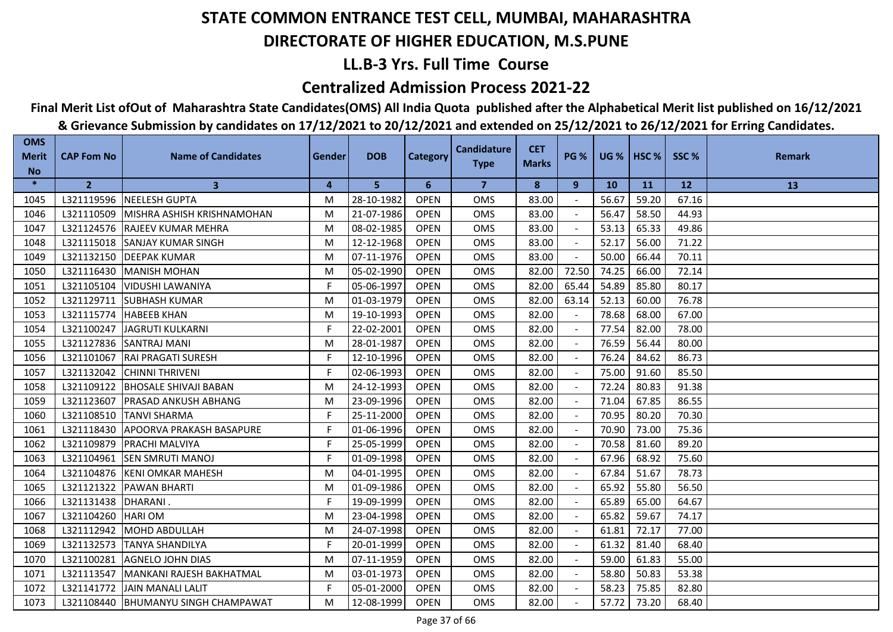## **LL.B-3 Yrs. Full Time Course**

### **Centralized Admission Process 2021-22**

## **Final Merit List ofOut of Maharashtra State Candidates(OMS) All India Quota published after the Alphabetical Merit list published on 16/12/2021**

| <b>OMS</b><br><b>Merit</b> | <b>CAP Fom No</b> | <b>Name of Candidates</b>             | Gender | <b>DOB</b> | <b>Category</b> | <b>Candidature</b>      | <b>CET</b>   | <b>PG %</b> | <b>UG %</b> | HSC <sub>%</sub> | SSC%      | <b>Remark</b> |
|----------------------------|-------------------|---------------------------------------|--------|------------|-----------------|-------------------------|--------------|-------------|-------------|------------------|-----------|---------------|
| <b>No</b>                  |                   |                                       |        |            |                 | <b>Type</b>             | <b>Marks</b> |             |             |                  |           |               |
| $\ast$                     | $\overline{2}$    | $\mathbf{3}$                          | 4      | 5          | 6               | $\overline{\mathbf{z}}$ | 8            | 9           | <b>10</b>   | <b>11</b>        | <b>12</b> | 13            |
| 1045                       |                   | L321119596 NEELESH GUPTA              | M      | 28-10-1982 | <b>OPEN</b>     | <b>OMS</b>              | 83.00        |             | 56.67       | 59.20            | 67.16     |               |
| 1046                       | L321110509        | MISHRA ASHISH KRISHNAMOHAN            | M      | 21-07-1986 | <b>OPEN</b>     | <b>OMS</b>              | 83.00        |             | 56.47       | 58.50            | 44.93     |               |
| 1047                       |                   | L321124576 RAJEEV KUMAR MEHRA         | M      | 08-02-1985 | <b>OPEN</b>     | <b>OMS</b>              | 83.00        |             | 53.13       | 65.33            | 49.86     |               |
| 1048                       | L321115018        | <b>SANJAY KUMAR SINGH</b>             | M      | 12-12-1968 | <b>OPEN</b>     | <b>OMS</b>              | 83.00        |             | 52.17       | 56.00            | 71.22     |               |
| 1049                       | L321132150        | <b>DEEPAK KUMAR</b>                   | M      | 07-11-1976 | <b>OPEN</b>     | OMS                     | 83.00        |             | 50.00       | 66.44            | 70.11     |               |
| 1050                       | L321116430        | <b>IMANISH MOHAN</b>                  | M      | 05-02-1990 | <b>OPEN</b>     | <b>OMS</b>              | 82.00        | 72.50       | 74.25       | 66.00            | 72.14     |               |
| 1051                       | L321105104        | <b>VIDUSHI LAWANIYA</b>               | F.     | 05-06-1997 | <b>OPEN</b>     | <b>OMS</b>              | 82.00        | 65.44       | 54.89       | 85.80            | 80.17     |               |
| 1052                       | L321129711        | <b>SUBHASH KUMAR</b>                  | M      | 01-03-1979 | <b>OPEN</b>     | OMS                     | 82.00        | 63.14       | 52.13       | 60.00            | 76.78     |               |
| 1053                       | L321115774        | <b>HABEEB KHAN</b>                    | M      | 19-10-1993 | <b>OPEN</b>     | <b>OMS</b>              | 82.00        |             | 78.68       | 68.00            | 67.00     |               |
| 1054                       | L321100247        | JAGRUTI KULKARNI                      | F.     | 22-02-2001 | <b>OPEN</b>     | <b>OMS</b>              | 82.00        |             | 77.54       | 82.00            | 78.00     |               |
| 1055                       | L321127836        | <b>ISANTRAJ MANI</b>                  | M      | 28-01-1987 | <b>OPEN</b>     | <b>OMS</b>              | 82.00        |             | 76.59       | 56.44            | 80.00     |               |
| 1056                       | L321101067        | <b>RAI PRAGATI SURESH</b>             | F      | 12-10-1996 | <b>OPEN</b>     | <b>OMS</b>              | 82.00        |             | 76.24       | 84.62            | 86.73     |               |
| 1057                       | L321132042        | <b>CHINNI THRIVENI</b>                | F.     | 02-06-1993 | <b>OPEN</b>     | OMS                     | 82.00        |             | 75.00       | 91.60            | 85.50     |               |
| 1058                       | L321109122        | <b>BHOSALE SHIVAJI BABAN</b>          | M      | 24-12-1993 | <b>OPEN</b>     | OMS                     | 82.00        |             | 72.24       | 80.83            | 91.38     |               |
| 1059                       | L321123607        | <b>PRASAD ANKUSH ABHANG</b>           | M      | 23-09-1996 | <b>OPEN</b>     | OMS                     | 82.00        |             | 71.04       | 67.85            | 86.55     |               |
| 1060                       | L321108510        | <b>TANVI SHARMA</b>                   | F.     | 25-11-2000 | <b>OPEN</b>     | <b>OMS</b>              | 82.00        |             | 70.95       | 80.20            | 70.30     |               |
| 1061                       | L321118430        | <b>APOORVA PRAKASH BASAPURE</b>       | F.     | 01-06-1996 | <b>OPEN</b>     | <b>OMS</b>              | 82.00        |             | 70.90       | 73.00            | 75.36     |               |
| 1062                       | L321109879        | <b>PRACHI MALVIYA</b>                 | F      | 25-05-1999 | <b>OPEN</b>     | <b>OMS</b>              | 82.00        |             | 70.58       | 81.60            | 89.20     |               |
| 1063                       | L321104961        | <b>SEN SMRUTI MANOJ</b>               | F.     | 01-09-1998 | <b>OPEN</b>     | OMS                     | 82.00        |             | 67.96       | 68.92            | 75.60     |               |
| 1064                       |                   | L321104876 KENI OMKAR MAHESH          | M      | 04-01-1995 | <b>OPEN</b>     | <b>OMS</b>              | 82.00        |             | 67.84       | 51.67            | 78.73     |               |
| 1065                       | L321121322        | <b>PAWAN BHARTI</b>                   | M      | 01-09-1986 | <b>OPEN</b>     | <b>OMS</b>              | 82.00        |             | 65.92       | 55.80            | 56.50     |               |
| 1066                       | L321131438        | <b>DHARANI.</b>                       | F.     | 19-09-1999 | <b>OPEN</b>     | <b>OMS</b>              | 82.00        |             | 65.89       | 65.00            | 64.67     |               |
| 1067                       | L321104260        | <b>HARIOM</b>                         | M      | 23-04-1998 | <b>OPEN</b>     | OMS                     | 82.00        |             | 65.82       | 59.67            | 74.17     |               |
| 1068                       | L321112942        | MOHD ABDULLAH                         | M      | 24-07-1998 | <b>OPEN</b>     | OMS                     | 82.00        |             | 61.81       | 72.17            | 77.00     |               |
| 1069                       | L321132573        | <b>TANYA SHANDILYA</b>                | F.     | 20-01-1999 | <b>OPEN</b>     | <b>OMS</b>              | 82.00        |             | 61.32       | 81.40            | 68.40     |               |
| 1070                       | L321100281        | <b>AGNELO JOHN DIAS</b>               | M      | 07-11-1959 | <b>OPEN</b>     | <b>OMS</b>              | 82.00        |             | 59.00       | 61.83            | 55.00     |               |
| 1071                       | L321113547        | MANKANI RAJESH BAKHATMAL              | M      | 03-01-1973 | <b>OPEN</b>     | <b>OMS</b>              | 82.00        |             | 58.80       | 50.83            | 53.38     |               |
| 1072                       | L321141772        | JAIN MANALI LALIT                     | F.     | 05-01-2000 | <b>OPEN</b>     | OMS                     | 82.00        |             | 58.23       | 75.85            | 82.80     |               |
| 1073                       |                   | L321108440   BHUMANYU SINGH CHAMPAWAT | M      | 12-08-1999 | <b>OPEN</b>     | <b>OMS</b>              | 82.00        |             | 57.72       | 73.20            | 68.40     |               |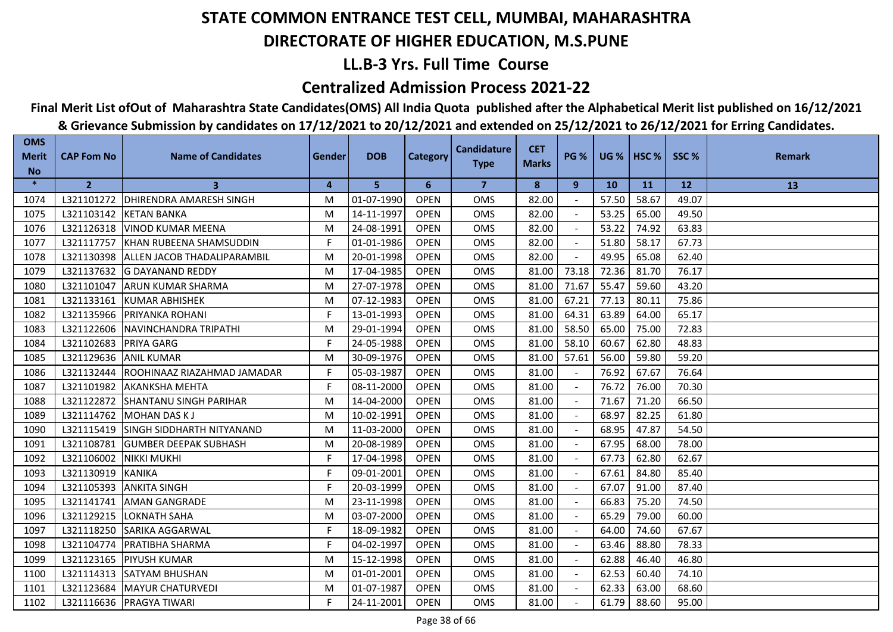## **LL.B-3 Yrs. Full Time Course**

### **Centralized Admission Process 2021-22**

# **Final Merit List ofOut of Maharashtra State Candidates(OMS) All India Quota published after the Alphabetical Merit list published on 16/12/2021**

| <b>OMS</b><br><b>Merit</b> | <b>CAP Fom No</b> | <b>Name of Candidates</b>        | <b>Gender</b> | <b>DOB</b> | <b>Category</b> | <b>Candidature</b> | <b>CET</b>   | <b>PG %</b>              | <b>UG %   HSC %</b> |       | SSC%      | <b>Remark</b> |
|----------------------------|-------------------|----------------------------------|---------------|------------|-----------------|--------------------|--------------|--------------------------|---------------------|-------|-----------|---------------|
| <b>No</b>                  |                   |                                  |               |            |                 | <b>Type</b>        | <b>Marks</b> |                          |                     |       |           |               |
| $\ast$                     | $\overline{2}$    | 3                                | 4             | 5          | 6               | 7                  | 8            | 9                        | <b>10</b>           | 11    | <b>12</b> | 13            |
| 1074                       | L321101272        | <b>DHIRENDRA AMARESH SINGH</b>   | M             | 01-07-1990 | <b>OPEN</b>     | OMS                | 82.00        |                          | 57.50               | 58.67 | 49.07     |               |
| 1075                       | L321103142        | <b>KETAN BANKA</b>               | M             | 14-11-1997 | <b>OPEN</b>     | <b>OMS</b>         | 82.00        |                          | 53.25               | 65.00 | 49.50     |               |
| 1076                       | L321126318        | <b>VINOD KUMAR MEENA</b>         | M             | 24-08-1991 | <b>OPEN</b>     | OMS                | 82.00        |                          | 53.22               | 74.92 | 63.83     |               |
| 1077                       | L321117757        | <b>IKHAN RUBEENA SHAMSUDDIN</b>  | F.            | 01-01-1986 | <b>OPEN</b>     | OMS                | 82.00        | $\blacksquare$           | 51.80               | 58.17 | 67.73     |               |
| 1078                       | L321130398        | ALLEN JACOB THADALIPARAMBIL      | M             | 20-01-1998 | <b>OPEN</b>     | OMS                | 82.00        |                          | 49.95               | 65.08 | 62.40     |               |
| 1079                       | L321137632        | <b>IG DAYANAND REDDY</b>         | M             | 17-04-1985 | <b>OPEN</b>     | <b>OMS</b>         | 81.00        | 73.18                    | 72.36               | 81.70 | 76.17     |               |
| 1080                       | L321101047        | <b>ARUN KUMAR SHARMA</b>         | M             | 27-07-1978 | <b>OPEN</b>     | <b>OMS</b>         | 81.00        | 71.67                    | 55.47               | 59.60 | 43.20     |               |
| 1081                       | L321133161        | <b>KUMAR ABHISHEK</b>            | M             | 07-12-1983 | <b>OPEN</b>     | <b>OMS</b>         | 81.00        | 67.21                    | 77.13               | 80.11 | 75.86     |               |
| 1082                       | L321135966        | <b>PRIYANKA ROHANI</b>           | F             | 13-01-1993 | <b>OPEN</b>     | <b>OMS</b>         | 81.00        | 64.31                    | 63.89               | 64.00 | 65.17     |               |
| 1083                       | L321122606        | INAVINCHANDRA TRIPATHI           | M             | 29-01-1994 | <b>OPEN</b>     | <b>OMS</b>         | 81.00        | 58.50                    | 65.00               | 75.00 | 72.83     |               |
| 1084                       | L321102683        | <b>PRIYA GARG</b>                | F             | 24-05-1988 | <b>OPEN</b>     | <b>OMS</b>         | 81.00        | 58.10                    | 60.67               | 62.80 | 48.83     |               |
| 1085                       | L321129636        | <b>ANIL KUMAR</b>                | M             | 30-09-1976 | <b>OPEN</b>     | <b>OMS</b>         | 81.00        | 57.61                    | 56.00               | 59.80 | 59.20     |               |
| 1086                       | L321132444        | ROOHINAAZ RIAZAHMAD JAMADAR      | F             | 05-03-1987 | <b>OPEN</b>     | OMS                | 81.00        | $\sim$                   | 76.92               | 67.67 | 76.64     |               |
| 1087                       | L321101982        | <b>AKANKSHA MEHTA</b>            | F.            | 08-11-2000 | <b>OPEN</b>     | OMS                | 81.00        |                          | 76.72               | 76.00 | 70.30     |               |
| 1088                       | L321122872        | <b>SHANTANU SINGH PARIHAR</b>    | M             | 14-04-2000 | <b>OPEN</b>     | OMS                | 81.00        | $\overline{\phantom{a}}$ | 71.67               | 71.20 | 66.50     |               |
| 1089                       | L321114762        | <b>MOHAN DAS KJ</b>              | M             | 10-02-1991 | <b>OPEN</b>     | <b>OMS</b>         | 81.00        |                          | 68.97               | 82.25 | 61.80     |               |
| 1090                       | L321115419        | <b>SINGH SIDDHARTH NITYANAND</b> | M             | 11-03-2000 | <b>OPEN</b>     | <b>OMS</b>         | 81.00        |                          | 68.95               | 47.87 | 54.50     |               |
| 1091                       | L321108781        | <b>IGUMBER DEEPAK SUBHASH</b>    | M             | 20-08-1989 | <b>OPEN</b>     | <b>OMS</b>         | 81.00        |                          | 67.95               | 68.00 | 78.00     |               |
| 1092                       | L321106002        | <b>NIKKI MUKHI</b>               | F.            | 17-04-1998 | <b>OPEN</b>     | OMS                | 81.00        |                          | 67.73               | 62.80 | 62.67     |               |
| 1093                       | L321130919        | <b>KANIKA</b>                    | F             | 09-01-2001 | <b>OPEN</b>     | OMS                | 81.00        |                          | 67.61               | 84.80 | 85.40     |               |
| 1094                       | L321105393        | <b>ANKITA SINGH</b>              | F             | 20-03-1999 | <b>OPEN</b>     | <b>OMS</b>         | 81.00        |                          | 67.07               | 91.00 | 87.40     |               |
| 1095                       | L321141741        | <b>AMAN GANGRADE</b>             | M             | 23-11-1998 | <b>OPEN</b>     | <b>OMS</b>         | 81.00        | $\sim$                   | 66.83               | 75.20 | 74.50     |               |
| 1096                       | L321129215        | <b>LOKNATH SAHA</b>              | M             | 03-07-2000 | <b>OPEN</b>     | OMS                | 81.00        |                          | 65.29               | 79.00 | 60.00     |               |
| 1097                       | L321118250        | <b>SARIKA AGGARWAL</b>           | F             | 18-09-1982 | <b>OPEN</b>     | OMS                | 81.00        |                          | 64.00               | 74.60 | 67.67     |               |
| 1098                       | L321104774        | <b>IPRATIBHA SHARMA</b>          | F.            | 04-02-1997 | <b>OPEN</b>     | <b>OMS</b>         | 81.00        |                          | 63.46               | 88.80 | 78.33     |               |
| 1099                       | L321123165        | <b>PIYUSH KUMAR</b>              | M             | 15-12-1998 | <b>OPEN</b>     | <b>OMS</b>         | 81.00        |                          | 62.88               | 46.40 | 46.80     |               |
| 1100                       | L321114313        | <b>SATYAM BHUSHAN</b>            | M             | 01-01-2001 | <b>OPEN</b>     | <b>OMS</b>         | 81.00        |                          | 62.53               | 60.40 | 74.10     |               |
| 1101                       | L321123684        | MAYUR CHATURVEDI                 | M             | 01-07-1987 | <b>OPEN</b>     | OMS                | 81.00        |                          | 62.33               | 63.00 | 68.60     |               |
| 1102                       |                   | L321116636 PRAGYA TIWARI         | F             | 24-11-2001 | <b>OPEN</b>     | <b>OMS</b>         | 81.00        |                          | 61.79               | 88.60 | 95.00     |               |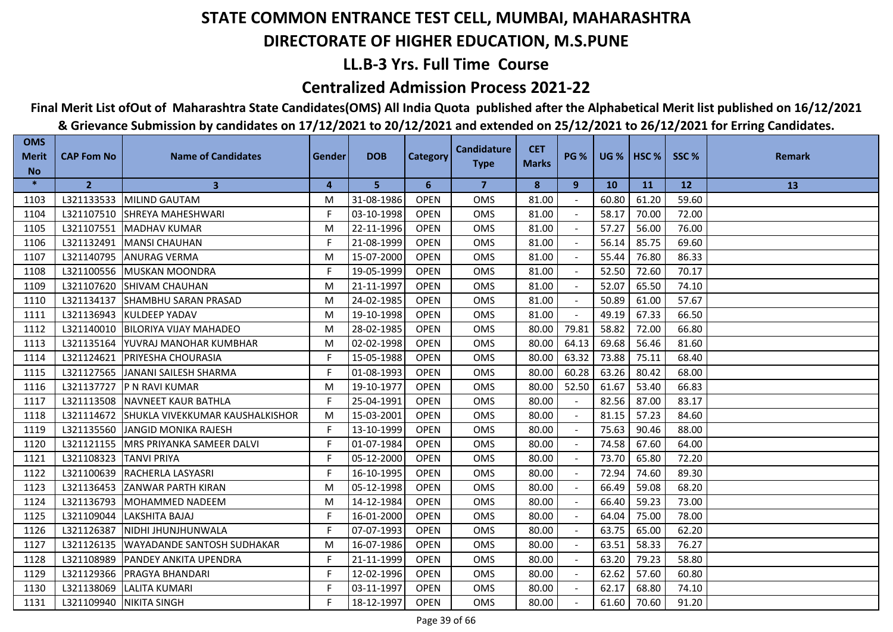## **LL.B-3 Yrs. Full Time Course**

### **Centralized Admission Process 2021-22**

## **Final Merit List ofOut of Maharashtra State Candidates(OMS) All India Quota published after the Alphabetical Merit list published on 16/12/2021**

| <b>OMS</b><br><b>Merit</b> | <b>CAP Fom No</b>         | <b>Name of Candidates</b>                  | Gender | <b>DOB</b> | <b>Category</b> | <b>Candidature</b>      | <b>CET</b>   | <b>PG %</b> |           | <b>UG %   HSC %  </b> | SSC%  | <b>Remark</b> |
|----------------------------|---------------------------|--------------------------------------------|--------|------------|-----------------|-------------------------|--------------|-------------|-----------|-----------------------|-------|---------------|
| <b>No</b>                  |                           |                                            |        |            |                 | <b>Type</b>             | <b>Marks</b> |             |           |                       |       |               |
| $\ast$                     | $\overline{2}$            | $\mathbf{3}$                               | 4      | 5          | 6               | $\overline{\mathbf{z}}$ | 8            | 9           | <b>10</b> | <b>11</b>             | 12    | 13            |
| 1103                       |                           | L321133533 MILIND GAUTAM                   | M      | 31-08-1986 | <b>OPEN</b>     | <b>OMS</b>              | 81.00        |             | 60.80     | 61.20                 | 59.60 |               |
| 1104                       |                           | L321107510 SHREYA MAHESHWARI               | F      | 03-10-1998 | <b>OPEN</b>     | <b>OMS</b>              | 81.00        |             | 58.17     | 70.00                 | 72.00 |               |
| 1105                       |                           | L321107551 MADHAV KUMAR                    | M      | 22-11-1996 | <b>OPEN</b>     | <b>OMS</b>              | 81.00        |             | 57.27     | 56.00                 | 76.00 |               |
| 1106                       | L321132491                | <b>MANSI CHAUHAN</b>                       | F.     | 21-08-1999 | <b>OPEN</b>     | <b>OMS</b>              | 81.00        |             | 56.14     | 85.75                 | 69.60 |               |
| 1107                       | L321140795                | <b>ANURAG VERMA</b>                        | M      | 15-07-2000 | <b>OPEN</b>     | <b>OMS</b>              | 81.00        |             | 55.44     | 76.80                 | 86.33 |               |
| 1108                       |                           | L321100556 MUSKAN MOONDRA                  | F.     | 19-05-1999 | <b>OPEN</b>     | <b>OMS</b>              | 81.00        |             | 52.50     | 72.60                 | 70.17 |               |
| 1109                       | L321107620                | <b>SHIVAM CHAUHAN</b>                      | M      | 21-11-1997 | <b>OPEN</b>     | <b>OMS</b>              | 81.00        |             | 52.07     | 65.50                 | 74.10 |               |
| 1110                       |                           | L321134137 SHAMBHU SARAN PRASAD            | M      | 24-02-1985 | <b>OPEN</b>     | <b>OMS</b>              | 81.00        |             | 50.89     | 61.00                 | 57.67 |               |
| 1111                       |                           | L321136943 KULDEEP YADAV                   | M      | 19-10-1998 | <b>OPEN</b>     | OMS                     | 81.00        |             | 49.19     | 67.33                 | 66.50 |               |
| 1112                       |                           | L321140010 BILORIYA VIJAY MAHADEO          | M      | 28-02-1985 | <b>OPEN</b>     | <b>OMS</b>              | 80.00        | 79.81       | 58.82     | 72.00                 | 66.80 |               |
| 1113                       | L321135164                | <b>IYUVRAJ MANOHAR KUMBHAR</b>             | M      | 02-02-1998 | <b>OPEN</b>     | <b>OMS</b>              | 80.00        | 64.13       | 69.68     | 56.46                 | 81.60 |               |
| 1114                       |                           | L321124621   PRIYESHA CHOURASIA            | F.     | 15-05-1988 | <b>OPEN</b>     | <b>OMS</b>              | 80.00        | 63.32       | 73.88     | 75.11                 | 68.40 |               |
| 1115                       |                           | L321127565 JJANANI SAILESH SHARMA          | F      | 01-08-1993 | <b>OPEN</b>     | <b>OMS</b>              | 80.00        | 60.28       | 63.26     | 80.42                 | 68.00 |               |
| 1116                       |                           | L321137727   P N RAVI KUMAR                | M      | 19-10-1977 | <b>OPEN</b>     | <b>OMS</b>              | 80.00        | 52.50       | 61.67     | 53.40                 | 66.83 |               |
| 1117                       | L321113508                | <b>INAVNEET KAUR BATHLA</b>                | F.     | 25-04-1991 | <b>OPEN</b>     | <b>OMS</b>              | 80.00        | $\sim$      | 82.56     | 87.00                 | 83.17 |               |
| 1118                       |                           | L321114672 SHUKLA VIVEKKUMAR KAUSHALKISHOR | M      | 15-03-2001 | <b>OPEN</b>     | <b>OMS</b>              | 80.00        | $\omega$    | 81.15     | 57.23                 | 84.60 |               |
| 1119                       |                           | L321135560 JANGID MONIKA RAJESH            | F      | 13-10-1999 | <b>OPEN</b>     | <b>OMS</b>              | 80.00        |             | 75.63     | 90.46                 | 88.00 |               |
| 1120                       | L321121155                | <b>MRS PRIYANKA SAMEER DALVI</b>           | F      | 01-07-1984 | <b>OPEN</b>     | <b>OMS</b>              | 80.00        |             | 74.58     | 67.60                 | 64.00 |               |
| 1121                       | L321108323                | <b>TANVI PRIYA</b>                         | F.     | 05-12-2000 | <b>OPEN</b>     | <b>OMS</b>              | 80.00        |             | 73.70     | 65.80                 | 72.20 |               |
| 1122                       | L321100639                | <b>RACHERLA LASYASRI</b>                   | F      | 16-10-1995 | <b>OPEN</b>     | <b>OMS</b>              | 80.00        |             | 72.94     | 74.60                 | 89.30 |               |
| 1123                       |                           | L321136453 ZANWAR PARTH KIRAN              | M      | 05-12-1998 | <b>OPEN</b>     | <b>OMS</b>              | 80.00        |             | 66.49     | 59.08                 | 68.20 |               |
| 1124                       | L321136793                | <b>IMOHAMMED NADEEM</b>                    | M      | 14-12-1984 | <b>OPEN</b>     | <b>OMS</b>              | 80.00        |             | 66.40     | 59.23                 | 73.00 |               |
| 1125                       | L321109044                | LAKSHITA BAJAJ                             | F.     | 16-01-2000 | <b>OPEN</b>     | <b>OMS</b>              | 80.00        |             | 64.04     | 75.00                 | 78.00 |               |
| 1126                       | L321126387                | NIDHI JHUNJHUNWALA                         | F      | 07-07-1993 | <b>OPEN</b>     | <b>OMS</b>              | 80.00        |             | 63.75     | 65.00                 | 62.20 |               |
| 1127                       | L321126135                | <b>UWAYADANDE SANTOSH SUDHAKAR</b>         | M      | 16-07-1986 | <b>OPEN</b>     | <b>OMS</b>              | 80.00        |             | 63.51     | 58.33                 | 76.27 |               |
| 1128                       | L321108989                | <b>PANDEY ANKITA UPENDRA</b>               | F      | 21-11-1999 | <b>OPEN</b>     | <b>OMS</b>              | 80.00        |             | 63.20     | 79.23                 | 58.80 |               |
| 1129                       |                           | L321129366   PRAGYA BHANDARI               | F.     | 12-02-1996 | <b>OPEN</b>     | <b>OMS</b>              | 80.00        | $\sim$      | 62.62     | 57.60                 | 60.80 |               |
| 1130                       |                           | L321138069 LALITA KUMARI                   | F      | 03-11-1997 | <b>OPEN</b>     | OMS                     | 80.00        |             | 62.17     | 68.80                 | 74.10 |               |
| 1131                       | L321109940   NIKITA SINGH |                                            | F.     | 18-12-1997 | <b>OPEN</b>     | <b>OMS</b>              | 80.00        |             | 61.60     | 70.60                 | 91.20 |               |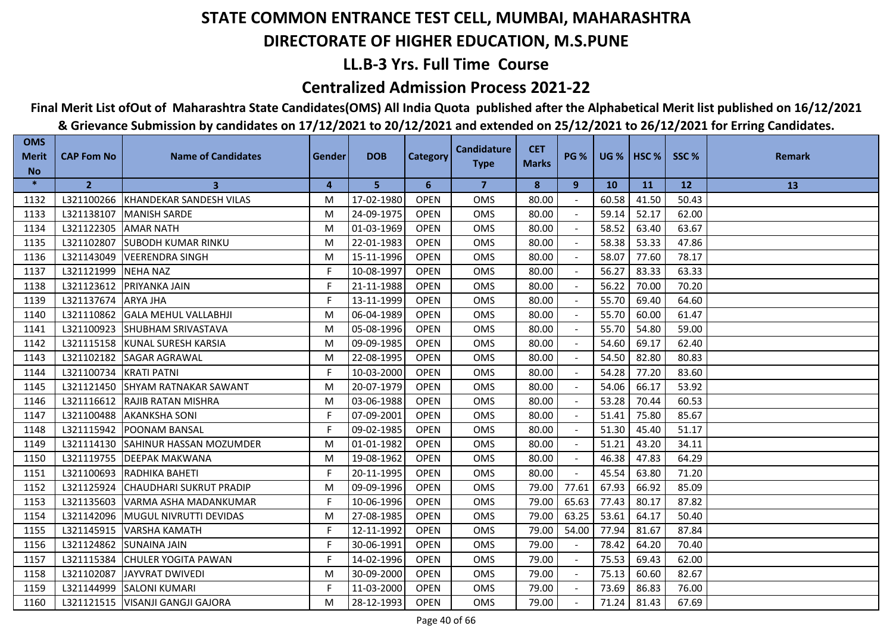## **LL.B-3 Yrs. Full Time Course**

### **Centralized Admission Process 2021-22**

## **Final Merit List ofOut of Maharashtra State Candidates(OMS) All India Quota published after the Alphabetical Merit list published on 16/12/2021**

| <b>OMS</b><br><b>Merit</b> | <b>CAP Fom No</b>      | <b>Name of Candidates</b>          | Gender | <b>DOB</b> | <b>Category</b> | <b>Candidature</b> | <b>CET</b>   | <b>PG %</b>    |           | UG %   HSC % | SSC%  | <b>Remark</b> |
|----------------------------|------------------------|------------------------------------|--------|------------|-----------------|--------------------|--------------|----------------|-----------|--------------|-------|---------------|
| <b>No</b>                  |                        |                                    |        |            |                 | <b>Type</b>        | <b>Marks</b> |                |           |              |       |               |
| $\ast$                     | $\overline{2}$         | 3                                  | 4      | 5          | 6               | $\overline{7}$     | 8            | 9              | <b>10</b> | 11           | 12    | 13            |
| 1132                       |                        | L321100266 KHANDEKAR SANDESH VILAS | M      | 17-02-1980 | <b>OPEN</b>     | <b>OMS</b>         | 80.00        |                | 60.58     | 41.50        | 50.43 |               |
| 1133                       | L321138107             | <b>MANISH SARDE</b>                | M      | 24-09-1975 | <b>OPEN</b>     | <b>OMS</b>         | 80.00        |                | 59.14     | 52.17        | 62.00 |               |
| 1134                       | L321122305             | <b>AMAR NATH</b>                   | M      | 01-03-1969 | <b>OPEN</b>     | <b>OMS</b>         | 80.00        |                | 58.52     | 63.40        | 63.67 |               |
| 1135                       | L321102807             | <b>SUBODH KUMAR RINKU</b>          | M      | 22-01-1983 | <b>OPEN</b>     | <b>OMS</b>         | 80.00        |                | 58.38     | 53.33        | 47.86 |               |
| 1136                       | L321143049             | <b>VEERENDRA SINGH</b>             | M      | 15-11-1996 | <b>OPEN</b>     | OMS                | 80.00        |                | 58.07     | 77.60        | 78.17 |               |
| 1137                       | L321121999             | <b>NEHA NAZ</b>                    | F.     | 10-08-1997 | <b>OPEN</b>     | <b>OMS</b>         | 80.00        |                | 56.27     | 83.33        | 63.33 |               |
| 1138                       | L321123612             | <b>PRIYANKA JAIN</b>               | F      | 21-11-1988 | <b>OPEN</b>     | <b>OMS</b>         | 80.00        |                | 56.22     | 70.00        | 70.20 |               |
| 1139                       | L321137674             | <b>ARYA JHA</b>                    | F.     | 13-11-1999 | <b>OPEN</b>     | <b>OMS</b>         | 80.00        |                | 55.70     | 69.40        | 64.60 |               |
| 1140                       |                        | L321110862 GALA MEHUL VALLABHJI    | M      | 06-04-1989 | <b>OPEN</b>     | <b>OMS</b>         | 80.00        |                | 55.70     | 60.00        | 61.47 |               |
| 1141                       | L321100923             | <b>SHUBHAM SRIVASTAVA</b>          | M      | 05-08-1996 | <b>OPEN</b>     | <b>OMS</b>         | 80.00        |                | 55.70     | 54.80        | 59.00 |               |
| 1142                       |                        | L321115158 KUNAL SURESH KARSIA     | М      | 09-09-1985 | <b>OPEN</b>     | <b>OMS</b>         | 80.00        |                | 54.60     | 69.17        | 62.40 |               |
| 1143                       | L321102182             | <b>SAGAR AGRAWAL</b>               | M      | 22-08-1995 | <b>OPEN</b>     | <b>OMS</b>         | 80.00        |                | 54.50     | 82.80        | 80.83 |               |
| 1144                       | L321100734 KRATI PATNI |                                    | F      | 10-03-2000 | <b>OPEN</b>     | <b>OMS</b>         | 80.00        |                | 54.28     | 77.20        | 83.60 |               |
| 1145                       |                        | L321121450 SHYAM RATNAKAR SAWANT   | M      | 20-07-1979 | <b>OPEN</b>     | OMS                | 80.00        |                | 54.06     | 66.17        | 53.92 |               |
| 1146                       |                        | L321116612 RAJIB RATAN MISHRA      | M      | 03-06-1988 | <b>OPEN</b>     | OMS                | 80.00        |                | 53.28     | 70.44        | 60.53 |               |
| 1147                       | L321100488             | <b>AKANKSHA SONI</b>               | F.     | 07-09-2001 | <b>OPEN</b>     | <b>OMS</b>         | 80.00        |                | 51.41     | 75.80        | 85.67 |               |
| 1148                       |                        | L321115942   POONAM BANSAL         | F      | 09-02-1985 | <b>OPEN</b>     | <b>OMS</b>         | 80.00        |                | 51.30     | 45.40        | 51.17 |               |
| 1149                       |                        | L321114130 SAHINUR HASSAN MOZUMDER | M      | 01-01-1982 | <b>OPEN</b>     | <b>OMS</b>         | 80.00        |                | 51.21     | 43.20        | 34.11 |               |
| 1150                       |                        | L321119755   DEEPAK MAKWANA        | M      | 19-08-1962 | <b>OPEN</b>     | <b>OMS</b>         | 80.00        |                | 46.38     | 47.83        | 64.29 |               |
| 1151                       |                        | L321100693 RADHIKA BAHETI          | F.     | 20-11-1995 | <b>OPEN</b>     | <b>OMS</b>         | 80.00        | $\blacksquare$ | 45.54     | 63.80        | 71.20 |               |
| 1152                       | L321125924             | <b>CHAUDHARI SUKRUT PRADIP</b>     | M      | 09-09-1996 | <b>OPEN</b>     | <b>OMS</b>         | 79.00        | 77.61          | 67.93     | 66.92        | 85.09 |               |
| 1153                       | L321135603             | VARMA ASHA MADANKUMAR              | F      | 10-06-1996 | <b>OPEN</b>     | <b>OMS</b>         | 79.00        | 65.63          | 77.43     | 80.17        | 87.82 |               |
| 1154                       | L321142096             | MUGUL NIVRUTTI DEVIDAS             | M      | 27-08-1985 | <b>OPEN</b>     | OMS                | 79.00        | 63.25          | 53.61     | 64.17        | 50.40 |               |
| 1155                       | L321145915             | VARSHA KAMATH                      | F      | 12-11-1992 | <b>OPEN</b>     | OMS                | 79.00        | 54.00          | 77.94     | 81.67        | 87.84 |               |
| 1156                       | L321124862             | <b>SUNAINA JAIN</b>                | F.     | 30-06-1991 | <b>OPEN</b>     | <b>OMS</b>         | 79.00        |                | 78.42     | 64.20        | 70.40 |               |
| 1157                       | L321115384             | <b>CHULER YOGITA PAWAN</b>         | F      | 14-02-1996 | <b>OPEN</b>     | <b>OMS</b>         | 79.00        |                | 75.53     | 69.43        | 62.00 |               |
| 1158                       | L321102087             | JAYVRAT DWIVEDI                    | M      | 30-09-2000 | <b>OPEN</b>     | <b>OMS</b>         | 79.00        |                | 75.13     | 60.60        | 82.67 |               |
| 1159                       |                        | L321144999 SALONI KUMARI           | F      | 11-03-2000 | <b>OPEN</b>     | OMS                | 79.00        |                | 73.69     | 86.83        | 76.00 |               |
| 1160                       |                        | L321121515   VISANJI GANGJI GAJORA | M      | 28-12-1993 | <b>OPEN</b>     | <b>OMS</b>         | 79.00        |                | 71.24     | 81.43        | 67.69 |               |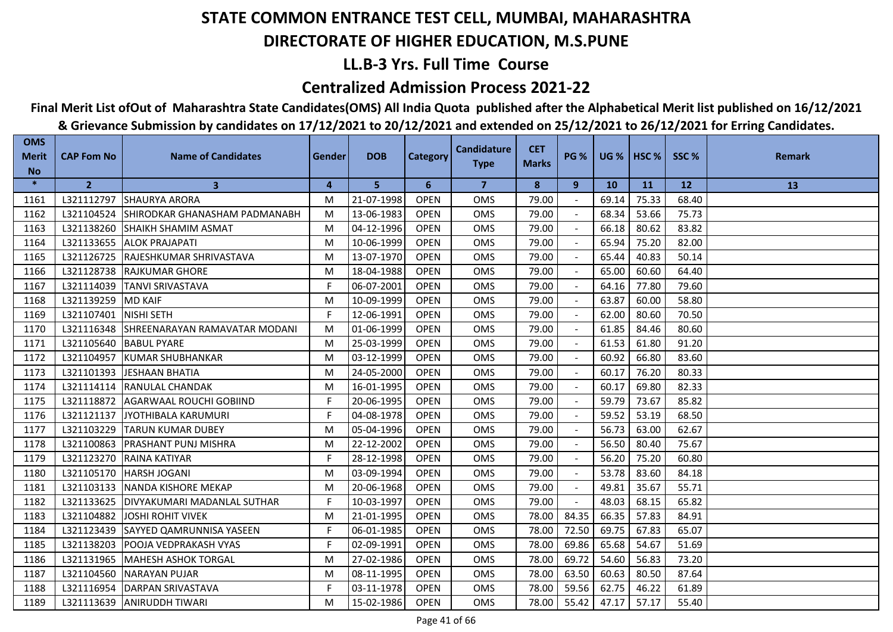## **LL.B-3 Yrs. Full Time Course**

### **Centralized Admission Process 2021-22**

## **Final Merit List ofOut of Maharashtra State Candidates(OMS) All India Quota published after the Alphabetical Merit list published on 16/12/2021**

| <b>OMS</b><br><b>Merit</b> | <b>CAP Fom No</b> | <b>Name of Candidates</b>          | <b>Gender</b> | <b>DOB</b> | <b>Category</b> | <b>Candidature</b> | <b>CET</b>   | <b>PG %</b> | <b>UG %   HSC %</b> |       | SSC%  | <b>Remark</b> |
|----------------------------|-------------------|------------------------------------|---------------|------------|-----------------|--------------------|--------------|-------------|---------------------|-------|-------|---------------|
| <b>No</b>                  |                   |                                    |               |            |                 | <b>Type</b>        | <b>Marks</b> |             |                     |       |       |               |
| $\ast$                     | $\overline{2}$    | 3                                  | 4             | 5          | 6               | $\overline{7}$     | 8            | 9           | <b>10</b>           | 11    | 12    | 13            |
| 1161                       | L321112797        | <b>SHAURYA ARORA</b>               | M             | 21-07-1998 | <b>OPEN</b>     | OMS                | 79.00        |             | 69.14               | 75.33 | 68.40 |               |
| 1162                       | L321104524        | SHIRODKAR GHANASHAM PADMANABH      | M             | 13-06-1983 | <b>OPEN</b>     | OMS                | 79.00        |             | 68.34               | 53.66 | 75.73 |               |
| 1163                       | L321138260        | <b>SHAIKH SHAMIM ASMAT</b>         | M             | 04-12-1996 | <b>OPEN</b>     | OMS                | 79.00        |             | 66.18               | 80.62 | 83.82 |               |
| 1164                       | L321133655        | <b>ALOK PRAJAPATI</b>              | M             | 10-06-1999 | <b>OPEN</b>     | <b>OMS</b>         | 79.00        |             | 65.94               | 75.20 | 82.00 |               |
| 1165                       | L321126725        | RAJESHKUMAR SHRIVASTAVA            | M             | 13-07-1970 | <b>OPEN</b>     | OMS                | 79.00        |             | 65.44               | 40.83 | 50.14 |               |
| 1166                       | L321128738        | <b>RAJKUMAR GHORE</b>              | M             | 18-04-1988 | <b>OPEN</b>     | <b>OMS</b>         | 79.00        |             | 65.00               | 60.60 | 64.40 |               |
| 1167                       | L321114039        | <b>TANVI SRIVASTAVA</b>            | F             | 06-07-2001 | <b>OPEN</b>     | OMS                | 79.00        |             | 64.16               | 77.80 | 79.60 |               |
| 1168                       | L321139259        | <b>MD KAIF</b>                     | M             | 10-09-1999 | <b>OPEN</b>     | OMS                | 79.00        |             | 63.87               | 60.00 | 58.80 |               |
| 1169                       | L321107401        | NISHI SETH                         | F             | 12-06-1991 | <b>OPEN</b>     | OMS                | 79.00        |             | 62.00               | 80.60 | 70.50 |               |
| 1170                       | L321116348        | ISHREENARAYAN RAMAVATAR MODANI     | M             | 01-06-1999 | <b>OPEN</b>     | <b>OMS</b>         | 79.00        |             | 61.85               | 84.46 | 80.60 |               |
| 1171                       | L321105640        | <b>BABUL PYARE</b>                 | M             | 25-03-1999 | <b>OPEN</b>     | <b>OMS</b>         | 79.00        |             | 61.53               | 61.80 | 91.20 |               |
| 1172                       | L321104957        | <b>KUMAR SHUBHANKAR</b>            | M             | 03-12-1999 | <b>OPEN</b>     | <b>OMS</b>         | 79.00        |             | 60.92               | 66.80 | 83.60 |               |
| 1173                       | L321101393        | <b>JESHAAN BHATIA</b>              | M             | 24-05-2000 | <b>OPEN</b>     | OMS                | 79.00        |             | 60.17               | 76.20 | 80.33 |               |
| 1174                       | L321114114        | <b>RANULAL CHANDAK</b>             | M             | 16-01-1995 | <b>OPEN</b>     | OMS                | 79.00        |             | 60.17               | 69.80 | 82.33 |               |
| 1175                       | L321118872        | <b>AGARWAAL ROUCHI GOBIIND</b>     | F.            | 20-06-1995 | <b>OPEN</b>     | OMS                | 79.00        | $\sim$      | 59.79               | 73.67 | 85.82 |               |
| 1176                       | L321121137        | JYOTHIBALA KARUMURI                | F.            | 04-08-1978 | <b>OPEN</b>     | OMS                | 79.00        | $\sim$      | 59.52               | 53.19 | 68.50 |               |
| 1177                       | L321103229        | <b>TARUN KUMAR DUBEY</b>           | M             | 05-04-1996 | <b>OPEN</b>     | <b>OMS</b>         | 79.00        |             | 56.73               | 63.00 | 62.67 |               |
| 1178                       | L321100863        | <b>PRASHANT PUNJ MISHRA</b>        | M             | 22-12-2002 | <b>OPEN</b>     | <b>OMS</b>         | 79.00        |             | 56.50               | 80.40 | 75.67 |               |
| 1179                       | L321123270        | <b>RAINA KATIYAR</b>               | F.            | 28-12-1998 | <b>OPEN</b>     | <b>OMS</b>         | 79.00        |             | 56.20               | 75.20 | 60.80 |               |
| 1180                       | L321105170        | <b>HARSH JOGANI</b>                | M             | 03-09-1994 | <b>OPEN</b>     | <b>OMS</b>         | 79.00        |             | 53.78               | 83.60 | 84.18 |               |
| 1181                       | L321103133        | <b>INANDA KISHORE MEKAP</b>        | M             | 20-06-1968 | <b>OPEN</b>     | OMS                | 79.00        |             | 49.81               | 35.67 | 55.71 |               |
| 1182                       | L321133625        | <b>DIVYAKUMARI MADANLAL SUTHAR</b> | F             | 10-03-1997 | <b>OPEN</b>     | <b>OMS</b>         | 79.00        |             | 48.03               | 68.15 | 65.82 |               |
| 1183                       | L321104882        | <b>JOSHI ROHIT VIVEK</b>           | M             | 21-01-1995 | <b>OPEN</b>     | <b>OMS</b>         | 78.00        | 84.35       | 66.35               | 57.83 | 84.91 |               |
| 1184                       | L321123439        | SAYYED QAMRUNNISA YASEEN           | F             | 06-01-1985 | <b>OPEN</b>     | <b>OMS</b>         | 78.00        | 72.50       | 69.75               | 67.83 | 65.07 |               |
| 1185                       | L321138203        | <b>POOJA VEDPRAKASH VYAS</b>       | F             | 02-09-1991 | <b>OPEN</b>     | <b>OMS</b>         | 78.00        | 69.86       | 65.68               | 54.67 | 51.69 |               |
| 1186                       | L321131965        | <b>MAHESH ASHOK TORGAL</b>         | M             | 27-02-1986 | <b>OPEN</b>     | <b>OMS</b>         | 78.00        | 69.72       | 54.60               | 56.83 | 73.20 |               |
| 1187                       | L321104560        | <b>NARAYAN PUJAR</b>               | M             | 08-11-1995 | <b>OPEN</b>     | OMS                | 78.00        | 63.50       | 60.63               | 80.50 | 87.64 |               |
| 1188                       | L321116954        | DARPAN SRIVASTAVA                  | F             | 03-11-1978 | <b>OPEN</b>     | OMS                | 78.00        | 59.56       | 62.75               | 46.22 | 61.89 |               |
| 1189                       | L321113639        | <b>ANIRUDDH TIWARI</b>             | M             | 15-02-1986 | <b>OPEN</b>     | <b>OMS</b>         | 78.00        | 55.42       | 47.17               | 57.17 | 55.40 |               |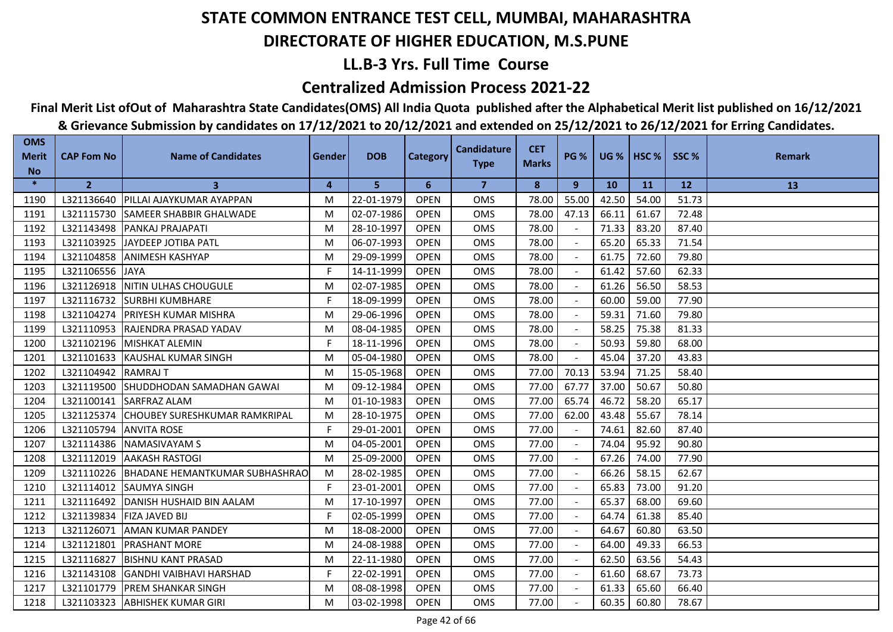## **LL.B-3 Yrs. Full Time Course**

### **Centralized Admission Process 2021-22**

## **Final Merit List ofOut of Maharashtra State Candidates(OMS) All India Quota published after the Alphabetical Merit list published on 16/12/2021**

| <b>OMS</b><br><b>Merit</b> | <b>CAP Fom No</b> | <b>Name of Candidates</b>                 | Gender | <b>DOB</b> | <b>Category</b> | <b>Candidature</b> | <b>CET</b>   | <b>PG %</b>              |           | <b>UG %   HSC %  </b> | SSC%      | <b>Remark</b> |
|----------------------------|-------------------|-------------------------------------------|--------|------------|-----------------|--------------------|--------------|--------------------------|-----------|-----------------------|-----------|---------------|
| <b>No</b>                  |                   |                                           |        |            |                 | <b>Type</b>        | <b>Marks</b> |                          |           |                       |           |               |
| $\ast$                     | $\overline{2}$    | 3                                         | 4      | 5          | 6               | 7                  | 8            | 9                        | <b>10</b> | <b>11</b>             | <b>12</b> | 13            |
| 1190                       | L321136640        | PILLAI AJAYKUMAR AYAPPAN                  | м      | 22-01-1979 | <b>OPEN</b>     | <b>OMS</b>         | 78.00        | 55.00                    | 42.50     | 54.00                 | 51.73     |               |
| 1191                       | L321115730        | <b>SAMEER SHABBIR GHALWADE</b>            | м      | 02-07-1986 | <b>OPEN</b>     | <b>OMS</b>         | 78.00        | 47.13                    | 66.11     | 61.67                 | 72.48     |               |
| 1192                       | L321143498        | <b>PANKAJ PRAJAPATI</b>                   | M      | 28-10-1997 | <b>OPEN</b>     | <b>OMS</b>         | 78.00        |                          | 71.33     | 83.20                 | 87.40     |               |
| 1193                       | L321103925        | JAYDEEP JOTIBA PATL                       | м      | 06-07-1993 | <b>OPEN</b>     | <b>OMS</b>         | 78.00        |                          | 65.20     | 65.33                 | 71.54     |               |
| 1194                       | L321104858        | <b>ANIMESH KASHYAP</b>                    | м      | 29-09-1999 | <b>OPEN</b>     | OMS                | 78.00        |                          | 61.75     | 72.60                 | 79.80     |               |
| 1195                       | L321106556        | <b>JAYA</b>                               | F.     | 14-11-1999 | <b>OPEN</b>     | <b>OMS</b>         | 78.00        |                          | 61.42     | 57.60                 | 62.33     |               |
| 1196                       | L321126918        | <b>NITIN ULHAS CHOUGULE</b>               | м      | 02-07-1985 | <b>OPEN</b>     | <b>OMS</b>         | 78.00        |                          | 61.26     | 56.50                 | 58.53     |               |
| 1197                       | L321116732        | <b>SURBHI KUMBHARE</b>                    | F.     | 18-09-1999 | <b>OPEN</b>     | <b>OMS</b>         | 78.00        |                          | 60.00     | 59.00                 | 77.90     |               |
| 1198                       | L321104274        | <b>IPRIYESH KUMAR MISHRA</b>              | м      | 29-06-1996 | <b>OPEN</b>     | <b>OMS</b>         | 78.00        |                          | 59.31     | 71.60                 | 79.80     |               |
| 1199                       | L321110953        | <b>IRAJENDRA PRASAD YADAV</b>             | м      | 08-04-1985 | <b>OPEN</b>     | <b>OMS</b>         | 78.00        |                          | 58.25     | 75.38                 | 81.33     |               |
| 1200                       | L321102196        | <b>IMISHKAT ALEMIN</b>                    | F      | 18-11-1996 | <b>OPEN</b>     | <b>OMS</b>         | 78.00        |                          | 50.93     | 59.80                 | 68.00     |               |
| 1201                       | L321101633        | KAUSHAL KUMAR SINGH                       | M      | 05-04-1980 | <b>OPEN</b>     | <b>OMS</b>         | 78.00        | $\overline{\phantom{a}}$ | 45.04     | 37.20                 | 43.83     |               |
| 1202                       | L321104942        | <b>RAMRAJ T</b>                           | M      | 15-05-1968 | <b>OPEN</b>     | OMS                | 77.00        | 70.13                    | 53.94     | 71.25                 | 58.40     |               |
| 1203                       | L321119500        | SHUDDHODAN SAMADHAN GAWAI                 | м      | 09-12-1984 | <b>OPEN</b>     | OMS                | 77.00        | 67.77                    | 37.00     | 50.67                 | 50.80     |               |
| 1204                       | L321100141        | <b>SARFRAZ ALAM</b>                       | M      | 01-10-1983 | <b>OPEN</b>     | <b>OMS</b>         | 77.00        | 65.74                    | 46.72     | 58.20                 | 65.17     |               |
| 1205                       | L321125374        | <b>CHOUBEY SURESHKUMAR RAMKRIPAL</b>      | M      | 28-10-1975 | <b>OPEN</b>     | <b>OMS</b>         | 77.00        | 62.00                    | 43.48     | 55.67                 | 78.14     |               |
| 1206                       | L321105794        | <b>ANVITA ROSE</b>                        | F.     | 29-01-2001 | <b>OPEN</b>     | <b>OMS</b>         | 77.00        |                          | 74.61     | 82.60                 | 87.40     |               |
| 1207                       | L321114386        | INAMASIVAYAM S                            | м      | 04-05-2001 | <b>OPEN</b>     | <b>OMS</b>         | 77.00        |                          | 74.04     | 95.92                 | 90.80     |               |
| 1208                       | L321112019        | <b>AAKASH RASTOGI</b>                     | M      | 25-09-2000 | <b>OPEN</b>     | OMS                | 77.00        |                          | 67.26     | 74.00                 | 77.90     |               |
| 1209                       |                   | L321110226 BHADANE HEMANTKUMAR SUBHASHRAO | м      | 28-02-1985 | <b>OPEN</b>     | <b>OMS</b>         | 77.00        |                          | 66.26     | 58.15                 | 62.67     |               |
| 1210                       | L321114012        | <b>SAUMYA SINGH</b>                       | F.     | 23-01-2001 | <b>OPEN</b>     | <b>OMS</b>         | 77.00        |                          | 65.83     | 73.00                 | 91.20     |               |
| 1211                       | L321116492        | DANISH HUSHAID BIN AALAM                  | м      | 17-10-1997 | <b>OPEN</b>     | <b>OMS</b>         | 77.00        | $\sim$                   | 65.37     | 68.00                 | 69.60     |               |
| 1212                       | L321139834        | <b>FIZA JAVED BIJ</b>                     | F.     | 02-05-1999 | <b>OPEN</b>     | OMS                | 77.00        |                          | 64.74     | 61.38                 | 85.40     |               |
| 1213                       | L321126071        | <b>AMAN KUMAR PANDEY</b>                  | м      | 18-08-2000 | <b>OPEN</b>     | <b>OMS</b>         | 77.00        |                          | 64.67     | 60.80                 | 63.50     |               |
| 1214                       | L321121801        | <b>IPRASHANT MORE</b>                     | м      | 24-08-1988 | <b>OPEN</b>     | <b>OMS</b>         | 77.00        |                          | 64.00     | 49.33                 | 66.53     |               |
| 1215                       | L321116827        | <b>BISHNU KANT PRASAD</b>                 | м      | 22-11-1980 | <b>OPEN</b>     | <b>OMS</b>         | 77.00        |                          | 62.50     | 63.56                 | 54.43     |               |
| 1216                       | L321143108        | <b>GANDHI VAIBHAVI HARSHAD</b>            | F.     | 22-02-1991 | <b>OPEN</b>     | <b>OMS</b>         | 77.00        |                          | 61.60     | 68.67                 | 73.73     |               |
| 1217                       | L321101779        | <b>PREM SHANKAR SINGH</b>                 | м      | 08-08-1998 | <b>OPEN</b>     | <b>OMS</b>         | 77.00        |                          | 61.33     | 65.60                 | 66.40     |               |
| 1218                       | L321103323        | <b>ABHISHEK KUMAR GIRI</b>                | м      | 03-02-1998 | <b>OPEN</b>     | <b>OMS</b>         | 77.00        |                          | 60.35     | 60.80                 | 78.67     |               |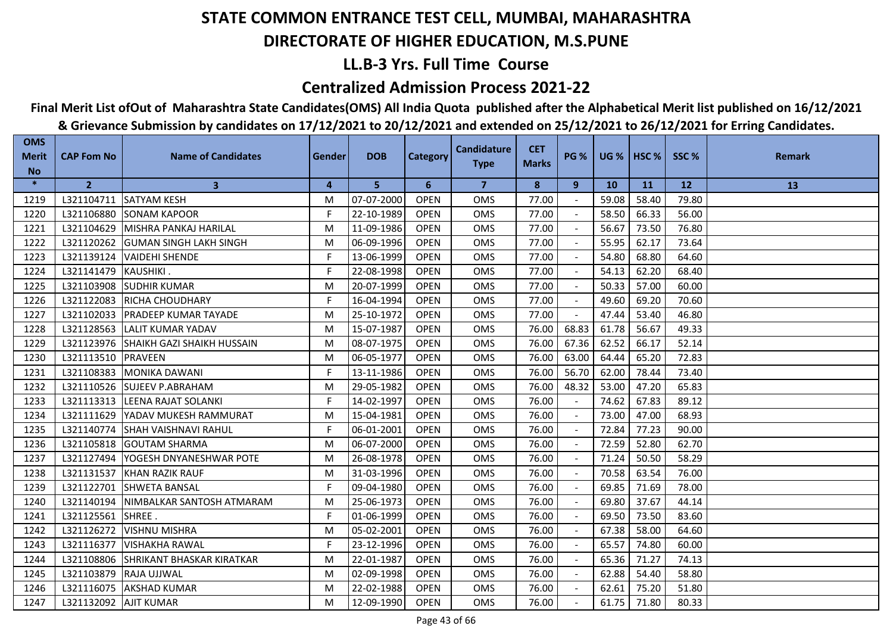## **LL.B-3 Yrs. Full Time Course**

### **Centralized Admission Process 2021-22**

## **Final Merit List ofOut of Maharashtra State Candidates(OMS) All India Quota published after the Alphabetical Merit list published on 16/12/2021**

| <b>OMS</b><br><b>Merit</b> | <b>CAP Fom No</b>       | <b>Name of Candidates</b>          | Gender | <b>DOB</b> | <b>Category</b> | <b>Candidature</b> | <b>CET</b>   | <b>PG %</b> |       | $UG %$ HSC % | SSC%  | <b>Remark</b> |
|----------------------------|-------------------------|------------------------------------|--------|------------|-----------------|--------------------|--------------|-------------|-------|--------------|-------|---------------|
| <b>No</b>                  |                         |                                    |        |            |                 | <b>Type</b>        | <b>Marks</b> |             |       |              |       |               |
| $\ast$                     | $\overline{2}$          | $\mathbf{3}$                       | 4      | 5          | 6               | 7                  | 8            | 9           | 10    | <b>11</b>    | 12    | 13            |
| 1219                       | L321104711              | <b>SATYAM KESH</b>                 | м      | 07-07-2000 | <b>OPEN</b>     | <b>OMS</b>         | 77.00        |             | 59.08 | 58.40        | 79.80 |               |
| 1220                       | L321106880              | <b>SONAM KAPOOR</b>                | F      | 22-10-1989 | <b>OPEN</b>     | <b>OMS</b>         | 77.00        |             | 58.50 | 66.33        | 56.00 |               |
| 1221                       | L321104629              | MISHRA PANKAJ HARILAL              | M      | 11-09-1986 | <b>OPEN</b>     | <b>OMS</b>         | 77.00        |             | 56.67 | 73.50        | 76.80 |               |
| 1222                       | L321120262              | <b>GUMAN SINGH LAKH SINGH</b>      | м      | 06-09-1996 | <b>OPEN</b>     | <b>OMS</b>         | 77.00        |             | 55.95 | 62.17        | 73.64 |               |
| 1223                       | L321139124              | <b>VAIDEHI SHENDE</b>              | F      | 13-06-1999 | <b>OPEN</b>     | OMS                | 77.00        |             | 54.80 | 68.80        | 64.60 |               |
| 1224                       | L321141479              | <b>KAUSHIKI</b>                    | F.     | 22-08-1998 | <b>OPEN</b>     | <b>OMS</b>         | 77.00        |             | 54.13 | 62.20        | 68.40 |               |
| 1225                       | L321103908              | <b>SUDHIR KUMAR</b>                | м      | 20-07-1999 | <b>OPEN</b>     | <b>OMS</b>         | 77.00        |             | 50.33 | 57.00        | 60.00 |               |
| 1226                       | L321122083              | RICHA CHOUDHARY                    | F.     | 16-04-1994 | <b>OPEN</b>     | <b>OMS</b>         | 77.00        |             | 49.60 | 69.20        | 70.60 |               |
| 1227                       | L321102033              | <b>IPRADEEP KUMAR TAYADE</b>       | м      | 25-10-1972 | <b>OPEN</b>     | <b>OMS</b>         | 77.00        |             | 47.44 | 53.40        | 46.80 |               |
| 1228                       | L321128563              | <b>LALIT KUMAR YADAV</b>           | м      | 15-07-1987 | <b>OPEN</b>     | <b>OMS</b>         | 76.00        | 68.83       | 61.78 | 56.67        | 49.33 |               |
| 1229                       | L321123976              | <b>ISHAIKH GAZI SHAIKH HUSSAIN</b> | м      | 08-07-1975 | <b>OPEN</b>     | <b>OMS</b>         | 76.00        | 67.36       | 62.52 | 66.17        | 52.14 |               |
| 1230                       | L321113510              | PRAVEEN                            | M      | 06-05-1977 | <b>OPEN</b>     | <b>OMS</b>         | 76.00        | 63.00       | 64.44 | 65.20        | 72.83 |               |
| 1231                       | L321108383              | <b>MONIKA DAWANI</b>               | F.     | 13-11-1986 | <b>OPEN</b>     | OMS                | 76.00        | 56.70       | 62.00 | 78.44        | 73.40 |               |
| 1232                       | L321110526              | <b>SUJEEV P.ABRAHAM</b>            | М      | 29-05-1982 | <b>OPEN</b>     | OMS                | 76.00        | 48.32       | 53.00 | 47.20        | 65.83 |               |
| 1233                       | L321113313              | <b>LEENA RAJAT SOLANKI</b>         | F.     | 14-02-1997 | <b>OPEN</b>     | <b>OMS</b>         | 76.00        |             | 74.62 | 67.83        | 89.12 |               |
| 1234                       | L321111629              | YADAV MUKESH RAMMURAT              | M      | 15-04-1981 | <b>OPEN</b>     | <b>OMS</b>         | 76.00        |             | 73.00 | 47.00        | 68.93 |               |
| 1235                       | L321140774              | <b>ISHAH VAISHNAVI RAHUL</b>       | F.     | 06-01-2001 | <b>OPEN</b>     | <b>OMS</b>         | 76.00        |             | 72.84 | 77.23        | 90.00 |               |
| 1236                       | L321105818              | <b>GOUTAM SHARMA</b>               | м      | 06-07-2000 | <b>OPEN</b>     | <b>OMS</b>         | 76.00        |             | 72.59 | 52.80        | 62.70 |               |
| 1237                       | L321127494              | YOGESH DNYANESHWAR POTE            | М      | 26-08-1978 | <b>OPEN</b>     | OMS                | 76.00        |             | 71.24 | 50.50        | 58.29 |               |
| 1238                       | L321131537              | KHAN RAZIK RAUF                    | М      | 31-03-1996 | <b>OPEN</b>     | <b>OMS</b>         | 76.00        |             | 70.58 | 63.54        | 76.00 |               |
| 1239                       | L321122701              | <b>SHWETA BANSAL</b>               | F.     | 09-04-1980 | <b>OPEN</b>     | <b>OMS</b>         | 76.00        |             | 69.85 | 71.69        | 78.00 |               |
| 1240                       | L321140194              | NIMBALKAR SANTOSH ATMARAM          | м      | 25-06-1973 | <b>OPEN</b>     | <b>OMS</b>         | 76.00        | $\sim$      | 69.80 | 37.67        | 44.14 |               |
| 1241                       | L321125561              | SHREE.                             | F.     | 01-06-1999 | <b>OPEN</b>     | OMS                | 76.00        |             | 69.50 | 73.50        | 83.60 |               |
| 1242                       | L321126272              | <b>VISHNU MISHRA</b>               | М      | 05-02-2001 | <b>OPEN</b>     | <b>OMS</b>         | 76.00        |             | 67.38 | 58.00        | 64.60 |               |
| 1243                       | L321116377              | <b>VISHAKHA RAWAL</b>              | F      | 23-12-1996 | <b>OPEN</b>     | <b>OMS</b>         | 76.00        |             | 65.57 | 74.80        | 60.00 |               |
| 1244                       | L321108806              | <b>SHRIKANT BHASKAR KIRATKAR</b>   | M      | 22-01-1987 | <b>OPEN</b>     | <b>OMS</b>         | 76.00        |             | 65.36 | 71.27        | 74.13 |               |
| 1245                       | L321103879              | <b>RAJA UJJWAL</b>                 | M      | 02-09-1998 | <b>OPEN</b>     | <b>OMS</b>         | 76.00        |             | 62.88 | 54.40        | 58.80 |               |
| 1246                       | L321116075              | <b>AKSHAD KUMAR</b>                | М      | 22-02-1988 | <b>OPEN</b>     | <b>OMS</b>         | 76.00        |             | 62.61 | 75.20        | 51.80 |               |
| 1247                       | L321132092   AJIT KUMAR |                                    | м      | 12-09-1990 | <b>OPEN</b>     | <b>OMS</b>         | 76.00        |             | 61.75 | 71.80        | 80.33 |               |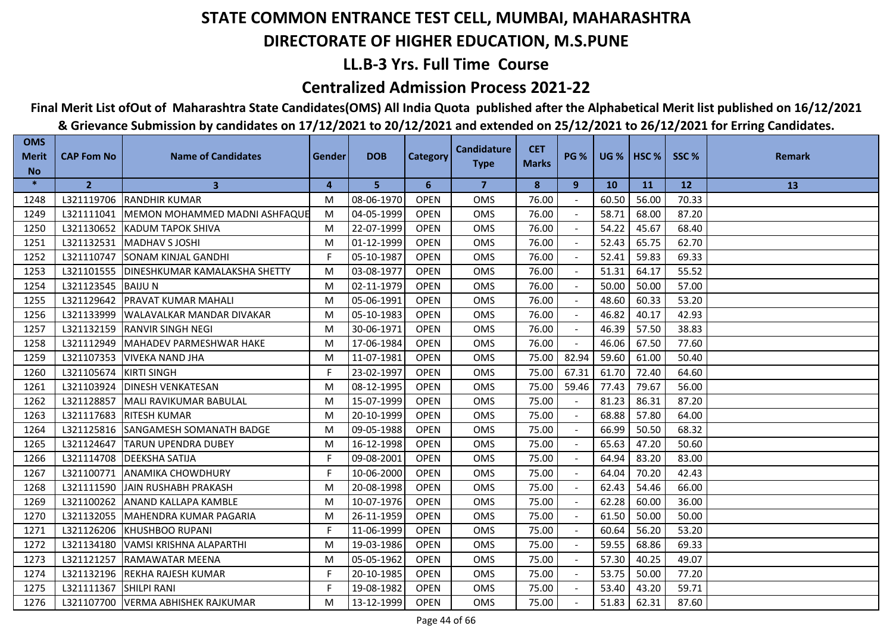## **LL.B-3 Yrs. Full Time Course**

### **Centralized Admission Process 2021-22**

## **Final Merit List ofOut of Maharashtra State Candidates(OMS) All India Quota published after the Alphabetical Merit list published on 16/12/2021**

| <b>OMS</b><br><b>Merit</b> | <b>CAP Fom No</b> | <b>Name of Candidates</b>            | Gender | <b>DOB</b> | <b>Category</b> | <b>Candidature</b>      | <b>CET</b>   | <b>PG %</b> | <b>UG %</b> | HSC <sub>%</sub> | SSC%      | <b>Remark</b> |
|----------------------------|-------------------|--------------------------------------|--------|------------|-----------------|-------------------------|--------------|-------------|-------------|------------------|-----------|---------------|
| <b>No</b>                  |                   |                                      |        |            |                 | <b>Type</b>             | <b>Marks</b> |             |             |                  |           |               |
| $\ast$                     | $\overline{2}$    | $\mathbf{3}$                         | 4      | 5          | 6               | $\overline{\mathbf{z}}$ | 8            | 9           | <b>10</b>   | <b>11</b>        | <b>12</b> | 13            |
| 1248                       |                   | L321119706 RANDHIR KUMAR             | M      | 08-06-1970 | <b>OPEN</b>     | <b>OMS</b>              | 76.00        |             | 60.50       | 56.00            | 70.33     |               |
| 1249                       | L321111041        | IMEMON MOHAMMED MADNI ASHFAQUE       | M      | 04-05-1999 | <b>OPEN</b>     | <b>OMS</b>              | 76.00        |             | 58.71       | 68.00            | 87.20     |               |
| 1250                       | L321130652        | <b>IKADUM TAPOK SHIVA</b>            | M      | 22-07-1999 | <b>OPEN</b>     | <b>OMS</b>              | 76.00        |             | 54.22       | 45.67            | 68.40     |               |
| 1251                       | L321132531        | <b>MADHAV S JOSHI</b>                | M      | 01-12-1999 | <b>OPEN</b>     | <b>OMS</b>              | 76.00        |             | 52.43       | 65.75            | 62.70     |               |
| 1252                       | L321110747        | <b>SONAM KINJAL GANDHI</b>           | F.     | 05-10-1987 | <b>OPEN</b>     | OMS                     | 76.00        |             | 52.41       | 59.83            | 69.33     |               |
| 1253                       | L321101555        | <b>DINESHKUMAR KAMALAKSHA SHETTY</b> | M      | 03-08-1977 | <b>OPEN</b>     | <b>OMS</b>              | 76.00        |             | 51.31       | 64.17            | 55.52     |               |
| 1254                       | L321123545        | <b>BAIJUN</b>                        | M      | 02-11-1979 | <b>OPEN</b>     | <b>OMS</b>              | 76.00        |             | 50.00       | 50.00            | 57.00     |               |
| 1255                       | L321129642        | <b>PRAVAT KUMAR MAHALI</b>           | M      | 05-06-1991 | <b>OPEN</b>     | <b>OMS</b>              | 76.00        |             | 48.60       | 60.33            | 53.20     |               |
| 1256                       | L321133999        | <b>WALAVALKAR MANDAR DIVAKAR</b>     | M      | 05-10-1983 | <b>OPEN</b>     | <b>OMS</b>              | 76.00        |             | 46.82       | 40.17            | 42.93     |               |
| 1257                       | L321132159        | <b>IRANVIR SINGH NEGI</b>            | M      | 30-06-1971 | <b>OPEN</b>     | <b>OMS</b>              | 76.00        |             | 46.39       | 57.50            | 38.83     |               |
| 1258                       | L321112949        | <b>IMAHADEV PARMESHWAR HAKE</b>      | M      | 17-06-1984 | <b>OPEN</b>     | <b>OMS</b>              | 76.00        |             | 46.06       | 67.50            | 77.60     |               |
| 1259                       | L321107353        | <b>VIVEKA NAND JHA</b>               | M      | 11-07-1981 | <b>OPEN</b>     | <b>OMS</b>              | 75.00        | 82.94       | 59.60       | 61.00            | 50.40     |               |
| 1260                       | L321105674        | <b>KIRTI SINGH</b>                   | F      | 23-02-1997 | <b>OPEN</b>     | <b>OMS</b>              | 75.00        | 67.31       | 61.70       | 72.40            | 64.60     |               |
| 1261                       | L321103924        | <b>DINESH VENKATESAN</b>             | M      | 08-12-1995 | <b>OPEN</b>     | <b>OMS</b>              | 75.00        | 59.46       | 77.43       | 79.67            | 56.00     |               |
| 1262                       | L321128857        | MALI RAVIKUMAR BABULAL               | M      | 15-07-1999 | <b>OPEN</b>     | <b>OMS</b>              | 75.00        |             | 81.23       | 86.31            | 87.20     |               |
| 1263                       | L321117683        | <b>RITESH KUMAR</b>                  | M      | 20-10-1999 | <b>OPEN</b>     | <b>OMS</b>              | 75.00        |             | 68.88       | 57.80            | 64.00     |               |
| 1264                       | L321125816        | SANGAMESH SOMANATH BADGE             | M      | 09-05-1988 | <b>OPEN</b>     | <b>OMS</b>              | 75.00        |             | 66.99       | 50.50            | 68.32     |               |
| 1265                       | L321124647        | <b>TARUN UPENDRA DUBEY</b>           | M      | 16-12-1998 | <b>OPEN</b>     | <b>OMS</b>              | 75.00        |             | 65.63       | 47.20            | 50.60     |               |
| 1266                       | L321114708        | <b>IDEEKSHA SATIJA</b>               | F.     | 09-08-2001 | <b>OPEN</b>     | <b>OMS</b>              | 75.00        |             | 64.94       | 83.20            | 83.00     |               |
| 1267                       | L321100771        | <b>ANAMIKA CHOWDHURY</b>             | F      | 10-06-2000 | <b>OPEN</b>     | <b>OMS</b>              | 75.00        |             | 64.04       | 70.20            | 42.43     |               |
| 1268                       | L321111590        | JAIN RUSHABH PRAKASH                 | M      | 20-08-1998 | <b>OPEN</b>     | <b>OMS</b>              | 75.00        |             | 62.43       | 54.46            | 66.00     |               |
| 1269                       | L321100262        | ANAND KALLAPA KAMBLE                 | M      | 10-07-1976 | <b>OPEN</b>     | <b>OMS</b>              | 75.00        |             | 62.28       | 60.00            | 36.00     |               |
| 1270                       | L321132055        | MAHENDRA KUMAR PAGARIA               | M      | 26-11-1959 | <b>OPEN</b>     | <b>OMS</b>              | 75.00        |             | 61.50       | 50.00            | 50.00     |               |
| 1271                       | L321126206        | <b>IKHUSHBOO RUPANI</b>              | F      | 11-06-1999 | <b>OPEN</b>     | <b>OMS</b>              | 75.00        |             | 60.64       | 56.20            | 53.20     |               |
| 1272                       | L321134180        | VAMSI KRISHNA ALAPARTHI              | M      | 19-03-1986 | <b>OPEN</b>     | <b>OMS</b>              | 75.00        |             | 59.55       | 68.86            | 69.33     |               |
| 1273                       | L321121257        | <b>IRAMAWATAR MEENA</b>              | M      | 05-05-1962 | <b>OPEN</b>     | <b>OMS</b>              | 75.00        |             | 57.30       | 40.25            | 49.07     |               |
| 1274                       | L321132196        | <b>REKHA RAJESH KUMAR</b>            | F.     | 20-10-1985 | <b>OPEN</b>     | <b>OMS</b>              | 75.00        | $\sim$      | 53.75       | 50.00            | 77.20     |               |
| 1275                       | L321111367        | <b>SHILPI RANI</b>                   | F.     | 19-08-1982 | <b>OPEN</b>     | <b>OMS</b>              | 75.00        |             | 53.40       | 43.20            | 59.71     |               |
| 1276                       | L321107700        | VERMA ABHISHEK RAJKUMAR              | M      | 13-12-1999 | <b>OPEN</b>     | <b>OMS</b>              | 75.00        |             | 51.83       | 62.31            | 87.60     |               |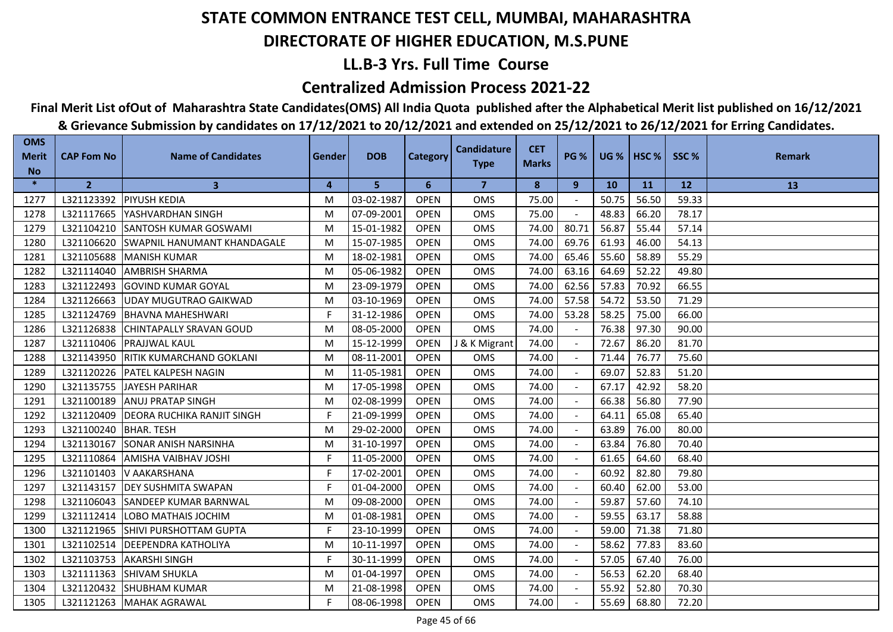## **LL.B-3 Yrs. Full Time Course**

### **Centralized Admission Process 2021-22**

## **Final Merit List ofOut of Maharashtra State Candidates(OMS) All India Quota published after the Alphabetical Merit list published on 16/12/2021**

| <b>OMS</b><br><b>Merit</b> | <b>CAP Fom No</b>       | <b>Name of Candidates</b>           | Gender | <b>DOB</b> | <b>Category</b> | <b>Candidature</b>      | <b>CET</b><br><b>Marks</b> | <b>PG %</b>    |           | <b>UG %   HSC %  </b> | SSC%  | <b>Remark</b> |
|----------------------------|-------------------------|-------------------------------------|--------|------------|-----------------|-------------------------|----------------------------|----------------|-----------|-----------------------|-------|---------------|
| <b>No</b>                  |                         |                                     |        |            |                 | <b>Type</b>             |                            |                |           |                       |       |               |
| $\ast$                     | $\overline{2}$          | $\mathbf{3}$                        | 4      | 5          | 6               | $\overline{\mathbf{z}}$ | 8                          | 9              | <b>10</b> | <b>11</b>             | 12    | 13            |
| 1277                       |                         | L321123392   PIYUSH KEDIA           | M      | 03-02-1987 | <b>OPEN</b>     | <b>OMS</b>              | 75.00                      |                | 50.75     | 56.50                 | 59.33 |               |
| 1278                       | L321117665              | YASHVARDHAN SINGH                   | M      | 07-09-2001 | <b>OPEN</b>     | <b>OMS</b>              | 75.00                      |                | 48.83     | 66.20                 | 78.17 |               |
| 1279                       | L321104210              | <b>SANTOSH KUMAR GOSWAMI</b>        | M      | 15-01-1982 | <b>OPEN</b>     | <b>OMS</b>              | 74.00                      | 80.71          | 56.87     | 55.44                 | 57.14 |               |
| 1280                       | L321106620              | <b>SWAPNIL HANUMANT KHANDAGALE</b>  | M      | 15-07-1985 | <b>OPEN</b>     | <b>OMS</b>              | 74.00                      | 69.76          | 61.93     | 46.00                 | 54.13 |               |
| 1281                       | L321105688              | MANISH KUMAR                        | M      | 18-02-1981 | <b>OPEN</b>     | OMS                     | 74.00                      | 65.46          | 55.60     | 58.89                 | 55.29 |               |
| 1282                       |                         | L321114040 AMBRISH SHARMA           | M      | 05-06-1982 | <b>OPEN</b>     | <b>OMS</b>              | 74.00                      | 63.16          | 64.69     | 52.22                 | 49.80 |               |
| 1283                       | L321122493              | <b>IGOVIND KUMAR GOYAL</b>          | M      | 23-09-1979 | <b>OPEN</b>     | <b>OMS</b>              | 74.00                      | 62.56          | 57.83     | 70.92                 | 66.55 |               |
| 1284                       |                         | L321126663 UDAY MUGUTRAO GAIKWAD    | M      | 03-10-1969 | <b>OPEN</b>     | OMS                     | 74.00                      | 57.58          | 54.72     | 53.50                 | 71.29 |               |
| 1285                       | L321124769              | <b>BHAVNA MAHESHWARI</b>            | F      | 31-12-1986 | <b>OPEN</b>     | <b>OMS</b>              | 74.00                      | 53.28          | 58.25     | 75.00                 | 66.00 |               |
| 1286                       | L321126838              | <b>CHINTAPALLY SRAVAN GOUD</b>      | M      | 08-05-2000 | <b>OPEN</b>     | OMS                     | 74.00                      |                | 76.38     | 97.30                 | 90.00 |               |
| 1287                       | L321110406              | <b>IPRAJJWAL KAUL</b>               | M      | 15-12-1999 | <b>OPEN</b>     | J & K Migrant           | 74.00                      | $\blacksquare$ | 72.67     | 86.20                 | 81.70 |               |
| 1288                       |                         | L321143950 RITIK KUMARCHAND GOKLANI | M      | 08-11-2001 | <b>OPEN</b>     | <b>OMS</b>              | 74.00                      | $\sim$         | 71.44     | 76.77                 | 75.60 |               |
| 1289                       |                         | L321120226   PATEL KALPESH NAGIN    | M      | 11-05-1981 | <b>OPEN</b>     | OMS                     | 74.00                      | $\sim$         | 69.07     | 52.83                 | 51.20 |               |
| 1290                       | L321135755              | JAYESH PARIHAR                      | M      | 17-05-1998 | <b>OPEN</b>     | OMS                     | 74.00                      |                | 67.17     | 42.92                 | 58.20 |               |
| 1291                       | L321100189              | <b>ANUJ PRATAP SINGH</b>            | M      | 02-08-1999 | <b>OPEN</b>     | OMS                     | 74.00                      |                | 66.38     | 56.80                 | 77.90 |               |
| 1292                       | L321120409              | <b>DEORA RUCHIKA RANJIT SINGH</b>   | F.     | 21-09-1999 | <b>OPEN</b>     | <b>OMS</b>              | 74.00                      |                | 64.11     | 65.08                 | 65.40 |               |
| 1293                       | L321100240   BHAR. TESH |                                     | M      | 29-02-2000 | <b>OPEN</b>     | <b>OMS</b>              | 74.00                      |                | 63.89     | 76.00                 | 80.00 |               |
| 1294                       | L321130167              | <b>SONAR ANISH NARSINHA</b>         | M      | 31-10-1997 | <b>OPEN</b>     | <b>OMS</b>              | 74.00                      |                | 63.84     | 76.80                 | 70.40 |               |
| 1295                       | L321110864              | <b>AMISHA VAIBHAV JOSHI</b>         | F.     | 11-05-2000 | <b>OPEN</b>     | OMS                     | 74.00                      |                | 61.65     | 64.60                 | 68.40 |               |
| 1296                       | L321101403              | V AAKARSHANA                        | F      | 17-02-2001 | <b>OPEN</b>     | OMS                     | 74.00                      |                | 60.92     | 82.80                 | 79.80 |               |
| 1297                       |                         | L321143157   DEY SUSHMITA SWAPAN    | F      | 01-04-2000 | <b>OPEN</b>     | <b>OMS</b>              | 74.00                      |                | 60.40     | 62.00                 | 53.00 |               |
| 1298                       | L321106043              | <b>SANDEEP KUMAR BARNWAL</b>        | M      | 09-08-2000 | <b>OPEN</b>     | <b>OMS</b>              | 74.00                      |                | 59.87     | 57.60                 | 74.10 |               |
| 1299                       | L321112414              | LOBO MATHAIS JOCHIM                 | M      | 01-08-1981 | <b>OPEN</b>     | OMS                     | 74.00                      |                | 59.55     | 63.17                 | 58.88 |               |
| 1300                       | L321121965              | <b>SHIVI PURSHOTTAM GUPTA</b>       | F      | 23-10-1999 | <b>OPEN</b>     | OMS                     | 74.00                      |                | 59.00     | 71.38                 | 71.80 |               |
| 1301                       | L321102514              | <b>IDEEPENDRA KATHOLIYA</b>         | M      | 10-11-1997 | <b>OPEN</b>     | <b>OMS</b>              | 74.00                      |                | 58.62     | 77.83                 | 83.60 |               |
| 1302                       | L321103753              | <b>AKARSHI SINGH</b>                | F.     | 30-11-1999 | <b>OPEN</b>     | <b>OMS</b>              | 74.00                      |                | 57.05     | 67.40                 | 76.00 |               |
| 1303                       | L321111363              | <b>SHIVAM SHUKLA</b>                | M      | 01-04-1997 | <b>OPEN</b>     | <b>OMS</b>              | 74.00                      |                | 56.53     | 62.20                 | 68.40 |               |
| 1304                       |                         | L321120432 SHUBHAM KUMAR            | M      | 21-08-1998 | <b>OPEN</b>     | <b>OMS</b>              | 74.00                      |                | 55.92     | 52.80                 | 70.30 |               |
| 1305                       |                         | L321121263   MAHAK AGRAWAL          | F      | 08-06-1998 | <b>OPEN</b>     | <b>OMS</b>              | 74.00                      |                | 55.69     | 68.80                 | 72.20 |               |
|                            |                         |                                     |        |            |                 |                         |                            |                |           |                       |       |               |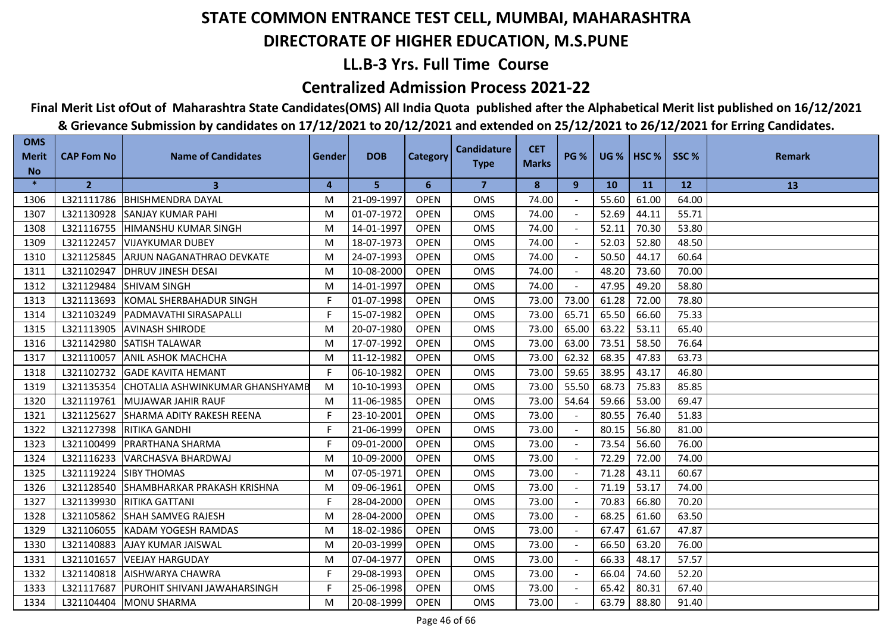## **LL.B-3 Yrs. Full Time Course**

### **Centralized Admission Process 2021-22**

**Final Merit List ofOut of Maharashtra State Candidates(OMS) All India Quota published after the Alphabetical Merit list published on 16/12/2021**

| <b>OMS</b><br><b>Merit</b> | <b>CAP Fom No</b> | <b>Name of Candidates</b>        | Gender | <b>DOB</b> | <b>Category</b> | <b>Candidature</b> | <b>CET</b>   | <b>PG %</b>              | $UG %$ HSC % |       | SSC%  | <b>Remark</b> |
|----------------------------|-------------------|----------------------------------|--------|------------|-----------------|--------------------|--------------|--------------------------|--------------|-------|-------|---------------|
| <b>No</b>                  |                   |                                  |        |            |                 | <b>Type</b>        | <b>Marks</b> |                          |              |       |       |               |
| $\ast$                     | $\mathbf{2}$      | 3                                | 4      | 5          | 6               | 7                  | 8            | 9                        | <b>10</b>    | 11    | 12    | 13            |
| 1306                       | L321111786        | <b>BHISHMENDRA DAYAL</b>         | M      | 21-09-1997 | <b>OPEN</b>     | <b>OMS</b>         | 74.00        |                          | 55.60        | 61.00 | 64.00 |               |
| 1307                       | L321130928        | <b>SANJAY KUMAR PAHI</b>         | M      | 01-07-1972 | <b>OPEN</b>     | <b>OMS</b>         | 74.00        |                          | 52.69        | 44.11 | 55.71 |               |
| 1308                       | L321116755        | IHIMANSHU KUMAR SINGH            | M      | 14-01-1997 | <b>OPEN</b>     | <b>OMS</b>         | 74.00        |                          | 52.11        | 70.30 | 53.80 |               |
| 1309                       | L321122457        | <b>VIJAYKUMAR DUBEY</b>          | M      | 18-07-1973 | <b>OPEN</b>     | <b>OMS</b>         | 74.00        | $\blacksquare$           | 52.03        | 52.80 | 48.50 |               |
| 1310                       | L321125845        | ARJUN NAGANATHRAO DEVKATE        | M      | 24-07-1993 | <b>OPEN</b>     | OMS                | 74.00        |                          | 50.50        | 44.17 | 60.64 |               |
| 1311                       | L321102947        | <b>DHRUV JINESH DESAI</b>        | м      | 10-08-2000 | <b>OPEN</b>     | <b>OMS</b>         | 74.00        |                          | 48.20        | 73.60 | 70.00 |               |
| 1312                       | L321129484        | <b>SHIVAM SINGH</b>              | М      | 14-01-1997 | <b>OPEN</b>     | <b>OMS</b>         | 74.00        |                          | 47.95        | 49.20 | 58.80 |               |
| 1313                       | L321113693        | <b>KOMAL SHERBAHADUR SINGH</b>   | F.     | 01-07-1998 | <b>OPEN</b>     | <b>OMS</b>         | 73.00        | 73.00                    | 61.28        | 72.00 | 78.80 |               |
| 1314                       | L321103249        | <b>IPADMAVATHI SIRASAPALLI</b>   | F      | 15-07-1982 | <b>OPEN</b>     | <b>OMS</b>         | 73.00        | 65.71                    | 65.50        | 66.60 | 75.33 |               |
| 1315                       | L321113905        | <b>AVINASH SHIRODE</b>           | M      | 20-07-1980 | <b>OPEN</b>     | <b>OMS</b>         | 73.00        | 65.00                    | 63.22        | 53.11 | 65.40 |               |
| 1316                       | L321142980        | <b>SATISH TALAWAR</b>            | м      | 17-07-1992 | <b>OPEN</b>     | <b>OMS</b>         | 73.00        | 63.00                    | 73.51        | 58.50 | 76.64 |               |
| 1317                       | L321110057        | <b>ANIL ASHOK MACHCHA</b>        | M      | 11-12-1982 | <b>OPEN</b>     | <b>OMS</b>         | 73.00        | 62.32                    | 68.35        | 47.83 | 63.73 |               |
| 1318                       | L321102732        | <b>GADE KAVITA HEMANT</b>        | F.     | 06-10-1982 | <b>OPEN</b>     | <b>OMS</b>         | 73.00        | 59.65                    | 38.95        | 43.17 | 46.80 |               |
| 1319                       | L321135354        | CHOTALIA ASHWINKUMAR GHANSHYAMB  | M      | 10-10-1993 | <b>OPEN</b>     | <b>OMS</b>         | 73.00        | 55.50                    | 68.73        | 75.83 | 85.85 |               |
| 1320                       | L321119761        | MUJAWAR JAHIR RAUF               | M      | 11-06-1985 | <b>OPEN</b>     | <b>OMS</b>         | 73.00        | 54.64                    | 59.66        | 53.00 | 69.47 |               |
| 1321                       | L321125627        | <b>SHARMA ADITY RAKESH REENA</b> | F.     | 23-10-2001 | <b>OPEN</b>     | <b>OMS</b>         | 73.00        | $\overline{\phantom{a}}$ | 80.55        | 76.40 | 51.83 |               |
| 1322                       | L321127398        | <b>RITIKA GANDHI</b>             | F      | 21-06-1999 | <b>OPEN</b>     | <b>OMS</b>         | 73.00        |                          | 80.15        | 56.80 | 81.00 |               |
| 1323                       | L321100499        | <b>PRARTHANA SHARMA</b>          | F      | 09-01-2000 | <b>OPEN</b>     | <b>OMS</b>         | 73.00        |                          | 73.54        | 56.60 | 76.00 |               |
| 1324                       | L321116233        | VARCHASVA BHARDWAJ               | M      | 10-09-2000 | <b>OPEN</b>     | <b>OMS</b>         | 73.00        | $\sim$                   | 72.29        | 72.00 | 74.00 |               |
| 1325                       | L321119224        | <b>SIBY THOMAS</b>               | M      | 07-05-1971 | <b>OPEN</b>     | OMS                | 73.00        | $\blacksquare$           | 71.28        | 43.11 | 60.67 |               |
| 1326                       | L321128540        | SHAMBHARKAR PRAKASH KRISHNA      | M      | 09-06-1961 | <b>OPEN</b>     | <b>OMS</b>         | 73.00        |                          | 71.19        | 53.17 | 74.00 |               |
| 1327                       | L321139930        | <b>RITIKA GATTANI</b>            | F      | 28-04-2000 | <b>OPEN</b>     | <b>OMS</b>         | 73.00        | $\blacksquare$           | 70.83        | 66.80 | 70.20 |               |
| 1328                       | L321105862        | <b>SHAH SAMVEG RAJESH</b>        | M      | 28-04-2000 | <b>OPEN</b>     | <b>OMS</b>         | 73.00        |                          | 68.25        | 61.60 | 63.50 |               |
| 1329                       | L321106055        | KADAM YOGESH RAMDAS              | M      | 18-02-1986 | <b>OPEN</b>     | <b>OMS</b>         | 73.00        | $\sim$                   | 67.47        | 61.67 | 47.87 |               |
| 1330                       | L321140883        | <b>AJAY KUMAR JAISWAL</b>        | M      | 20-03-1999 | <b>OPEN</b>     | <b>OMS</b>         | 73.00        |                          | 66.50        | 63.20 | 76.00 |               |
| 1331                       | L321101657        | <b>VEEJAY HARGUDAY</b>           | M      | 07-04-1977 | <b>OPEN</b>     | <b>OMS</b>         | 73.00        | $\sim$                   | 66.33        | 48.17 | 57.57 |               |
| 1332                       | L321140818        | <b>AISHWARYA CHAWRA</b>          | F.     | 29-08-1993 | <b>OPEN</b>     | <b>OMS</b>         | 73.00        |                          | 66.04        | 74.60 | 52.20 |               |
| 1333                       | L321117687        | PUROHIT SHIVANI JAWAHARSINGH     | F.     | 25-06-1998 | <b>OPEN</b>     | <b>OMS</b>         | 73.00        |                          | 65.42        | 80.31 | 67.40 |               |
| 1334                       | L321104404        | <b>MONU SHARMA</b>               | М      | 20-08-1999 | <b>OPEN</b>     | <b>OMS</b>         | 73.00        |                          | 63.79        | 88.80 | 91.40 |               |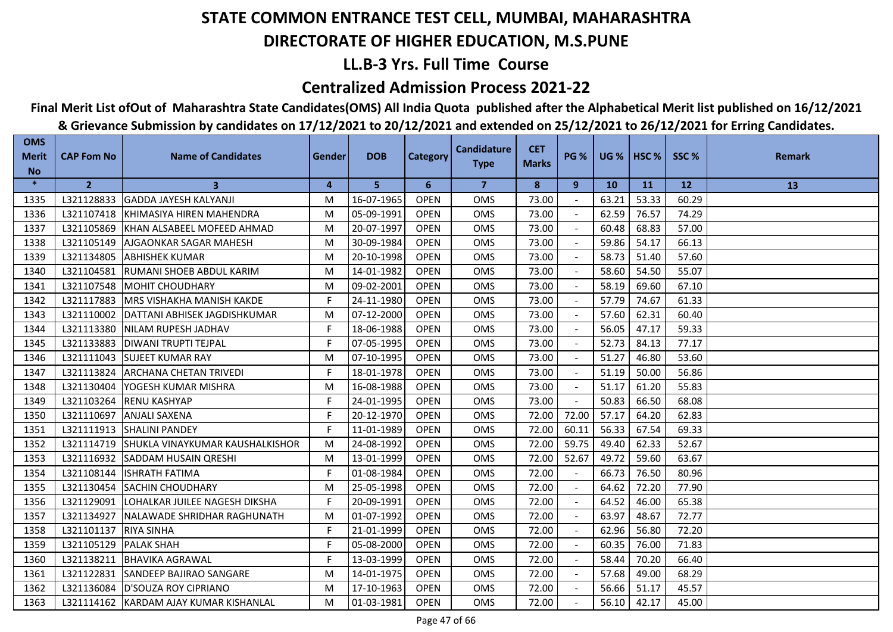## **LL.B-3 Yrs. Full Time Course**

### **Centralized Admission Process 2021-22**

# **Final Merit List ofOut of Maharashtra State Candidates(OMS) All India Quota published after the Alphabetical Merit list published on 16/12/2021**

| <b>OMS</b><br><b>Merit</b> | <b>CAP Fom No</b> | <b>Name of Candidates</b>              | <b>Gender</b> | <b>DOB</b> | <b>Category</b> | <b>Candidature</b> | <b>CET</b>   | <b>PG %</b> | <b>UG %   HSC %</b> |       | SSC%      | <b>Remark</b> |
|----------------------------|-------------------|----------------------------------------|---------------|------------|-----------------|--------------------|--------------|-------------|---------------------|-------|-----------|---------------|
| <b>No</b>                  |                   |                                        |               |            |                 | <b>Type</b>        | <b>Marks</b> |             |                     |       |           |               |
| $\ast$                     | $\overline{2}$    | 3                                      | 4             | 5          | 6               | $\overline{7}$     | 8            | 9           | <b>10</b>           | 11    | <b>12</b> | 13            |
| 1335                       | L321128833        | <b>GADDA JAYESH KALYANJI</b>           | M             | 16-07-1965 | <b>OPEN</b>     | OMS                | 73.00        |             | 63.21               | 53.33 | 60.29     |               |
| 1336                       | L321107418        | <b>IKHIMASIYA HIREN MAHENDRA</b>       | M             | 05-09-1991 | <b>OPEN</b>     | <b>OMS</b>         | 73.00        |             | 62.59               | 76.57 | 74.29     |               |
| 1337                       | L321105869        | KHAN ALSABEEL MOFEED AHMAD             | M             | 20-07-1997 | <b>OPEN</b>     | <b>OMS</b>         | 73.00        |             | 60.48               | 68.83 | 57.00     |               |
| 1338                       | L321105149        | <b>AJGAONKAR SAGAR MAHESH</b>          | M             | 30-09-1984 | <b>OPEN</b>     | <b>OMS</b>         | 73.00        |             | 59.86               | 54.17 | 66.13     |               |
| 1339                       | L321134805        | <b>ABHISHEK KUMAR</b>                  | M             | 20-10-1998 | <b>OPEN</b>     | OMS                | 73.00        |             | 58.73               | 51.40 | 57.60     |               |
| 1340                       | L321104581        | RUMANI SHOEB ABDUL KARIM               | M             | 14-01-1982 | <b>OPEN</b>     | OMS                | 73.00        |             | 58.60               | 54.50 | 55.07     |               |
| 1341                       | L321107548        | MOHIT CHOUDHARY                        | M             | 09-02-2001 | <b>OPEN</b>     | OMS                | 73.00        |             | 58.19               | 69.60 | 67.10     |               |
| 1342                       | L321117883        | <b>IMRS VISHAKHA MANISH KAKDE</b>      | F.            | 24-11-1980 | <b>OPEN</b>     | <b>OMS</b>         | 73.00        |             | 57.79               | 74.67 | 61.33     |               |
| 1343                       | L321110002        | DATTANI ABHISEK JAGDISHKUMAR           | M             | 07-12-2000 | <b>OPEN</b>     | <b>OMS</b>         | 73.00        |             | 57.60               | 62.31 | 60.40     |               |
| 1344                       | L321113380        | <b>INILAM RUPESH JADHAV</b>            | F             | 18-06-1988 | <b>OPEN</b>     | <b>OMS</b>         | 73.00        |             | 56.05               | 47.17 | 59.33     |               |
| 1345                       | L321133883        | IDIWANI TRUPTI TEJPAL                  | F             | 07-05-1995 | <b>OPEN</b>     | <b>OMS</b>         | 73.00        |             | 52.73               | 84.13 | 77.17     |               |
| 1346                       | L321111043        | <b>SUJEET KUMAR RAY</b>                | M             | 07-10-1995 | <b>OPEN</b>     | <b>OMS</b>         | 73.00        |             | 51.27               | 46.80 | 53.60     |               |
| 1347                       | L321113824        | IARCHANA CHETAN TRIVEDI                | F             | 18-01-1978 | <b>OPEN</b>     | <b>OMS</b>         | 73.00        |             | 51.19               | 50.00 | 56.86     |               |
| 1348                       | L321130404        | YOGESH KUMAR MISHRA                    | M             | 16-08-1988 | <b>OPEN</b>     | <b>OMS</b>         | 73.00        |             | 51.17               | 61.20 | 55.83     |               |
| 1349                       | L321103264        | <b>IRENU KASHYAP</b>                   | F.            | 24-01-1995 | <b>OPEN</b>     | <b>OMS</b>         | 73.00        | $\sim$      | 50.83               | 66.50 | 68.08     |               |
| 1350                       | L321110697        | <b>ANJALI SAXENA</b>                   | F.            | 20-12-1970 | <b>OPEN</b>     | OMS                | 72.00        | 72.00       | 57.17               | 64.20 | 62.83     |               |
| 1351                       | L321111913        | <b>SHALINI PANDEY</b>                  | F.            | 11-01-1989 | <b>OPEN</b>     | OMS                | 72.00        | 60.11       | 56.33               | 67.54 | 69.33     |               |
| 1352                       | L321114719        | <b>SHUKLA VINAYKUMAR KAUSHALKISHOR</b> | M             | 24-08-1992 | <b>OPEN</b>     | OMS                | 72.00        | 59.75       | 49.40               | 62.33 | 52.67     |               |
| 1353                       | L321116932        | <b>ISADDAM HUSAIN QRESHI</b>           | M             | 13-01-1999 | <b>OPEN</b>     | <b>OMS</b>         | 72.00        | 52.67       | 49.72               | 59.60 | 63.67     |               |
| 1354                       | L321108144        | <b>ISHRATH FATIMA</b>                  | F             | 01-08-1984 | <b>OPEN</b>     | <b>OMS</b>         | 72.00        |             | 66.73               | 76.50 | 80.96     |               |
| 1355                       | L321130454        | <b>ISACHIN CHOUDHARY</b>               | M             | 25-05-1998 | <b>OPEN</b>     | <b>OMS</b>         | 72.00        |             | 64.62               | 72.20 | 77.90     |               |
| 1356                       | L321129091        | LOHALKAR JUILEE NAGESH DIKSHA          | F.            | 20-09-1991 | <b>OPEN</b>     | <b>OMS</b>         | 72.00        |             | 64.52               | 46.00 | 65.38     |               |
| 1357                       | L321134927        | NALAWADE SHRIDHAR RAGHUNATH            | M             | 01-07-1992 | <b>OPEN</b>     | OMS                | 72.00        |             | 63.97               | 48.67 | 72.77     |               |
| 1358                       | L321101137        | <b>RIYA SINHA</b>                      | F             | 21-01-1999 | <b>OPEN</b>     | <b>OMS</b>         | 72.00        |             | 62.96               | 56.80 | 72.20     |               |
| 1359                       | L321105129        | <b>PALAK SHAH</b>                      | F.            | 05-08-2000 | <b>OPEN</b>     | <b>OMS</b>         | 72.00        |             | 60.35               | 76.00 | 71.83     |               |
| 1360                       | L321138211        | <b>BHAVIKA AGRAWAL</b>                 | F.            | 13-03-1999 | <b>OPEN</b>     | <b>OMS</b>         | 72.00        |             | 58.44               | 70.20 | 66.40     |               |
| 1361                       | L321122831        | <b>SANDEEP BAJIRAO SANGARE</b>         | M             | 14-01-1975 | <b>OPEN</b>     | OMS                | 72.00        |             | 57.68               | 49.00 | 68.29     |               |
| 1362                       | L321136084        | D'SOUZA ROY CIPRIANO                   | M             | 17-10-1963 | <b>OPEN</b>     | OMS                | 72.00        |             | 56.66               | 51.17 | 45.57     |               |
| 1363                       |                   | L321114162 KARDAM AJAY KUMAR KISHANLAL | M             | 01-03-1981 | <b>OPEN</b>     | <b>OMS</b>         | 72.00        |             | 56.10               | 42.17 | 45.00     |               |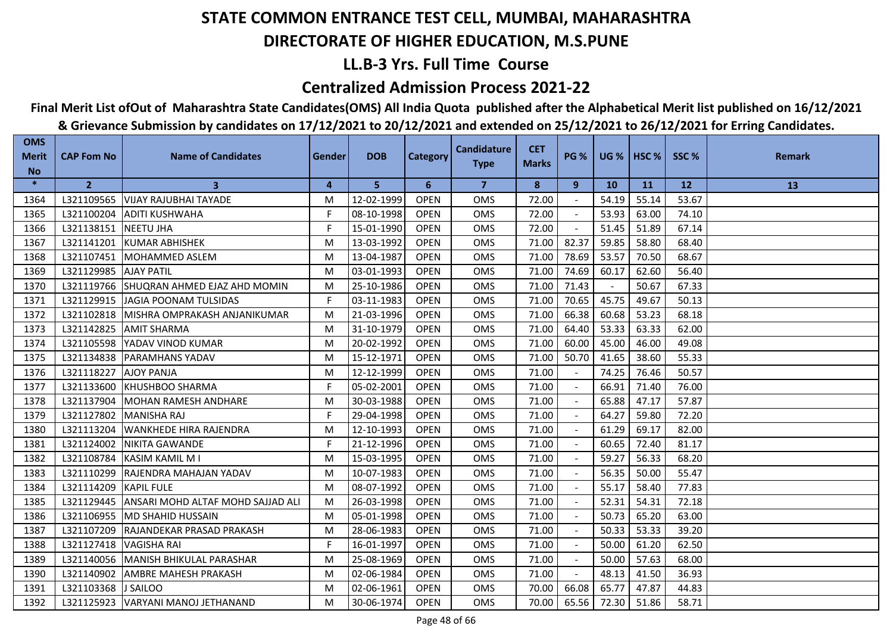## **LL.B-3 Yrs. Full Time Course**

### **Centralized Admission Process 2021-22**

## **Final Merit List ofOut of Maharashtra State Candidates(OMS) All India Quota published after the Alphabetical Merit list published on 16/12/2021**

| <b>OMS</b><br><b>Merit</b> | <b>CAP Fom No</b>     | <b>Name of Candidates</b>                | Gender         | <b>DOB</b> | Category    | <b>Candidature</b> | <b>CET</b>   | <b>PG %</b> | <b>UG %</b> | HSC <sub>%</sub> | SSC%  | <b>Remark</b> |
|----------------------------|-----------------------|------------------------------------------|----------------|------------|-------------|--------------------|--------------|-------------|-------------|------------------|-------|---------------|
| <b>No</b>                  |                       |                                          |                |            |             | <b>Type</b>        | <b>Marks</b> |             |             |                  |       |               |
| $\ast$                     | $\overline{2}$        | $\mathbf{3}$                             | $\overline{4}$ | 5          | 6           | $\overline{7}$     | 8            | 9           | <b>10</b>   | <b>11</b>        | 12    | 13            |
| 1364                       |                       | L321109565 VIJAY RAJUBHAI TAYADE         | M              | 12-02-1999 | <b>OPEN</b> | <b>OMS</b>         | 72.00        |             | 54.19       | 55.14            | 53.67 |               |
| 1365                       | L321100204            | <b>JADITI KUSHWAHA</b>                   | F.             | 08-10-1998 | <b>OPEN</b> | <b>OMS</b>         | 72.00        |             | 53.93       | 63.00            | 74.10 |               |
| 1366                       | L321138151 NEETU JHA  |                                          | F              | 15-01-1990 | <b>OPEN</b> | <b>OMS</b>         | 72.00        |             | 51.45       | 51.89            | 67.14 |               |
| 1367                       | L321141201            | <b>IKUMAR ABHISHEK</b>                   | M              | 13-03-1992 | <b>OPEN</b> | <b>OMS</b>         | 71.00        | 82.37       | 59.85       | 58.80            | 68.40 |               |
| 1368                       |                       | L321107451 MOHAMMED ASLEM                | M              | 13-04-1987 | <b>OPEN</b> | <b>OMS</b>         | 71.00        | 78.69       | 53.57       | 70.50            | 68.67 |               |
| 1369                       | L321129985 AJAY PATIL |                                          | M              | 03-01-1993 | <b>OPEN</b> | <b>OMS</b>         | 71.00        | 74.69       | 60.17       | 62.60            | 56.40 |               |
| 1370                       |                       | L321119766 SHUQRAN AHMED EJAZ AHD MOMIN  | M              | 25-10-1986 | <b>OPEN</b> | <b>OMS</b>         | 71.00        | 71.43       |             | 50.67            | 67.33 |               |
| 1371                       |                       | L321129915 JAGIA POONAM TULSIDAS         | F.             | 03-11-1983 | <b>OPEN</b> | <b>OMS</b>         | 71.00        | 70.65       | 45.75       | 49.67            | 50.13 |               |
| 1372                       |                       | L321102818 MISHRA OMPRAKASH ANJANIKUMAR  | M              | 21-03-1996 | <b>OPEN</b> | OMS                | 71.00        | 66.38       | 60.68       | 53.23            | 68.18 |               |
| 1373                       |                       | L321142825 AMIT SHARMA                   | M              | 31-10-1979 | <b>OPEN</b> | <b>OMS</b>         | 71.00        | 64.40       | 53.33       | 63.33            | 62.00 |               |
| 1374                       |                       | L321105598 YADAV VINOD KUMAR             | M              | 20-02-1992 | <b>OPEN</b> | <b>OMS</b>         | 71.00        | 60.00       | 45.00       | 46.00            | 49.08 |               |
| 1375                       | L321134838            | <b>PARAMHANS YADAV</b>                   | M              | 15-12-1971 | <b>OPEN</b> | OMS                | 71.00        | 50.70       | 41.65       | 38.60            | 55.33 |               |
| 1376                       | L321118227            | <b>AJOY PANJA</b>                        | M              | 12-12-1999 | <b>OPEN</b> | <b>OMS</b>         | 71.00        |             | 74.25       | 76.46            | 50.57 |               |
| 1377                       |                       | L321133600 KHUSHBOO SHARMA               | F.             | 05-02-2001 | <b>OPEN</b> | <b>OMS</b>         | 71.00        |             | 66.91       | 71.40            | 76.00 |               |
| 1378                       | L321137904            | MOHAN RAMESH ANDHARE                     | M              | 30-03-1988 | <b>OPEN</b> | <b>OMS</b>         | 71.00        |             | 65.88       | 47.17            | 57.87 |               |
| 1379                       | L321127802            | <b>MANISHA RAJ</b>                       | F.             | 29-04-1998 | <b>OPEN</b> | <b>OMS</b>         | 71.00        |             | 64.27       | 59.80            | 72.20 |               |
| 1380                       |                       | L321113204 WANKHEDE HIRA RAJENDRA        | M              | 12-10-1993 | <b>OPEN</b> | <b>OMS</b>         | 71.00        |             | 61.29       | 69.17            | 82.00 |               |
| 1381                       | L321124002            | <b>NIKITA GAWANDE</b>                    | F              | 21-12-1996 | <b>OPEN</b> | <b>OMS</b>         | 71.00        |             | 60.65       | 72.40            | 81.17 |               |
| 1382                       | L321108784            | <b>IKASIM KAMIL M I</b>                  | M              | 15-03-1995 | <b>OPEN</b> | <b>OMS</b>         | 71.00        |             | 59.27       | 56.33            | 68.20 |               |
| 1383                       | L321110299            | RAJENDRA MAHAJAN YADAV                   | M              | 10-07-1983 | <b>OPEN</b> | <b>OMS</b>         | 71.00        |             | 56.35       | 50.00            | 55.47 |               |
| 1384                       | L321114209            | <b>KAPIL FULE</b>                        | M              | 08-07-1992 | <b>OPEN</b> | <b>OMS</b>         | 71.00        |             | 55.17       | 58.40            | 77.83 |               |
| 1385                       | L321129445            | <b>ANSARI MOHD ALTAF MOHD SAJJAD ALI</b> | M              | 26-03-1998 | <b>OPEN</b> | <b>OMS</b>         | 71.00        |             | 52.31       | 54.31            | 72.18 |               |
| 1386                       |                       | L321106955 MD SHAHID HUSSAIN             | M              | 05-01-1998 | <b>OPEN</b> | OMS                | 71.00        |             | 50.73       | 65.20            | 63.00 |               |
| 1387                       | L321107209            | <b>RAJANDEKAR PRASAD PRAKASH</b>         | M              | 28-06-1983 | <b>OPEN</b> | <b>OMS</b>         | 71.00        |             | 50.33       | 53.33            | 39.20 |               |
| 1388                       | L321127418            | <b>VAGISHA RAI</b>                       | F.             | 16-01-1997 | <b>OPEN</b> | <b>OMS</b>         | 71.00        |             | 50.00       | 61.20            | 62.50 |               |
| 1389                       | L321140056            | <b>IMANISH BHIKULAL PARASHAR</b>         | M              | 25-08-1969 | <b>OPEN</b> | <b>OMS</b>         | 71.00        |             | 50.00       | 57.63            | 68.00 |               |
| 1390                       |                       | L321140902 AMBRE MAHESH PRAKASH          | M              | 02-06-1984 | <b>OPEN</b> | <b>OMS</b>         | 71.00        | $\sim$      | 48.13       | 41.50            | 36.93 |               |
| 1391                       | L321103368 J SAILOO   |                                          | M              | 02-06-1961 | <b>OPEN</b> | OMS                | 70.00        | 66.08       | 65.77       | 47.87            | 44.83 |               |
| 1392                       |                       | L321125923   VARYANI MANOJ JETHANAND     | м              | 30-06-1974 | <b>OPEN</b> | <b>OMS</b>         | 70.00        | 65.56       | 72.30       | 51.86            | 58.71 |               |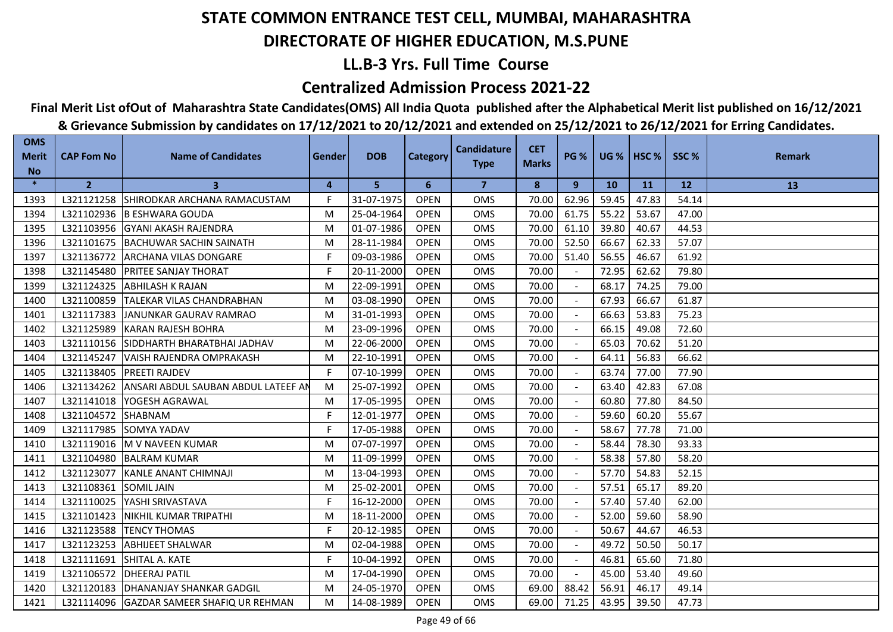## **LL.B-3 Yrs. Full Time Course**

### **Centralized Admission Process 2021-22**

# **Final Merit List ofOut of Maharashtra State Candidates(OMS) All India Quota published after the Alphabetical Merit list published on 16/12/2021**

| <b>OMS</b><br><b>Merit</b> | <b>CAP Fom No</b> | <b>Name of Candidates</b>                 | Gender | <b>DOB</b> | <b>Category</b> | <b>Candidature</b> | <b>CET</b>   | <b>PG %</b> |           | <b>UG %   HSC %  </b> | SSC%  | <b>Remark</b> |
|----------------------------|-------------------|-------------------------------------------|--------|------------|-----------------|--------------------|--------------|-------------|-----------|-----------------------|-------|---------------|
| <b>No</b>                  |                   |                                           |        |            |                 | <b>Type</b>        | <b>Marks</b> |             |           |                       |       |               |
| $\ast$                     | $\overline{2}$    | 3                                         | 4      | 5          | 6               | $\overline{7}$     | 8            | 9           | <b>10</b> | <b>11</b>             | 12    | 13            |
| 1393                       |                   | L321121258 SHIRODKAR ARCHANA RAMACUSTAM   | F.     | 31-07-1975 | <b>OPEN</b>     | <b>OMS</b>         | 70.00        | 62.96       | 59.45     | 47.83                 | 54.14 |               |
| 1394                       |                   | L321102936 B ESHWARA GOUDA                | M      | 25-04-1964 | <b>OPEN</b>     | <b>OMS</b>         | 70.00        | 61.75       | 55.22     | 53.67                 | 47.00 |               |
| 1395                       | L321103956        | <b>IGYANI AKASH RAJENDRA</b>              | M      | 01-07-1986 | <b>OPEN</b>     | <b>OMS</b>         | 70.00        | 61.10       | 39.80     | 40.67                 | 44.53 |               |
| 1396                       | L321101675        | BACHUWAR SACHIN SAINATH                   | M      | 28-11-1984 | <b>OPEN</b>     | <b>OMS</b>         | 70.00        | 52.50       | 66.67     | 62.33                 | 57.07 |               |
| 1397                       | L321136772        | <b>ARCHANA VILAS DONGARE</b>              | F.     | 09-03-1986 | <b>OPEN</b>     | OMS                | 70.00        | 51.40       | 56.55     | 46.67                 | 61.92 |               |
| 1398                       |                   | L321145480   PRITEE SANJAY THORAT         | F.     | 20-11-2000 | <b>OPEN</b>     | OMS                | 70.00        |             | 72.95     | 62.62                 | 79.80 |               |
| 1399                       | L321124325        | <b>ABHILASH K RAJAN</b>                   | M      | 22-09-1991 | <b>OPEN</b>     | OMS                | 70.00        |             | 68.17     | 74.25                 | 79.00 |               |
| 1400                       | L321100859        | <b>ITALEKAR VILAS CHANDRABHAN</b>         | M      | 03-08-1990 | <b>OPEN</b>     | <b>OMS</b>         | 70.00        |             | 67.93     | 66.67                 | 61.87 |               |
| 1401                       | L321117383        | JANUNKAR GAURAV RAMRAO                    | M      | 31-01-1993 | <b>OPEN</b>     | <b>OMS</b>         | 70.00        |             | 66.63     | 53.83                 | 75.23 |               |
| 1402                       | L321125989        | <b>IKARAN RAJESH BOHRA</b>                | M      | 23-09-1996 | <b>OPEN</b>     | <b>OMS</b>         | 70.00        |             | 66.15     | 49.08                 | 72.60 |               |
| 1403                       | L321110156        | <b>ISIDDHARTH BHARATBHAI JADHAV</b>       | M      | 22-06-2000 | <b>OPEN</b>     | <b>OMS</b>         | 70.00        |             | 65.03     | 70.62                 | 51.20 |               |
| 1404                       | L321145247        | VAISH RAJENDRA OMPRAKASH                  | M      | 22-10-1991 | <b>OPEN</b>     | OMS                | 70.00        |             | 64.11     | 56.83                 | 66.62 |               |
| 1405                       | L321138405        | <b>PREETI RAJDEV</b>                      | F      | 07-10-1999 | <b>OPEN</b>     | <b>OMS</b>         | 70.00        |             | 63.74     | 77.00                 | 77.90 |               |
| 1406                       | L321134262        | ANSARI ABDUL SAUBAN ABDUL LATEEF AN       | M      | 25-07-1992 | <b>OPEN</b>     | <b>OMS</b>         | 70.00        |             | 63.40     | 42.83                 | 67.08 |               |
| 1407                       | L321141018        | YOGESH AGRAWAL                            | M      | 17-05-1995 | <b>OPEN</b>     | <b>OMS</b>         | 70.00        |             | 60.80     | 77.80                 | 84.50 |               |
| 1408                       | L321104572        | SHABNAM                                   | F.     | 12-01-1977 | <b>OPEN</b>     | OMS                | 70.00        |             | 59.60     | 60.20                 | 55.67 |               |
| 1409                       | L321117985        | <b>SOMYA YADAV</b>                        | F.     | 17-05-1988 | <b>OPEN</b>     | <b>OMS</b>         | 70.00        |             | 58.67     | 77.78                 | 71.00 |               |
| 1410                       | L321119016        | M V NAVEEN KUMAR                          | M      | 07-07-1997 | <b>OPEN</b>     | <b>OMS</b>         | 70.00        |             | 58.44     | 78.30                 | 93.33 |               |
| 1411                       | L321104980        | <b>BALRAM KUMAR</b>                       | M      | 11-09-1999 | <b>OPEN</b>     | <b>OMS</b>         | 70.00        |             | 58.38     | 57.80                 | 58.20 |               |
| 1412                       | L321123077        | KANLE ANANT CHIMNAJI                      | M      | 13-04-1993 | <b>OPEN</b>     | <b>OMS</b>         | 70.00        |             | 57.70     | 54.83                 | 52.15 |               |
| 1413                       | L321108361        | <b>SOMIL JAIN</b>                         | M      | 25-02-2001 | <b>OPEN</b>     | <b>OMS</b>         | 70.00        |             | 57.51     | 65.17                 | 89.20 |               |
| 1414                       | L321110025        | <b>YASHI SRIVASTAVA</b>                   | F      | 16-12-2000 | <b>OPEN</b>     | <b>OMS</b>         | 70.00        |             | 57.40     | 57.40                 | 62.00 |               |
| 1415                       | L321101423        | NIKHIL KUMAR TRIPATHI                     | M      | 18-11-2000 | <b>OPEN</b>     | OMS                | 70.00        |             | 52.00     | 59.60                 | 58.90 |               |
| 1416                       | L321123588        | <b>ITENCY THOMAS</b>                      | F      | 20-12-1985 | <b>OPEN</b>     | <b>OMS</b>         | 70.00        |             | 50.67     | 44.67                 | 46.53 |               |
| 1417                       | L321123253        | <b>ABHIJEET SHALWAR</b>                   | M      | 02-04-1988 | <b>OPEN</b>     | <b>OMS</b>         | 70.00        |             | 49.72     | 50.50                 | 50.17 |               |
| 1418                       | L321111691        | SHITAL A. KATE                            | F      | 10-04-1992 | <b>OPEN</b>     | <b>OMS</b>         | 70.00        |             | 46.81     | 65.60                 | 71.80 |               |
| 1419                       | L321106572        | <b>DHEERAJ PATIL</b>                      | M      | 17-04-1990 | <b>OPEN</b>     | OMS                | 70.00        | $\sim$      | 45.00     | 53.40                 | 49.60 |               |
| 1420                       |                   | L321120183   DHANANJAY SHANKAR GADGIL     | M      | 24-05-1970 | <b>OPEN</b>     | <b>OMS</b>         | 69.00        | 88.42       | 56.91     | 46.17                 | 49.14 |               |
| 1421                       |                   | L321114096 GAZDAR SAMEER SHAFIQ UR REHMAN | M      | 14-08-1989 | <b>OPEN</b>     | <b>OMS</b>         | 69.00        | 71.25       | 43.95     | 39.50                 | 47.73 |               |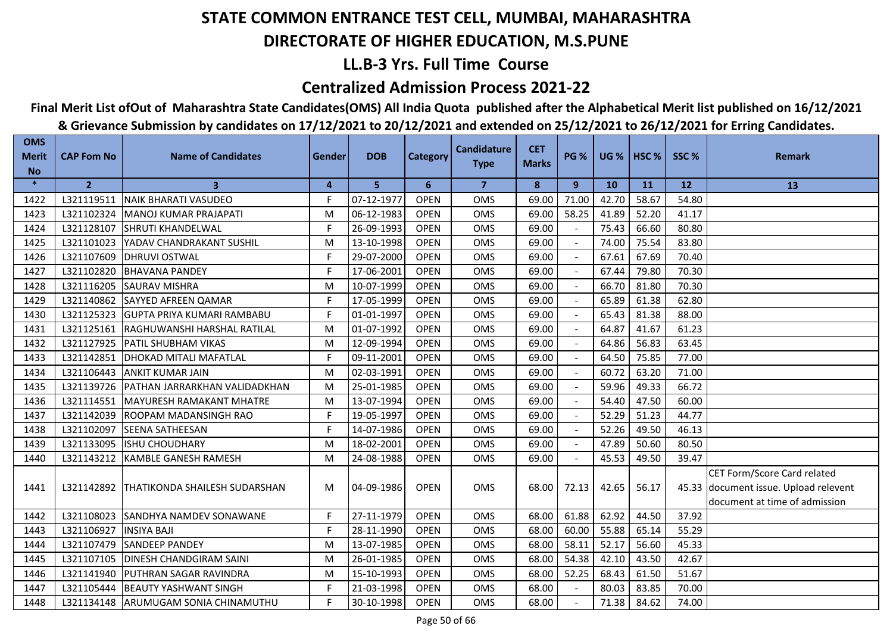## **LL.B-3 Yrs. Full Time Course**

### **Centralized Admission Process 2021-22**

## **Final Merit List ofOut of Maharashtra State Candidates(OMS) All India Quota published after the Alphabetical Merit list published on 16/12/2021**

| <b>OMS</b><br><b>Merit</b> | <b>CAP Fom No</b> | <b>Name of Candidates</b>                | Gender         | <b>DOB</b> | <b>Category</b> | <b>Candidature</b> | <b>CET</b>   | <b>PG %</b> | <b>UG %</b> | HSC <sub>%</sub> | SSC%  | <b>Remark</b>                         |
|----------------------------|-------------------|------------------------------------------|----------------|------------|-----------------|--------------------|--------------|-------------|-------------|------------------|-------|---------------------------------------|
| <b>No</b>                  |                   |                                          |                |            |                 | <b>Type</b>        | <b>Marks</b> |             |             |                  |       |                                       |
| $\ast$                     | $\overline{2}$    | $\mathbf{3}$                             | $\overline{4}$ | 5          | 6               | $\overline{7}$     | 8            | 9           | 10          | <b>11</b>        | 12    | 13                                    |
| 1422                       | L321119511        | <b>NAIK BHARATI VASUDEO</b>              | F              | 07-12-1977 | <b>OPEN</b>     | OMS                | 69.00        | 71.00       | 42.70       | 58.67            | 54.80 |                                       |
| 1423                       | L321102324        | MANOJ KUMAR PRAJAPATI                    | M              | 06-12-1983 | <b>OPEN</b>     | <b>OMS</b>         | 69.00        | 58.25       | 41.89       | 52.20            | 41.17 |                                       |
| 1424                       | L321128107        | <b>SHRUTI KHANDELWAL</b>                 | F.             | 26-09-1993 | <b>OPEN</b>     | OMS                | 69.00        |             | 75.43       | 66.60            | 80.80 |                                       |
| 1425                       | L321101023        | YADAV CHANDRAKANT SUSHIL                 | M              | 13-10-1998 | <b>OPEN</b>     | <b>OMS</b>         | 69.00        |             | 74.00       | 75.54            | 83.80 |                                       |
| 1426                       | L321107609        | <b>DHRUVI OSTWAL</b>                     | F.             | 29-07-2000 | <b>OPEN</b>     | OMS                | 69.00        |             | 67.61       | 67.69            | 70.40 |                                       |
| 1427                       | L321102820        | <b>BHAVANA PANDEY</b>                    | F.             | 17-06-2001 | <b>OPEN</b>     | OMS                | 69.00        |             | 67.44       | 79.80            | 70.30 |                                       |
| 1428                       | L321116205        | <b>SAURAV MISHRA</b>                     | M              | 10-07-1999 | <b>OPEN</b>     | OMS                | 69.00        |             | 66.70       | 81.80            | 70.30 |                                       |
| 1429                       | L321140862        | <b>SAYYED AFREEN QAMAR</b>               | F              | 17-05-1999 | <b>OPEN</b>     | <b>OMS</b>         | 69.00        | $\sim$      | 65.89       | 61.38            | 62.80 |                                       |
| 1430                       | L321125323        | <b>GUPTA PRIYA KUMARI RAMBABU</b>        | F.             | 01-01-1997 | <b>OPEN</b>     | <b>OMS</b>         | 69.00        | $\sim$      | 65.43       | 81.38            | 88.00 |                                       |
| 1431                       |                   | L321125161 RAGHUWANSHI HARSHAL RATILAL   | M              | 01-07-1992 | <b>OPEN</b>     | <b>OMS</b>         | 69.00        |             | 64.87       | 41.67            | 61.23 |                                       |
| 1432                       | L321127925        | <b>PATIL SHUBHAM VIKAS</b>               | M              | 12-09-1994 | <b>OPEN</b>     | <b>OMS</b>         | 69.00        |             | 64.86       | 56.83            | 63.45 |                                       |
| 1433                       | L321142851        | <b>DHOKAD MITALI MAFATLAL</b>            | F.             | 09-11-2001 | <b>OPEN</b>     | <b>OMS</b>         | 69.00        |             | 64.50       | 75.85            | 77.00 |                                       |
| 1434                       | L321106443        | <b>ANKIT KUMAR JAIN</b>                  | M              | 02-03-1991 | <b>OPEN</b>     | <b>OMS</b>         | 69.00        |             | 60.72       | 63.20            | 71.00 |                                       |
| 1435                       |                   | L321139726 PATHAN JARRARKHAN VALIDADKHAN | M              | 25-01-1985 | <b>OPEN</b>     | <b>OMS</b>         | 69.00        |             | 59.96       | 49.33            | 66.72 |                                       |
| 1436                       | L321114551        | <b>IMAYURESH RAMAKANT MHATRE</b>         | M              | 13-07-1994 | <b>OPEN</b>     | <b>OMS</b>         | 69.00        |             | 54.40       | 47.50            | 60.00 |                                       |
| 1437                       | L321142039        | <b>ROOPAM MADANSINGH RAO</b>             | F.             | 19-05-1997 | <b>OPEN</b>     | OMS                | 69.00        |             | 52.29       | 51.23            | 44.77 |                                       |
| 1438                       | L321102097        | <b>SEENA SATHEESAN</b>                   | F              | 14-07-1986 | <b>OPEN</b>     | <b>OMS</b>         | 69.00        |             | 52.26       | 49.50            | 46.13 |                                       |
| 1439                       | L321133095        | <b>ISHU CHOUDHARY</b>                    | M              | 18-02-2001 | <b>OPEN</b>     | OMS                | 69.00        |             | 47.89       | 50.60            | 80.50 |                                       |
| 1440                       | L321143212        | <b>IKAMBLE GANESH RAMESH</b>             | M              | 24-08-1988 | <b>OPEN</b>     | <b>OMS</b>         | 69.00        |             | 45.53       | 49.50            | 39.47 |                                       |
|                            |                   |                                          |                |            |                 |                    |              |             |             |                  |       | CET Form/Score Card related           |
| 1441                       | L321142892        | <b>THATIKONDA SHAILESH SUDARSHAN</b>     | м              | 04-09-1986 | <b>OPEN</b>     | <b>OMS</b>         | 68.00        | 72.13       | 42.65       | 56.17            |       | 45.33 document issue. Upload relevent |
|                            |                   |                                          |                |            |                 |                    |              |             |             |                  |       | document at time of admission         |
| 1442                       | L321108023        | SANDHYA NAMDEV SONAWANE                  | F.             | 27-11-1979 | <b>OPEN</b>     | <b>OMS</b>         | 68.00        | 61.88       | 62.92       | 44.50            | 37.92 |                                       |
| 1443                       | L321106927        | <b>INSIYA BAJI</b>                       | F.             | 28-11-1990 | <b>OPEN</b>     | OMS                | 68.00        | 60.00       | 55.88       | 65.14            | 55.29 |                                       |
| 1444                       | L321107479        | <b>SANDEEP PANDEY</b>                    | M              | 13-07-1985 | <b>OPEN</b>     | OMS                | 68.00        | 58.11       | 52.17       | 56.60            | 45.33 |                                       |
| 1445                       | L321107105        | <b>DINESH CHANDGIRAM SAINI</b>           | M              | 26-01-1985 | <b>OPEN</b>     | OMS                | 68.00        | 54.38       | 42.10       | 43.50            | 42.67 |                                       |
| 1446                       | L321141940        | PUTHRAN SAGAR RAVINDRA                   | M              | 15-10-1993 | <b>OPEN</b>     | OMS                | 68.00        | 52.25       | 68.43       | 61.50            | 51.67 |                                       |
| 1447                       | L321105444        | <b>BEAUTY YASHWANT SINGH</b>             | F              | 21-03-1998 | <b>OPEN</b>     | <b>OMS</b>         | 68.00        |             | 80.03       | 83.85            | 70.00 |                                       |
| 1448                       |                   | L321134148 ARUMUGAM SONIA CHINAMUTHU     | F.             | 30-10-1998 | <b>OPEN</b>     | <b>OMS</b>         | 68.00        |             | 71.38       | 84.62            | 74.00 |                                       |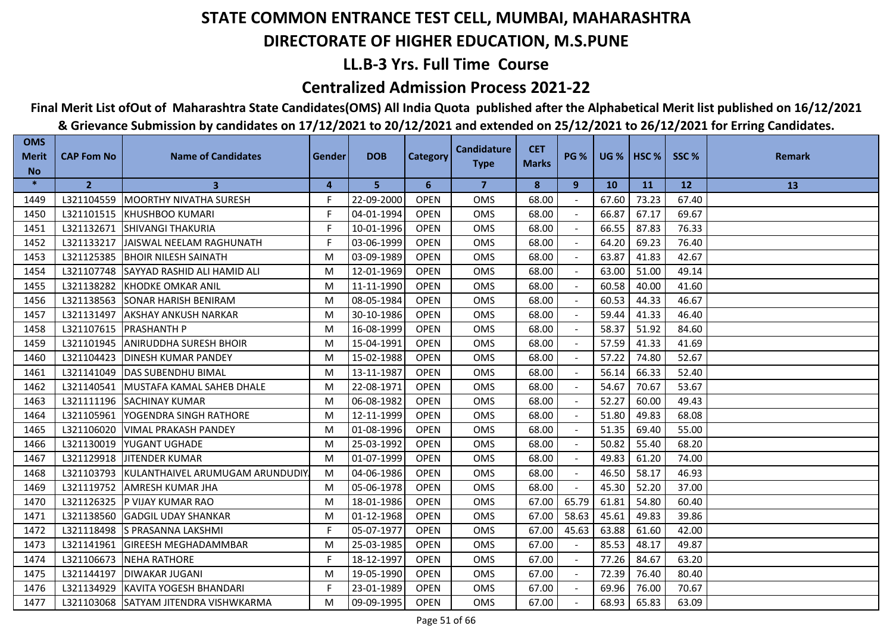## **LL.B-3 Yrs. Full Time Course**

### **Centralized Admission Process 2021-22**

## **Final Merit List ofOut of Maharashtra State Candidates(OMS) All India Quota published after the Alphabetical Merit list published on 16/12/2021**

| <b>OMS</b><br><b>Merit</b> | <b>CAP Fom No</b> | <b>Name of Candidates</b>                  | Gender | <b>DOB</b> | <b>Category</b> | <b>Candidature</b> | <b>CET</b>   | <b>PG %</b>    |           | <b>UG %   HSC %  </b> | SSC%  | <b>Remark</b> |
|----------------------------|-------------------|--------------------------------------------|--------|------------|-----------------|--------------------|--------------|----------------|-----------|-----------------------|-------|---------------|
| <b>No</b>                  |                   |                                            |        |            |                 | <b>Type</b>        | <b>Marks</b> |                |           |                       |       |               |
| $\ast$                     | $\overline{2}$    | $\mathbf{3}$                               | 4      | 5          | 6               | $\overline{7}$     | 8            | 9              | <b>10</b> | <b>11</b>             | 12    | 13            |
| 1449                       |                   | L321104559 MOORTHY NIVATHA SURESH          | F.     | 22-09-2000 | <b>OPEN</b>     | <b>OMS</b>         | 68.00        |                | 67.60     | 73.23                 | 67.40 |               |
| 1450                       |                   | L321101515 KHUSHBOO KUMARI                 | F      | 04-01-1994 | <b>OPEN</b>     | <b>OMS</b>         | 68.00        |                | 66.87     | 67.17                 | 69.67 |               |
| 1451                       | L321132671        | <b>SHIVANGI THAKURIA</b>                   | F      | 10-01-1996 | <b>OPEN</b>     | <b>OMS</b>         | 68.00        |                | 66.55     | 87.83                 | 76.33 |               |
| 1452                       | L321133217        | JAISWAL NEELAM RAGHUNATH                   | F      | 03-06-1999 | <b>OPEN</b>     | OMS                | 68.00        |                | 64.20     | 69.23                 | 76.40 |               |
| 1453                       | L321125385        | <b>BHOIR NILESH SAINATH</b>                | M      | 03-09-1989 | <b>OPEN</b>     | <b>OMS</b>         | 68.00        |                | 63.87     | 41.83                 | 42.67 |               |
| 1454                       | L321107748        | <b>SAYYAD RASHID ALI HAMID ALI</b>         | M      | 12-01-1969 | <b>OPEN</b>     | <b>OMS</b>         | 68.00        |                | 63.00     | 51.00                 | 49.14 |               |
| 1455                       | L321138282        | <b>KHODKE OMKAR ANIL</b>                   | M      | 11-11-1990 | <b>OPEN</b>     | <b>OMS</b>         | 68.00        |                | 60.58     | 40.00                 | 41.60 |               |
| 1456                       | L321138563        | <b>SONAR HARISH BENIRAM</b>                | M      | 08-05-1984 | <b>OPEN</b>     | <b>OMS</b>         | 68.00        |                | 60.53     | 44.33                 | 46.67 |               |
| 1457                       | L321131497        | <b>AKSHAY ANKUSH NARKAR</b>                | M      | 30-10-1986 | <b>OPEN</b>     | <b>OMS</b>         | 68.00        |                | 59.44     | 41.33                 | 46.40 |               |
| 1458                       |                   | L321107615   PRASHANTH P                   | M      | 16-08-1999 | <b>OPEN</b>     | <b>OMS</b>         | 68.00        |                | 58.37     | 51.92                 | 84.60 |               |
| 1459                       | L321101945        | <b>ANIRUDDHA SURESH BHOIR</b>              | M      | 15-04-1991 | <b>OPEN</b>     | <b>OMS</b>         | 68.00        |                | 57.59     | 41.33                 | 41.69 |               |
| 1460                       | L321104423        | <b>DINESH KUMAR PANDEY</b>                 | M      | 15-02-1988 | <b>OPEN</b>     | <b>OMS</b>         | 68.00        |                | 57.22     | 74.80                 | 52.67 |               |
| 1461                       | L321141049        | <b>DAS SUBENDHU BIMAL</b>                  | M      | 13-11-1987 | <b>OPEN</b>     | <b>OMS</b>         | 68.00        |                | 56.14     | 66.33                 | 52.40 |               |
| 1462                       |                   | L321140541 MUSTAFA KAMAL SAHEB DHALE       | M      | 22-08-1971 | <b>OPEN</b>     | <b>OMS</b>         | 68.00        |                | 54.67     | 70.67                 | 53.67 |               |
| 1463                       | L321111196        | <b>ISACHINAY KUMAR</b>                     | M      | 06-08-1982 | <b>OPEN</b>     | <b>OMS</b>         | 68.00        |                | 52.27     | 60.00                 | 49.43 |               |
| 1464                       | L321105961        | YOGENDRA SINGH RATHORE                     | M      | 12-11-1999 | <b>OPEN</b>     | OMS                | 68.00        | $\sim$         | 51.80     | 49.83                 | 68.08 |               |
| 1465                       | L321106020        | <b>VIMAL PRAKASH PANDEY</b>                | M      | 01-08-1996 | <b>OPEN</b>     | <b>OMS</b>         | 68.00        |                | 51.35     | 69.40                 | 55.00 |               |
| 1466                       | L321130019        | <b>YUGANT UGHADE</b>                       | M      | 25-03-1992 | <b>OPEN</b>     | <b>OMS</b>         | 68.00        |                | 50.82     | 55.40                 | 68.20 |               |
| 1467                       | L321129918        | <b>JITENDER KUMAR</b>                      | M      | 01-07-1999 | <b>OPEN</b>     | <b>OMS</b>         | 68.00        |                | 49.83     | 61.20                 | 74.00 |               |
| 1468                       |                   | L321103793 KULANTHAIVEL ARUMUGAM ARUNDUDIY | M      | 04-06-1986 | <b>OPEN</b>     | OMS                | 68.00        | $\blacksquare$ | 46.50     | 58.17                 | 46.93 |               |
| 1469                       |                   | L321119752 AMRESH KUMAR JHA                | M      | 05-06-1978 | <b>OPEN</b>     | <b>OMS</b>         | 68.00        |                | 45.30     | 52.20                 | 37.00 |               |
| 1470                       |                   | L321126325 P VIJAY KUMAR RAO               | M      | 18-01-1986 | <b>OPEN</b>     | <b>OMS</b>         | 67.00        | 65.79          | 61.81     | 54.80                 | 60.40 |               |
| 1471                       | L321138560        | <b>GADGIL UDAY SHANKAR</b>                 | M      | 01-12-1968 | <b>OPEN</b>     | <b>OMS</b>         | 67.00        | 58.63          | 45.61     | 49.83                 | 39.86 |               |
| 1472                       |                   | L321118498 S PRASANNA LAKSHMI              | F      | 05-07-1977 | <b>OPEN</b>     | <b>OMS</b>         | 67.00        | 45.63          | 63.88     | 61.60                 | 42.00 |               |
| 1473                       | L321141961        | <b>IGIREESH MEGHADAMMBAR</b>               | M      | 25-03-1985 | <b>OPEN</b>     | <b>OMS</b>         | 67.00        |                | 85.53     | 48.17                 | 49.87 |               |
| 1474                       | L321106673        | <b>NEHA RATHORE</b>                        | F      | 18-12-1997 | <b>OPEN</b>     | <b>OMS</b>         | 67.00        |                | 77.26     | 84.67                 | 63.20 |               |
| 1475                       | L321144197        | <b>DIWAKAR JUGANI</b>                      | M      | 19-05-1990 | <b>OPEN</b>     | <b>OMS</b>         | 67.00        |                | 72.39     | 76.40                 | 80.40 |               |
| 1476                       |                   | L321134929 KAVITA YOGESH BHANDARI          | F.     | 23-01-1989 | <b>OPEN</b>     | <b>OMS</b>         | 67.00        |                | 69.96     | 76.00                 | 70.67 |               |
| 1477                       |                   | L321103068 SATYAM JITENDRA VISHWKARMA      | M      | 09-09-1995 | <b>OPEN</b>     | <b>OMS</b>         | 67.00        |                | 68.93     | 65.83                 | 63.09 |               |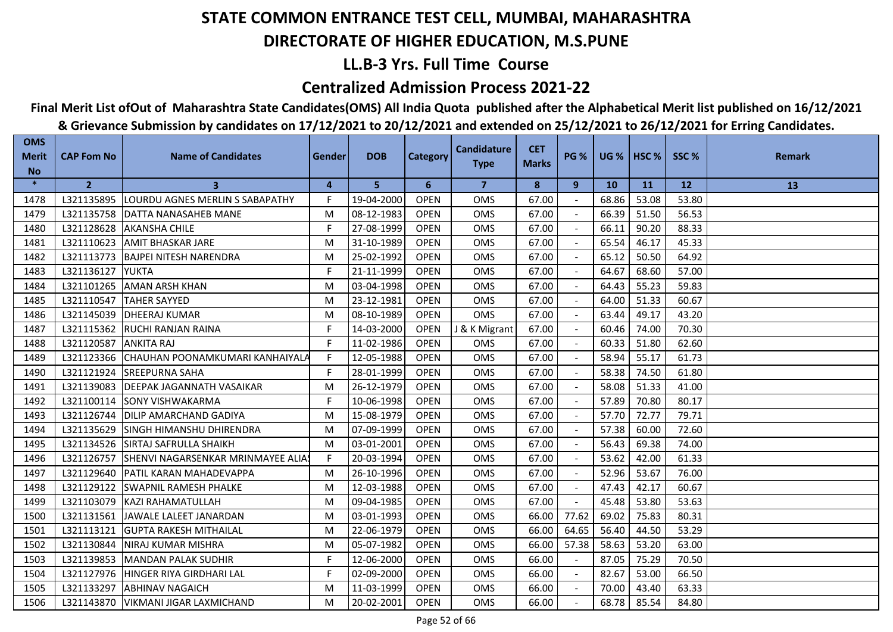## **LL.B-3 Yrs. Full Time Course**

### **Centralized Admission Process 2021-22**

## **Final Merit List ofOut of Maharashtra State Candidates(OMS) All India Quota published after the Alphabetical Merit list published on 16/12/2021**

| <b>OMS</b><br><b>Merit</b> | <b>CAP Fom No</b> | <b>Name of Candidates</b>                  | Gender | <b>DOB</b> | <b>Category</b> | <b>Candidature</b> | <b>CET</b><br><b>Marks</b> | <b>PG %</b> |           | <b>UG %   HSC %  </b> | SSC%  | <b>Remark</b> |
|----------------------------|-------------------|--------------------------------------------|--------|------------|-----------------|--------------------|----------------------------|-------------|-----------|-----------------------|-------|---------------|
| <b>No</b>                  |                   |                                            |        |            |                 | <b>Type</b>        |                            |             |           |                       |       |               |
| $\ast$                     | $\overline{2}$    | 3                                          | 4      | 5          | 6               | $\overline{7}$     | 8                          | 9           | <b>10</b> | <b>11</b>             | 12    | 13            |
| 1478                       | L321135895        | <b>LOURDU AGNES MERLIN S SABAPATHY</b>     | F.     | 19-04-2000 | <b>OPEN</b>     | <b>OMS</b>         | 67.00                      |             | 68.86     | 53.08                 | 53.80 |               |
| 1479                       |                   | L321135758   DATTA NANASAHEB MANE          | M      | 08-12-1983 | <b>OPEN</b>     | <b>OMS</b>         | 67.00                      |             | 66.39     | 51.50                 | 56.53 |               |
| 1480                       | L321128628        | <b>AKANSHA CHILE</b>                       | F      | 27-08-1999 | <b>OPEN</b>     | <b>OMS</b>         | 67.00                      |             | 66.11     | 90.20                 | 88.33 |               |
| 1481                       | L321110623        | <b>AMIT BHASKAR JARE</b>                   | M      | 31-10-1989 | <b>OPEN</b>     | <b>OMS</b>         | 67.00                      |             | 65.54     | 46.17                 | 45.33 |               |
| 1482                       |                   | L321113773 BAJPEI NITESH NARENDRA          | M      | 25-02-1992 | <b>OPEN</b>     | <b>OMS</b>         | 67.00                      |             | 65.12     | 50.50                 | 64.92 |               |
| 1483                       | L321136127        | <b>YUKTA</b>                               | F      | 21-11-1999 | <b>OPEN</b>     | <b>OMS</b>         | 67.00                      |             | 64.67     | 68.60                 | 57.00 |               |
| 1484                       | L321101265        | <b>AMAN ARSH KHAN</b>                      | M      | 03-04-1998 | <b>OPEN</b>     | <b>OMS</b>         | 67.00                      |             | 64.43     | 55.23                 | 59.83 |               |
| 1485                       | L321110547        | <b>TAHER SAYYED</b>                        | M      | 23-12-1981 | <b>OPEN</b>     | <b>OMS</b>         | 67.00                      |             | 64.00     | 51.33                 | 60.67 |               |
| 1486                       | L321145039        | <b>DHEERAJ KUMAR</b>                       | M      | 08-10-1989 | <b>OPEN</b>     | <b>OMS</b>         | 67.00                      |             | 63.44     | 49.17                 | 43.20 |               |
| 1487                       |                   | L321115362 RUCHI RANJAN RAINA              | F      | 14-03-2000 | <b>OPEN</b>     | J & K Migrant      | 67.00                      |             | 60.46     | 74.00                 | 70.30 |               |
| 1488                       | L321120587        | <b>ANKITA RAJ</b>                          | F      | 11-02-1986 | <b>OPEN</b>     | <b>OMS</b>         | 67.00                      |             | 60.33     | 51.80                 | 62.60 |               |
| 1489                       |                   | L321123366 CHAUHAN POONAMKUMARI KANHAIYALA | F      | 12-05-1988 | <b>OPEN</b>     | OMS                | 67.00                      |             | 58.94     | 55.17                 | 61.73 |               |
| 1490                       | L321121924        | <b>SREEPURNA SAHA</b>                      | F      | 28-01-1999 | <b>OPEN</b>     | OMS                | 67.00                      |             | 58.38     | 74.50                 | 61.80 |               |
| 1491                       | L321139083        | <b>DEEPAK JAGANNATH VASAIKAR</b>           | M      | 26-12-1979 | <b>OPEN</b>     | <b>OMS</b>         | 67.00                      |             | 58.08     | 51.33                 | 41.00 |               |
| 1492                       | L321100114        | <b>ISONY VISHWAKARMA</b>                   | F.     | 10-06-1998 | <b>OPEN</b>     | <b>OMS</b>         | 67.00                      |             | 57.89     | 70.80                 | 80.17 |               |
| 1493                       | L321126744        | <b>DILIP AMARCHAND GADIYA</b>              | M      | 15-08-1979 | <b>OPEN</b>     | OMS                | 67.00                      | $\sim$      | 57.70     | 72.77                 | 79.71 |               |
| 1494                       | L321135629        | <b>SINGH HIMANSHU DHIRENDRA</b>            | M      | 07-09-1999 | <b>OPEN</b>     | <b>OMS</b>         | 67.00                      |             | 57.38     | 60.00                 | 72.60 |               |
| 1495                       | L321134526        | <b>SIRTAJ SAFRULLA SHAIKH</b>              | M      | 03-01-2001 | <b>OPEN</b>     | <b>OMS</b>         | 67.00                      |             | 56.43     | 69.38                 | 74.00 |               |
| 1496                       | L321126757        | SHENVI NAGARSENKAR MRINMAYEE ALIA!         | F.     | 20-03-1994 | <b>OPEN</b>     | OMS                | 67.00                      |             | 53.62     | 42.00                 | 61.33 |               |
| 1497                       |                   | L321129640   PATIL KARAN MAHADEVAPPA       | M      | 26-10-1996 | <b>OPEN</b>     | OMS                | 67.00                      |             | 52.96     | 53.67                 | 76.00 |               |
| 1498                       | L321129122        | <b>SWAPNIL RAMESH PHALKE</b>               | M      | 12-03-1988 | <b>OPEN</b>     | OMS                | 67.00                      |             | 47.43     | 42.17                 | 60.67 |               |
| 1499                       |                   | L321103079 KAZI RAHAMATULLAH               | M      | 09-04-1985 | <b>OPEN</b>     | <b>OMS</b>         | 67.00                      |             | 45.48     | 53.80                 | 53.63 |               |
| 1500                       | L321131561        | JAWALE LALEET JANARDAN                     | M      | 03-01-1993 | <b>OPEN</b>     | <b>OMS</b>         | 66.00                      | 77.62       | 69.02     | 75.83                 | 80.31 |               |
| 1501                       | L321113121        | <b>GUPTA RAKESH MITHAILAL</b>              | M      | 22-06-1979 | <b>OPEN</b>     | <b>OMS</b>         | 66.00                      | 64.65       | 56.40     | 44.50                 | 53.29 |               |
| 1502                       | L321130844        | <b>NIRAJ KUMAR MISHRA</b>                  | M      | 05-07-1982 | <b>OPEN</b>     | <b>OMS</b>         | 66.00                      | 57.38       | 58.63     | 53.20                 | 63.00 |               |
| 1503                       | L321139853        | <b>MANDAN PALAK SUDHIR</b>                 | F      | 12-06-2000 | <b>OPEN</b>     | <b>OMS</b>         | 66.00                      |             | 87.05     | 75.29                 | 70.50 |               |
| 1504                       |                   | L321127976 HINGER RIYA GIRDHARI LAL        | F.     | 02-09-2000 | <b>OPEN</b>     | <b>OMS</b>         | 66.00                      | $\sim$      | 82.67     | 53.00                 | 66.50 |               |
| 1505                       | L321133297        | <b>ABHINAV NAGAICH</b>                     | M      | 11-03-1999 | <b>OPEN</b>     | <b>OMS</b>         | 66.00                      |             | 70.00     | 43.40                 | 63.33 |               |
| 1506                       |                   | L321143870   VIKMANI JIGAR LAXMICHAND      | M      | 20-02-2001 | <b>OPEN</b>     | <b>OMS</b>         | 66.00                      |             | 68.78     | 85.54                 | 84.80 |               |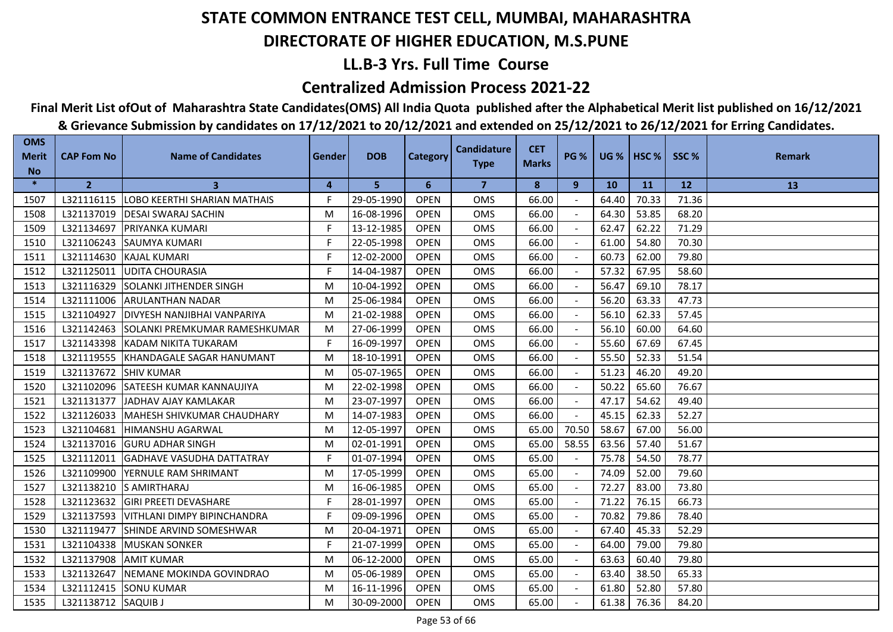## **LL.B-3 Yrs. Full Time Course**

### **Centralized Admission Process 2021-22**

## **Final Merit List ofOut of Maharashtra State Candidates(OMS) All India Quota published after the Alphabetical Merit list published on 16/12/2021**

| <b>Merit</b> | <b>CAP Fom No</b>   | <b>Name of Candidates</b>                 | Gender | <b>DOB</b> | <b>Category</b> | <b>Candidature</b> | <b>CET</b>   | <b>PG %</b> |           | <b>UG %   HSC %  </b> | SSC%  | <b>Remark</b> |
|--------------|---------------------|-------------------------------------------|--------|------------|-----------------|--------------------|--------------|-------------|-----------|-----------------------|-------|---------------|
| <b>No</b>    |                     |                                           |        |            |                 | <b>Type</b>        | <b>Marks</b> |             |           |                       |       |               |
| $\ast$       | $\overline{2}$      | 3                                         | 4      | 5          | 6               | $\overline{7}$     | 8            | 9           | <b>10</b> | <b>11</b>             | 12    | 13            |
| 1507         |                     | L321116115   LOBO KEERTHI SHARIAN MATHAIS | F.     | 29-05-1990 | <b>OPEN</b>     | <b>OMS</b>         | 66.00        |             | 64.40     | 70.33                 | 71.36 |               |
| 1508         | L321137019          | <b>IDESAI SWARAJ SACHIN</b>               | M      | 16-08-1996 | <b>OPEN</b>     | <b>OMS</b>         | 66.00        |             | 64.30     | 53.85                 | 68.20 |               |
| 1509         | L321134697          | <b>PRIYANKA KUMARI</b>                    | F      | 13-12-1985 | <b>OPEN</b>     | <b>OMS</b>         | 66.00        |             | 62.47     | 62.22                 | 71.29 |               |
| 1510         | L321106243          | <b>SAUMYA KUMARI</b>                      | F.     | 22-05-1998 | <b>OPEN</b>     | <b>OMS</b>         | 66.00        |             | 61.00     | 54.80                 | 70.30 |               |
| 1511         |                     | L321114630 KAJAL KUMARI                   | F.     | 12-02-2000 | <b>OPEN</b>     | OMS                | 66.00        |             | 60.73     | 62.00                 | 79.80 |               |
| 1512         |                     | L321125011 UDITA CHOURASIA                | F.     | 14-04-1987 | <b>OPEN</b>     | <b>OMS</b>         | 66.00        |             | 57.32     | 67.95                 | 58.60 |               |
| 1513         | L321116329          | <b>SOLANKI JITHENDER SINGH</b>            | M      | 10-04-1992 | <b>OPEN</b>     | <b>OMS</b>         | 66.00        |             | 56.47     | 69.10                 | 78.17 |               |
| 1514         | L321111006          | <b>ARULANTHAN NADAR</b>                   | M      | 25-06-1984 | <b>OPEN</b>     | <b>OMS</b>         | 66.00        |             | 56.20     | 63.33                 | 47.73 |               |
| 1515         | L321104927          | <b>DIVYESH NANJIBHAI VANPARIYA</b>        | M      | 21-02-1988 | <b>OPEN</b>     | <b>OMS</b>         | 66.00        |             | 56.10     | 62.33                 | 57.45 |               |
| 1516         | L321142463          | ISOLANKI PREMKUMAR RAMESHKUMAR            | M      | 27-06-1999 | <b>OPEN</b>     | <b>OMS</b>         | 66.00        |             | 56.10     | 60.00                 | 64.60 |               |
| 1517         |                     | L321143398 KADAM NIKITA TUKARAM           | F.     | 16-09-1997 | <b>OPEN</b>     | <b>OMS</b>         | 66.00        |             | 55.60     | 67.69                 | 67.45 |               |
| 1518         |                     | L321119555 KHANDAGALE SAGAR HANUMANT      | M      | 18-10-1991 | <b>OPEN</b>     | <b>OMS</b>         | 66.00        |             | 55.50     | 52.33                 | 51.54 |               |
| 1519         | L321137672          | <b>SHIV KUMAR</b>                         | M      | 05-07-1965 | <b>OPEN</b>     | <b>OMS</b>         | 66.00        |             | 51.23     | 46.20                 | 49.20 |               |
| 1520         | L321102096          | SATEESH KUMAR KANNAUJIYA                  | M      | 22-02-1998 | <b>OPEN</b>     | OMS                | 66.00        |             | 50.22     | 65.60                 | 76.67 |               |
| 1521         | L321131377          | JADHAV AJAY KAMLAKAR                      | M      | 23-07-1997 | <b>OPEN</b>     | OMS                | 66.00        |             | 47.17     | 54.62                 | 49.40 |               |
| 1522         | L321126033          | MAHESH SHIVKUMAR CHAUDHARY                | M      | 14-07-1983 | <b>OPEN</b>     | <b>OMS</b>         | 66.00        |             | 45.15     | 62.33                 | 52.27 |               |
| 1523         | L321104681          | <b>HIMANSHU AGARWAL</b>                   | M      | 12-05-1997 | <b>OPEN</b>     | <b>OMS</b>         | 65.00        | 70.50       | 58.67     | 67.00                 | 56.00 |               |
| 1524         | L321137016          | <b>IGURU ADHAR SINGH</b>                  | M      | 02-01-1991 | <b>OPEN</b>     | <b>OMS</b>         | 65.00        | 58.55       | 63.56     | 57.40                 | 51.67 |               |
| 1525         | L321112011          | <b>IGADHAVE VASUDHA DATTATRAY</b>         | F.     | 01-07-1994 | <b>OPEN</b>     | <b>OMS</b>         | 65.00        |             | 75.78     | 54.50                 | 78.77 |               |
| 1526         | L321109900          | <b>YERNULE RAM SHRIMANT</b>               | M      | 17-05-1999 | <b>OPEN</b>     | <b>OMS</b>         | 65.00        |             | 74.09     | 52.00                 | 79.60 |               |
| 1527         |                     | L321138210 S AMIRTHARAJ                   | M      | 16-06-1985 | <b>OPEN</b>     | <b>OMS</b>         | 65.00        |             | 72.27     | 83.00                 | 73.80 |               |
| 1528         | L321123632          | <b>GIRI PREETI DEVASHARE</b>              | F      | 28-01-1997 | <b>OPEN</b>     | <b>OMS</b>         | 65.00        | $\sim$      | 71.22     | 76.15                 | 66.73 |               |
| 1529         | L321137593          | <b>VITHLANI DIMPY BIPINCHANDRA</b>        | F      | 09-09-1996 | <b>OPEN</b>     | OMS                | 65.00        |             | 70.82     | 79.86                 | 78.40 |               |
| 1530         | L321119477          | <b>SHINDE ARVIND SOMESHWAR</b>            | M      | 20-04-1971 | <b>OPEN</b>     | <b>OMS</b>         | 65.00        |             | 67.40     | 45.33                 | 52.29 |               |
| 1531         | L321104338          | <b>IMUSKAN SONKER</b>                     | F.     | 21-07-1999 | <b>OPEN</b>     | <b>OMS</b>         | 65.00        |             | 64.00     | 79.00                 | 79.80 |               |
| 1532         | L321137908          | <b>AMIT KUMAR</b>                         | M      | 06-12-2000 | <b>OPEN</b>     | <b>OMS</b>         | 65.00        |             | 63.63     | 60.40                 | 79.80 |               |
| 1533         | L321132647          | NEMANE MOKINDA GOVINDRAO                  | M      | 05-06-1989 | <b>OPEN</b>     | <b>OMS</b>         | 65.00        |             | 63.40     | 38.50                 | 65.33 |               |
| 1534         |                     | L321112415 SONU KUMAR                     | M      | 16-11-1996 | <b>OPEN</b>     | <b>OMS</b>         | 65.00        |             | 61.80     | 52.80                 | 57.80 |               |
| 1535         | L321138712 SAQUIB J |                                           | M      | 30-09-2000 | <b>OPEN</b>     | <b>OMS</b>         | 65.00        |             | 61.38     | 76.36                 | 84.20 |               |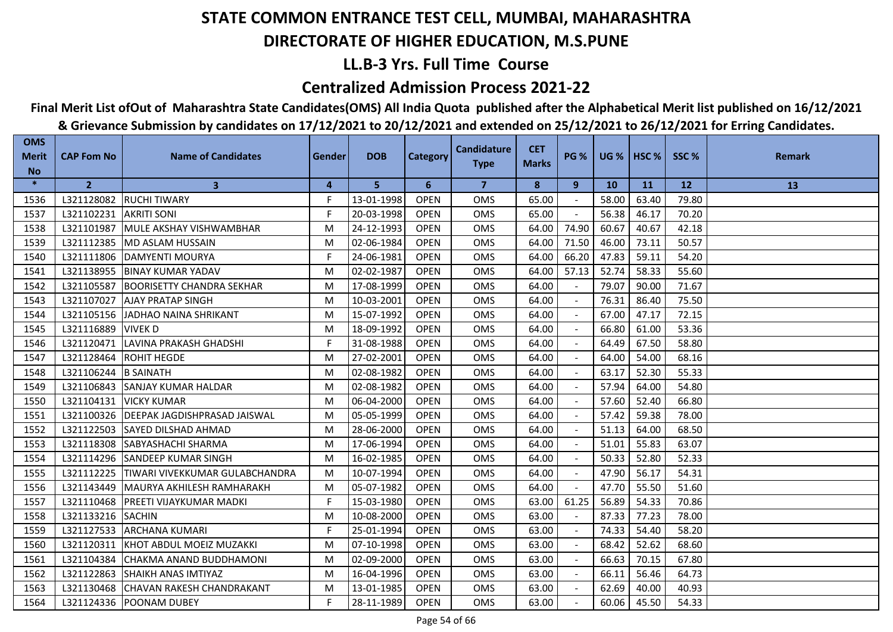## **LL.B-3 Yrs. Full Time Course**

### **Centralized Admission Process 2021-22**

## **Final Merit List ofOut of Maharashtra State Candidates(OMS) All India Quota published after the Alphabetical Merit list published on 16/12/2021**

| <b>OMS</b><br><b>Merit</b> | <b>CAP Fom No</b>      | <b>Name of Candidates</b>                 | Gender | <b>DOB</b> | Category    | <b>Candidature</b><br><b>Type</b> | <b>CET</b><br><b>Marks</b> | <b>PG %</b> |           | <b>UG %   HSC %  </b> | SSC%  | <b>Remark</b> |
|----------------------------|------------------------|-------------------------------------------|--------|------------|-------------|-----------------------------------|----------------------------|-------------|-----------|-----------------------|-------|---------------|
| <b>No</b><br>$\ast$        |                        |                                           |        |            |             |                                   |                            |             |           |                       |       |               |
|                            | $\overline{2}$         | $\mathbf{3}$                              | 4      | 5          | 6           | $\overline{7}$                    | 8                          | 9           | <b>10</b> | <b>11</b>             | 12    | 13            |
| 1536                       | L321128082             | <b>RUCHI TIWARY</b>                       | F.     | 13-01-1998 | <b>OPEN</b> | <b>OMS</b>                        | 65.00                      |             | 58.00     | 63.40                 | 79.80 |               |
| 1537                       | L321102231 AKRITI SONI |                                           | F      | 20-03-1998 | <b>OPEN</b> | <b>OMS</b>                        | 65.00                      |             | 56.38     | 46.17                 | 70.20 |               |
| 1538                       | L321101987             | MULE AKSHAY VISHWAMBHAR                   | M      | 24-12-1993 | <b>OPEN</b> | <b>OMS</b>                        | 64.00                      | 74.90       | 60.67     | 40.67                 | 42.18 |               |
| 1539                       | L321112385             | <b>MD ASLAM HUSSAIN</b>                   | M      | 02-06-1984 | <b>OPEN</b> | <b>OMS</b>                        | 64.00                      | 71.50       | 46.00     | 73.11                 | 50.57 |               |
| 1540                       |                        | L321111806 DAMYENTI MOURYA                | F.     | 24-06-1981 | <b>OPEN</b> | OMS                               | 64.00                      | 66.20       | 47.83     | 59.11                 | 54.20 |               |
| 1541                       |                        | L321138955 BINAY KUMAR YADAV              | M      | 02-02-1987 | <b>OPEN</b> | <b>OMS</b>                        | 64.00                      | 57.13       | 52.74     | 58.33                 | 55.60 |               |
| 1542                       | L321105587             | <b>BOORISETTY CHANDRA SEKHAR</b>          | M      | 17-08-1999 | <b>OPEN</b> | OMS                               | 64.00                      |             | 79.07     | 90.00                 | 71.67 |               |
| 1543                       | L321107027             | <b>JAJAY PRATAP SINGH</b>                 | M      | 10-03-2001 | <b>OPEN</b> | <b>OMS</b>                        | 64.00                      |             | 76.31     | 86.40                 | 75.50 |               |
| 1544                       |                        | L321105156 JJADHAO NAINA SHRIKANT         | M      | 15-07-1992 | <b>OPEN</b> | <b>OMS</b>                        | 64.00                      |             | 67.00     | 47.17                 | 72.15 |               |
| 1545                       | L321116889             | <b>VIVEK D</b>                            | M      | 18-09-1992 | <b>OPEN</b> | <b>OMS</b>                        | 64.00                      |             | 66.80     | 61.00                 | 53.36 |               |
| 1546                       | L321120471             | <b>LAVINA PRAKASH GHADSHI</b>             | F      | 31-08-1988 | <b>OPEN</b> | <b>OMS</b>                        | 64.00                      |             | 64.49     | 67.50                 | 58.80 |               |
| 1547                       | L321128464             | <b>ROHIT HEGDE</b>                        | M      | 27-02-2001 | <b>OPEN</b> | OMS                               | 64.00                      |             | 64.00     | 54.00                 | 68.16 |               |
| 1548                       | L321106244             | <b>B SAINATH</b>                          | M      | 02-08-1982 | <b>OPEN</b> | <b>OMS</b>                        | 64.00                      |             | 63.17     | 52.30                 | 55.33 |               |
| 1549                       |                        | L321106843 SANJAY KUMAR HALDAR            | M      | 02-08-1982 | <b>OPEN</b> | <b>OMS</b>                        | 64.00                      |             | 57.94     | 64.00                 | 54.80 |               |
| 1550                       | L321104131             | <b>VICKY KUMAR</b>                        | M      | 06-04-2000 | <b>OPEN</b> | <b>OMS</b>                        | 64.00                      |             | 57.60     | 52.40                 | 66.80 |               |
| 1551                       |                        | L321100326   DEEPAK JAGDISHPRASAD JAISWAL | M      | 05-05-1999 | <b>OPEN</b> | OMS                               | 64.00                      |             | 57.42     | 59.38                 | 78.00 |               |
| 1552                       | L321122503             | <b>SAYED DILSHAD AHMAD</b>                | M      | 28-06-2000 | <b>OPEN</b> | <b>OMS</b>                        | 64.00                      |             | 51.13     | 64.00                 | 68.50 |               |
| 1553                       | L321118308             | <b>SABYASHACHI SHARMA</b>                 | M      | 17-06-1994 | <b>OPEN</b> | <b>OMS</b>                        | 64.00                      |             | 51.01     | 55.83                 | 63.07 |               |
| 1554                       | L321114296             | <b>ISANDEEP KUMAR SINGH</b>               | M      | 16-02-1985 | <b>OPEN</b> | <b>OMS</b>                        | 64.00                      |             | 50.33     | 52.80                 | 52.33 |               |
| 1555                       | L321112225             | TIWARI VIVEKKUMAR GULABCHANDRA            | M      | 10-07-1994 | <b>OPEN</b> | <b>OMS</b>                        | 64.00                      |             | 47.90     | 56.17                 | 54.31 |               |
| 1556                       | L321143449             | <b>IMAURYA AKHILESH RAMHARAKH</b>         | M      | 05-07-1982 | <b>OPEN</b> | <b>OMS</b>                        | 64.00                      |             | 47.70     | 55.50                 | 51.60 |               |
| 1557                       | L321110468             | <b>PREETI VIJAYKUMAR MADKI</b>            | F      | 15-03-1980 | <b>OPEN</b> | <b>OMS</b>                        | 63.00                      | 61.25       | 56.89     | 54.33                 | 70.86 |               |
| 1558                       | L321133216             | <b>SACHIN</b>                             | M      | 10-08-2000 | <b>OPEN</b> | <b>OMS</b>                        | 63.00                      |             | 87.33     | 77.23                 | 78.00 |               |
| 1559                       | L321127533             | <b>JARCHANA KUMARI</b>                    | F      | 25-01-1994 | <b>OPEN</b> | <b>OMS</b>                        | 63.00                      |             | 74.33     | 54.40                 | 58.20 |               |
| 1560                       | L321120311             | <b>IKHOT ABDUL MOEIZ MUZAKKI</b>          | M      | 07-10-1998 | <b>OPEN</b> | <b>OMS</b>                        | 63.00                      |             | 68.42     | 52.62                 | 68.60 |               |
| 1561                       | L321104384             | <b>CHAKMA ANAND BUDDHAMONI</b>            | M      | 02-09-2000 | <b>OPEN</b> | <b>OMS</b>                        | 63.00                      |             | 66.63     | 70.15                 | 67.80 |               |
| 1562                       | L321122863             | <b>SHAIKH ANAS IMTIYAZ</b>                | M      | 16-04-1996 | <b>OPEN</b> | <b>OMS</b>                        | 63.00                      |             | 66.11     | 56.46                 | 64.73 |               |
| 1563                       |                        | L321130468 CHAVAN RAKESH CHANDRAKANT      | M      | 13-01-1985 | <b>OPEN</b> | OMS                               | 63.00                      |             | 62.69     | 40.00                 | 40.93 |               |
| 1564                       |                        | L321124336   POONAM DUBEY                 | F      | 28-11-1989 | <b>OPEN</b> | <b>OMS</b>                        | 63.00                      |             | 60.06     | 45.50                 | 54.33 |               |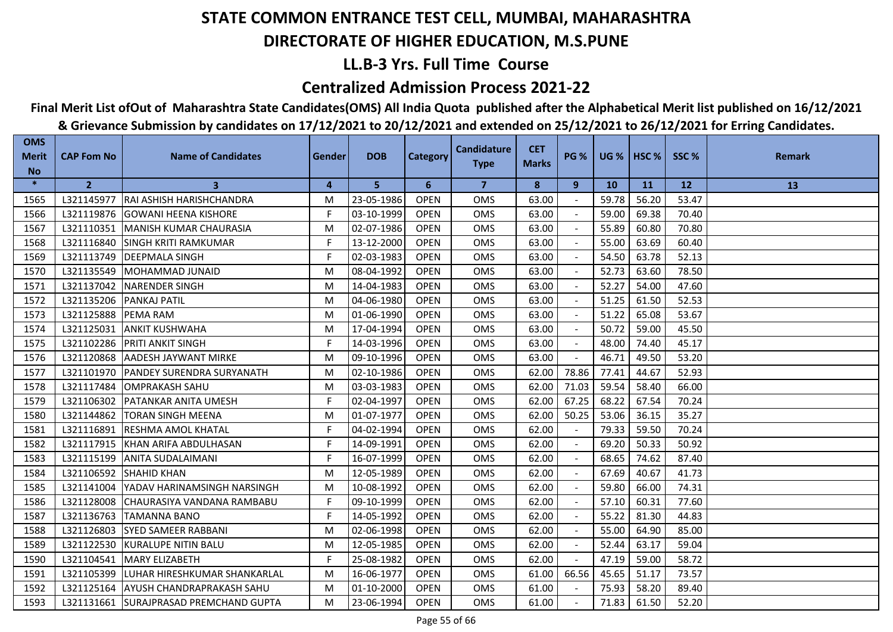## **LL.B-3 Yrs. Full Time Course**

### **Centralized Admission Process 2021-22**

## **Final Merit List ofOut of Maharashtra State Candidates(OMS) All India Quota published after the Alphabetical Merit list published on 16/12/2021**

| <b>OMS</b>                | <b>CAP Fom No</b> | <b>Name of Candidates</b>          |               | <b>DOB</b> |                 | <b>Candidature</b> | <b>CET</b>   | <b>PG %</b> | <b>UG %   HSC %</b> |       | SSC%      | <b>Remark</b> |
|---------------------------|-------------------|------------------------------------|---------------|------------|-----------------|--------------------|--------------|-------------|---------------------|-------|-----------|---------------|
| <b>Merit</b><br><b>No</b> |                   |                                    | <b>Gender</b> |            | <b>Category</b> | <b>Type</b>        | <b>Marks</b> |             |                     |       |           |               |
| $\ast$                    | $\overline{2}$    | 3                                  | 4             | 5          | 6               | $\overline{7}$     | 8            | 9           | <b>10</b>           | 11    | <b>12</b> | 13            |
| 1565                      | L321145977        | RAI ASHISH HARISHCHANDRA           | M             | 23-05-1986 | <b>OPEN</b>     | <b>OMS</b>         | 63.00        |             | 59.78               | 56.20 | 53.47     |               |
| 1566                      | L321119876        | <b>GOWANI HEENA KISHORE</b>        | F             | 03-10-1999 | <b>OPEN</b>     | <b>OMS</b>         | 63.00        |             | 59.00               | 69.38 | 70.40     |               |
| 1567                      | L321110351        | MANISH KUMAR CHAURASIA             | M             | 02-07-1986 | <b>OPEN</b>     | <b>OMS</b>         | 63.00        |             | 55.89               | 60.80 | 70.80     |               |
| 1568                      | L321116840        | <b>SINGH KRITI RAMKUMAR</b>        | F.            | 13-12-2000 | <b>OPEN</b>     | <b>OMS</b>         | 63.00        |             | 55.00               | 63.69 | 60.40     |               |
| 1569                      | L321113749        | <b>DEEPMALA SINGH</b>              | F.            | 02-03-1983 | <b>OPEN</b>     | <b>OMS</b>         | 63.00        |             | 54.50               | 63.78 | 52.13     |               |
| 1570                      | L321135549        | <b>IMOHAMMAD JUNAID</b>            | M             | 08-04-1992 | <b>OPEN</b>     | <b>OMS</b>         | 63.00        |             | 52.73               | 63.60 | 78.50     |               |
| 1571                      | L321137042        | <b>NARENDER SINGH</b>              | M             | 14-04-1983 | <b>OPEN</b>     | <b>OMS</b>         | 63.00        |             | 52.27               | 54.00 | 47.60     |               |
| 1572                      | L321135206        | <b>PANKAJ PATIL</b>                | M             | 04-06-1980 | <b>OPEN</b>     | OMS                | 63.00        |             | 51.25               | 61.50 | 52.53     |               |
| 1573                      | L321125888        | <b>PEMA RAM</b>                    | M             | 01-06-1990 | <b>OPEN</b>     | <b>OMS</b>         | 63.00        |             | 51.22               | 65.08 | 53.67     |               |
| 1574                      | L321125031        | <b>ANKIT KUSHWAHA</b>              | M             | 17-04-1994 | <b>OPEN</b>     | <b>OMS</b>         | 63.00        |             | 50.72               | 59.00 | 45.50     |               |
| 1575                      | L321102286        | <b>PRITI ANKIT SINGH</b>           | F             | 14-03-1996 | <b>OPEN</b>     | <b>OMS</b>         | 63.00        |             | 48.00               | 74.40 | 45.17     |               |
| 1576                      | L321120868        | <b>AADESH JAYWANT MIRKE</b>        | M             | 09-10-1996 | <b>OPEN</b>     | <b>OMS</b>         | 63.00        |             | 46.71               | 49.50 | 53.20     |               |
| 1577                      | L321101970        | <b>IPANDEY SURENDRA SURYANATH</b>  | M             | 02-10-1986 | <b>OPEN</b>     | OMS                | 62.00        | 78.86       | 77.41               | 44.67 | 52.93     |               |
| 1578                      | L321117484        | <b>OMPRAKASH SAHU</b>              | M             | 03-03-1983 | <b>OPEN</b>     | OMS                | 62.00        | 71.03       | 59.54               | 58.40 | 66.00     |               |
| 1579                      | L321106302        | <b>PATANKAR ANITA UMESH</b>        | F.            | 02-04-1997 | <b>OPEN</b>     | OMS                | 62.00        | 67.25       | 68.22               | 67.54 | 70.24     |               |
| 1580                      | L321144862        | <b>TORAN SINGH MEENA</b>           | M             | 01-07-1977 | <b>OPEN</b>     | OMS                | 62.00        | 50.25       | 53.06               | 36.15 | 35.27     |               |
| 1581                      | L321116891        | <b>RESHMA AMOL KHATAL</b>          | F             | 04-02-1994 | <b>OPEN</b>     | <b>OMS</b>         | 62.00        |             | 79.33               | 59.50 | 70.24     |               |
| 1582                      | L321117915        | <b>IKHAN ARIFA ABDULHASAN</b>      | F.            | 14-09-1991 | <b>OPEN</b>     | <b>OMS</b>         | 62.00        |             | 69.20               | 50.33 | 50.92     |               |
| 1583                      | L321115199        | <b>ANITA SUDALAIMANI</b>           | F.            | 16-07-1999 | <b>OPEN</b>     | <b>OMS</b>         | 62.00        |             | 68.65               | 74.62 | 87.40     |               |
| 1584                      | L321106592        | <b>SHAHID KHAN</b>                 | M             | 12-05-1989 | <b>OPEN</b>     | <b>OMS</b>         | 62.00        |             | 67.69               | 40.67 | 41.73     |               |
| 1585                      | L321141004        | YADAV HARINAMSINGH NARSINGH        | M             | 10-08-1992 | <b>OPEN</b>     | OMS                | 62.00        |             | 59.80               | 66.00 | 74.31     |               |
| 1586                      | L321128008        | CHAURASIYA VANDANA RAMBABU         | F             | 09-10-1999 | <b>OPEN</b>     | OMS                | 62.00        |             | 57.10               | 60.31 | 77.60     |               |
| 1587                      | L321136763        | <b>TAMANNA BANO</b>                | F.            | 14-05-1992 | <b>OPEN</b>     | <b>OMS</b>         | 62.00        | $\sim$      | 55.22               | 81.30 | 44.83     |               |
| 1588                      | L321126803        | <b>ISYED SAMEER RABBANI</b>        | M             | 02-06-1998 | <b>OPEN</b>     | <b>OMS</b>         | 62.00        |             | 55.00               | 64.90 | 85.00     |               |
| 1589                      | L321122530        | <b>IKURALUPE NITIN BALU</b>        | M             | 12-05-1985 | <b>OPEN</b>     | <b>OMS</b>         | 62.00        |             | 52.44               | 63.17 | 59.04     |               |
| 1590                      | L321104541        | <b>MARY ELIZABETH</b>              | F.            | 25-08-1982 | <b>OPEN</b>     | <b>OMS</b>         | 62.00        |             | 47.19               | 59.00 | 58.72     |               |
| 1591                      | L321105399        | LUHAR HIRESHKUMAR SHANKARLAL       | M             | 16-06-1977 | <b>OPEN</b>     | OMS                | 61.00        | 66.56       | 45.65               | 51.17 | 73.57     |               |
| 1592                      | L321125164        | <b>AYUSH CHANDRAPRAKASH SAHU</b>   | M             | 01-10-2000 | <b>OPEN</b>     | OMS                | 61.00        |             | 75.93               | 58.20 | 89.40     |               |
| 1593                      | L321131661        | <b>SURAJPRASAD PREMCHAND GUPTA</b> | M             | 23-06-1994 | <b>OPEN</b>     | OMS                | 61.00        |             | 71.83               | 61.50 | 52.20     |               |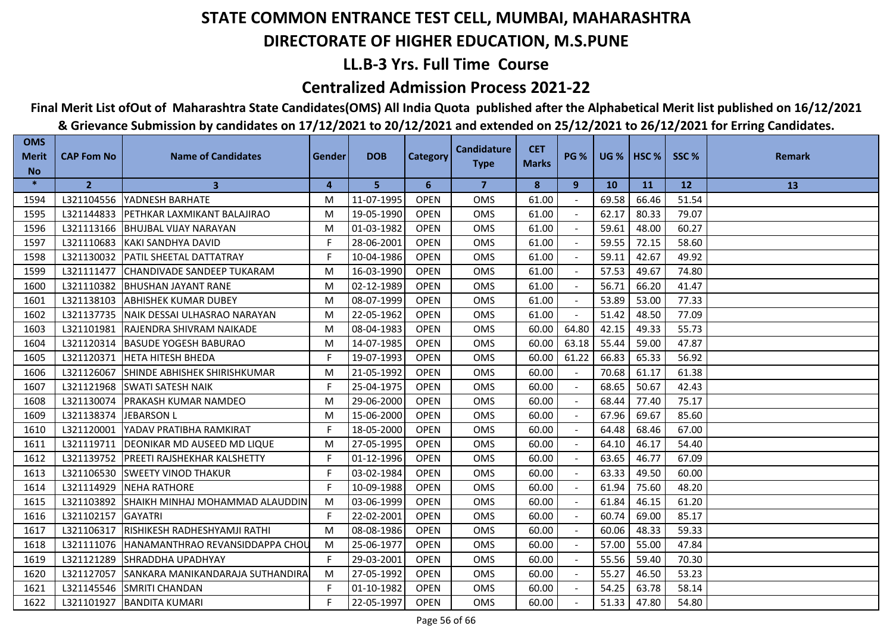## **LL.B-3 Yrs. Full Time Course**

### **Centralized Admission Process 2021-22**

## **Final Merit List ofOut of Maharashtra State Candidates(OMS) All India Quota published after the Alphabetical Merit list published on 16/12/2021**

| <b>OMS</b><br><b>Merit</b><br><b>No</b> | <b>CAP Fom No</b> | <b>Name of Candidates</b>               | Gender | <b>DOB</b> | <b>Category</b> | <b>Candidature</b><br><b>Type</b> | <b>CET</b><br><b>Marks</b> | <b>PG %</b> |           | <b>UG %   HSC %  </b> | SSC%  | <b>Remark</b> |
|-----------------------------------------|-------------------|-----------------------------------------|--------|------------|-----------------|-----------------------------------|----------------------------|-------------|-----------|-----------------------|-------|---------------|
| $\ast$                                  | $\overline{2}$    | $\mathbf{3}$                            | 4      | 5          | 6               | $\overline{7}$                    | 8                          | 9           | <b>10</b> | <b>11</b>             | 12    | 13            |
| 1594                                    |                   | L321104556   YADNESH BARHATE            | M      | 11-07-1995 | <b>OPEN</b>     | <b>OMS</b>                        | 61.00                      |             | 69.58     | 66.46                 | 51.54 |               |
| 1595                                    | L321144833        | <b>IPETHKAR LAXMIKANT BALAJIRAO</b>     | M      | 19-05-1990 | <b>OPEN</b>     | <b>OMS</b>                        | 61.00                      |             | 62.17     | 80.33                 | 79.07 |               |
| 1596                                    | L321113166        | <b>BHUJBAL VIJAY NARAYAN</b>            | M      | 01-03-1982 | <b>OPEN</b>     | <b>OMS</b>                        | 61.00                      |             | 59.61     | 48.00                 | 60.27 |               |
| 1597                                    | L321110683        | KAKI SANDHYA DAVID                      | F.     | 28-06-2001 | <b>OPEN</b>     | <b>OMS</b>                        | 61.00                      |             | 59.55     | 72.15                 | 58.60 |               |
| 1598                                    |                   | L321130032   PATIL SHEETAL DATTATRAY    | F.     | 10-04-1986 | <b>OPEN</b>     | OMS                               | 61.00                      |             | 59.11     | 42.67                 | 49.92 |               |
| 1599                                    | L321111477        | CHANDIVADE SANDEEP TUKARAM              | M      | 16-03-1990 | <b>OPEN</b>     | <b>OMS</b>                        | 61.00                      |             | 57.53     | 49.67                 | 74.80 |               |
| 1600                                    | L321110382        | <b>BHUSHAN JAYANT RANE</b>              | M      | 02-12-1989 | <b>OPEN</b>     | OMS                               | 61.00                      |             | 56.71     | 66.20                 | 41.47 |               |
| 1601                                    | L321138103        | <b>JABHISHEK KUMAR DUBEY</b>            | M      | 08-07-1999 | <b>OPEN</b>     | <b>OMS</b>                        | 61.00                      |             | 53.89     | 53.00                 | 77.33 |               |
| 1602                                    |                   | L321137735 NAIK DESSAI ULHASRAO NARAYAN | M      | 22-05-1962 | <b>OPEN</b>     | <b>OMS</b>                        | 61.00                      |             | 51.42     | 48.50                 | 77.09 |               |
| 1603                                    | L321101981        | <b>RAJENDRA SHIVRAM NAIKADE</b>         | M      | 08-04-1983 | <b>OPEN</b>     | <b>OMS</b>                        | 60.00                      | 64.80       | 42.15     | 49.33                 | 55.73 |               |
| 1604                                    | L321120314        | <b>BASUDE YOGESH BABURAO</b>            | M      | 14-07-1985 | <b>OPEN</b>     | <b>OMS</b>                        | 60.00                      | 63.18       | 55.44     | 59.00                 | 47.87 |               |
| 1605                                    | L321120371        | <b>HETA HITESH BHEDA</b>                | F.     | 19-07-1993 | <b>OPEN</b>     | OMS                               | 60.00                      | 61.22       | 66.83     | 65.33                 | 56.92 |               |
| 1606                                    | L321126067        | <b>ISHINDE ABHISHEK SHIRISHKUMAR</b>    | M      | 21-05-1992 | <b>OPEN</b>     | <b>OMS</b>                        | 60.00                      |             | 70.68     | 61.17                 | 61.38 |               |
| 1607                                    | L321121968        | <b>SWATI SATESH NAIK</b>                | F.     | 25-04-1975 | <b>OPEN</b>     | <b>OMS</b>                        | 60.00                      |             | 68.65     | 50.67                 | 42.43 |               |
| 1608                                    | L321130074        | <b>PRAKASH KUMAR NAMDEO</b>             | M      | 29-06-2000 | <b>OPEN</b>     | <b>OMS</b>                        | 60.00                      |             | 68.44     | 77.40                 | 75.17 |               |
| 1609                                    | L321138374        | <b>JEBARSON L</b>                       | M      | 15-06-2000 | <b>OPEN</b>     | OMS                               | 60.00                      |             | 67.96     | 69.67                 | 85.60 |               |
| 1610                                    | L321120001        | YADAV PRATIBHA RAMKIRAT                 | F      | 18-05-2000 | <b>OPEN</b>     | OMS                               | 60.00                      |             | 64.48     | 68.46                 | 67.00 |               |
| 1611                                    | L321119711        | DEONIKAR MD AUSEED MD LIQUE             | M      | 27-05-1995 | <b>OPEN</b>     | <b>OMS</b>                        | 60.00                      |             | 64.10     | 46.17                 | 54.40 |               |
| 1612                                    | L321139752        | <b>IPREETI RAJSHEKHAR KALSHETTY</b>     | F.     | 01-12-1996 | <b>OPEN</b>     | <b>OMS</b>                        | 60.00                      |             | 63.65     | 46.77                 | 67.09 |               |
| 1613                                    | L321106530        | <b>ISWEETY VINOD THAKUR</b>             | F      | 03-02-1984 | <b>OPEN</b>     | <b>OMS</b>                        | 60.00                      |             | 63.33     | 49.50                 | 60.00 |               |
| 1614                                    | L321114929        | <b>INEHA RATHORE</b>                    | F.     | 10-09-1988 | <b>OPEN</b>     | <b>OMS</b>                        | 60.00                      |             | 61.94     | 75.60                 | 48.20 |               |
| 1615                                    | L321103892        | SHAIKH MINHAJ MOHAMMAD ALAUDDIN         | M      | 03-06-1999 | <b>OPEN</b>     | <b>OMS</b>                        | 60.00                      |             | 61.84     | 46.15                 | 61.20 |               |
| 1616                                    | L321102157        | <b>GAYATRI</b>                          | F.     | 22-02-2001 | <b>OPEN</b>     | <b>OMS</b>                        | 60.00                      |             | 60.74     | 69.00                 | 85.17 |               |
| 1617                                    | L321106317        | <b>IRISHIKESH RADHESHYAMJI RATHI</b>    | M      | 08-08-1986 | <b>OPEN</b>     | <b>OMS</b>                        | 60.00                      |             | 60.06     | 48.33                 | 59.33 |               |
| 1618                                    | L321111076        | <b>HANAMANTHRAO REVANSIDDAPPA CHOL</b>  | M      | 25-06-1977 | <b>OPEN</b>     | <b>OMS</b>                        | 60.00                      |             | 57.00     | 55.00                 | 47.84 |               |
| 1619                                    | L321121289        | <b>SHRADDHA UPADHYAY</b>                | F.     | 29-03-2001 | <b>OPEN</b>     | <b>OMS</b>                        | 60.00                      |             | 55.56     | 59.40                 | 70.30 |               |
| 1620                                    | L321127057        | SANKARA MANIKANDARAJA SUTHANDIRA        | M      | 27-05-1992 | <b>OPEN</b>     | <b>OMS</b>                        | 60.00                      | $\sim$      | 55.27     | 46.50                 | 53.23 |               |
| 1621                                    | L321145546        | <b>SMRITI CHANDAN</b>                   | F.     | 01-10-1982 | <b>OPEN</b>     | OMS                               | 60.00                      |             | 54.25     | 63.78                 | 58.14 |               |
| 1622                                    |                   | L321101927   BANDITA KUMARI             | F      | 22-05-1997 | <b>OPEN</b>     | <b>OMS</b>                        | 60.00                      |             | 51.33     | 47.80                 | 54.80 |               |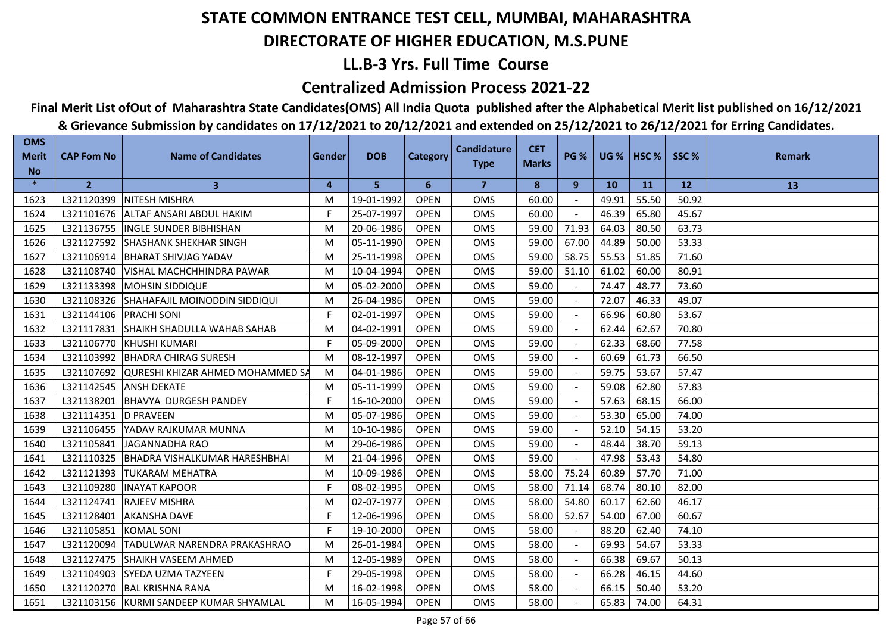## **LL.B-3 Yrs. Full Time Course**

### **Centralized Admission Process 2021-22**

## **Final Merit List ofOut of Maharashtra State Candidates(OMS) All India Quota published after the Alphabetical Merit list published on 16/12/2021**

| <b>OMS</b><br><b>Merit</b> | <b>CAP Fom No</b>        | <b>Name of Candidates</b>                   | Gender | <b>DOB</b> | Category    | <b>Candidature</b><br><b>Type</b> | <b>CET</b><br><b>Marks</b> | <b>PG %</b>              |           | <b>UG %   HSC %  </b> | SSC%  | <b>Remark</b> |
|----------------------------|--------------------------|---------------------------------------------|--------|------------|-------------|-----------------------------------|----------------------------|--------------------------|-----------|-----------------------|-------|---------------|
| <b>No</b><br>$\ast$        | $\overline{2}$           | $\mathbf{3}$                                | 4      | 5          | 6           | $\overline{7}$                    | 8                          | 9                        | <b>10</b> | <b>11</b>             | 12    | 13            |
| 1623                       | L321120399               | <b>INITESH MISHRA</b>                       | M      | 19-01-1992 | <b>OPEN</b> | <b>OMS</b>                        | 60.00                      |                          | 49.91     | 55.50                 | 50.92 |               |
| 1624                       | L321101676               | IALTAF ANSARI ABDUL HAKIM                   | F      | 25-07-1997 | <b>OPEN</b> | <b>OMS</b>                        | 60.00                      |                          | 46.39     | 65.80                 | 45.67 |               |
| 1625                       | L321136755               | <b>INGLE SUNDER BIBHISHAN</b>               | M      | 20-06-1986 | <b>OPEN</b> | <b>OMS</b>                        | 59.00                      | 71.93                    | 64.03     | 80.50                 | 63.73 |               |
| 1626                       | L321127592               | <b>SHASHANK SHEKHAR SINGH</b>               | M      | 05-11-1990 | <b>OPEN</b> | <b>OMS</b>                        | 59.00                      | 67.00                    | 44.89     | 50.00                 | 53.33 |               |
| 1627                       | L321106914               | BHARAT SHIVJAG YADAV                        | M      | 25-11-1998 | <b>OPEN</b> | <b>OMS</b>                        | 59.00                      | 58.75                    | 55.53     | 51.85                 | 71.60 |               |
| 1628                       |                          | L321108740   VISHAL MACHCHHINDRA PAWAR      | M      | 10-04-1994 | <b>OPEN</b> | <b>OMS</b>                        | 59.00                      | 51.10                    | 61.02     | 60.00                 | 80.91 |               |
| 1629                       | L321133398               | <b>MOHSIN SIDDIQUE</b>                      | M      | 05-02-2000 | <b>OPEN</b> | OMS                               | 59.00                      |                          | 74.47     | 48.77                 | 73.60 |               |
| 1630                       |                          | L321108326 SHAHAFAJIL MOINODDIN SIDDIQUI    | M      | 26-04-1986 | <b>OPEN</b> | OMS                               | 59.00                      |                          | 72.07     | 46.33                 | 49.07 |               |
| 1631                       | L321144106   PRACHI SONI |                                             | F.     | 02-01-1997 | <b>OPEN</b> | <b>OMS</b>                        | 59.00                      |                          | 66.96     | 60.80                 | 53.67 |               |
| 1632                       |                          | L321117831 ISHAIKH SHADULLA WAHAB SAHAB     | M      | 04-02-1991 | <b>OPEN</b> | <b>OMS</b>                        | 59.00                      |                          | 62.44     | 62.67                 | 70.80 |               |
| 1633                       | L321106770               | <b>IKHUSHI KUMARI</b>                       | F      | 05-09-2000 | <b>OPEN</b> | <b>OMS</b>                        | 59.00                      |                          | 62.33     | 68.60                 | 77.58 |               |
| 1634                       | L321103992               | BHADRA CHIRAG SURESH                        | M      | 08-12-1997 | <b>OPEN</b> | <b>OMS</b>                        | 59.00                      |                          | 60.69     | 61.73                 | 66.50 |               |
| 1635                       |                          | L321107692 QURESHI KHIZAR AHMED MOHAMMED SA | M      | 04-01-1986 | <b>OPEN</b> | <b>OMS</b>                        | 59.00                      |                          | 59.75     | 53.67                 | 57.47 |               |
| 1636                       | L321142545               | <b>ANSH DEKATE</b>                          | M      | 05-11-1999 | <b>OPEN</b> | <b>OMS</b>                        | 59.00                      |                          | 59.08     | 62.80                 | 57.83 |               |
| 1637                       | L321138201               | <b>BHAVYA DURGESH PANDEY</b>                | F      | 16-10-2000 | <b>OPEN</b> | <b>OMS</b>                        | 59.00                      | $\overline{\phantom{a}}$ | 57.63     | 68.15                 | 66.00 |               |
| 1638                       | L321114351  D PRAVEEN    |                                             | M      | 05-07-1986 | <b>OPEN</b> | <b>OMS</b>                        | 59.00                      | $\sim$                   | 53.30     | 65.00                 | 74.00 |               |
| 1639                       | L321106455               | YADAV RAJKUMAR MUNNA                        | M      | 10-10-1986 | <b>OPEN</b> | <b>OMS</b>                        | 59.00                      |                          | 52.10     | 54.15                 | 53.20 |               |
| 1640                       | L321105841               | <b>JAGANNADHA RAO</b>                       | M      | 29-06-1986 | <b>OPEN</b> | <b>OMS</b>                        | 59.00                      |                          | 48.44     | 38.70                 | 59.13 |               |
| 1641                       |                          | L321110325 BHADRA VISHALKUMAR HARESHBHAI    | M      | 21-04-1996 | <b>OPEN</b> | <b>OMS</b>                        | 59.00                      |                          | 47.98     | 53.43                 | 54.80 |               |
| 1642                       | L321121393               | <b>ITUKARAM MEHATRA</b>                     | M      | 10-09-1986 | <b>OPEN</b> | <b>OMS</b>                        | 58.00                      | 75.24                    | 60.89     | 57.70                 | 71.00 |               |
| 1643                       | L321109280               | <b>INAYAT KAPOOR</b>                        | F      | 08-02-1995 | <b>OPEN</b> | <b>OMS</b>                        | 58.00                      | 71.14                    | 68.74     | 80.10                 | 82.00 |               |
| 1644                       | L321124741               | <b>RAJEEV MISHRA</b>                        | M      | 02-07-1977 | <b>OPEN</b> | OMS                               | 58.00                      | 54.80                    | 60.17     | 62.60                 | 46.17 |               |
| 1645                       | L321128401               | <b>AKANSHA DAVE</b>                         | F.     | 12-06-1996 | <b>OPEN</b> | <b>OMS</b>                        | 58.00                      | 52.67                    | 54.00     | 67.00                 | 60.67 |               |
| 1646                       | L321105851 KOMAL SONI    |                                             | F      | 19-10-2000 | <b>OPEN</b> | <b>OMS</b>                        | 58.00                      |                          | 88.20     | 62.40                 | 74.10 |               |
| 1647                       | L321120094               | TADULWAR NARENDRA PRAKASHRAO                | M      | 26-01-1984 | <b>OPEN</b> | <b>OMS</b>                        | 58.00                      |                          | 69.93     | 54.67                 | 53.33 |               |
| 1648                       | L321127475               | <b>I</b> SHAIKH VASEEM AHMED                | M      | 12-05-1989 | <b>OPEN</b> | <b>OMS</b>                        | 58.00                      |                          | 66.38     | 69.67                 | 50.13 |               |
| 1649                       | L321104903               | <b>SYEDA UZMA TAZYEEN</b>                   | F.     | 29-05-1998 | <b>OPEN</b> | OMS                               | 58.00                      |                          | 66.28     | 46.15                 | 44.60 |               |
| 1650                       |                          | L321120270   BAL KRISHNA RANA               | M      | 16-02-1998 | <b>OPEN</b> | OMS                               | 58.00                      |                          | 66.15     | 50.40                 | 53.20 |               |
| 1651                       |                          | L321103156 KURMI SANDEEP KUMAR SHYAMLAL     | M      | 16-05-1994 | <b>OPEN</b> | <b>OMS</b>                        | 58.00                      |                          | 65.83     | 74.00                 | 64.31 |               |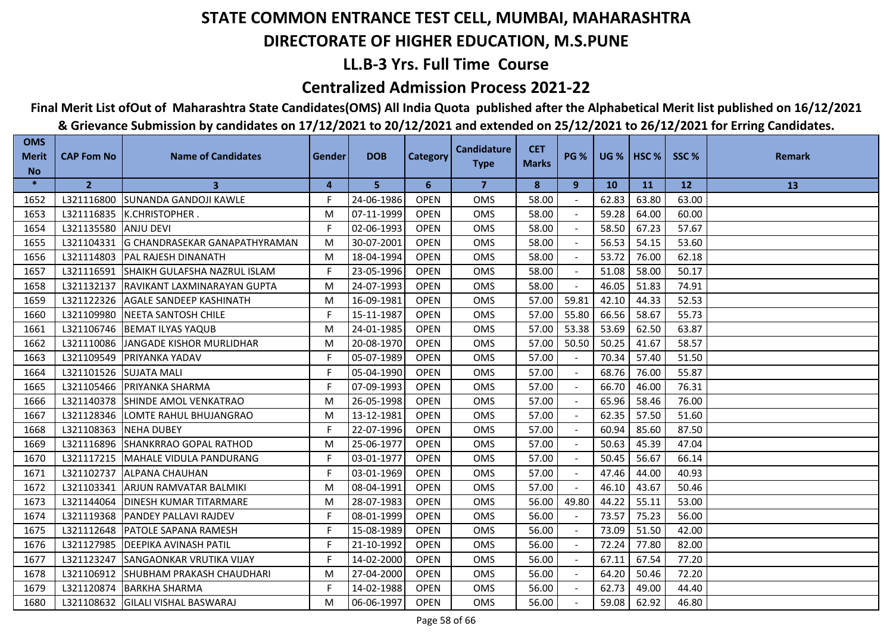## **LL.B-3 Yrs. Full Time Course**

### **Centralized Admission Process 2021-22**

## **Final Merit List ofOut of Maharashtra State Candidates(OMS) All India Quota published after the Alphabetical Merit list published on 16/12/2021**

| <b>OMS</b><br><b>Merit</b> | <b>CAP Fom No</b>      | <b>Name of Candidates</b>               | Gender | <b>DOB</b> | <b>Category</b> | <b>Candidature</b><br><b>Type</b> | <b>CET</b><br><b>Marks</b> | <b>PG %</b> |           | <b>UG %   HSC %  </b> | SSC%  | <b>Remark</b> |
|----------------------------|------------------------|-----------------------------------------|--------|------------|-----------------|-----------------------------------|----------------------------|-------------|-----------|-----------------------|-------|---------------|
| <b>No</b>                  |                        |                                         |        |            |                 |                                   |                            |             |           |                       |       |               |
| $\ast$                     | $\overline{2}$         | 3                                       | 4      | 5          | 6               | $\overline{7}$                    | 8                          | 9           | <b>10</b> | <b>11</b>             | 12    | 13            |
| 1652                       |                        | L321116800 SUNANDA GANDOJI KAWLE        | F.     | 24-06-1986 | <b>OPEN</b>     | <b>OMS</b>                        | 58.00                      |             | 62.83     | 63.80                 | 63.00 |               |
| 1653                       |                        | L321116835  K.CHRISTOPHER.              | М      | 07-11-1999 | <b>OPEN</b>     | <b>OMS</b>                        | 58.00                      |             | 59.28     | 64.00                 | 60.00 |               |
| 1654                       | L321135580             | <b>ANJU DEVI</b>                        | F      | 02-06-1993 | <b>OPEN</b>     | <b>OMS</b>                        | 58.00                      |             | 58.50     | 67.23                 | 57.67 |               |
| 1655                       | L321104331             | <b>G CHANDRASEKAR GANAPATHYRAMAN</b>    | M      | 30-07-2001 | <b>OPEN</b>     | <b>OMS</b>                        | 58.00                      |             | 56.53     | 54.15                 | 53.60 |               |
| 1656                       |                        | L321114803 PAL RAJESH DINANATH          | M      | 18-04-1994 | <b>OPEN</b>     | <b>OMS</b>                        | 58.00                      |             | 53.72     | 76.00                 | 62.18 |               |
| 1657                       |                        | L321116591 SHAIKH GULAFSHA NAZRUL ISLAM | F.     | 23-05-1996 | <b>OPEN</b>     | <b>OMS</b>                        | 58.00                      |             | 51.08     | 58.00                 | 50.17 |               |
| 1658                       |                        | L321132137 RAVIKANT LAXMINARAYAN GUPTA  | M      | 24-07-1993 | <b>OPEN</b>     | <b>OMS</b>                        | 58.00                      |             | 46.05     | 51.83                 | 74.91 |               |
| 1659                       | L321122326             | <b>AGALE SANDEEP KASHINATH</b>          | M      | 16-09-1981 | <b>OPEN</b>     | <b>OMS</b>                        | 57.00                      | 59.81       | 42.10     | 44.33                 | 52.53 |               |
| 1660                       |                        | L321109980 NEETA SANTOSH CHILE          | F      | 15-11-1987 | <b>OPEN</b>     | <b>OMS</b>                        | 57.00                      | 55.80       | 66.56     | 58.67                 | 55.73 |               |
| 1661                       |                        | L321106746 BEMAT ILYAS YAQUB            | M      | 24-01-1985 | <b>OPEN</b>     | <b>OMS</b>                        | 57.00                      | 53.38       | 53.69     | 62.50                 | 63.87 |               |
| 1662                       | L321110086             | JANGADE KISHOR MURLIDHAR                | M      | 20-08-1970 | <b>OPEN</b>     | <b>OMS</b>                        | 57.00                      | 50.50       | 50.25     | 41.67                 | 58.57 |               |
| 1663                       | L321109549             | <b>PRIYANKA YADAV</b>                   | F.     | 05-07-1989 | <b>OPEN</b>     | <b>OMS</b>                        | 57.00                      |             | 70.34     | 57.40                 | 51.50 |               |
| 1664                       | L321101526 SUJATA MALI |                                         | F      | 05-04-1990 | <b>OPEN</b>     | <b>OMS</b>                        | 57.00                      |             | 68.76     | 76.00                 | 55.87 |               |
| 1665                       |                        | L321105466 PRIYANKA SHARMA              | F.     | 07-09-1993 | <b>OPEN</b>     | <b>OMS</b>                        | 57.00                      |             | 66.70     | 46.00                 | 76.31 |               |
| 1666                       |                        | L321140378 SHINDE AMOL VENKATRAO        | M      | 26-05-1998 | <b>OPEN</b>     | <b>OMS</b>                        | 57.00                      | $\sim$      | 65.96     | 58.46                 | 76.00 |               |
| 1667                       |                        | L321128346 LOMTE RAHUL BHUJANGRAO       | M      | 13-12-1981 | <b>OPEN</b>     | <b>OMS</b>                        | 57.00                      | $\sim$      | 62.35     | 57.50                 | 51.60 |               |
| 1668                       | L321108363             | <b>INEHA DUBEY</b>                      | F      | 22-07-1996 | <b>OPEN</b>     | <b>OMS</b>                        | 57.00                      |             | 60.94     | 85.60                 | 87.50 |               |
| 1669                       | L321116896             | <b>SHANKRRAO GOPAL RATHOD</b>           | M      | 25-06-1977 | <b>OPEN</b>     | <b>OMS</b>                        | 57.00                      |             | 50.63     | 45.39                 | 47.04 |               |
| 1670                       |                        | L321117215   MAHALE VIDULA PANDURANG    | F.     | 03-01-1977 | <b>OPEN</b>     | <b>OMS</b>                        | 57.00                      |             | 50.45     | 56.67                 | 66.14 |               |
| 1671                       |                        | L321102737 ALPANA CHAUHAN               | F      | 03-01-1969 | <b>OPEN</b>     | <b>OMS</b>                        | 57.00                      |             | 47.46     | 44.00                 | 40.93 |               |
| 1672                       |                        | L321103341 ARJUN RAMVATAR BALMIKI       | M      | 08-04-1991 | <b>OPEN</b>     | <b>OMS</b>                        | 57.00                      |             | 46.10     | 43.67                 | 50.46 |               |
| 1673                       | L321144064             | <b>DINESH KUMAR TITARMARE</b>           | M      | 28-07-1983 | <b>OPEN</b>     | <b>OMS</b>                        | 56.00                      | 49.80       | 44.22     | 55.11                 | 53.00 |               |
| 1674                       |                        | L321119368 PANDEY PALLAVI RAJDEV        | F.     | 08-01-1999 | <b>OPEN</b>     | <b>OMS</b>                        | 56.00                      |             | 73.57     | 75.23                 | 56.00 |               |
| 1675                       | L321112648             | <b>PATOLE SAPANA RAMESH</b>             | F      | 15-08-1989 | <b>OPEN</b>     | <b>OMS</b>                        | 56.00                      |             | 73.09     | 51.50                 | 42.00 |               |
| 1676                       | L321127985             | <b>IDEEPIKA AVINASH PATIL</b>           | F.     | 21-10-1992 | <b>OPEN</b>     | <b>OMS</b>                        | 56.00                      |             | 72.24     | 77.80                 | 82.00 |               |
| 1677                       | L321123247             | <b>ISANGAONKAR VRUTIKA VIJAY</b>        | F.     | 14-02-2000 | <b>OPEN</b>     | <b>OMS</b>                        | 56.00                      |             | 67.11     | 67.54                 | 77.20 |               |
| 1678                       | L321106912             | SHUBHAM PRAKASH CHAUDHARI               | M      | 27-04-2000 | <b>OPEN</b>     | OMS                               | 56.00                      |             | 64.20     | 50.46                 | 72.20 |               |
| 1679                       | L321120874             | <b>BARKHA SHARMA</b>                    | F      | 14-02-1988 | <b>OPEN</b>     | <b>OMS</b>                        | 56.00                      |             | 62.73     | 49.00                 | 44.40 |               |
| 1680                       | L321108632             | <b>GILALI VISHAL BASWARAJ</b>           | M      | 06-06-1997 | <b>OPEN</b>     | <b>OMS</b>                        | 56.00                      |             | 59.08     | 62.92                 | 46.80 |               |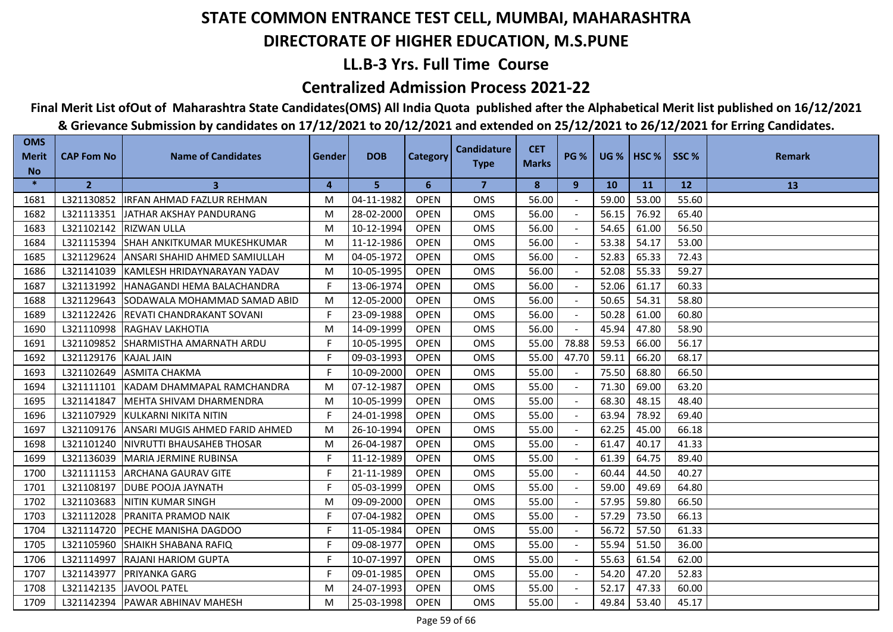## **LL.B-3 Yrs. Full Time Course**

### **Centralized Admission Process 2021-22**

# **Final Merit List ofOut of Maharashtra State Candidates(OMS) All India Quota published after the Alphabetical Merit list published on 16/12/2021**

| <b>OMS</b><br><b>Merit</b><br><b>No</b> | <b>CAP Fom No</b> | <b>Name of Candidates</b>                 | Gender | <b>DOB</b> | <b>Category</b> | <b>Candidature</b><br><b>Type</b> | <b>CET</b><br><b>Marks</b> | <b>PG %</b> |           | <b>UG %   HSC %  </b> | SSC%  | <b>Remark</b> |
|-----------------------------------------|-------------------|-------------------------------------------|--------|------------|-----------------|-----------------------------------|----------------------------|-------------|-----------|-----------------------|-------|---------------|
| $\ast$                                  | $\overline{2}$    | 3                                         | 4      | 5          | 6               | $\overline{7}$                    | 8                          | 9           | <b>10</b> | <b>11</b>             | 12    | 13            |
| 1681                                    | L321130852        | <b>IRFAN AHMAD FAZLUR REHMAN</b>          | M      | 04-11-1982 | <b>OPEN</b>     | <b>OMS</b>                        | 56.00                      |             | 59.00     | 53.00                 | 55.60 |               |
| 1682                                    |                   | L321113351 JJATHAR AKSHAY PANDURANG       | M      | 28-02-2000 | <b>OPEN</b>     | <b>OMS</b>                        | 56.00                      |             | 56.15     | 76.92                 | 65.40 |               |
| 1683                                    |                   | L321102142  RIZWAN ULLA                   | M      | 10-12-1994 | <b>OPEN</b>     | <b>OMS</b>                        | 56.00                      |             | 54.65     | 61.00                 | 56.50 |               |
| 1684                                    | L321115394        | <b>SHAH ANKITKUMAR MUKESHKUMAR</b>        | M      | 11-12-1986 | <b>OPEN</b>     | <b>OMS</b>                        | 56.00                      |             | 53.38     | 54.17                 | 53.00 |               |
| 1685                                    | L321129624        | ANSARI SHAHID AHMED SAMIULLAH             | M      | 04-05-1972 | <b>OPEN</b>     | <b>OMS</b>                        | 56.00                      |             | 52.83     | 65.33                 | 72.43 |               |
| 1686                                    |                   | L321141039 KAMLESH HRIDAYNARAYAN YADAV    | M      | 10-05-1995 | <b>OPEN</b>     | <b>OMS</b>                        | 56.00                      |             | 52.08     | 55.33                 | 59.27 |               |
| 1687                                    | L321131992        | <b>HANAGANDI HEMA BALACHANDRA</b>         | F      | 13-06-1974 | <b>OPEN</b>     | OMS                               | 56.00                      |             | 52.06     | 61.17                 | 60.33 |               |
| 1688                                    | L321129643        | SODAWALA MOHAMMAD SAMAD ABID              | M      | 12-05-2000 | <b>OPEN</b>     | <b>OMS</b>                        | 56.00                      |             | 50.65     | 54.31                 | 58.80 |               |
| 1689                                    |                   | L321122426   REVATI CHANDRAKANT SOVANI    | F      | 23-09-1988 | <b>OPEN</b>     | OMS                               | 56.00                      |             | 50.28     | 61.00                 | 60.80 |               |
| 1690                                    |                   | L321110998 RAGHAV LAKHOTIA                | M      | 14-09-1999 | <b>OPEN</b>     | <b>OMS</b>                        | 56.00                      |             | 45.94     | 47.80                 | 58.90 |               |
| 1691                                    | L321109852        | <b>ISHARMISTHA AMARNATH ARDU</b>          | F      | 10-05-1995 | <b>OPEN</b>     | <b>OMS</b>                        | 55.00                      | 78.88       | 59.53     | 66.00                 | 56.17 |               |
| 1692                                    | L321129176        | <b>KAJAL JAIN</b>                         | F.     | 09-03-1993 | <b>OPEN</b>     | <b>OMS</b>                        | 55.00                      | 47.70       | 59.11     | 66.20                 | 68.17 |               |
| 1693                                    | L321102649        | ASMITA CHAKMA                             | F      | 10-09-2000 | <b>OPEN</b>     | <b>OMS</b>                        | 55.00                      |             | 75.50     | 68.80                 | 66.50 |               |
| 1694                                    |                   | L321111101 KADAM DHAMMAPAL RAMCHANDRA     | M      | 07-12-1987 | <b>OPEN</b>     | OMS                               | 55.00                      |             | 71.30     | 69.00                 | 63.20 |               |
| 1695                                    | L321141847        | <b>IMEHTA SHIVAM DHARMENDRA</b>           | M      | 10-05-1999 | <b>OPEN</b>     | <b>OMS</b>                        | 55.00                      | $\sim$      | 68.30     | 48.15                 | 48.40 |               |
| 1696                                    | L321107929        | KULKARNI NIKITA NITIN                     | F.     | 24-01-1998 | <b>OPEN</b>     | <b>OMS</b>                        | 55.00                      | $\sim$      | 63.94     | 78.92                 | 69.40 |               |
| 1697                                    |                   | L321109176 ANSARI MUGIS AHMED FARID AHMED | M      | 26-10-1994 | <b>OPEN</b>     | <b>OMS</b>                        | 55.00                      |             | 62.25     | 45.00                 | 66.18 |               |
| 1698                                    | L321101240        | <b>INIVRUTTI BHAUSAHEB THOSAR</b>         | M      | 26-04-1987 | <b>OPEN</b>     | <b>OMS</b>                        | 55.00                      |             | 61.47     | 40.17                 | 41.33 |               |
| 1699                                    | L321136039        | <b>MARIA JERMINE RUBINSA</b>              | F.     | 11-12-1989 | <b>OPEN</b>     | <b>OMS</b>                        | 55.00                      |             | 61.39     | 64.75                 | 89.40 |               |
| 1700                                    | L321111153        | <b>ARCHANA GAURAV GITE</b>                | F      | 21-11-1989 | <b>OPEN</b>     | <b>OMS</b>                        | 55.00                      |             | 60.44     | 44.50                 | 40.27 |               |
| 1701                                    | L321108197        | <b>DUBE POOJA JAYNATH</b>                 | F      | 05-03-1999 | <b>OPEN</b>     | <b>OMS</b>                        | 55.00                      |             | 59.00     | 49.69                 | 64.80 |               |
| 1702                                    | L321103683        | <b>INITIN KUMAR SINGH</b>                 | M      | 09-09-2000 | <b>OPEN</b>     | <b>OMS</b>                        | 55.00                      |             | 57.95     | 59.80                 | 66.50 |               |
| 1703                                    | L321112028        | <b>IPRANITA PRAMOD NAIK</b>               | F.     | 07-04-1982 | <b>OPEN</b>     | <b>OMS</b>                        | 55.00                      |             | 57.29     | 73.50                 | 66.13 |               |
| 1704                                    | L321114720        | <b>PECHE MANISHA DAGDOO</b>               | F      | 11-05-1984 | <b>OPEN</b>     | <b>OMS</b>                        | 55.00                      |             | 56.72     | 57.50                 | 61.33 |               |
| 1705                                    | L321105960        | <b>SHAIKH SHABANA RAFIQ</b>               | F.     | 09-08-1977 | <b>OPEN</b>     | <b>OMS</b>                        | 55.00                      |             | 55.94     | 51.50                 | 36.00 |               |
| 1706                                    | L321114997        | <b>RAJANI HARIOM GUPTA</b>                | F      | 10-07-1997 | <b>OPEN</b>     | <b>OMS</b>                        | 55.00                      |             | 55.63     | 61.54                 | 62.00 |               |
| 1707                                    | L321143977        | <b>PRIYANKA GARG</b>                      | F.     | 09-01-1985 | <b>OPEN</b>     | OMS                               | 55.00                      | $\sim$      | 54.20     | 47.20                 | 52.83 |               |
| 1708                                    |                   | L321142135 JAVOOL PATEL                   | M      | 24-07-1993 | <b>OPEN</b>     | OMS                               | 55.00                      |             | 52.17     | 47.33                 | 60.00 |               |
| 1709                                    |                   | L321142394   PAWAR ABHINAV MAHESH         | M      | 25-03-1998 | <b>OPEN</b>     | <b>OMS</b>                        | 55.00                      |             | 49.84     | 53.40                 | 45.17 |               |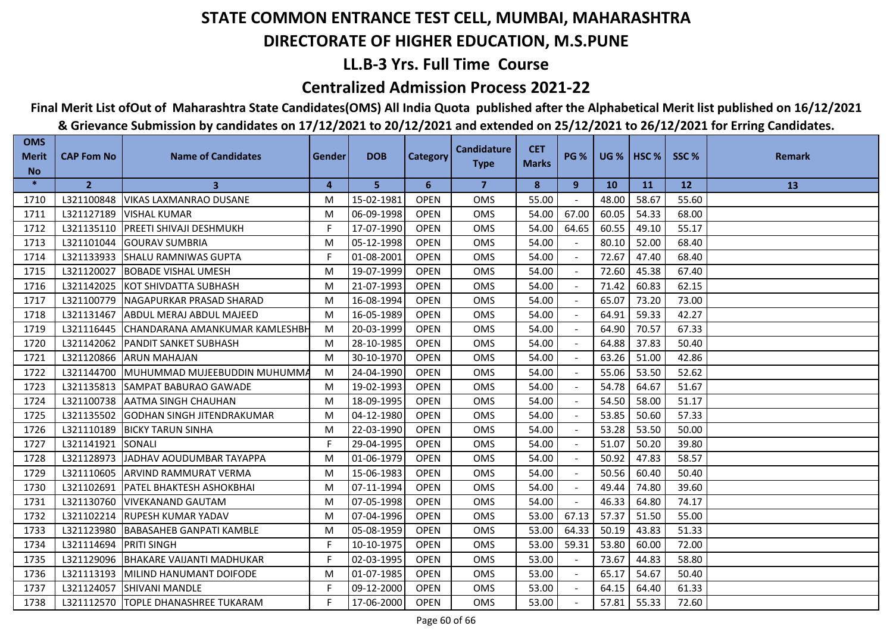## **LL.B-3 Yrs. Full Time Course**

### **Centralized Admission Process 2021-22**

## **Final Merit List ofOut of Maharashtra State Candidates(OMS) All India Quota published after the Alphabetical Merit list published on 16/12/2021**

| <b>OMS</b><br><b>Merit</b><br><b>No</b> | <b>CAP Fom No</b> | <b>Name of Candidates</b>             | Gender | <b>DOB</b> | <b>Category</b> | <b>Candidature</b><br><b>Type</b> | <b>CET</b><br><b>Marks</b> | <b>PG %</b> |           | <b>UG %   HSC %  </b> | SSC%  | <b>Remark</b> |
|-----------------------------------------|-------------------|---------------------------------------|--------|------------|-----------------|-----------------------------------|----------------------------|-------------|-----------|-----------------------|-------|---------------|
| $\ast$                                  | $\overline{2}$    | 3                                     | 4      | 5          | 6               | $\overline{7}$                    | 8                          | 9           | <b>10</b> | <b>11</b>             | 12    | 13            |
| 1710                                    | L321100848        | <b>VIKAS LAXMANRAO DUSANE</b>         | M      | 15-02-1981 | <b>OPEN</b>     | <b>OMS</b>                        | 55.00                      |             | 48.00     | 58.67                 | 55.60 |               |
| 1711                                    | L321127189        | <b>VISHAL KUMAR</b>                   | M      | 06-09-1998 | <b>OPEN</b>     | <b>OMS</b>                        | 54.00                      | 67.00       | 60.05     | 54.33                 | 68.00 |               |
| 1712                                    | L321135110        | <b>PREETI SHIVAJI DESHMUKH</b>        | F      | 17-07-1990 | <b>OPEN</b>     | <b>OMS</b>                        | 54.00                      | 64.65       | 60.55     | 49.10                 | 55.17 |               |
| 1713                                    | L321101044        | <b>GOURAV SUMBRIA</b>                 | M      | 05-12-1998 | <b>OPEN</b>     | <b>OMS</b>                        | 54.00                      |             | 80.10     | 52.00                 | 68.40 |               |
| 1714                                    | L321133933        | <b>SHALU RAMNIWAS GUPTA</b>           | F.     | 01-08-2001 | <b>OPEN</b>     | <b>OMS</b>                        | 54.00                      |             | 72.67     | 47.40                 | 68.40 |               |
| 1715                                    | L321120027        | <b>BOBADE VISHAL UMESH</b>            | M      | 19-07-1999 | <b>OPEN</b>     | <b>OMS</b>                        | 54.00                      |             | 72.60     | 45.38                 | 67.40 |               |
| 1716                                    | L321142025        | KOT SHIVDATTA SUBHASH                 | M      | 21-07-1993 | <b>OPEN</b>     | OMS                               | 54.00                      |             | 71.42     | 60.83                 | 62.15 |               |
| 1717                                    | L321100779        | INAGAPURKAR PRASAD SHARAD             | M      | 16-08-1994 | <b>OPEN</b>     | <b>OMS</b>                        | 54.00                      |             | 65.07     | 73.20                 | 73.00 |               |
| 1718                                    | L321131467        | ABDUL MERAJ ABDUL MAJEED              | M      | 16-05-1989 | <b>OPEN</b>     | <b>OMS</b>                        | 54.00                      |             | 64.91     | 59.33                 | 42.27 |               |
| 1719                                    | L321116445        | ICHANDARANA AMANKUMAR KAMLESHBH       | M      | 20-03-1999 | <b>OPEN</b>     | <b>OMS</b>                        | 54.00                      |             | 64.90     | 70.57                 | 67.33 |               |
| 1720                                    | L321142062        | <b>PANDIT SANKET SUBHASH</b>          | M      | 28-10-1985 | <b>OPEN</b>     | <b>OMS</b>                        | 54.00                      |             | 64.88     | 37.83                 | 50.40 |               |
| 1721                                    | L321120866        | <b>ARUN MAHAJAN</b>                   | M      | 30-10-1970 | <b>OPEN</b>     | <b>OMS</b>                        | 54.00                      |             | 63.26     | 51.00                 | 42.86 |               |
| 1722                                    | L321144700        | MUHUMMAD MUJEEBUDDIN MUHUMMA          | M      | 24-04-1990 | <b>OPEN</b>     | <b>OMS</b>                        | 54.00                      |             | 55.06     | 53.50                 | 52.62 |               |
| 1723                                    | L321135813        | <b>SAMPAT BABURAO GAWADE</b>          | M      | 19-02-1993 | <b>OPEN</b>     | <b>OMS</b>                        | 54.00                      |             | 54.78     | 64.67                 | 51.67 |               |
| 1724                                    | L321100738        | <b>JAATMA SINGH CHAUHAN</b>           | M      | 18-09-1995 | <b>OPEN</b>     | <b>OMS</b>                        | 54.00                      | $\sim$      | 54.50     | 58.00                 | 51.17 |               |
| 1725                                    | L321135502        | <b>GODHAN SINGH JITENDRAKUMAR</b>     | M      | 04-12-1980 | <b>OPEN</b>     | <b>OMS</b>                        | 54.00                      | $\sim$      | 53.85     | 50.60                 | 57.33 |               |
| 1726                                    | L321110189        | <b>BICKY TARUN SINHA</b>              | M      | 22-03-1990 | <b>OPEN</b>     | <b>OMS</b>                        | 54.00                      |             | 53.28     | 53.50                 | 50.00 |               |
| 1727                                    | L321141921        | SONALI                                | F.     | 29-04-1995 | <b>OPEN</b>     | <b>OMS</b>                        | 54.00                      |             | 51.07     | 50.20                 | 39.80 |               |
| 1728                                    | L321128973        | <b>JJADHAV AOUDUMBAR TAYAPPA</b>      | M      | 01-06-1979 | <b>OPEN</b>     | <b>OMS</b>                        | 54.00                      |             | 50.92     | 47.83                 | 58.57 |               |
| 1729                                    | L321110605        | <b>ARVIND RAMMURAT VERMA</b>          | M      | 15-06-1983 | <b>OPEN</b>     | <b>OMS</b>                        | 54.00                      |             | 50.56     | 60.40                 | 50.40 |               |
| 1730                                    |                   | L321102691   PATEL BHAKTESH ASHOKBHAI | M      | 07-11-1994 | <b>OPEN</b>     | <b>OMS</b>                        | 54.00                      |             | 49.44     | 74.80                 | 39.60 |               |
| 1731                                    | L321130760        | <b>VIVEKANAND GAUTAM</b>              | M      | 07-05-1998 | <b>OPEN</b>     | <b>OMS</b>                        | 54.00                      |             | 46.33     | 64.80                 | 74.17 |               |
| 1732                                    | L321102214        | <b>IRUPESH KUMAR YADAV</b>            | M      | 07-04-1996 | <b>OPEN</b>     | <b>OMS</b>                        | 53.00                      | 67.13       | 57.37     | 51.50                 | 55.00 |               |
| 1733                                    |                   | L321123980 BABASAHEB GANPATI KAMBLE   | M      | 05-08-1959 | <b>OPEN</b>     | <b>OMS</b>                        | 53.00                      | 64.33       | 50.19     | 43.83                 | 51.33 |               |
| 1734                                    | L321114694        | <b>PRITI SINGH</b>                    | F.     | 10-10-1975 | <b>OPEN</b>     | <b>OMS</b>                        | 53.00                      | 59.31       | 53.80     | 60.00                 | 72.00 |               |
| 1735                                    | L321129096        | <b>IBHAKARE VAIJANTI MADHUKAR</b>     | F.     | 02-03-1995 | <b>OPEN</b>     | <b>OMS</b>                        | 53.00                      |             | 73.67     | 44.83                 | 58.80 |               |
| 1736                                    | L321113193        | MILIND HANUMANT DOIFODE               | M      | 01-07-1985 | <b>OPEN</b>     | <b>OMS</b>                        | 53.00                      | $\sim$      | 65.17     | 54.67                 | 50.40 |               |
| 1737                                    |                   | L321124057 SHIVANI MANDLE             | F      | 09-12-2000 | <b>OPEN</b>     | OMS                               | 53.00                      |             | 64.15     | 64.40                 | 61.33 |               |
| 1738                                    | L321112570        | <b>TOPLE DHANASHREE TUKARAM</b>       | F.     | 17-06-2000 | <b>OPEN</b>     | <b>OMS</b>                        | 53.00                      |             | 57.81     | 55.33                 | 72.60 |               |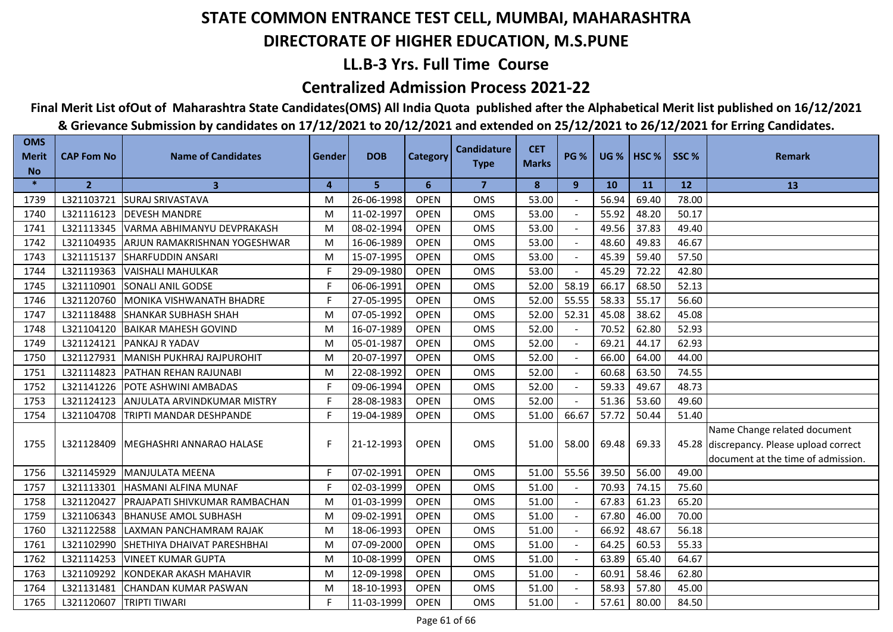## **LL.B-3 Yrs. Full Time Course**

### **Centralized Admission Process 2021-22**

## **Final Merit List ofOut of Maharashtra State Candidates(OMS) All India Quota published after the Alphabetical Merit list published on 16/12/2021**

| <b>OMS</b><br><b>Merit</b> | <b>CAP Fom No</b> | <b>Name of Candidates</b>      | Gender         | <b>DOB</b> | <b>Category</b> | <b>Candidature</b> | <b>CET</b>   | <b>PG %</b>    | <b>UG %</b> | HSC <sub>%</sub> | SSC%  | <b>Remark</b>                                                                                                  |
|----------------------------|-------------------|--------------------------------|----------------|------------|-----------------|--------------------|--------------|----------------|-------------|------------------|-------|----------------------------------------------------------------------------------------------------------------|
| <b>No</b>                  |                   |                                |                |            |                 | <b>Type</b>        | <b>Marks</b> |                |             |                  |       |                                                                                                                |
| $\ast$                     | $\overline{2}$    | $\mathbf{3}$                   | $\overline{4}$ | 5          | 6               | $\overline{7}$     | 8            | 9              | <b>10</b>   | 11               | 12    | 13                                                                                                             |
| 1739                       | L321103721        | <b>SURAJ SRIVASTAVA</b>        | M              | 26-06-1998 | <b>OPEN</b>     | OMS                | 53.00        |                | 56.94       | 69.40            | 78.00 |                                                                                                                |
| 1740                       | L321116123        | <b>DEVESH MANDRE</b>           | M              | 11-02-1997 | <b>OPEN</b>     | <b>OMS</b>         | 53.00        |                | 55.92       | 48.20            | 50.17 |                                                                                                                |
| 1741                       | L321113345        | VARMA ABHIMANYU DEVPRAKASH     | M              | 08-02-1994 | <b>OPEN</b>     | OMS                | 53.00        |                | 49.56       | 37.83            | 49.40 |                                                                                                                |
| 1742                       | L321104935        | ARJUN RAMAKRISHNAN YOGESHWAR   | M              | 16-06-1989 | <b>OPEN</b>     | <b>OMS</b>         | 53.00        |                | 48.60       | 49.83            | 46.67 |                                                                                                                |
| 1743                       | L321115137        | <b>SHARFUDDIN ANSARI</b>       | M              | 15-07-1995 | <b>OPEN</b>     | OMS                | 53.00        | $\sim$         | 45.39       | 59.40            | 57.50 |                                                                                                                |
| 1744                       | L321119363        | VAISHALI MAHULKAR              | F.             | 29-09-1980 | <b>OPEN</b>     | OMS                | 53.00        | $\blacksquare$ | 45.29       | 72.22            | 42.80 |                                                                                                                |
| 1745                       | L321110901        | SONALI ANIL GODSE              | F.             | 06-06-1991 | <b>OPEN</b>     | OMS                | 52.00        | 58.19          | 66.17       | 68.50            | 52.13 |                                                                                                                |
| 1746                       | L321120760        | MONIKA VISHWANATH BHADRE       | F.             | 27-05-1995 | <b>OPEN</b>     | <b>OMS</b>         | 52.00        | 55.55          | 58.33       | 55.17            | 56.60 |                                                                                                                |
| 1747                       | L321118488        | <b>SHANKAR SUBHASH SHAH</b>    | M              | 07-05-1992 | <b>OPEN</b>     | <b>OMS</b>         | 52.00        | 52.31          | 45.08       | 38.62            | 45.08 |                                                                                                                |
| 1748                       | L321104120        | <b>BAIKAR MAHESH GOVIND</b>    | M              | 16-07-1989 | <b>OPEN</b>     | <b>OMS</b>         | 52.00        |                | 70.52       | 62.80            | 52.93 |                                                                                                                |
| 1749                       | L321124121        | PANKAJ R YADAV                 | M              | 05-01-1987 | <b>OPEN</b>     | <b>OMS</b>         | 52.00        |                | 69.21       | 44.17            | 62.93 |                                                                                                                |
| 1750                       | L321127931        | MANISH PUKHRAJ RAJPUROHIT      | M              | 20-07-1997 | <b>OPEN</b>     | <b>OMS</b>         | 52.00        |                | 66.00       | 64.00            | 44.00 |                                                                                                                |
| 1751                       | L321114823        | <b>IPATHAN REHAN RAJUNABI</b>  | M              | 22-08-1992 | <b>OPEN</b>     | <b>OMS</b>         | 52.00        |                | 60.68       | 63.50            | 74.55 |                                                                                                                |
| 1752                       | L321141226        | <b>POTE ASHWINI AMBADAS</b>    | F.             | 09-06-1994 | <b>OPEN</b>     | <b>OMS</b>         | 52.00        |                | 59.33       | 49.67            | 48.73 |                                                                                                                |
| 1753                       | L321124123        | ANJULATA ARVINDKUMAR MISTRY    | F              | 28-08-1983 | <b>OPEN</b>     | <b>OMS</b>         | 52.00        |                | 51.36       | 53.60            | 49.60 |                                                                                                                |
| 1754                       | L321104708        | <b>TRIPTI MANDAR DESHPANDE</b> | F.             | 19-04-1989 | <b>OPEN</b>     | OMS                | 51.00        | 66.67          | 57.72       | 50.44            | 51.40 |                                                                                                                |
| 1755                       | L321128409        | MEGHASHRI ANNARAO HALASE       | F.             | 21-12-1993 | <b>OPEN</b>     | OMS                | 51.00        | 58.00          | 69.48       | 69.33            |       | Name Change related document<br>45.28 discrepancy. Please upload correct<br>document at the time of admission. |
| 1756                       | L321145929        | MANJULATA MEENA                | F.             | 07-02-1991 | <b>OPEN</b>     | <b>OMS</b>         | 51.00        | 55.56          | 39.50       | 56.00            | 49.00 |                                                                                                                |
| 1757                       | L321113301        | <b>HASMANI ALFINA MUNAF</b>    | F.             | 02-03-1999 | <b>OPEN</b>     | <b>OMS</b>         | 51.00        |                | 70.93       | 74.15            | 75.60 |                                                                                                                |
| 1758                       | L321120427        | PRAJAPATI SHIVKUMAR RAMBACHAN  | M              | 01-03-1999 | <b>OPEN</b>     | <b>OMS</b>         | 51.00        |                | 67.83       | 61.23            | 65.20 |                                                                                                                |
| 1759                       | L321106343        | <b>BHANUSE AMOL SUBHASH</b>    | M              | 09-02-1991 | <b>OPEN</b>     | <b>OMS</b>         | 51.00        |                | 67.80       | 46.00            | 70.00 |                                                                                                                |
| 1760                       | L321122588        | LAXMAN PANCHAMRAM RAJAK        | M              | 18-06-1993 | <b>OPEN</b>     | OMS                | 51.00        |                | 66.92       | 48.67            | 56.18 |                                                                                                                |
| 1761                       | L321102990        | SHETHIYA DHAIVAT PARESHBHAI    | M              | 07-09-2000 | <b>OPEN</b>     | <b>OMS</b>         | 51.00        |                | 64.25       | 60.53            | 55.33 |                                                                                                                |
| 1762                       | L321114253        | <b>VINEET KUMAR GUPTA</b>      | M              | 10-08-1999 | <b>OPEN</b>     | OMS                | 51.00        |                | 63.89       | 65.40            | 64.67 |                                                                                                                |
| 1763                       | L321109292        | KONDEKAR AKASH MAHAVIR         | M              | 12-09-1998 | <b>OPEN</b>     | OMS                | 51.00        |                | 60.91       | 58.46            | 62.80 |                                                                                                                |
| 1764                       | L321131481        | CHANDAN KUMAR PASWAN           | M              | 18-10-1993 | <b>OPEN</b>     | OMS                | 51.00        |                | 58.93       | 57.80            | 45.00 |                                                                                                                |
| 1765                       | L321120607        | <b>TRIPTI TIWARI</b>           | F.             | 11-03-1999 | <b>OPEN</b>     | <b>OMS</b>         | 51.00        |                | 57.61       | 80.00            | 84.50 |                                                                                                                |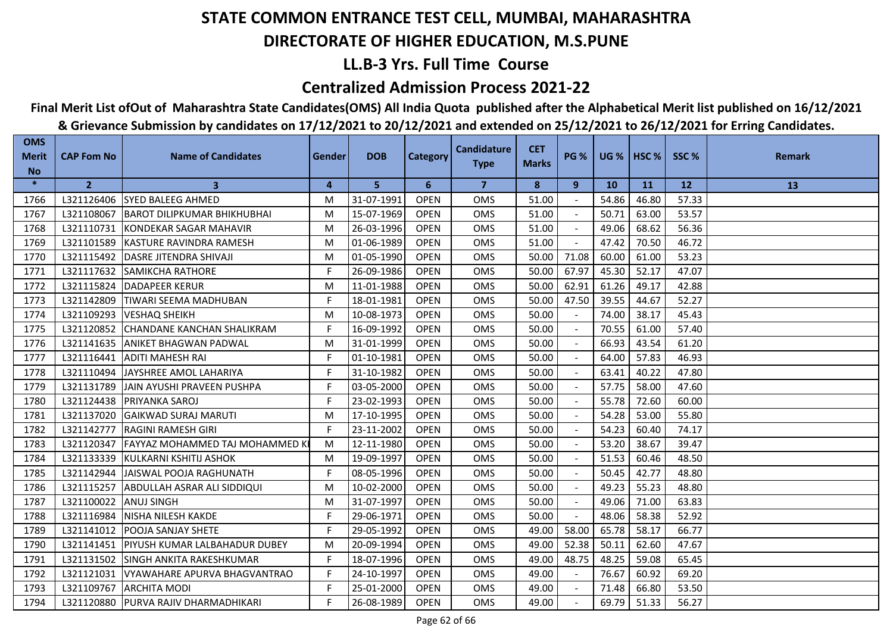## **LL.B-3 Yrs. Full Time Course**

### **Centralized Admission Process 2021-22**

## **Final Merit List ofOut of Maharashtra State Candidates(OMS) All India Quota published after the Alphabetical Merit list published on 16/12/2021**

| <b>OMS</b><br><b>Merit</b> | <b>CAP Fom No</b> | <b>Name of Candidates</b>             | Gender | <b>DOB</b> | Category    | <b>Candidature</b> | <b>CET</b>   | <b>PG %</b> |       | $UG %$ HSC % | SSC%      | <b>Remark</b> |
|----------------------------|-------------------|---------------------------------------|--------|------------|-------------|--------------------|--------------|-------------|-------|--------------|-----------|---------------|
| <b>No</b>                  |                   |                                       |        |            |             | <b>Type</b>        | <b>Marks</b> |             |       |              |           |               |
| $\ast$                     | $\overline{2}$    | 3                                     | 4      | 5          | 6           | $\overline{7}$     | 8            | 9           | 10    | <b>11</b>    | <b>12</b> | 13            |
| 1766                       | L321126406        | <b>SYED BALEEG AHMED</b>              | М      | 31-07-1991 | <b>OPEN</b> | <b>OMS</b>         | 51.00        |             | 54.86 | 46.80        | 57.33     |               |
| 1767                       | L321108067        | <b>IBAROT DILIPKUMAR BHIKHUBHAI</b>   | м      | 15-07-1969 | <b>OPEN</b> | <b>OMS</b>         | 51.00        |             | 50.71 | 63.00        | 53.57     |               |
| 1768                       | L321110731        | <b>KONDEKAR SAGAR MAHAVIR</b>         | M      | 26-03-1996 | <b>OPEN</b> | <b>OMS</b>         | 51.00        |             | 49.06 | 68.62        | 56.36     |               |
| 1769                       | L321101589        | KASTURE RAVINDRA RAMESH               | м      | 01-06-1989 | <b>OPEN</b> | <b>OMS</b>         | 51.00        |             | 47.42 | 70.50        | 46.72     |               |
| 1770                       | L321115492        | <b>DASRE JITENDRA SHIVAJI</b>         | М      | 01-05-1990 | <b>OPEN</b> | OMS                | 50.00        | 71.08       | 60.00 | 61.00        | 53.23     |               |
| 1771                       | L321117632        | <b>ISAMIKCHA RATHORE</b>              | F.     | 26-09-1986 | <b>OPEN</b> | <b>OMS</b>         | 50.00        | 67.97       | 45.30 | 52.17        | 47.07     |               |
| 1772                       | L321115824        | <b>DADAPEER KERUR</b>                 | М      | 11-01-1988 | <b>OPEN</b> | <b>OMS</b>         | 50.00        | 62.91       | 61.26 | 49.17        | 42.88     |               |
| 1773                       | L321142809        | <b>I</b> TIWARI SEEMA MADHUBAN        | F.     | 18-01-1981 | <b>OPEN</b> | <b>OMS</b>         | 50.00        | 47.50       | 39.55 | 44.67        | 52.27     |               |
| 1774                       | L321109293        | <b>VESHAQ SHEIKH</b>                  | м      | 10-08-1973 | <b>OPEN</b> | <b>OMS</b>         | 50.00        |             | 74.00 | 38.17        | 45.43     |               |
| 1775                       | L321120852        | <b>CHANDANE KANCHAN SHALIKRAM</b>     | F.     | 16-09-1992 | <b>OPEN</b> | <b>OMS</b>         | 50.00        |             | 70.55 | 61.00        | 57.40     |               |
| 1776                       | L321141635        | IANIKET BHAGWAN PADWAL                | М      | 31-01-1999 | <b>OPEN</b> | <b>OMS</b>         | 50.00        |             | 66.93 | 43.54        | 61.20     |               |
| 1777                       | L321116441        | <b>ADITI MAHESH RAI</b>               | F      | 01-10-1981 | <b>OPEN</b> | OMS                | 50.00        |             | 64.00 | 57.83        | 46.93     |               |
| 1778                       | L321110494        | <b>JJAYSHREE AMOL LAHARIYA</b>        | F      | 31-10-1982 | <b>OPEN</b> | <b>OMS</b>         | 50.00        |             | 63.41 | 40.22        | 47.80     |               |
| 1779                       | L321131789        | JAIN AYUSHI PRAVEEN PUSHPA            | F.     | 03-05-2000 | <b>OPEN</b> | <b>OMS</b>         | 50.00        |             | 57.75 | 58.00        | 47.60     |               |
| 1780                       | L321124438        | <b>IPRIYANKA SAROJ</b>                | F.     | 23-02-1993 | <b>OPEN</b> | <b>OMS</b>         | 50.00        |             | 55.78 | 72.60        | 60.00     |               |
| 1781                       | L321137020        | <b>GAIKWAD SURAJ MARUTI</b>           | М      | 17-10-1995 | <b>OPEN</b> | OMS                | 50.00        |             | 54.28 | 53.00        | 55.80     |               |
| 1782                       | L321142777        | <b>RAGINI RAMESH GIRI</b>             | F      | 23-11-2002 | <b>OPEN</b> | <b>OMS</b>         | 50.00        |             | 54.23 | 60.40        | 74.17     |               |
| 1783                       | L321120347        | <b>FAYYAZ MOHAMMED TAJ MOHAMMED K</b> | м      | 12-11-1980 | <b>OPEN</b> | <b>OMS</b>         | 50.00        |             | 53.20 | 38.67        | 39.47     |               |
| 1784                       | L321133339        | <b>IKULKARNI KSHITIJ ASHOK</b>        | м      | 19-09-1997 | <b>OPEN</b> | <b>OMS</b>         | 50.00        |             | 51.53 | 60.46        | 48.50     |               |
| 1785                       | L321142944        | JAISWAL POOJA RAGHUNATH               | F      | 08-05-1996 | <b>OPEN</b> | <b>OMS</b>         | 50.00        |             | 50.45 | 42.77        | 48.80     |               |
| 1786                       | L321115257        | ABDULLAH ASRAR ALI SIDDIQUI           | М      | 10-02-2000 | <b>OPEN</b> | <b>OMS</b>         | 50.00        |             | 49.23 | 55.23        | 48.80     |               |
| 1787                       | L321100022        | <b>ANUJ SINGH</b>                     | м      | 31-07-1997 | <b>OPEN</b> | <b>OMS</b>         | 50.00        |             | 49.06 | 71.00        | 63.83     |               |
| 1788                       | L321116984        | NISHA NILESH KAKDE                    | F.     | 29-06-1971 | <b>OPEN</b> | <b>OMS</b>         | 50.00        |             | 48.06 | 58.38        | 52.92     |               |
| 1789                       | L321141012        | <b>POOJA SANJAY SHETE</b>             | F      | 29-05-1992 | <b>OPEN</b> | <b>OMS</b>         | 49.00        | 58.00       | 65.78 | 58.17        | 66.77     |               |
| 1790                       | L321141451        | <b>IPIYUSH KUMAR LALBAHADUR DUBEY</b> | M      | 20-09-1994 | <b>OPEN</b> | <b>OMS</b>         | 49.00        | 52.38       | 50.11 | 62.60        | 47.67     |               |
| 1791                       | L321131502        | <b>ISINGH ANKITA RAKESHKUMAR</b>      | F      | 18-07-1996 | <b>OPEN</b> | <b>OMS</b>         | 49.00        | 48.75       | 48.25 | 59.08        | 65.45     |               |
| 1792                       | L321121031        | VYAWAHARE APURVA BHAGVANTRAO          | F.     | 24-10-1997 | <b>OPEN</b> | <b>OMS</b>         | 49.00        |             | 76.67 | 60.92        | 69.20     |               |
| 1793                       | L321109767        | <b>ARCHITA MODI</b>                   | F.     | 25-01-2000 | <b>OPEN</b> | <b>OMS</b>         | 49.00        |             | 71.48 | 66.80        | 53.50     |               |
| 1794                       | L321120880        | <b>PURVA RAJIV DHARMADHIKARI</b>      | F      | 26-08-1989 | <b>OPEN</b> | <b>OMS</b>         | 49.00        |             | 69.79 | 51.33        | 56.27     |               |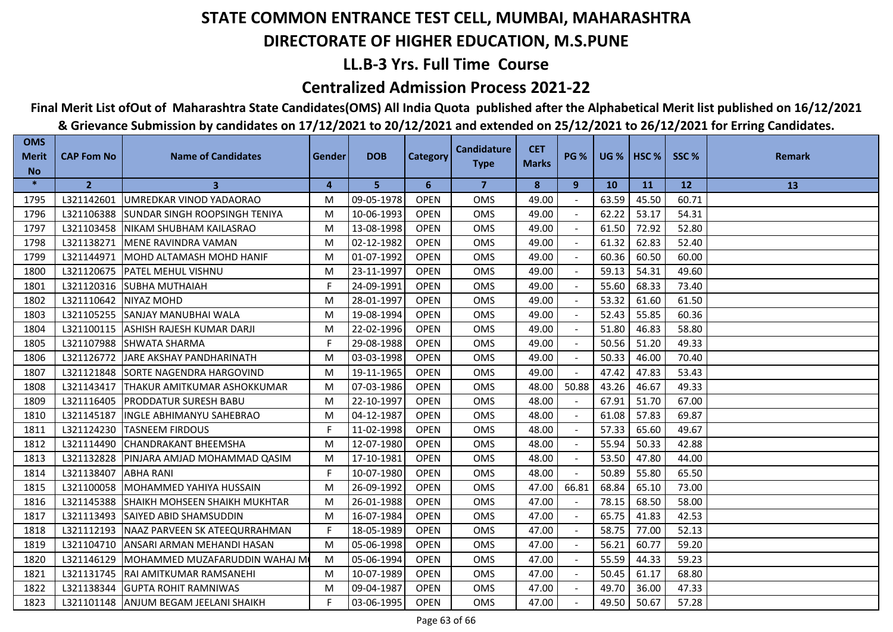## **LL.B-3 Yrs. Full Time Course**

### **Centralized Admission Process 2021-22**

## **Final Merit List ofOut of Maharashtra State Candidates(OMS) All India Quota published after the Alphabetical Merit list published on 16/12/2021**

| <b>OMS</b><br><b>Merit</b> | <b>CAP Fom No</b> | <b>Name of Candidates</b>            | Gender | <b>DOB</b> | <b>Category</b> | <b>Candidature</b> | <b>CET</b>   | <b>PG %</b>    |           | <b>UG %   HSC %</b> | SSC%      | <b>Remark</b> |
|----------------------------|-------------------|--------------------------------------|--------|------------|-----------------|--------------------|--------------|----------------|-----------|---------------------|-----------|---------------|
| <b>No</b>                  |                   |                                      |        |            |                 | <b>Type</b>        | <b>Marks</b> |                |           |                     |           |               |
| $\ast$                     | $\mathbf{2}$      | 3                                    | 4      | 5          | 6               | 7                  | 8            | 9              | <b>10</b> | 11                  | <b>12</b> | 13            |
| 1795                       | L321142601        | UMREDKAR VINOD YADAORAO              | M      | 09-05-1978 | <b>OPEN</b>     | <b>OMS</b>         | 49.00        |                | 63.59     | 45.50               | 60.71     |               |
| 1796                       | L321106388        | ISUNDAR SINGH ROOPSINGH TENIYA       | M      | 10-06-1993 | <b>OPEN</b>     | <b>OMS</b>         | 49.00        |                | 62.22     | 53.17               | 54.31     |               |
| 1797                       | L321103458        | NIKAM SHUBHAM KAILASRAO              | M      | 13-08-1998 | <b>OPEN</b>     | <b>OMS</b>         | 49.00        |                | 61.50     | 72.92               | 52.80     |               |
| 1798                       | L321138271        | MENE RAVINDRA VAMAN                  | M      | 02-12-1982 | <b>OPEN</b>     | <b>OMS</b>         | 49.00        |                | 61.32     | 62.83               | 52.40     |               |
| 1799                       | L321144971        | MOHD ALTAMASH MOHD HANIF             | M      | 01-07-1992 | <b>OPEN</b>     | OMS                | 49.00        |                | 60.36     | 60.50               | 60.00     |               |
| 1800                       | L321120675        | <b>IPATEL MEHUL VISHNU</b>           | M      | 23-11-1997 | <b>OPEN</b>     | <b>OMS</b>         | 49.00        |                | 59.13     | 54.31               | 49.60     |               |
| 1801                       | L321120316        | <b>SUBHA MUTHAIAH</b>                | F      | 24-09-1991 | <b>OPEN</b>     | <b>OMS</b>         | 49.00        |                | 55.60     | 68.33               | 73.40     |               |
| 1802                       | L321110642        | NIYAZ MOHD                           | M      | 28-01-1997 | <b>OPEN</b>     | <b>OMS</b>         | 49.00        |                | 53.32     | 61.60               | 61.50     |               |
| 1803                       | L321105255        | <b>SANJAY MANUBHAI WALA</b>          | M      | 19-08-1994 | <b>OPEN</b>     | <b>OMS</b>         | 49.00        |                | 52.43     | 55.85               | 60.36     |               |
| 1804                       | L321100115        | <b>ASHISH RAJESH KUMAR DARJI</b>     | M      | 22-02-1996 | <b>OPEN</b>     | <b>OMS</b>         | 49.00        |                | 51.80     | 46.83               | 58.80     |               |
| 1805                       | L321107988        | <b>SHWATA SHARMA</b>                 | F.     | 29-08-1988 | <b>OPEN</b>     | <b>OMS</b>         | 49.00        |                | 50.56     | 51.20               | 49.33     |               |
| 1806                       | L321126772        | JARE AKSHAY PANDHARINATH             | M      | 03-03-1998 | <b>OPEN</b>     | <b>OMS</b>         | 49.00        | $\overline{a}$ | 50.33     | 46.00               | 70.40     |               |
| 1807                       | L321121848        | SORTE NAGENDRA HARGOVIND             | M      | 19-11-1965 | <b>OPEN</b>     | OMS                | 49.00        |                | 47.42     | 47.83               | 53.43     |               |
| 1808                       | L321143417        | THAKUR AMITKUMAR ASHOKKUMAR          | M      | 07-03-1986 | <b>OPEN</b>     | OMS                | 48.00        | 50.88          | 43.26     | 46.67               | 49.33     |               |
| 1809                       | L321116405        | <b>PRODDATUR SURESH BABU</b>         | M      | 22-10-1997 | <b>OPEN</b>     | <b>OMS</b>         | 48.00        |                | 67.91     | 51.70               | 67.00     |               |
| 1810                       | L321145187        | <b>INGLE ABHIMANYU SAHEBRAO</b>      | M      | 04-12-1987 | <b>OPEN</b>     | <b>OMS</b>         | 48.00        |                | 61.08     | 57.83               | 69.87     |               |
| 1811                       | L321124230        | <b>TASNEEM FIRDOUS</b>               | F      | 11-02-1998 | <b>OPEN</b>     | <b>OMS</b>         | 48.00        |                | 57.33     | 65.60               | 49.67     |               |
| 1812                       | L321114490        | <b>ICHANDRAKANT BHEEMSHA</b>         | M      | 12-07-1980 | <b>OPEN</b>     | <b>OMS</b>         | 48.00        |                | 55.94     | 50.33               | 42.88     |               |
| 1813                       | L321132828        | PINJARA AMJAD MOHAMMAD QASIM         | M      | 17-10-1981 | <b>OPEN</b>     | OMS                | 48.00        |                | 53.50     | 47.80               | 44.00     |               |
| 1814                       | L321138407        | <b>ABHA RANI</b>                     | F      | 10-07-1980 | <b>OPEN</b>     | <b>OMS</b>         | 48.00        |                | 50.89     | 55.80               | 65.50     |               |
| 1815                       | L321100058        | <b>MOHAMMED YAHIYA HUSSAIN</b>       | M      | 26-09-1992 | <b>OPEN</b>     | <b>OMS</b>         | 47.00        | 66.81          | 68.84     | 65.10               | 73.00     |               |
| 1816                       | L321145388        | <b>SHAIKH MOHSEEN SHAIKH MUKHTAR</b> | M      | 26-01-1988 | <b>OPEN</b>     | <b>OMS</b>         | 47.00        | $\sim$         | 78.15     | 68.50               | 58.00     |               |
| 1817                       | L321113493        | SAIYED ABID SHAMSUDDIN               | M      | 16-07-1984 | <b>OPEN</b>     | OMS                | 47.00        |                | 65.75     | 41.83               | 42.53     |               |
| 1818                       | L321112193        | NAAZ PARVEEN SK ATEEQURRAHMAN        | F      | 18-05-1989 | <b>OPEN</b>     | <b>OMS</b>         | 47.00        |                | 58.75     | 77.00               | 52.13     |               |
| 1819                       | L321104710        | ANSARI ARMAN MEHANDI HASAN           | M      | 05-06-1998 | <b>OPEN</b>     | <b>OMS</b>         | 47.00        |                | 56.21     | 60.77               | 59.20     |               |
| 1820                       | L321146129        | MOHAMMED MUZAFARUDDIN WAHAJ M        | M      | 05-06-1994 | <b>OPEN</b>     | <b>OMS</b>         | 47.00        |                | 55.59     | 44.33               | 59.23     |               |
| 1821                       | L321131745        | RAI AMITKUMAR RAMSANEHI              | M      | 10-07-1989 | <b>OPEN</b>     | <b>OMS</b>         | 47.00        |                | 50.45     | 61.17               | 68.80     |               |
| 1822                       | L321138344        | <b>GUPTA ROHIT RAMNIWAS</b>          | M      | 09-04-1987 | <b>OPEN</b>     | <b>OMS</b>         | 47.00        |                | 49.70     | 36.00               | 47.33     |               |
| 1823                       | L321101148        | ANJUM BEGAM JEELANI SHAIKH           | F.     | 03-06-1995 | <b>OPEN</b>     | <b>OMS</b>         | 47.00        |                | 49.50     | 50.67               | 57.28     |               |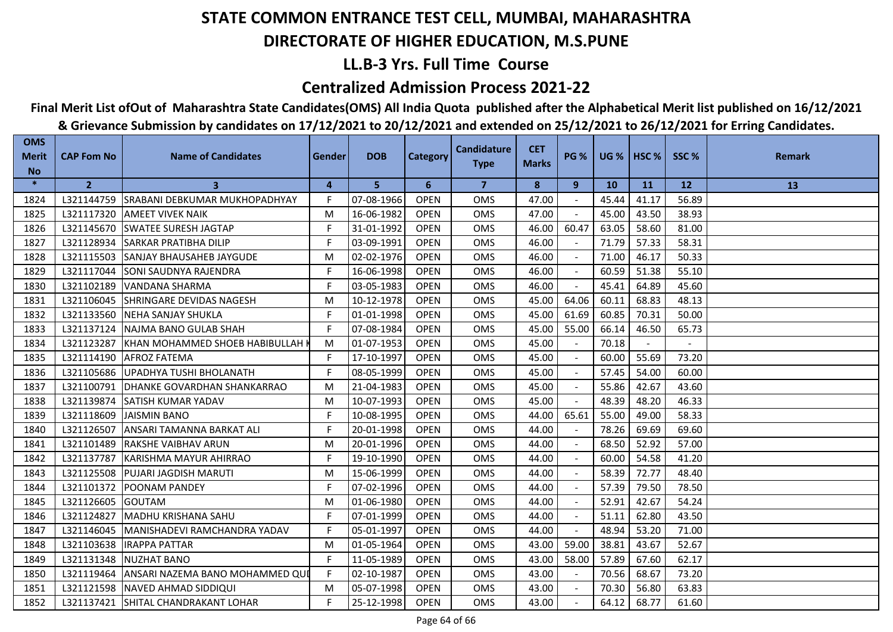### **LL.B-3 Yrs. Full Time Course**

### **Centralized Admission Process 2021-22**

# **Final Merit List ofOut of Maharashtra State Candidates(OMS) All India Quota published after the Alphabetical Merit list published on 16/12/2021**

|                                         |                   | & Grievance Submission by candidates on 17/12/2021 to 20/12/2021 and extended on 25/12/2021 to 26/12/2021 for Erring Candidates. |        |            |                 |                                   |                            |             |           |                |           |               |
|-----------------------------------------|-------------------|----------------------------------------------------------------------------------------------------------------------------------|--------|------------|-----------------|-----------------------------------|----------------------------|-------------|-----------|----------------|-----------|---------------|
| <b>OMS</b><br><b>Merit</b><br><b>No</b> | <b>CAP Fom No</b> | <b>Name of Candidates</b>                                                                                                        | Gender | <b>DOB</b> | <b>Category</b> | <b>Candidature</b><br><b>Type</b> | <b>CET</b><br><b>Marks</b> | <b>PG %</b> |           | UG %   $HSC$ % | SSC%      | <b>Remark</b> |
| $\ast$                                  | $\overline{2}$    | 3                                                                                                                                | 4      | 5          | 6               | $\overline{7}$                    | 8                          | 9           | <b>10</b> | 11             | <b>12</b> | 13            |
| 1824                                    | L321144759        | SRABANI DEBKUMAR MUKHOPADHYAY                                                                                                    | F      | 07-08-1966 | <b>OPEN</b>     | OMS                               | 47.00                      |             | 45.44     | 41.17          | 56.89     |               |
| 1825                                    | L321117320        | <b>AMEET VIVEK NAIK</b>                                                                                                          | M      | 16-06-1982 | <b>OPEN</b>     | <b>OMS</b>                        | 47.00                      |             | 45.00     | 43.50          | 38.93     |               |
| 1826                                    |                   | L321145670 SWATEE SURESH JAGTAP                                                                                                  | F.     | 31-01-1992 | <b>OPEN</b>     | <b>OMS</b>                        | 46.00                      | 60.47       | 63.05     | 58.60          | 81.00     |               |
| 1827                                    | L321128934        | <b>SARKAR PRATIBHA DILIP</b>                                                                                                     | F      | 03-09-1991 | <b>OPEN</b>     | OMS                               | 46.00                      |             | 71.79     | 57.33          | 58.31     |               |
| 1828                                    | L321115503        | SANJAY BHAUSAHEB JAYGUDE                                                                                                         | M      | 02-02-1976 | <b>OPEN</b>     | OMS                               | 46.00                      |             | 71.00     | 46.17          | 50.33     |               |
| 1829                                    | L321117044        | SONI SAUDNYA RAJENDRA                                                                                                            | F.     | 16-06-1998 | <b>OPEN</b>     | <b>OMS</b>                        | 46.00                      |             | 60.59     | 51.38          | 55.10     |               |
| 1830                                    | L321102189        | <b>VANDANA SHARMA</b>                                                                                                            | F      | 03-05-1983 | <b>OPEN</b>     | <b>OMS</b>                        | 46.00                      |             | 45.41     | 64.89          | 45.60     |               |
| 1831                                    | L321106045        | SHRINGARE DEVIDAS NAGESH                                                                                                         | M      | 10-12-1978 | <b>OPEN</b>     | <b>OMS</b>                        | 45.00                      | 64.06       | 60.11     | 68.83          | 48.13     |               |
| 1832                                    | L321133560        | <b>NEHA SANJAY SHUKLA</b>                                                                                                        | F.     | 01-01-1998 | <b>OPEN</b>     | OMS                               | 45.00                      | 61.69       | 60.85     | 70.31          | 50.00     |               |
| 1833                                    | L321137124        | NAJMA BANO GULAB SHAH                                                                                                            | F      | 07-08-1984 | <b>OPEN</b>     | <b>OMS</b>                        | 45.00                      | 55.00       | 66.14     | 46.50          | 65.73     |               |
| 1834                                    | L321123287        | KHAN MOHAMMED SHOEB HABIBULLAH                                                                                                   | M      | 01-07-1953 | <b>OPEN</b>     | <b>OMS</b>                        | 45.00                      |             | 70.18     |                |           |               |
| 1835                                    | L321114190        | <b>AFROZ FATEMA</b>                                                                                                              | F.     | 17-10-1997 | <b>OPEN</b>     | <b>OMS</b>                        | 45.00                      |             | 60.00     | 55.69          | 73.20     |               |
| 1836                                    | L321105686        | UPADHYA TUSHI BHOLANATH                                                                                                          | F      | 08-05-1999 | <b>OPEN</b>     | <b>OMS</b>                        | 45.00                      |             | 57.45     | 54.00          | 60.00     |               |
| 1837                                    | L321100791        | DHANKE GOVARDHAN SHANKARRAO                                                                                                      | M      | 21-04-1983 | <b>OPEN</b>     | OMS                               | 45.00                      |             | 55.86     | 42.67          | 43.60     |               |
| 1838                                    | L321139874        | <b>SATISH KUMAR YADAV</b>                                                                                                        | M      | 10-07-1993 | <b>OPEN</b>     | <b>OMS</b>                        | 45.00                      |             | 48.39     | 48.20          | 46.33     |               |
| 1839                                    | L321118609        | <b>JAISMIN BANO</b>                                                                                                              | F      | 10-08-1995 | <b>OPEN</b>     | <b>OMS</b>                        | 44.00                      | 65.61       | 55.00     | 49.00          | 58.33     |               |
| 1840                                    | L321126507        | ANSARI TAMANNA BARKAT ALI                                                                                                        | F      | 20-01-1998 | <b>OPEN</b>     | <b>OMS</b>                        | 44.00                      |             | 78.26     | 69.69          | 69.60     |               |
| 1841                                    | L321101489        | RAKSHE VAIBHAV ARUN                                                                                                              | M      | 20-01-1996 | <b>OPEN</b>     | OMS                               | 44.00                      |             | 68.50     | 52.92          | 57.00     |               |
| 1842                                    | L321137787        | KARISHMA MAYUR AHIRRAO                                                                                                           | F      | 19-10-1990 | <b>OPEN</b>     | <b>OMS</b>                        | 44.00                      |             | 60.00     | 54.58          | 41.20     |               |
| 1843                                    | L321125508        | <b>PUJARI JAGDISH MARUTI</b>                                                                                                     | М      | 15-06-1999 | <b>OPEN</b>     | <b>OMS</b>                        | 44.00                      |             | 58.39     | 72.77          | 48.40     |               |
| 1844                                    | L321101372        | POONAM PANDEY                                                                                                                    | F.     | 07-02-1996 | <b>OPEN</b>     | <b>OMS</b>                        | 44.00                      |             | 57.39     | 79.50          | 78.50     |               |
| 1845                                    | L321126605        | <b>GOUTAM</b>                                                                                                                    | M      | 01-06-1980 | <b>OPEN</b>     | <b>OMS</b>                        | 44.00                      |             | 52.91     | 42.67          | 54.24     |               |
| 1846                                    | L321124827        | <b>MADHU KRISHANA SAHU</b>                                                                                                       | F      | 07-01-1999 | <b>OPEN</b>     | OMS                               | 44.00                      |             | 51.11     | 62.80          | 43.50     |               |
| 1847                                    | L321146045        | MANISHADEVI RAMCHANDRA YADAV                                                                                                     | F.     | 05-01-1997 | <b>OPEN</b>     | OMS                               | 44.00                      |             | 48.94     | 53.20          | 71.00     |               |
| 1848                                    | L321103638        | <b>IRAPPA PATTAR</b>                                                                                                             | M      | 01-05-1964 | <b>OPEN</b>     | <b>OMS</b>                        | 43.00                      | 59.00       | 38.81     | 43.67          | 52.67     |               |
| 1849                                    | L321131348        | <b>NUZHAT BANO</b>                                                                                                               | F.     | 11-05-1989 | <b>OPEN</b>     | <b>OMS</b>                        | 43.00                      | 58.00       | 57.89     | 67.60          | 62.17     |               |
| 1850                                    |                   | L321119464 ANSARI NAZEMA BANO MOHAMMED QUI                                                                                       | F.     | 02-10-1987 | <b>OPEN</b>     | <b>OMS</b>                        | 43.00                      |             | 70.56     | 68.67          | 73.20     |               |

1851 | L321121598 |NAVED AHMAD SIDDIQUI | M | 05-07-1998 | OPEN | OMS | 43.00 | - | 70.30 | 56.80 | 63.83 L321137421 SHITAL CHANDRAKANT LOHAR F 25-12-1998 OPEN OMS 43.00 - 64.12 68.77 61.60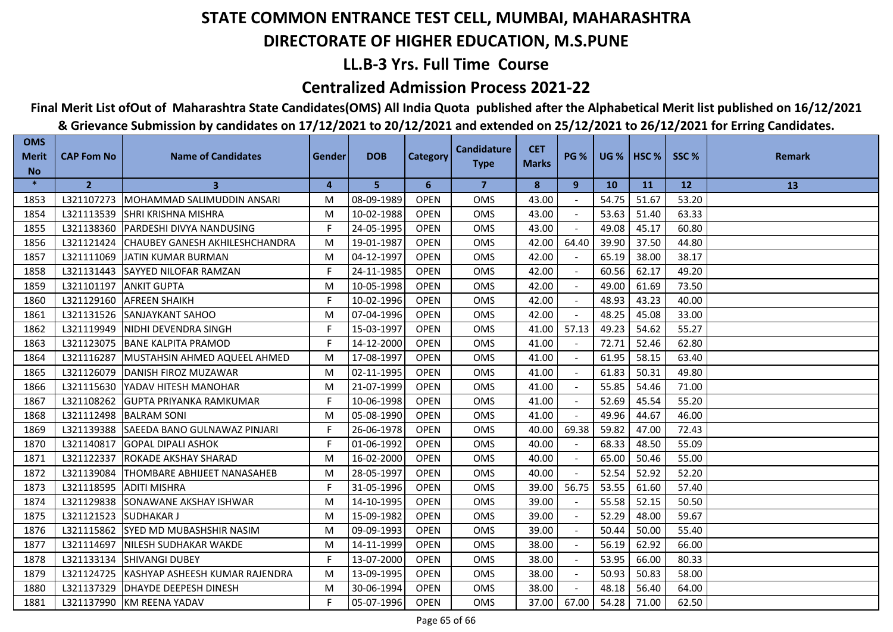## **LL.B-3 Yrs. Full Time Course**

### **Centralized Admission Process 2021-22**

# **Final Merit List ofOut of Maharashtra State Candidates(OMS) All India Quota published after the Alphabetical Merit list published on 16/12/2021**

| <b>OMS</b><br><b>Merit</b> | <b>CAP Fom No</b> | <b>Name of Candidates</b>          | <b>Gender</b> | <b>DOB</b> | <b>Category</b> | <b>Candidature</b> | <b>CET</b>   | <b>PG %</b> | <b>UG %   HSC %</b> |       | SSC%      | <b>Remark</b> |
|----------------------------|-------------------|------------------------------------|---------------|------------|-----------------|--------------------|--------------|-------------|---------------------|-------|-----------|---------------|
| <b>No</b>                  |                   |                                    |               |            |                 | <b>Type</b>        | <b>Marks</b> |             |                     |       |           |               |
| $\ast$                     | $\overline{2}$    | 3                                  | 4             | 5          | 6               | $\overline{7}$     | 8            | 9           | <b>10</b>           | 11    | <b>12</b> | 13            |
| 1853                       | L321107273        | MOHAMMAD SALIMUDDIN ANSARI         | M             | 08-09-1989 | <b>OPEN</b>     | OMS                | 43.00        |             | 54.75               | 51.67 | 53.20     |               |
| 1854                       | L321113539        | ISHRI KRISHNA MISHRA               | M             | 10-02-1988 | <b>OPEN</b>     | <b>OMS</b>         | 43.00        |             | 53.63               | 51.40 | 63.33     |               |
| 1855                       | L321138360        | PARDESHI DIVYA NANDUSING           | F.            | 24-05-1995 | <b>OPEN</b>     | <b>OMS</b>         | 43.00        |             | 49.08               | 45.17 | 60.80     |               |
| 1856                       | L321121424        | CHAUBEY GANESH AKHILESHCHANDRA     | M             | 19-01-1987 | <b>OPEN</b>     | <b>OMS</b>         | 42.00        | 64.40       | 39.90               | 37.50 | 44.80     |               |
| 1857                       | L321111069        | JATIN KUMAR BURMAN                 | M             | 04-12-1997 | <b>OPEN</b>     | OMS                | 42.00        |             | 65.19               | 38.00 | 38.17     |               |
| 1858                       | L321131443        | <b>SAYYED NILOFAR RAMZAN</b>       | F             | 24-11-1985 | <b>OPEN</b>     | OMS                | 42.00        |             | 60.56               | 62.17 | 49.20     |               |
| 1859                       | L321101197        | <b>ANKIT GUPTA</b>                 | M             | 10-05-1998 | <b>OPEN</b>     | OMS                | 42.00        |             | 49.00               | 61.69 | 73.50     |               |
| 1860                       | L321129160        | <b>AFREEN SHAIKH</b>               | F.            | 10-02-1996 | <b>OPEN</b>     | <b>OMS</b>         | 42.00        |             | 48.93               | 43.23 | 40.00     |               |
| 1861                       | L321131526        | <b>SANJAYKANT SAHOO</b>            | M             | 07-04-1996 | <b>OPEN</b>     | <b>OMS</b>         | 42.00        |             | 48.25               | 45.08 | 33.00     |               |
| 1862                       | L321119949        | INIDHI DEVENDRA SINGH              | F.            | 15-03-1997 | <b>OPEN</b>     | <b>OMS</b>         | 41.00        | 57.13       | 49.23               | 54.62 | 55.27     |               |
| 1863                       | L321123075        | <b>BANE KALPITA PRAMOD</b>         | F             | 14-12-2000 | <b>OPEN</b>     | <b>OMS</b>         | 41.00        |             | 72.71               | 52.46 | 62.80     |               |
| 1864                       | L321116287        | MUSTAHSIN AHMED AQUEEL AHMED       | M             | 17-08-1997 | <b>OPEN</b>     | OMS                | 41.00        |             | 61.95               | 58.15 | 63.40     |               |
| 1865                       | L321126079        | DANISH FIROZ MUZAWAR               | M             | 02-11-1995 | <b>OPEN</b>     | <b>OMS</b>         | 41.00        |             | 61.83               | 50.31 | 49.80     |               |
| 1866                       | L321115630        | YADAV HITESH MANOHAR               | M             | 21-07-1999 | <b>OPEN</b>     | <b>OMS</b>         | 41.00        |             | 55.85               | 54.46 | 71.00     |               |
| 1867                       | L321108262        | <b>GUPTA PRIYANKA RAMKUMAR</b>     | F.            | 10-06-1998 | <b>OPEN</b>     | <b>OMS</b>         | 41.00        | $\sim$      | 52.69               | 45.54 | 55.20     |               |
| 1868                       | L321112498        | <b>BALRAM SONI</b>                 | M             | 05-08-1990 | <b>OPEN</b>     | OMS                | 41.00        |             | 49.96               | 44.67 | 46.00     |               |
| 1869                       | L321139388        | SAEEDA BANO GULNAWAZ PINJARI       | F             | 26-06-1978 | <b>OPEN</b>     | OMS                | 40.00        | 69.38       | 59.82               | 47.00 | 72.43     |               |
| 1870                       | L321140817        | <b>GOPAL DIPALI ASHOK</b>          | F             | 01-06-1992 | <b>OPEN</b>     | OMS                | 40.00        |             | 68.33               | 48.50 | 55.09     |               |
| 1871                       | L321122337        | <b>IROKADE AKSHAY SHARAD</b>       | M             | 16-02-2000 | <b>OPEN</b>     | <b>OMS</b>         | 40.00        |             | 65.00               | 50.46 | 55.00     |               |
| 1872                       | L321139084        | <b>THOMBARE ABHIJEET NANASAHEB</b> | M             | 28-05-1997 | <b>OPEN</b>     | <b>OMS</b>         | 40.00        |             | 52.54               | 52.92 | 52.20     |               |
| 1873                       | L321118595        | <b>ADITI MISHRA</b>                | F             | 31-05-1996 | <b>OPEN</b>     | <b>OMS</b>         | 39.00        | 56.75       | 53.55               | 61.60 | 57.40     |               |
| 1874                       | L321129838        | SONAWANE AKSHAY ISHWAR             | M             | 14-10-1995 | <b>OPEN</b>     | <b>OMS</b>         | 39.00        |             | 55.58               | 52.15 | 50.50     |               |
| 1875                       | L321121523        | <b>SUDHAKAR J</b>                  | M             | 15-09-1982 | <b>OPEN</b>     | OMS                | 39.00        |             | 52.29               | 48.00 | 59.67     |               |
| 1876                       | L321115862        | <b>ISYED MD MUBASHSHIR NASIM</b>   | M             | 09-09-1993 | <b>OPEN</b>     | <b>OMS</b>         | 39.00        |             | 50.44               | 50.00 | 55.40     |               |
| 1877                       | L321114697        | NILESH SUDHAKAR WAKDE              | M             | 14-11-1999 | <b>OPEN</b>     | <b>OMS</b>         | 38.00        |             | 56.19               | 62.92 | 66.00     |               |
| 1878                       | L321133134        | <b>ISHIVANGI DUBEY</b>             | F.            | 13-07-2000 | <b>OPEN</b>     | <b>OMS</b>         | 38.00        |             | 53.95               | 66.00 | 80.33     |               |
| 1879                       | L321124725        | KASHYAP ASHEESH KUMAR RAJENDRA     | M             | 13-09-1995 | <b>OPEN</b>     | OMS                | 38.00        | $\sim$      | 50.93               | 50.83 | 58.00     |               |
| 1880                       | L321137329        | <b>DHAYDE DEEPESH DINESH</b>       | M             | 30-06-1994 | <b>OPEN</b>     | OMS                | 38.00        |             | 48.18               | 56.40 | 64.00     |               |
| 1881                       |                   | L321137990 KM REENA YADAV          | F             | 05-07-1996 | <b>OPEN</b>     | <b>OMS</b>         | 37.00        | 67.00       | 54.28               | 71.00 | 62.50     |               |